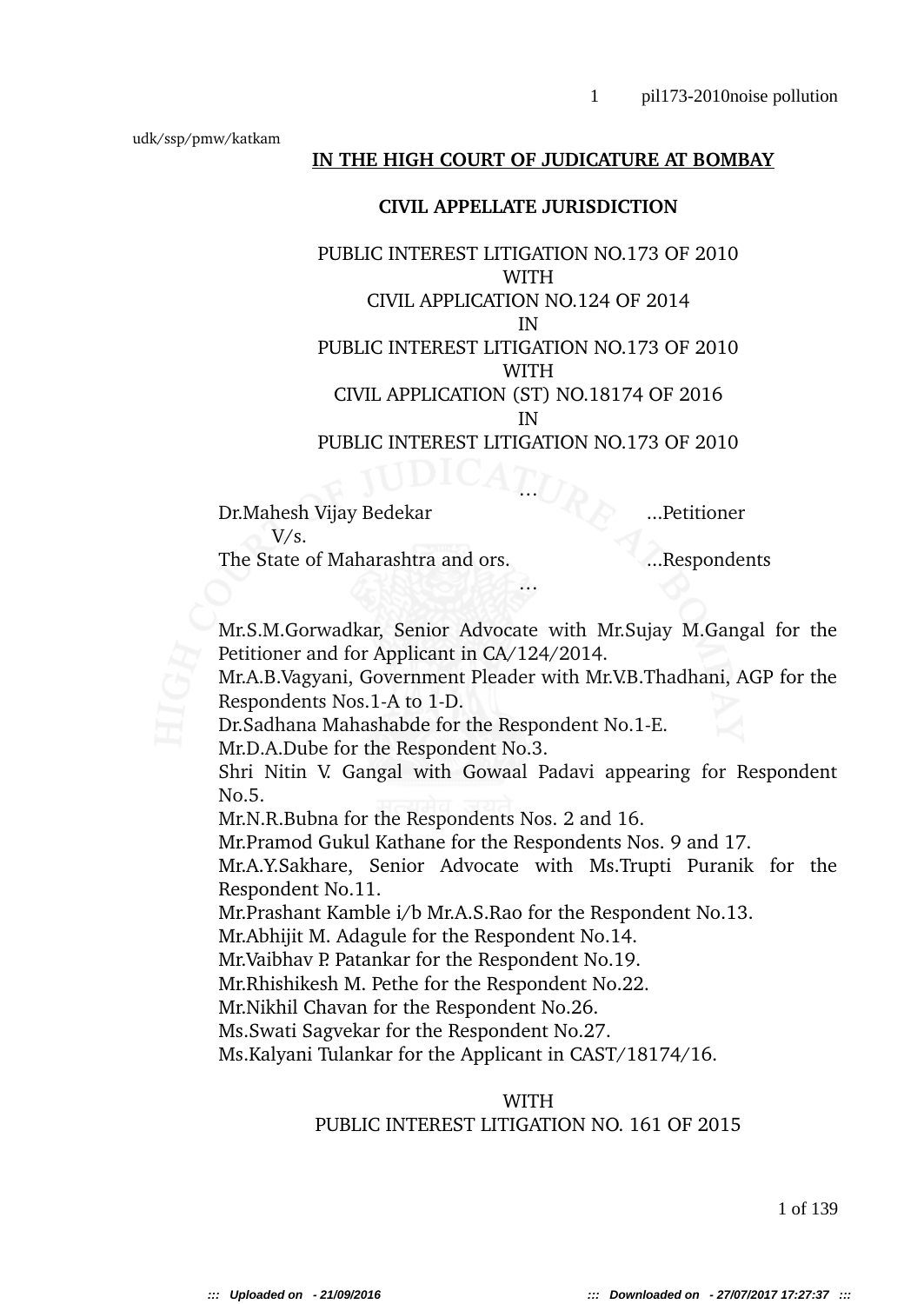#### **IN THE HIGH COURT OF JUDICATURE AT BOMBAY**

#### **CIVIL APPELLATE JURISDICTION**

PUBLIC INTEREST LITIGATION NO.173 OF 2010 WITH CIVIL APPLICATION NO.124 OF 2014 IN PUBLIC INTEREST LITIGATION NO.173 OF 2010 WITH CIVIL APPLICATION (ST) NO.18174 OF 2016 IN

PUBLIC INTEREST LITIGATION NO.173 OF 2010

…

Dr.Mahesh Vijay Bedekar ...Petitioner V/s.

The State of Maharashtra and ors. ...Respondents

Mr.S.M.Gorwadkar, Senior Advocate with Mr.Sujay M.Gangal for the Petitioner and for Applicant in CA/124/2014.

…

Mr.A.B.Vagyani, Government Pleader with Mr.V.B.Thadhani, AGP for the Respondents Nos.1-A to 1-D.

Dr.Sadhana Mahashabde for the Respondent No.1-E.

Mr.D.A.Dube for the Respondent No.3.

Shri Nitin V. Gangal with Gowaal Padavi appearing for Respondent No.5.

Mr.N.R.Bubna for the Respondents Nos. 2 and 16.

Mr.Pramod Gukul Kathane for the Respondents Nos. 9 and 17.

Mr.A.Y.Sakhare, Senior Advocate with Ms.Trupti Puranik for the Respondent No.11.

Mr.Prashant Kamble i/b Mr.A.S.Rao for the Respondent No.13.

Mr.Abhijit M. Adagule for the Respondent No.14.

Mr. Vaibhav P. Patankar for the Respondent No. 19.

Mr.Rhishikesh M. Pethe for the Respondent No.22.

Mr.Nikhil Chavan for the Respondent No.26.

Ms.Swati Sagvekar for the Respondent No.27.

Ms.Kalyani Tulankar for the Applicant in CAST/18174/16.

#### WITH

## PUBLIC INTEREST LITIGATION NO. 161 OF 2015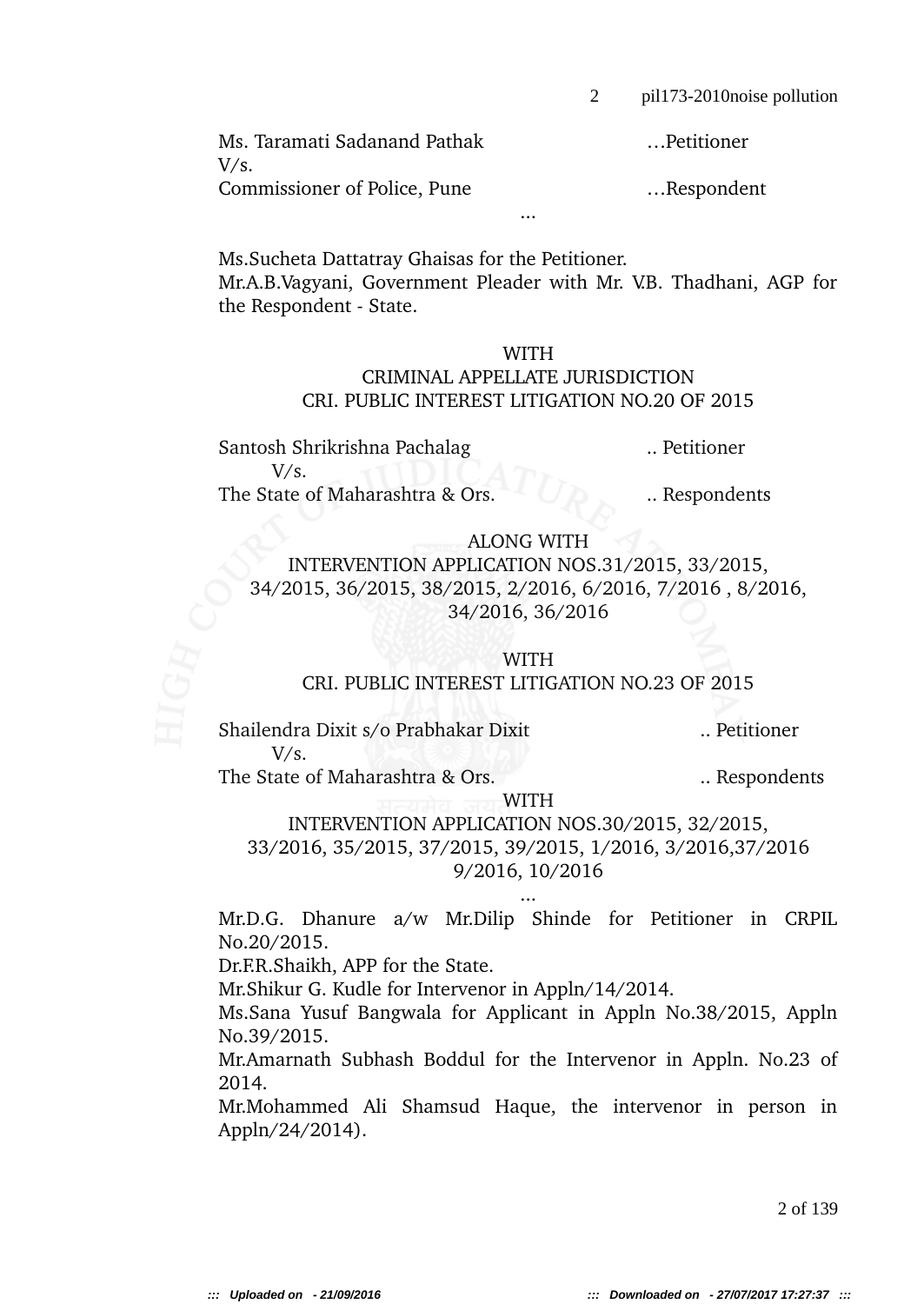2 pil173-2010noise pollution

Ms. Taramati Sadanand Pathak …Petitioner V/s. Commissioner of Police, Pune …Respondent

...

Ms.Sucheta Dattatray Ghaisas for the Petitioner. Mr.A.B.Vagyani, Government Pleader with Mr. V.B. Thadhani, AGP for the Respondent - State.

#### WITH

# CRIMINAL APPELLATE JURISDICTION CRI. PUBLIC INTEREST LITIGATION NO.20 OF 2015

Santosh Shrikrishna Pachalag .. Petitioner V/s. The State of Maharashtra & Ors. **1999** ... Respondents

# ALONG WITH

INTERVENTION APPLICATION NOS.31/2015, 33/2015, 34/2015, 36/2015, 38/2015, 2/2016, 6/2016, 7/2016 , 8/2016, 34/2016, 36/2016

## WITH

CRI. PUBLIC INTEREST LITIGATION NO.23 OF 2015

Shailendra Dixit s/o Prabhakar Dixit  $\sim$  ... Petitioner  $V/s.$ 

The State of Maharashtra & Ors. The State of Maharashtra & Ors.

## WITH

INTERVENTION APPLICATION NOS.30/2015, 32/2015, 33/2016, 35/2015, 37/2015, 39/2015, 1/2016, 3/2016,37/2016 9/2016, 10/2016

Mr.D.G. Dhanure a/w Mr.Dilip Shinde for Petitioner in CRPIL No.20/2015.

...

Dr.F.R.Shaikh, APP for the State.

Mr.Shikur G. Kudle for Intervenor in Appln/14/2014.

Ms.Sana Yusuf Bangwala for Applicant in Appln No.38/2015, Appln No.39/2015.

Mr.Amarnath Subhash Boddul for the Intervenor in Appln. No.23 of 2014.

Mr.Mohammed Ali Shamsud Haque, the intervenor in person in Appln/24/2014).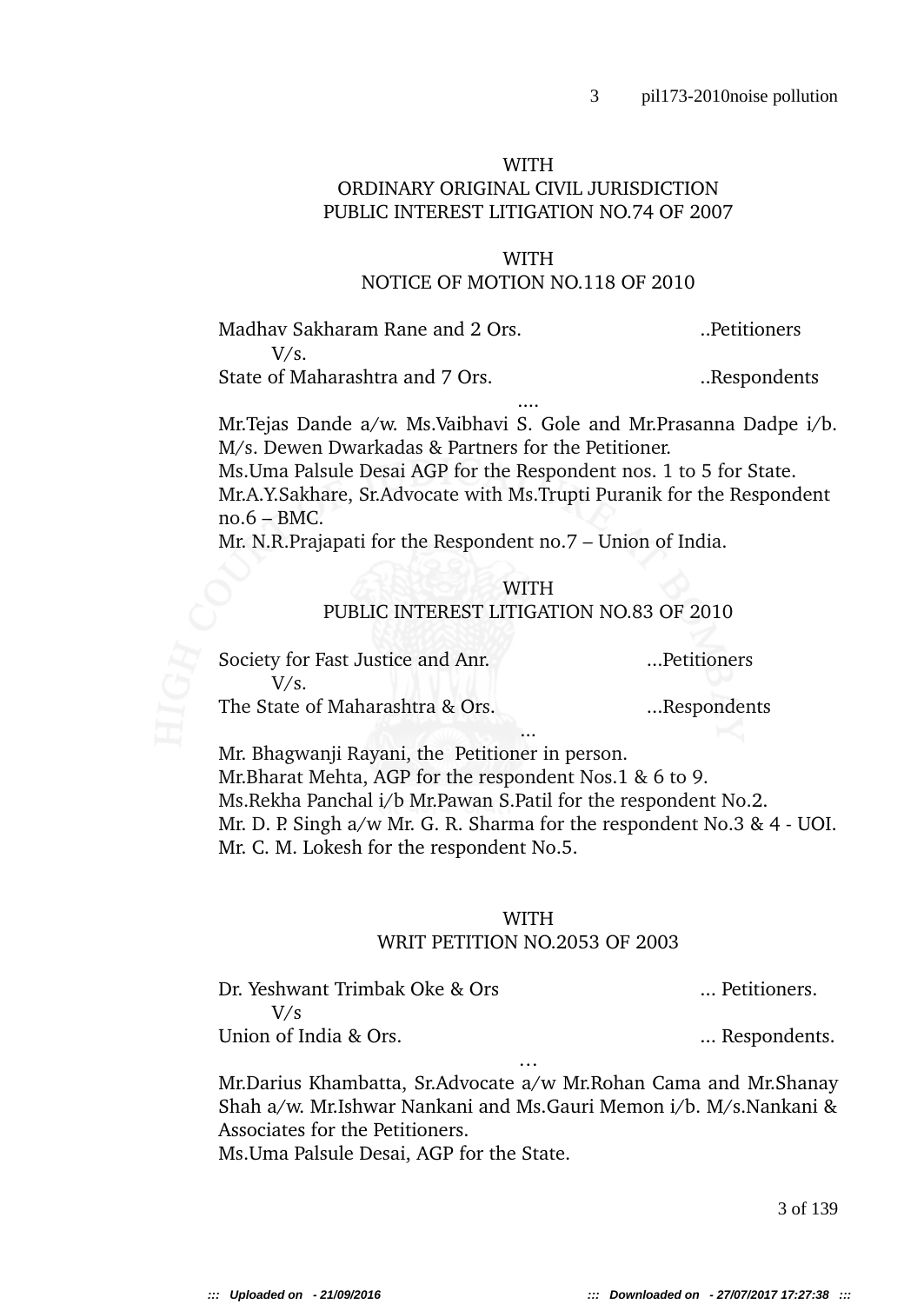# WITH ORDINARY ORIGINAL CIVIL JURISDICTION PUBLIC INTEREST LITIGATION NO.74 OF 2007

#### WITH

# NOTICE OF MOTION NO.118 OF 2010

Madhav Sakharam Rane and 2 Ors. ..Petitioners  $V/s$ . State of Maharashtra and 7 Ors. The State of Maharashtra and 7 Ors.

Mr.Tejas Dande a/w. Ms.Vaibhavi S. Gole and Mr.Prasanna Dadpe i/b. M/s. Dewen Dwarkadas & Partners for the Petitioner. Ms.Uma Palsule Desai AGP for the Respondent nos. 1 to 5 for State.

....

Mr.A.Y.Sakhare, Sr.Advocate with Ms.Trupti Puranik for the Respondent no.6 – BMC.

Mr. N.R.Prajapati for the Respondent no.7 – Union of India.

#### WITH

PUBLIC INTEREST LITIGATION NO.83 OF 2010

| Society for Fast Justice and Anr. | Petitioners |
|-----------------------------------|-------------|
| $V/\varsigma$                     |             |
| The State of Maharashtra & Ors.   | Respondents |

Mr. Bhagwanji Rayani, the Petitioner in person. Mr.Bharat Mehta, AGP for the respondent Nos.1 & 6 to 9. Ms.Rekha Panchal i/b Mr.Pawan S.Patil for the respondent No.2. Mr. D. P. Singh a/w Mr. G. R. Sharma for the respondent No.3 & 4 - UOI. Mr. C. M. Lokesh for the respondent No.5.

...

## WITH

## WRIT PETITION NO.2053 OF 2003

Dr. Yeshwant Trimbak Oke & Ors ... Petitioners. V/s Union of India & Ors. **...** *Seperation* **...** Respondents.

…

Mr.Darius Khambatta, Sr.Advocate a/w Mr.Rohan Cama and Mr.Shanay Shah a/w. Mr.Ishwar Nankani and Ms.Gauri Memon i/b. M/s.Nankani & Associates for the Petitioners.

Ms.Uma Palsule Desai, AGP for the State.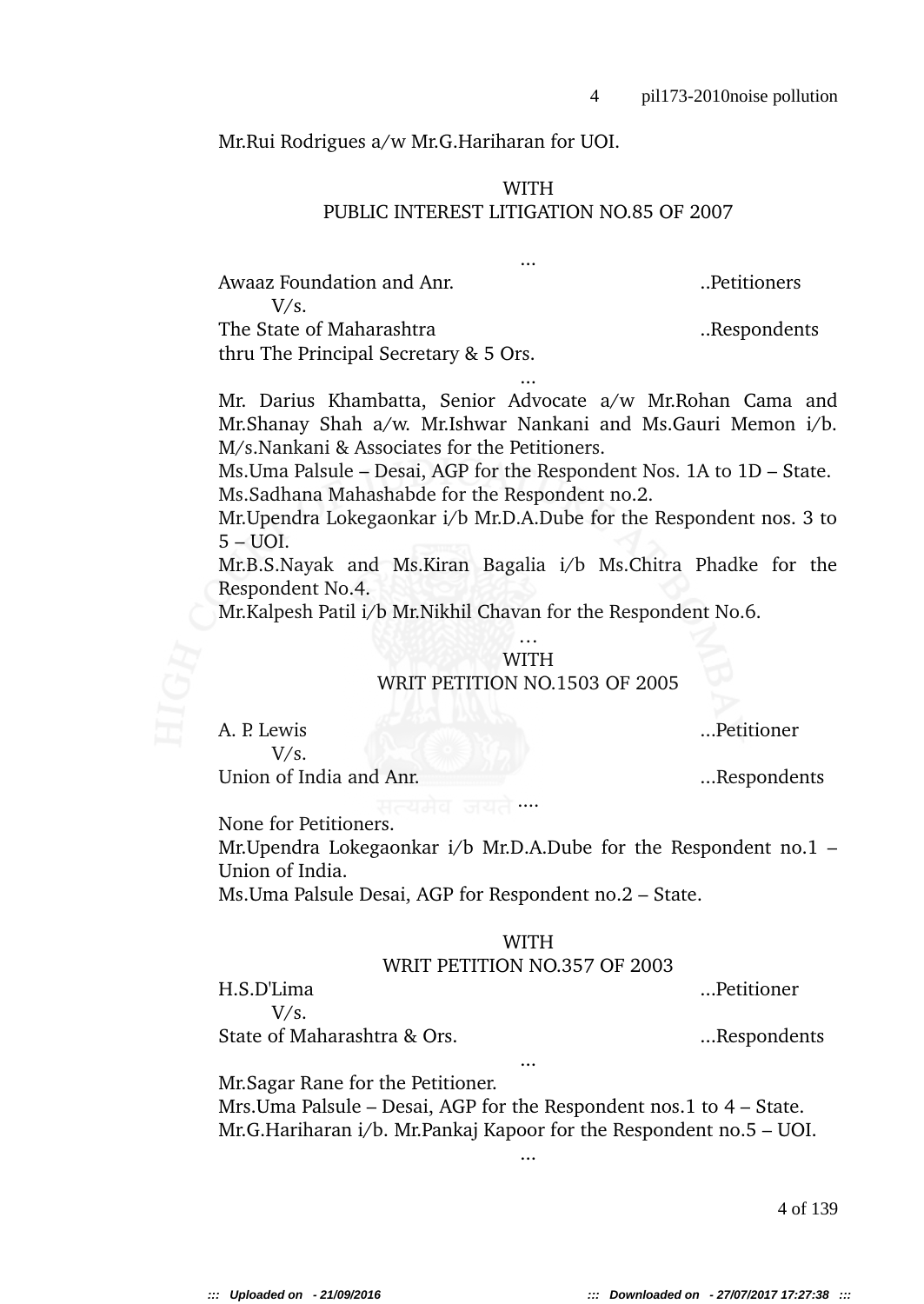Mr.Rui Rodrigues a/w Mr.G.Hariharan for UOI.

# WITH

# PUBLIC INTEREST LITIGATION NO.85 OF 2007

...

Awaaz Foundation and Anr. *Net Awaaz Foundation and Anr.* **... ... ... ... ... ... ... ... ... ... ... ... ... ... ... ... ... ... ... ... ... ... ... ... ... .... ....**  $V/s$ .

The State of Maharashtra ..Respondents

thru The Principal Secretary & 5 Ors.

Mr. Darius Khambatta, Senior Advocate a/w Mr.Rohan Cama and Mr.Shanay Shah a/w. Mr.Ishwar Nankani and Ms.Gauri Memon i/b. M/s.Nankani & Associates for the Petitioners.

...

Ms.Uma Palsule – Desai, AGP for the Respondent Nos. 1A to 1D – State. Ms.Sadhana Mahashabde for the Respondent no.2.

Mr.Upendra Lokegaonkar i/b Mr.D.A.Dube for the Respondent nos. 3 to 5 – UOI.

Mr.B.S.Nayak and Ms.Kiran Bagalia i/b Ms.Chitra Phadke for the Respondent No.4.

Mr.Kalpesh Patil i/b Mr.Nikhil Chavan for the Respondent No.6.

# … WITH WRIT PETITION NO.1503 OF 2005

A. P. Lewis ...Petitioner

V/s.

Union of India and Anr. ...Respondents

None for Petitioners.

Mr.Upendra Lokegaonkar i/b Mr.D.A.Dube for the Respondent no.1 – Union of India.

....

Ms.Uma Palsule Desai, AGP for Respondent no.2 – State.

## WITH

# WRIT PETITION NO.357 OF 2003

...

H.S.D'Lima ...Petitioner  $V/s$ . State of Maharashtra & Ors. **Example 20** in the superconduction of Maharashtra & Ors.

Mr.Sagar Rane for the Petitioner.

Mrs.Uma Palsule – Desai, AGP for the Respondent nos.1 to 4 – State. Mr.G.Hariharan i/b. Mr.Pankaj Kapoor for the Respondent no.5 – UOI.

...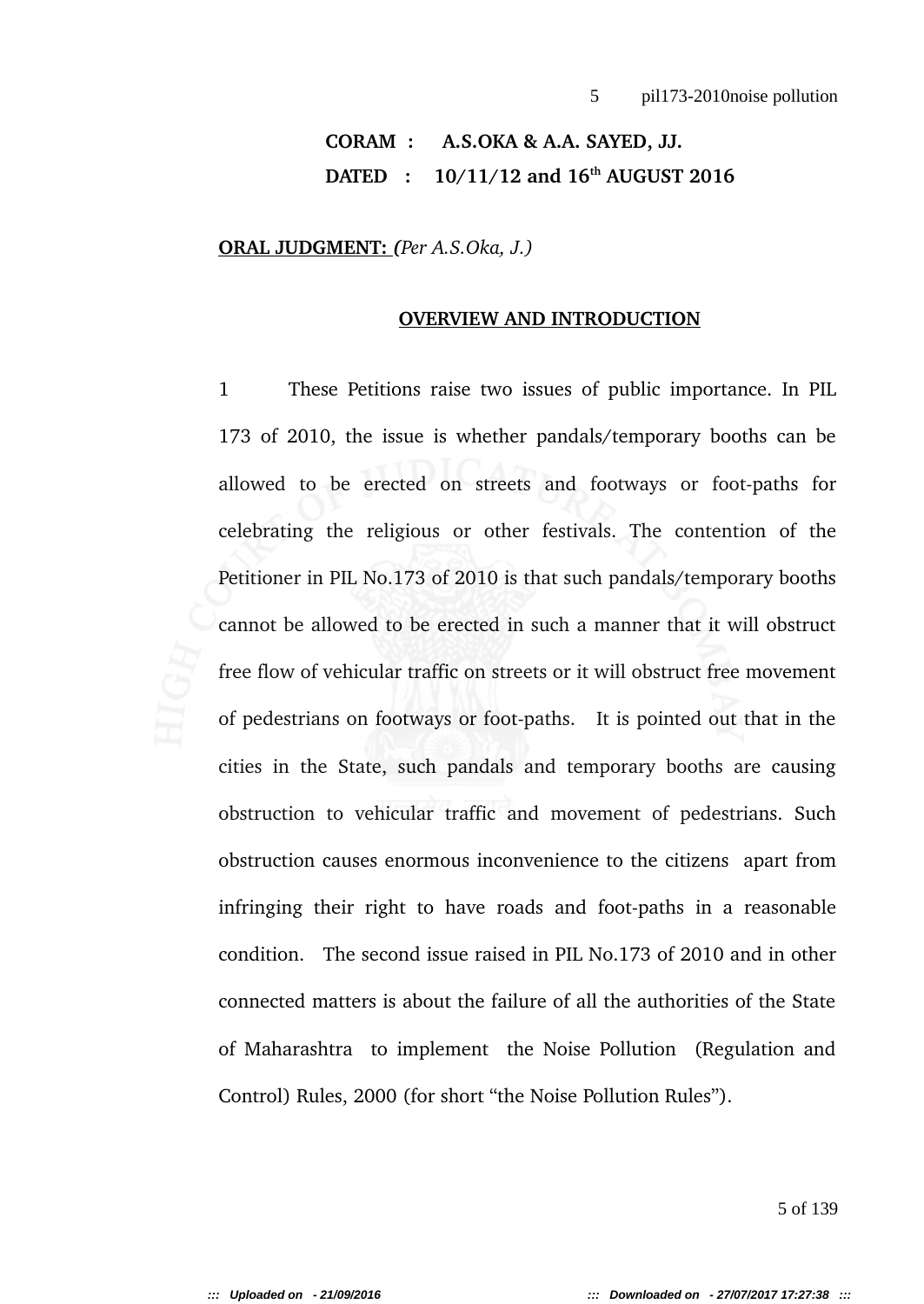# **CORAM : A.S.OKA & A.A. SAYED, JJ. DATED : 10/11/12 and 16th AUGUST 2016**

## **ORAL JUDGMENT:** *(Per A.S.Oka, J.)*

#### **OVERVIEW AND INTRODUCTION**

1 These Petitions raise two issues of public importance. In PIL 173 of 2010, the issue is whether pandals/temporary booths can be allowed to be erected on streets and footways or foot-paths for celebrating the religious or other festivals. The contention of the Petitioner in PIL No.173 of 2010 is that such pandals/temporary booths cannot be allowed to be erected in such a manner that it will obstruct free flow of vehicular traffic on streets or it will obstruct free movement of pedestrians on footways or foot-paths. It is pointed out that in the cities in the State, such pandals and temporary booths are causing obstruction to vehicular traffic and movement of pedestrians. Such obstruction causes enormous inconvenience to the citizens apart from infringing their right to have roads and foot-paths in a reasonable condition. The second issue raised in PIL No.173 of 2010 and in other connected matters is about the failure of all the authorities of the State of Maharashtra to implement the Noise Pollution (Regulation and Control) Rules, 2000 (for short "the Noise Pollution Rules").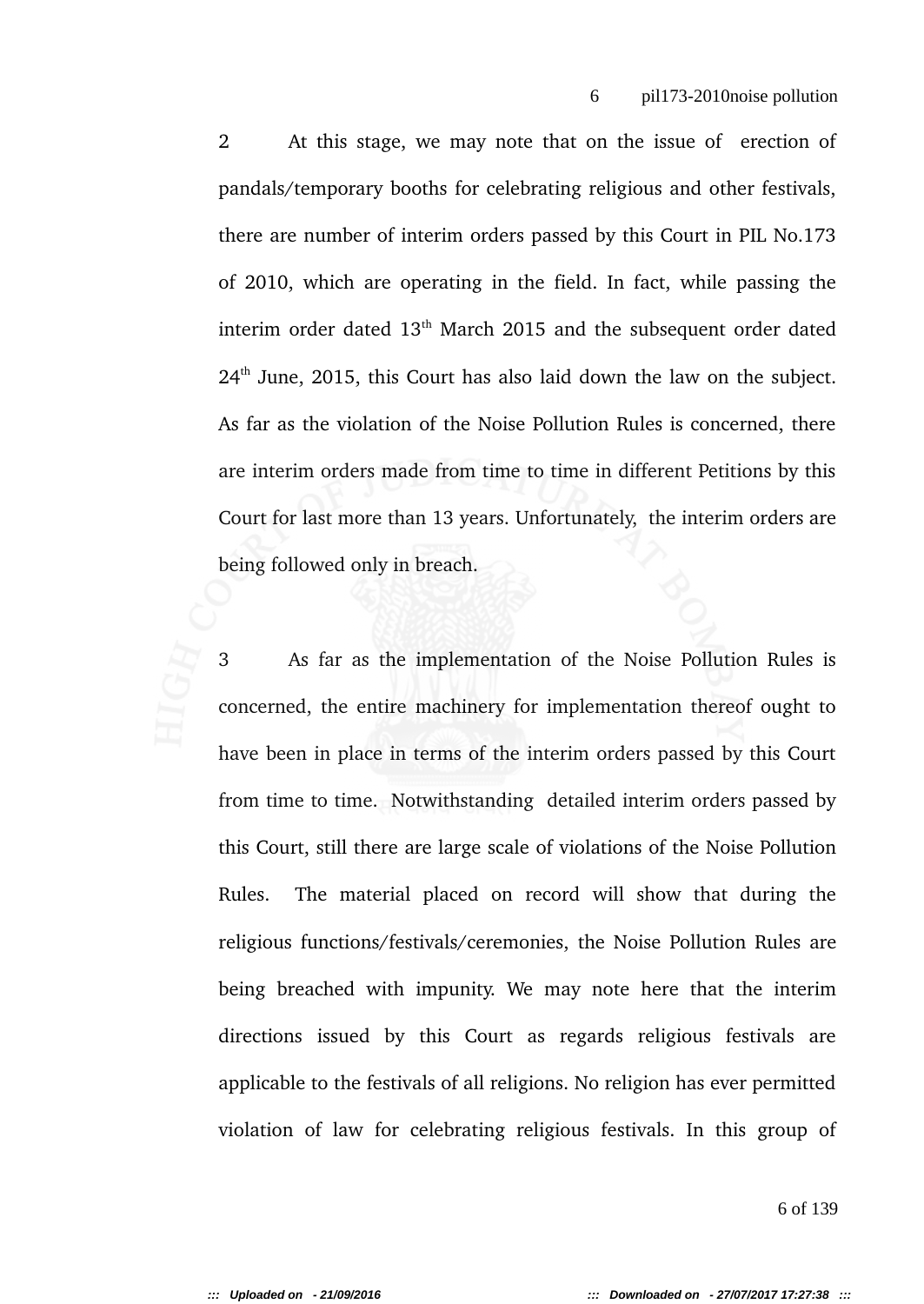2 At this stage, we may note that on the issue of erection of pandals/temporary booths for celebrating religious and other festivals, there are number of interim orders passed by this Court in PIL No.173 of 2010, which are operating in the field. In fact, while passing the interim order dated 13<sup>th</sup> March 2015 and the subsequent order dated  $24<sup>th</sup>$  June, 2015, this Court has also laid down the law on the subject. As far as the violation of the Noise Pollution Rules is concerned, there are interim orders made from time to time in different Petitions by this Court for last more than 13 years. Unfortunately, the interim orders are being followed only in breach.

3 As far as the implementation of the Noise Pollution Rules is concerned, the entire machinery for implementation thereof ought to have been in place in terms of the interim orders passed by this Court from time to time. Notwithstanding detailed interim orders passed by this Court, still there are large scale of violations of the Noise Pollution Rules. The material placed on record will show that during the religious functions/festivals/ceremonies, the Noise Pollution Rules are being breached with impunity. We may note here that the interim directions issued by this Court as regards religious festivals are applicable to the festivals of all religions. No religion has ever permitted violation of law for celebrating religious festivals. In this group of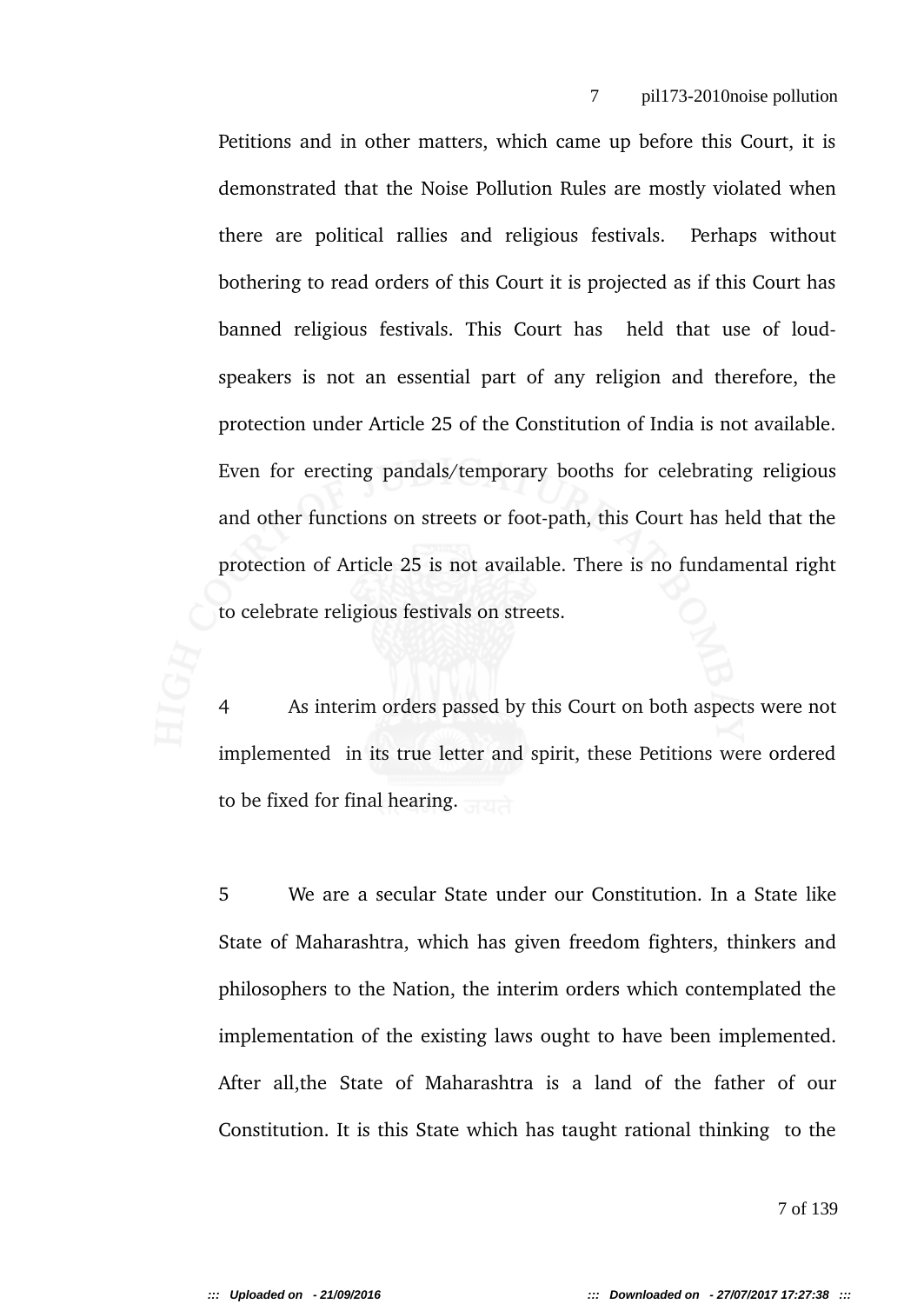# 7 pil173-2010noise pollution

Petitions and in other matters, which came up before this Court, it is demonstrated that the Noise Pollution Rules are mostly violated when there are political rallies and religious festivals. Perhaps without bothering to read orders of this Court it is projected as if this Court has banned religious festivals. This Court has held that use of loudspeakers is not an essential part of any religion and therefore, the protection under Article 25 of the Constitution of India is not available. Even for erecting pandals/temporary booths for celebrating religious and other functions on streets or foot-path, this Court has held that the protection of Article 25 is not available. There is no fundamental right to celebrate religious festivals on streets.

4 As interim orders passed by this Court on both aspects were not implemented in its true letter and spirit, these Petitions were ordered to be fixed for final hearing.

5 We are a secular State under our Constitution. In a State like State of Maharashtra, which has given freedom fighters, thinkers and philosophers to the Nation, the interim orders which contemplated the implementation of the existing laws ought to have been implemented. After all, the State of Maharashtra is a land of the father of our Constitution. It is this State which has taught rational thinking to the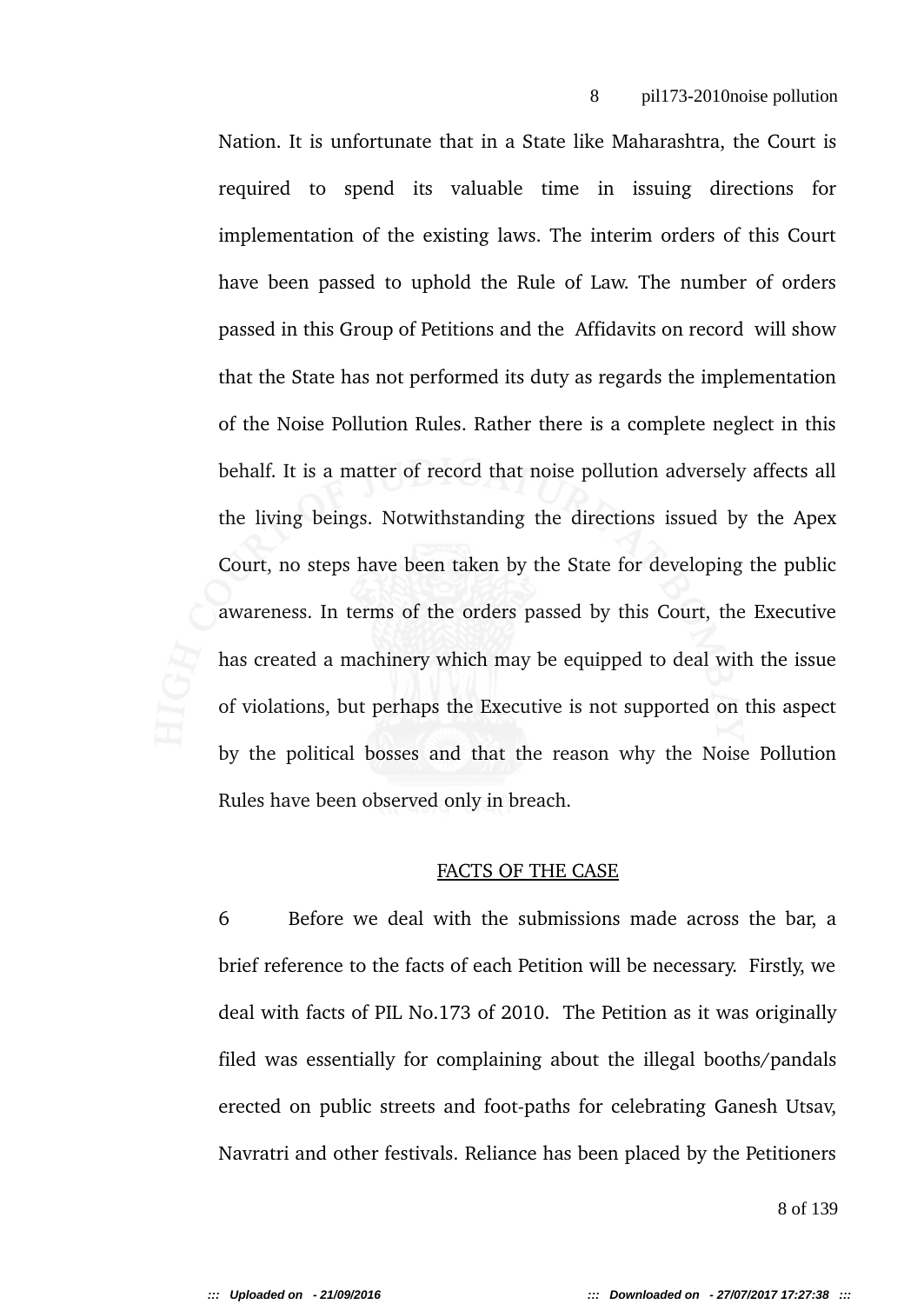Nation. It is unfortunate that in a State like Maharashtra, the Court is required to spend its valuable time in issuing directions for implementation of the existing laws. The interim orders of this Court have been passed to uphold the Rule of Law. The number of orders passed in this Group of Petitions and the Affidavits on record will show that the State has not performed its duty as regards the implementation of the Noise Pollution Rules. Rather there is a complete neglect in this behalf. It is a matter of record that noise pollution adversely affects all the living beings. Notwithstanding the directions issued by the Apex Court, no steps have been taken by the State for developing the public awareness. In terms of the orders passed by this Court, the Executive has created a machinery which may be equipped to deal with the issue of violations, but perhaps the Executive is not supported on this aspect by the political bosses and that the reason why the Noise Pollution Rules have been observed only in breach.

#### FACTS OF THE CASE

6 Before we deal with the submissions made across the bar, a brief reference to the facts of each Petition will be necessary. Firstly, we deal with facts of PIL No.173 of 2010. The Petition as it was originally filed was essentially for complaining about the illegal booths/pandals erected on public streets and foot-paths for celebrating Ganesh Utsav, Navratri and other festivals. Reliance has been placed by the Petitioners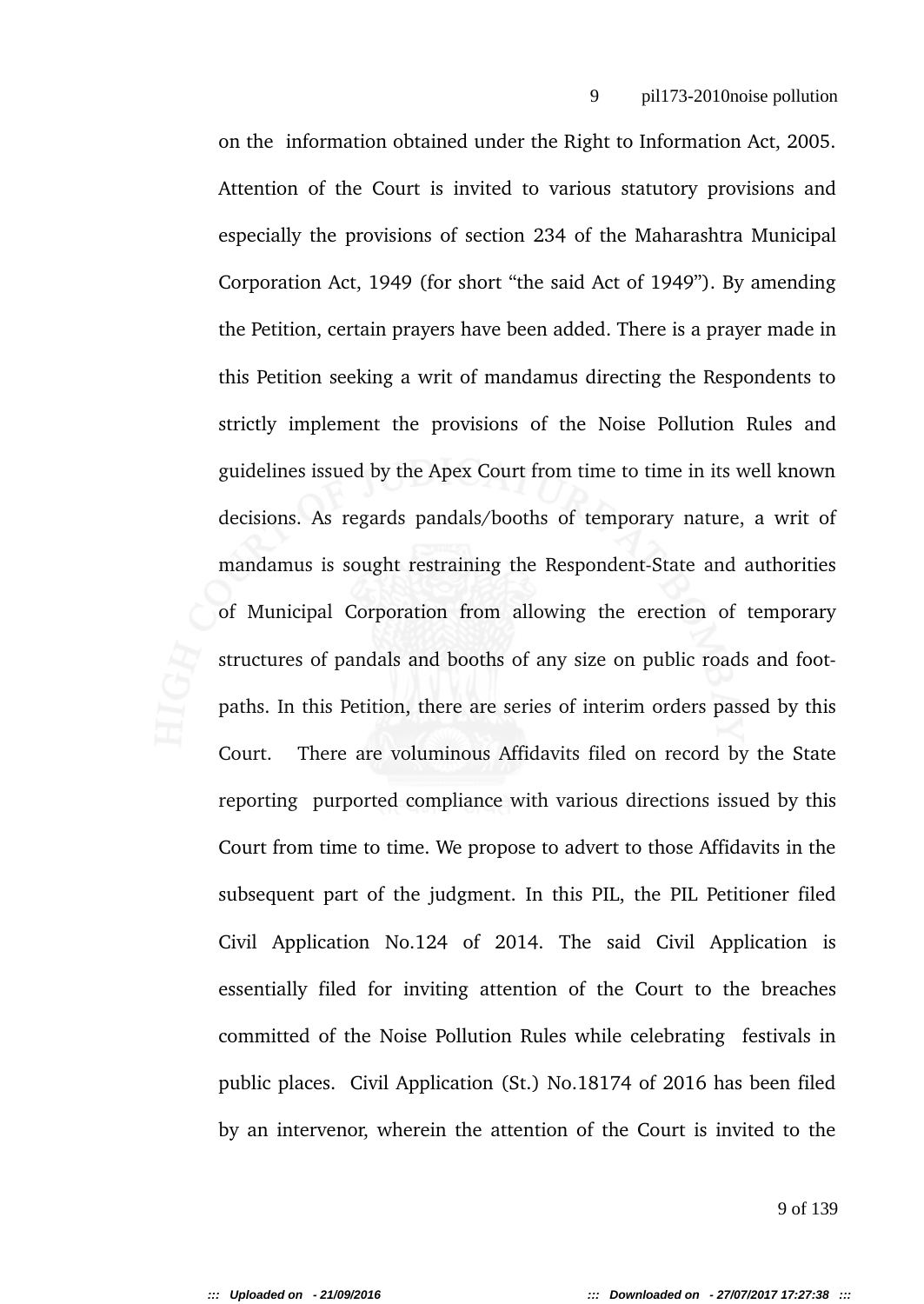on the information obtained under the Right to Information Act, 2005. Attention of the Court is invited to various statutory provisions and especially the provisions of section 234 of the Maharashtra Municipal Corporation Act, 1949 (for short "the said Act of 1949"). By amending the Petition, certain prayers have been added. There is a prayer made in this Petition seeking a writ of mandamus directing the Respondents to strictly implement the provisions of the Noise Pollution Rules and guidelines issued by the Apex Court from time to time in its well known decisions. As regards pandals/booths of temporary nature, a writ of mandamus is sought restraining the Respondent-State and authorities of Municipal Corporation from allowing the erection of temporary structures of pandals and booths of any size on public roads and footpaths. In this Petition, there are series of interim orders passed by this Court. There are voluminous Affidavits filed on record by the State reporting purported compliance with various directions issued by this Court from time to time. We propose to advert to those Affidavits in the subsequent part of the judgment. In this PIL, the PIL Petitioner filed Civil Application No.124 of 2014. The said Civil Application is essentially filed for inviting attention of the Court to the breaches committed of the Noise Pollution Rules while celebrating festivals in public places. Civil Application (St.) No.18174 of 2016 has been filed by an intervenor, wherein the attention of the Court is invited to the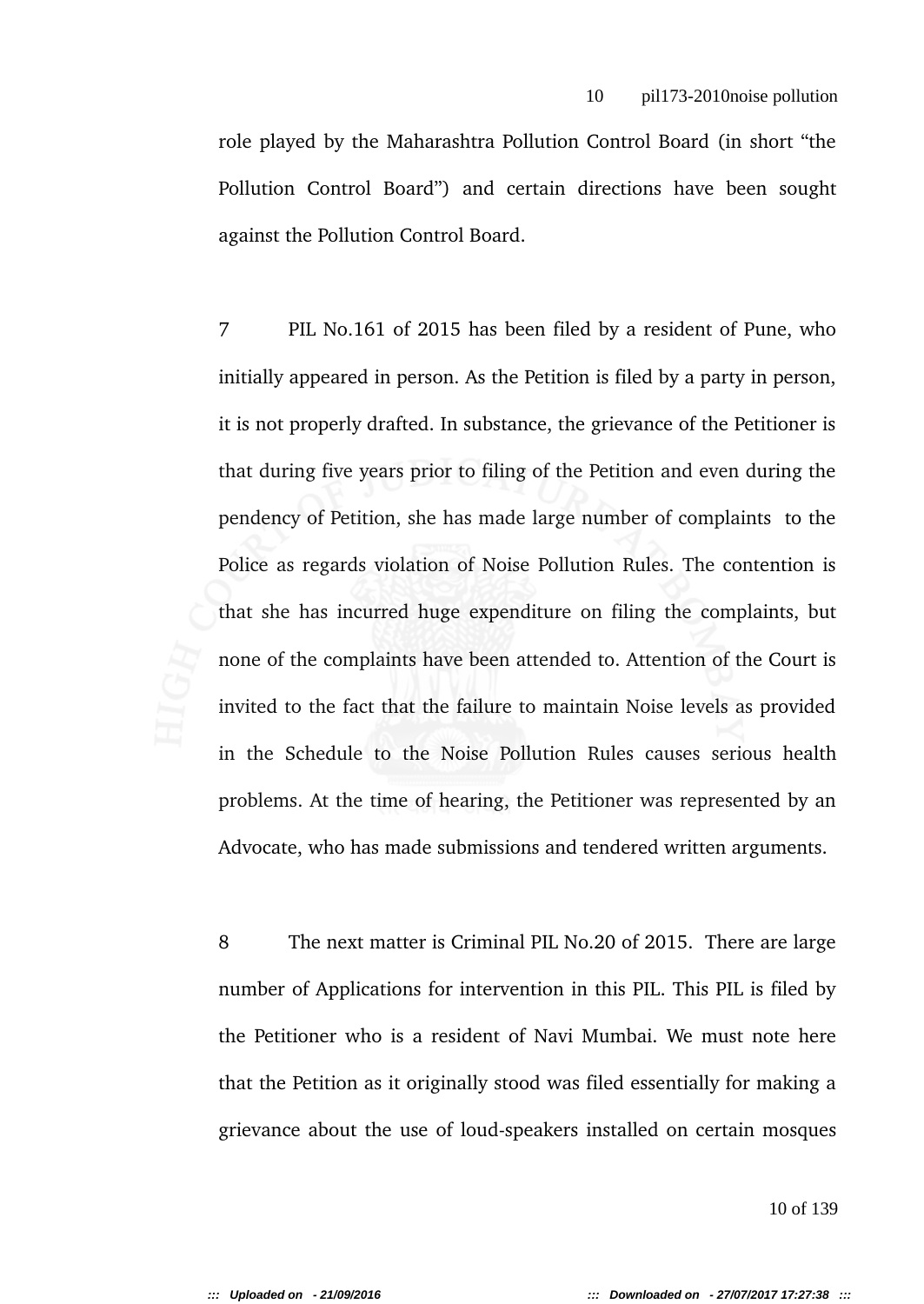role played by the Maharashtra Pollution Control Board (in short "the Pollution Control Board") and certain directions have been sought against the Pollution Control Board.

7 PIL No.161 of 2015 has been filed by a resident of Pune, who initially appeared in person. As the Petition is filed by a party in person, it is not properly drafted. In substance, the grievance of the Petitioner is that during five years prior to filing of the Petition and even during the pendency of Petition, she has made large number of complaints to the Police as regards violation of Noise Pollution Rules. The contention is that she has incurred huge expenditure on filing the complaints, but none of the complaints have been attended to. Attention of the Court is invited to the fact that the failure to maintain Noise levels as provided in the Schedule to the Noise Pollution Rules causes serious health problems. At the time of hearing, the Petitioner was represented by an Advocate, who has made submissions and tendered written arguments.

8 The next matter is Criminal PIL No.20 of 2015. There are large number of Applications for intervention in this PIL. This PIL is filed by the Petitioner who is a resident of Navi Mumbai. We must note here that the Petition as it originally stood was filed essentially for making a grievance about the use of loud-speakers installed on certain mosques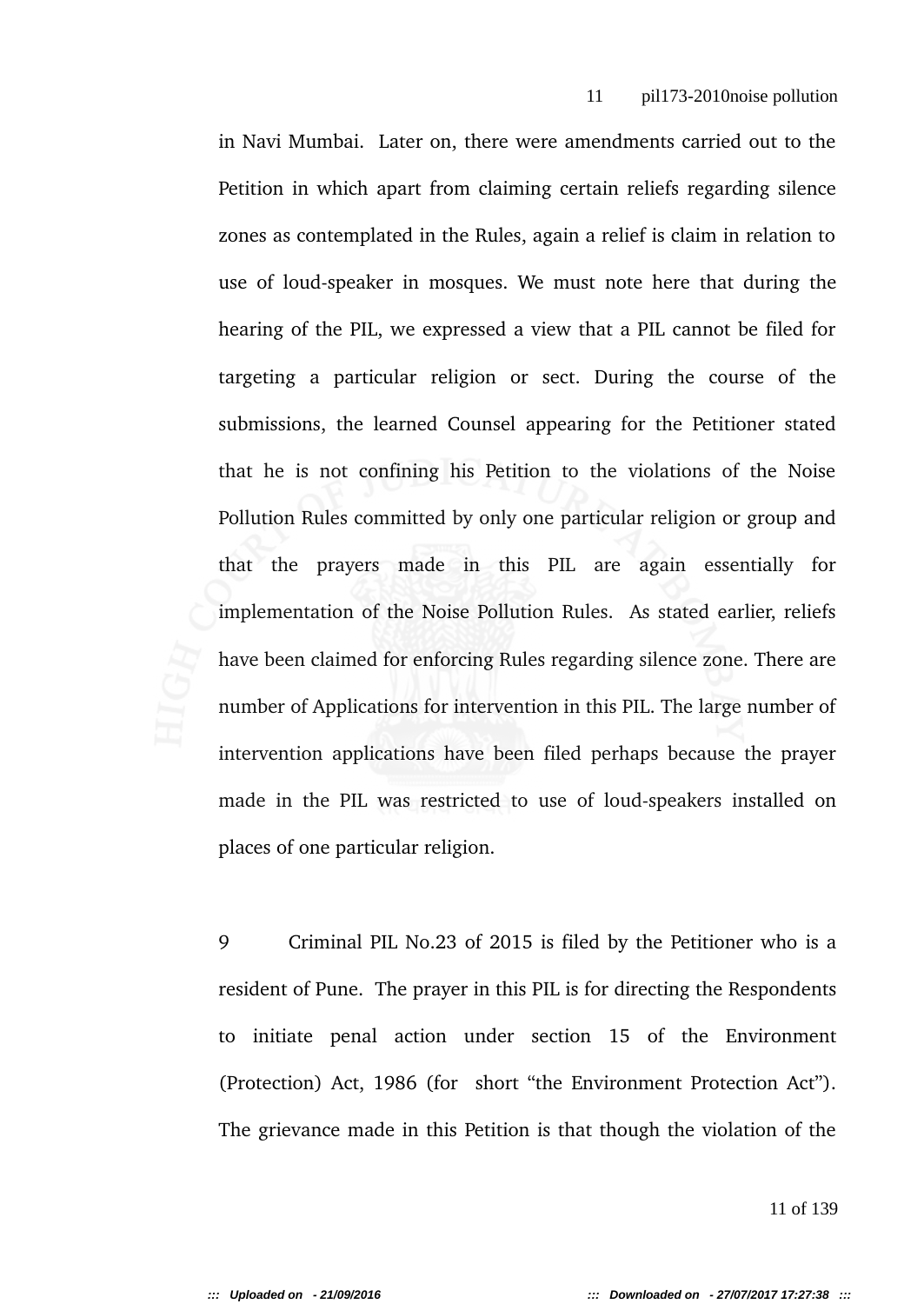in Navi Mumbai. Later on, there were amendments carried out to the Petition in which apart from claiming certain reliefs regarding silence zones as contemplated in the Rules, again a relief is claim in relation to use of loud-speaker in mosques. We must note here that during the hearing of the PIL, we expressed a view that a PIL cannot be filed for targeting a particular religion or sect. During the course of the submissions, the learned Counsel appearing for the Petitioner stated that he is not confining his Petition to the violations of the Noise Pollution Rules committed by only one particular religion or group and that the prayers made in this PIL are again essentially for implementation of the Noise Pollution Rules. As stated earlier, reliefs have been claimed for enforcing Rules regarding silence zone. There are number of Applications for intervention in this PIL. The large number of intervention applications have been filed perhaps because the prayer made in the PIL was restricted to use of loud-speakers installed on places of one particular religion.

9 Criminal PIL No.23 of 2015 is filed by the Petitioner who is a resident of Pune. The prayer in this PIL is for directing the Respondents to initiate penal action under section 15 of the Environment (Protection) Act, 1986 (for short "the Environment Protection Act"). The grievance made in this Petition is that though the violation of the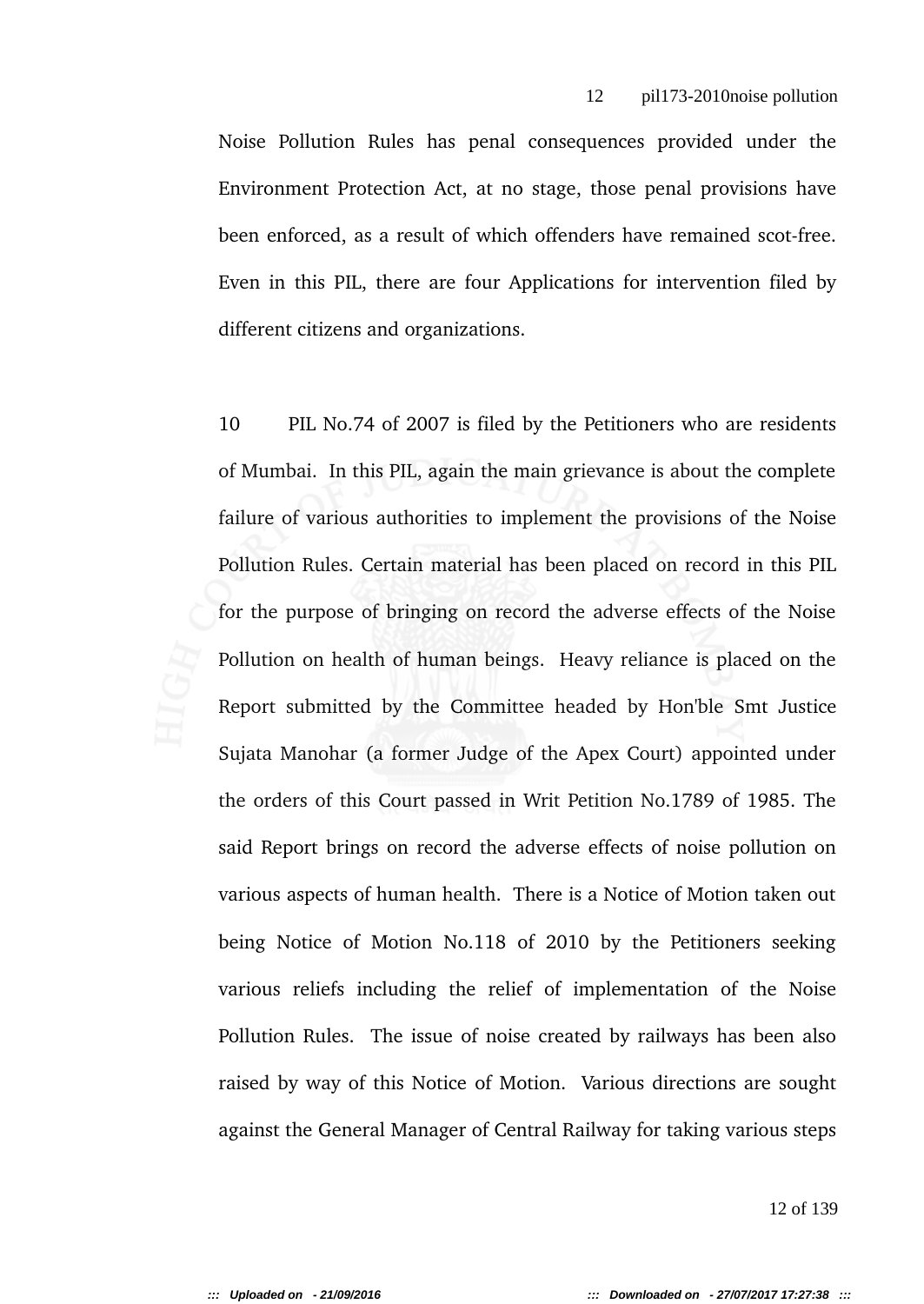Noise Pollution Rules has penal consequences provided under the Environment Protection Act, at no stage, those penal provisions have been enforced, as a result of which offenders have remained scot-free. Even in this PIL, there are four Applications for intervention filed by different citizens and organizations.

10 PIL No.74 of 2007 is filed by the Petitioners who are residents of Mumbai. In this PIL, again the main grievance is about the complete failure of various authorities to implement the provisions of the Noise Pollution Rules. Certain material has been placed on record in this PIL for the purpose of bringing on record the adverse effects of the Noise Pollution on health of human beings. Heavy reliance is placed on the Report submitted by the Committee headed by Hon'ble Smt Justice Sujata Manohar (a former Judge of the Apex Court) appointed under the orders of this Court passed in Writ Petition No.1789 of 1985. The said Report brings on record the adverse effects of noise pollution on various aspects of human health. There is a Notice of Motion taken out being Notice of Motion No.118 of 2010 by the Petitioners seeking various reliefs including the relief of implementation of the Noise Pollution Rules. The issue of noise created by railways has been also raised by way of this Notice of Motion. Various directions are sought against the General Manager of Central Railway for taking various steps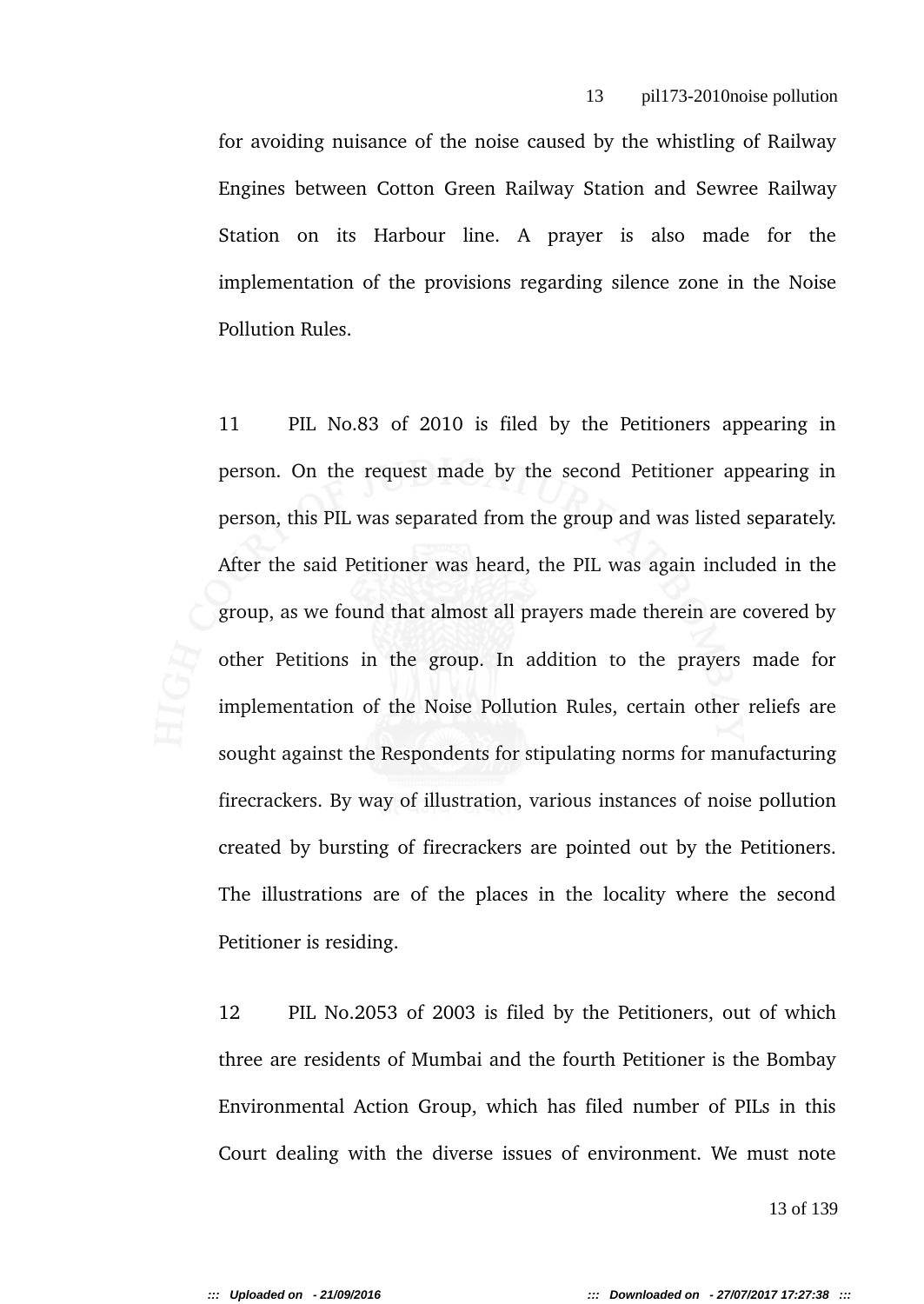for avoiding nuisance of the noise caused by the whistling of Railway Engines between Cotton Green Railway Station and Sewree Railway Station on its Harbour line. A prayer is also made for the implementation of the provisions regarding silence zone in the Noise Pollution Rules.

11 PIL No.83 of 2010 is filed by the Petitioners appearing in person. On the request made by the second Petitioner appearing in person, this PIL was separated from the group and was listed separately. After the said Petitioner was heard, the PIL was again included in the group, as we found that almost all prayers made therein are covered by other Petitions in the group. In addition to the prayers made for implementation of the Noise Pollution Rules, certain other reliefs are sought against the Respondents for stipulating norms for manufacturing firecrackers. By way of illustration, various instances of noise pollution created by bursting of firecrackers are pointed out by the Petitioners. The illustrations are of the places in the locality where the second Petitioner is residing.

12 PIL No.2053 of 2003 is filed by the Petitioners, out of which three are residents of Mumbai and the fourth Petitioner is the Bombay Environmental Action Group, which has filed number of PILs in this Court dealing with the diverse issues of environment. We must note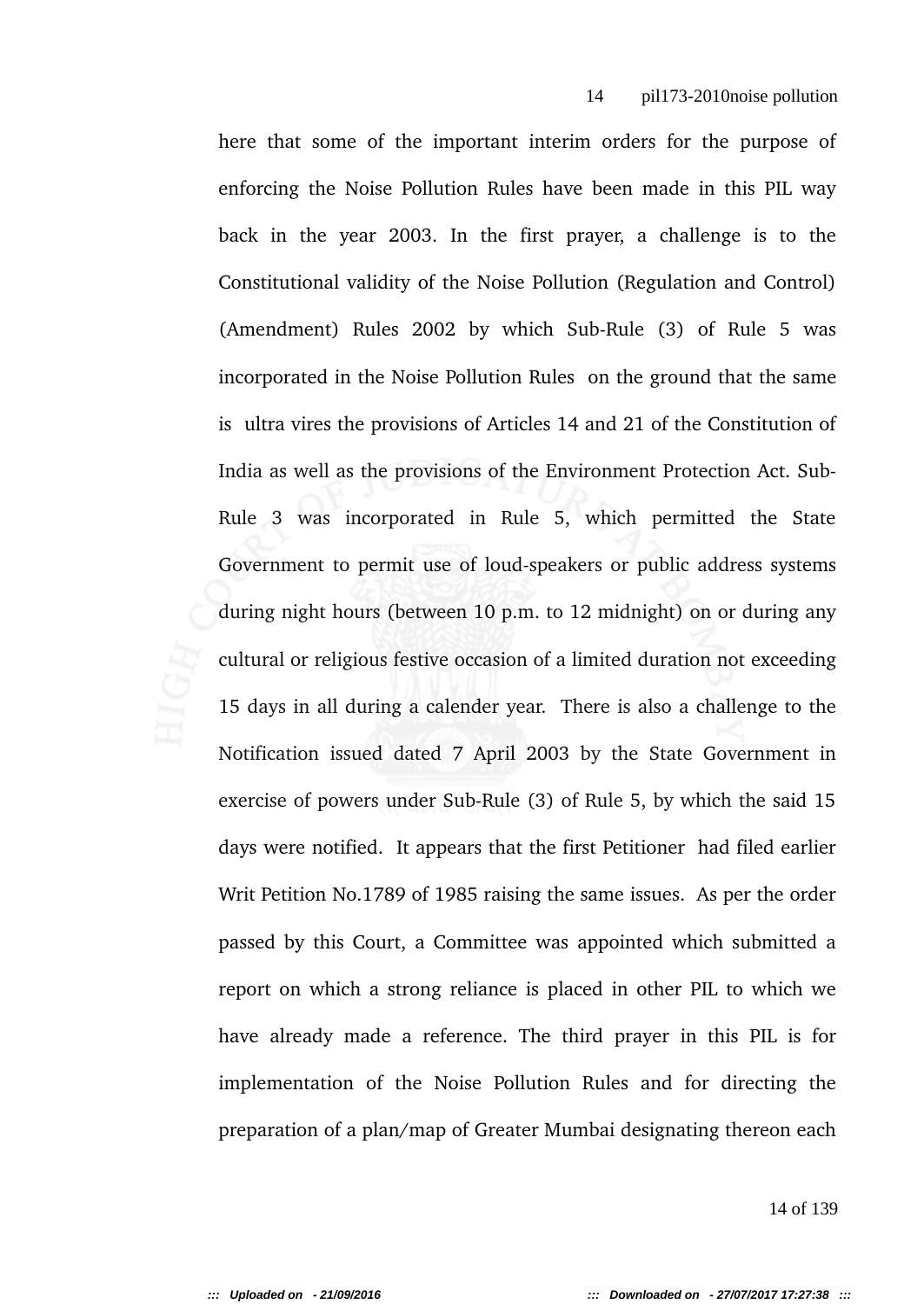here that some of the important interim orders for the purpose of enforcing the Noise Pollution Rules have been made in this PIL way back in the year 2003. In the first prayer, a challenge is to the Constitutional validity of the Noise Pollution (Regulation and Control) (Amendment) Rules  $2002$  by which Sub-Rule  $(3)$  of Rule 5 was incorporated in the Noise Pollution Rules on the ground that the same is ultra vires the provisions of Articles 14 and 21 of the Constitution of India as well as the provisions of the Environment Protection Act. Sub-Rule 3 was incorporated in Rule 5, which permitted the State Government to permit use of loud-speakers or public address systems during night hours (between 10 p.m. to 12 midnight) on or during any cultural or religious festive occasion of a limited duration not exceeding 15 days in all during a calender year. There is also a challenge to the Notification issued dated 7 April 2003 by the State Government in exercise of powers under Sub-Rule (3) of Rule 5, by which the said 15 days were notified. It appears that the first Petitioner had filed earlier Writ Petition No.1789 of 1985 raising the same issues. As per the order passed by this Court, a Committee was appointed which submitted a report on which a strong reliance is placed in other PIL to which we have already made a reference. The third prayer in this PIL is for implementation of the Noise Pollution Rules and for directing the preparation of a plan/map of Greater Mumbai designating thereon each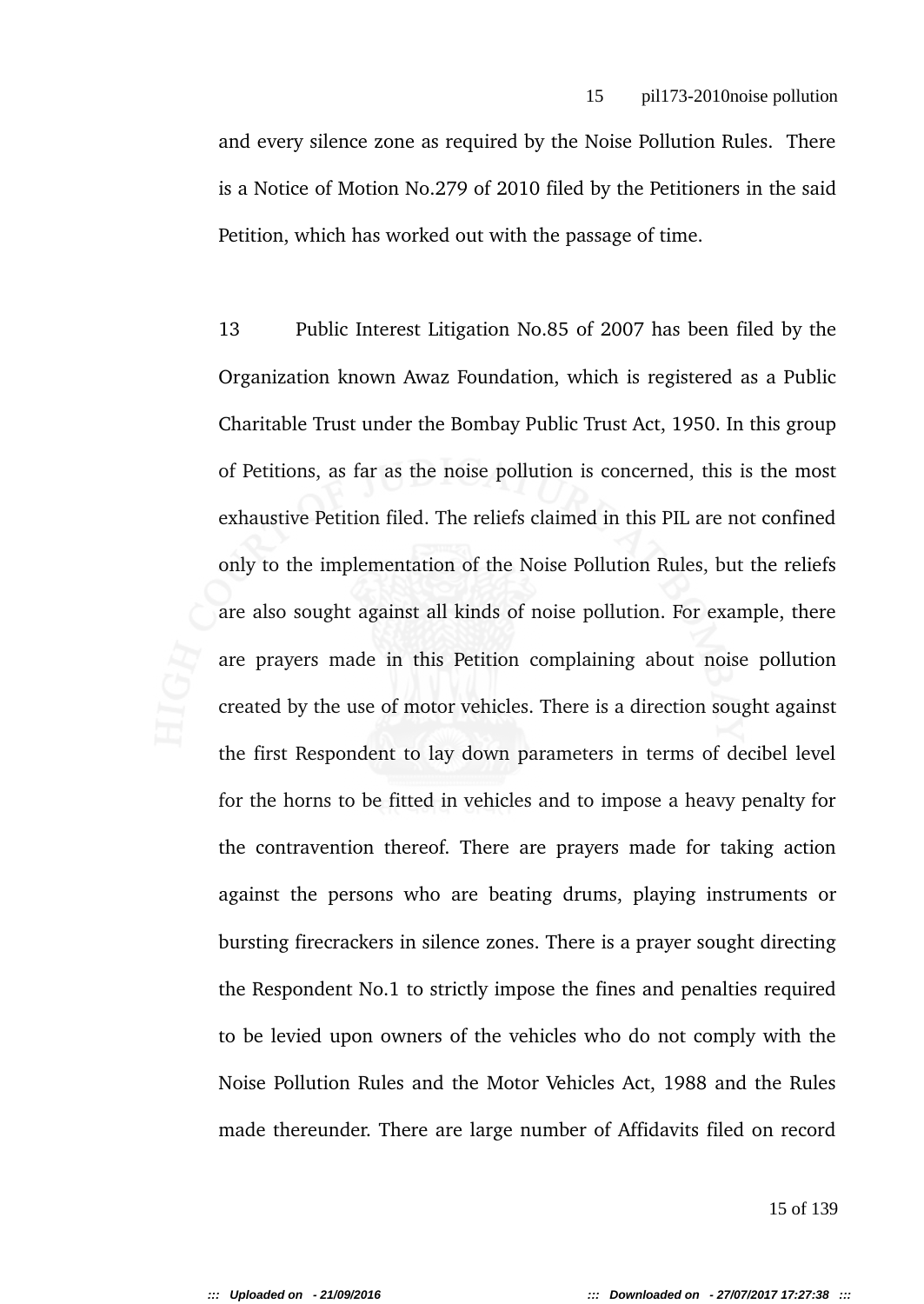and every silence zone as required by the Noise Pollution Rules. There is a Notice of Motion No.279 of 2010 filed by the Petitioners in the said Petition, which has worked out with the passage of time.

13 Public Interest Litigation No.85 of 2007 has been filed by the Organization known Awaz Foundation, which is registered as a Public Charitable Trust under the Bombay Public Trust Act, 1950. In this group of Petitions, as far as the noise pollution is concerned, this is the most exhaustive Petition filed. The reliefs claimed in this PIL are not confined only to the implementation of the Noise Pollution Rules, but the reliefs are also sought against all kinds of noise pollution. For example, there are prayers made in this Petition complaining about noise pollution created by the use of motor vehicles. There is a direction sought against the first Respondent to lay down parameters in terms of decibel level for the horns to be fitted in vehicles and to impose a heavy penalty for the contravention thereof. There are prayers made for taking action against the persons who are beating drums, playing instruments or bursting firecrackers in silence zones. There is a prayer sought directing the Respondent No.1 to strictly impose the fines and penalties required to be levied upon owners of the vehicles who do not comply with the Noise Pollution Rules and the Motor Vehicles Act, 1988 and the Rules made thereunder. There are large number of Affidavits filed on record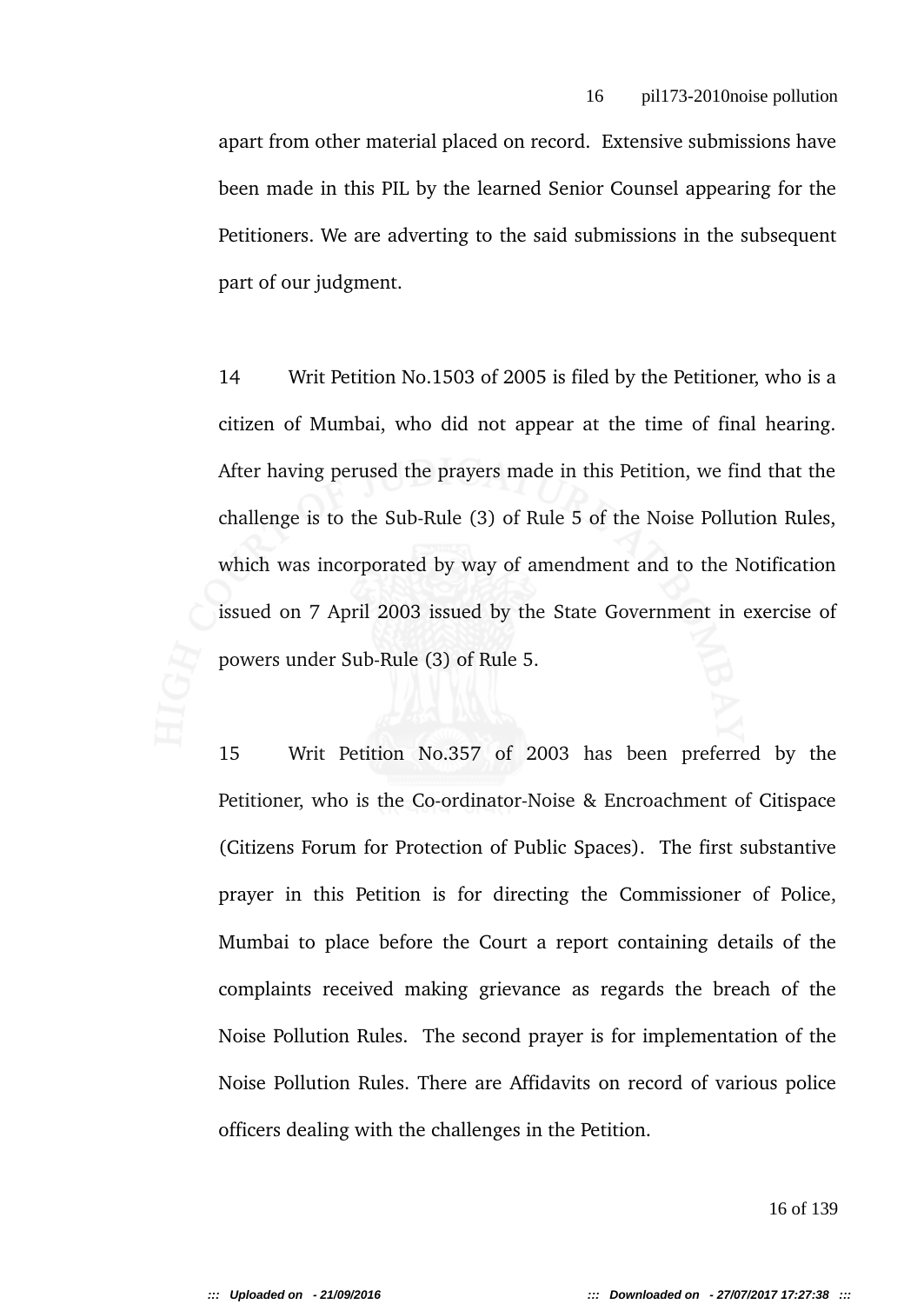apart from other material placed on record. Extensive submissions have been made in this PIL by the learned Senior Counsel appearing for the Petitioners. We are adverting to the said submissions in the subsequent part of our judgment.

14 Writ Petition No.1503 of 2005 is filed by the Petitioner, who is a citizen of Mumbai, who did not appear at the time of final hearing. After having perused the prayers made in this Petition, we find that the challenge is to the Sub-Rule  $(3)$  of Rule 5 of the Noise Pollution Rules, which was incorporated by way of amendment and to the Notification issued on 7 April 2003 issued by the State Government in exercise of powers under Sub-Rule (3) of Rule 5.

15 Writ Petition No.357 of 2003 has been preferred by the Petitioner, who is the Co-ordinator-Noise & Encroachment of Citispace (Citizens Forum for Protection of Public Spaces). The first substantive prayer in this Petition is for directing the Commissioner of Police, Mumbai to place before the Court a report containing details of the complaints received making grievance as regards the breach of the Noise Pollution Rules. The second prayer is for implementation of the Noise Pollution Rules. There are Affidavits on record of various police officers dealing with the challenges in the Petition.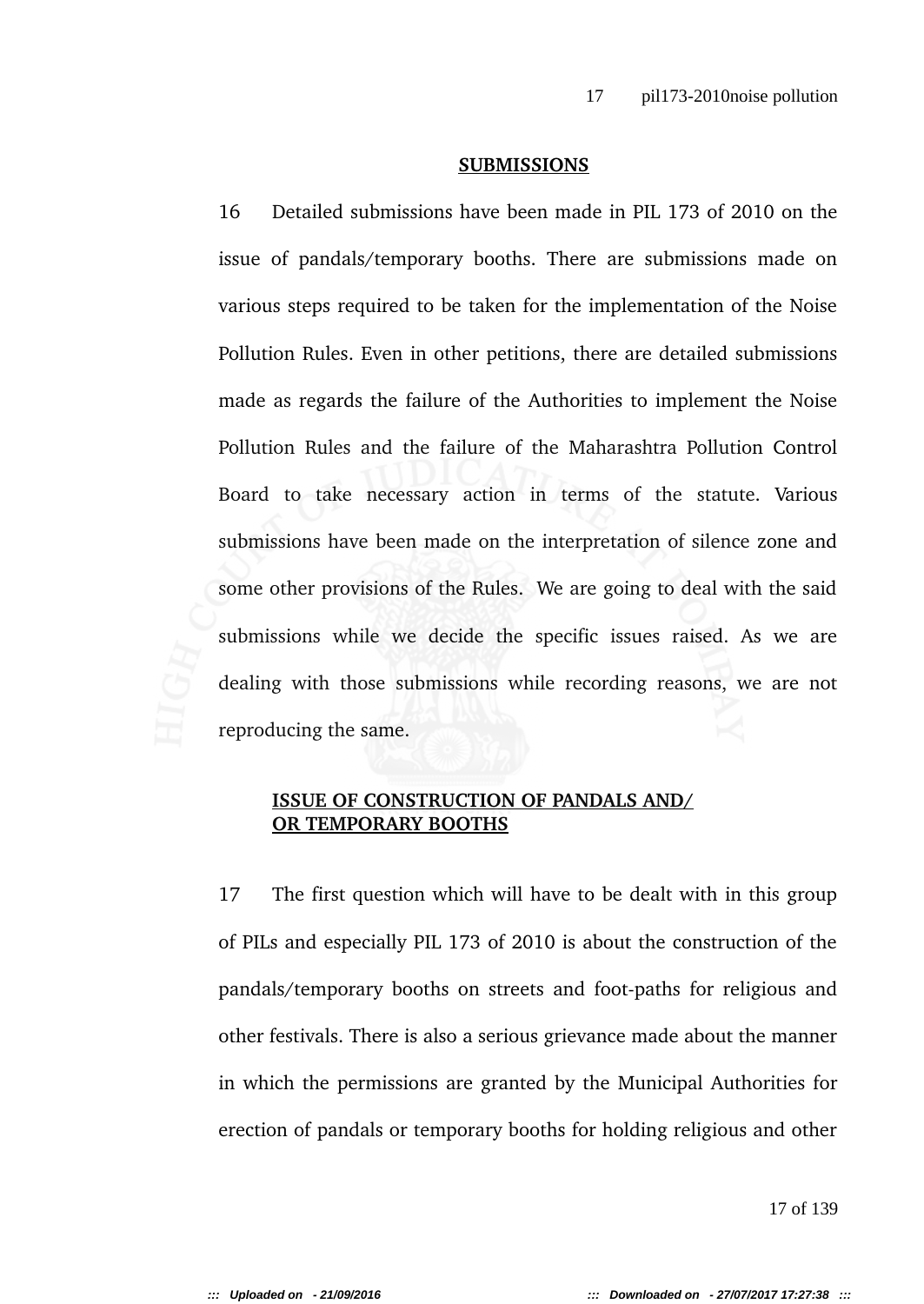#### **SUBMISSIONS**

16 Detailed submissions have been made in PIL 173 of 2010 on the issue of pandals/temporary booths. There are submissions made on various steps required to be taken for the implementation of the Noise Pollution Rules. Even in other petitions, there are detailed submissions made as regards the failure of the Authorities to implement the Noise Pollution Rules and the failure of the Maharashtra Pollution Control Board to take necessary action in terms of the statute. Various submissions have been made on the interpretation of silence zone and some other provisions of the Rules. We are going to deal with the said submissions while we decide the specific issues raised. As we are dealing with those submissions while recording reasons, we are not reproducing the same.

# **ISSUE OF CONSTRUCTION OF PANDALS AND/ OR TEMPORARY BOOTHS**

17 The first question which will have to be dealt with in this group of PILs and especially PIL 173 of 2010 is about the construction of the pandals/temporary booths on streets and foot-paths for religious and other festivals. There is also a serious grievance made about the manner in which the permissions are granted by the Municipal Authorities for erection of pandals or temporary booths for holding religious and other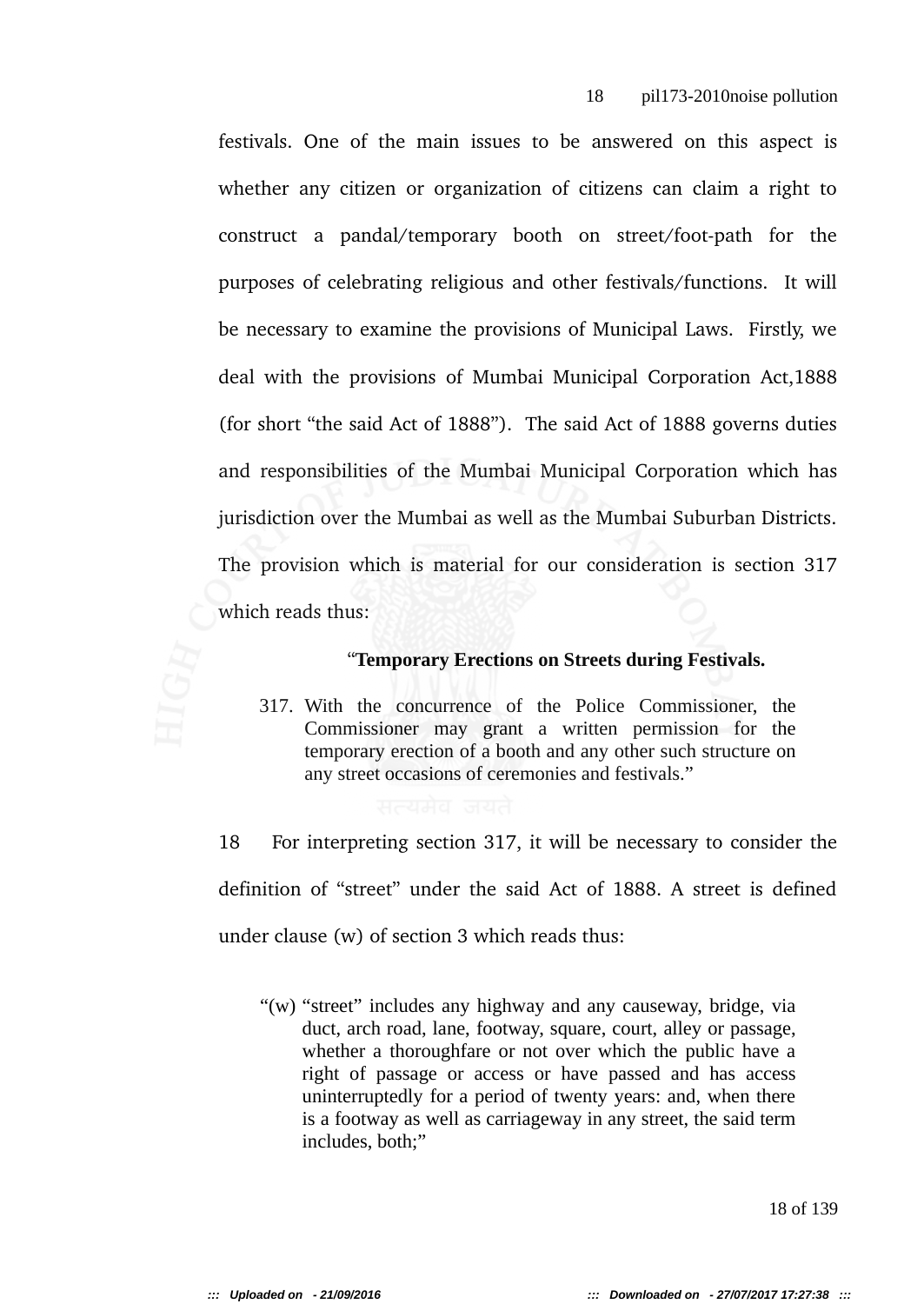festivals. One of the main issues to be answered on this aspect is whether any citizen or organization of citizens can claim a right to construct a pandal/temporary booth on street/foot-path for the purposes of celebrating religious and other festivals/functions. It will be necessary to examine the provisions of Municipal Laws. Firstly, we deal with the provisions of Mumbai Municipal Corporation Act,1888 (for short "the said Act of 1888"). The said Act of 1888 governs duties and responsibilities of the Mumbai Municipal Corporation which has jurisdiction over the Mumbai as well as the Mumbai Suburban Districts. The provision which is material for our consideration is section 317 which reads thus:

## "**Temporary Erections on Streets during Festivals.**

317. With the concurrence of the Police Commissioner, the Commissioner may grant a written permission for the temporary erection of a booth and any other such structure on any street occasions of ceremonies and festivals."

18 For interpreting section 317, it will be necessary to consider the definition of "street" under the said Act of 1888. A street is defined under clause (w) of section 3 which reads thus:

"(w) "street" includes any highway and any causeway, bridge, via duct, arch road, lane, footway, square, court, alley or passage, whether a thoroughfare or not over which the public have a right of passage or access or have passed and has access uninterruptedly for a period of twenty years: and, when there is a footway as well as carriageway in any street, the said term includes, both;"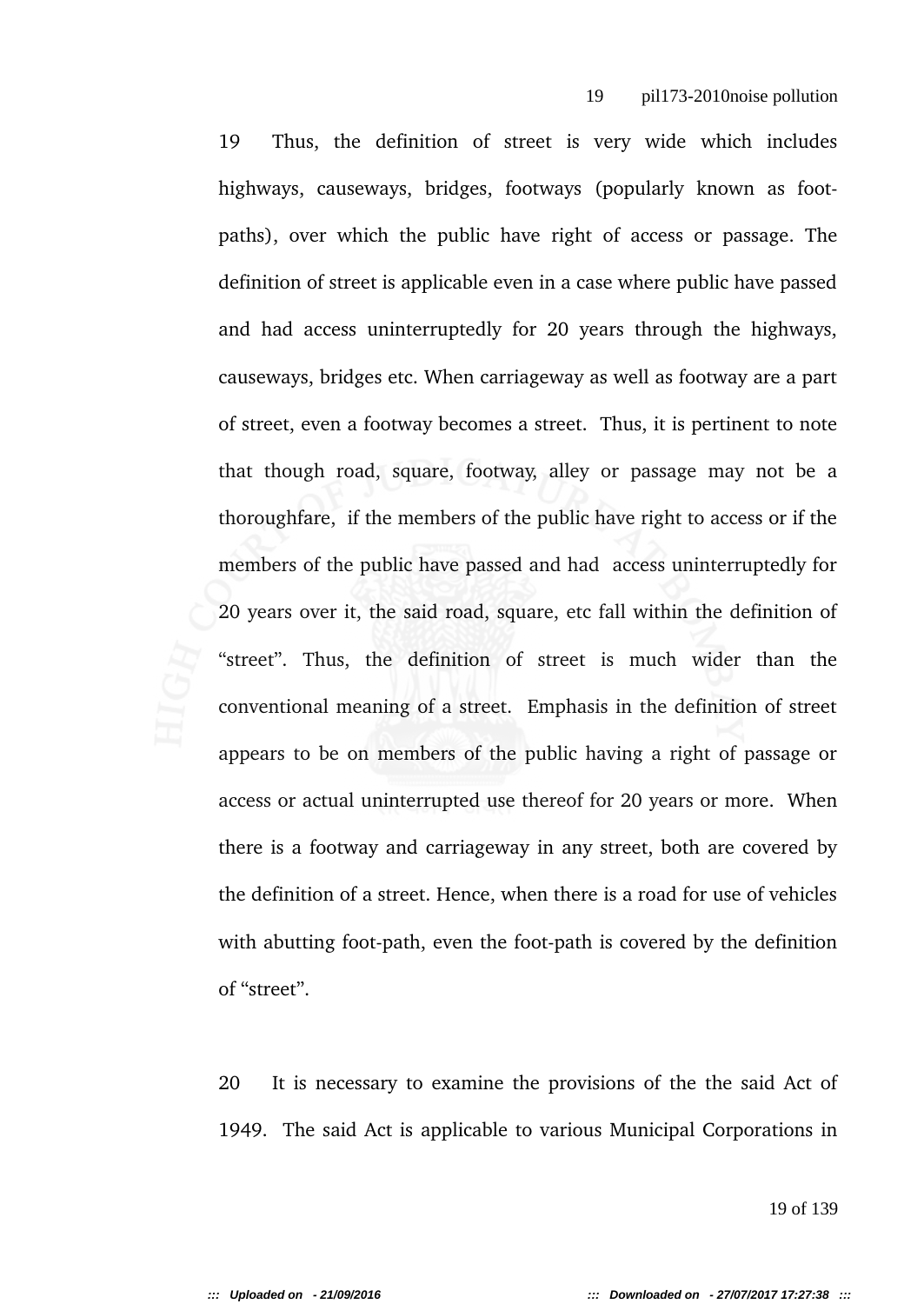19 Thus, the definition of street is very wide which includes highways, causeways, bridges, footways (popularly known as footpaths), over which the public have right of access or passage. The definition of street is applicable even in a case where public have passed and had access uninterruptedly for 20 years through the highways, causeways, bridges etc. When carriageway as well as footway are a part of street, even a footway becomes a street. Thus, it is pertinent to note that though road, square, footway, alley or passage may not be a thoroughfare, if the members of the public have right to access or if the members of the public have passed and had access uninterruptedly for 20 years over it, the said road, square, etc fall within the definition of "street". Thus, the definition of street is much wider than the conventional meaning of a street. Emphasis in the definition of street appears to be on members of the public having a right of passage or access or actual uninterrupted use thereof for 20 years or more. When there is a footway and carriageway in any street, both are covered by the definition of a street. Hence, when there is a road for use of vehicles with abutting foot-path, even the foot-path is covered by the definition of "street".

20 It is necessary to examine the provisions of the the said Act of 1949. The said Act is applicable to various Municipal Corporations in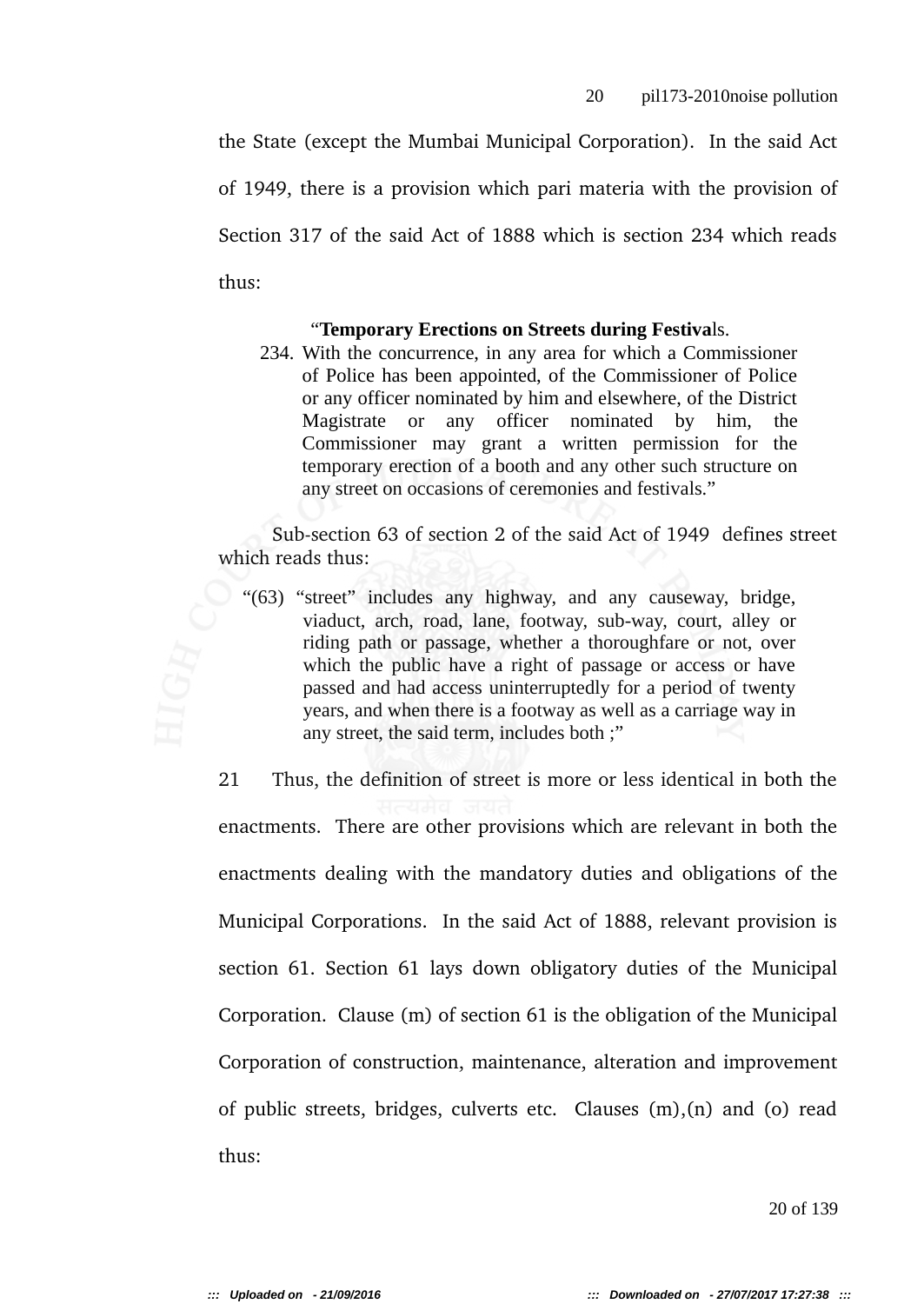the State (except the Mumbai Municipal Corporation). In the said Act

of 1949, there is a provision which pari materia with the provision of

Section 317 of the said Act of 1888 which is section 234 which reads thus:

## "**Temporary Erections on Streets during Festiva**ls.

234. With the concurrence, in any area for which a Commissioner of Police has been appointed, of the Commissioner of Police or any officer nominated by him and elsewhere, of the District Magistrate or any officer nominated by him, the Commissioner may grant a written permission for the temporary erection of a booth and any other such structure on any street on occasions of ceremonies and festivals."

Sub-section 63 of section 2 of the said Act of 1949 defines street which reads thus:

"(63) "street" includes any highway, and any causeway, bridge, viaduct, arch, road, lane, footway, sub-way, court, alley or riding path or passage, whether a thoroughfare or not, over which the public have a right of passage or access or have passed and had access uninterruptedly for a period of twenty years, and when there is a footway as well as a carriage way in any street, the said term, includes both ;"

21 Thus, the definition of street is more or less identical in both the enactments. There are other provisions which are relevant in both the enactments dealing with the mandatory duties and obligations of the Municipal Corporations. In the said Act of 1888, relevant provision is section 61. Section 61 lays down obligatory duties of the Municipal Corporation. Clause (m) of section 61 is the obligation of the Municipal Corporation of construction, maintenance, alteration and improvement of public streets, bridges, culverts etc. Clauses (m),(n) and (o) read thus: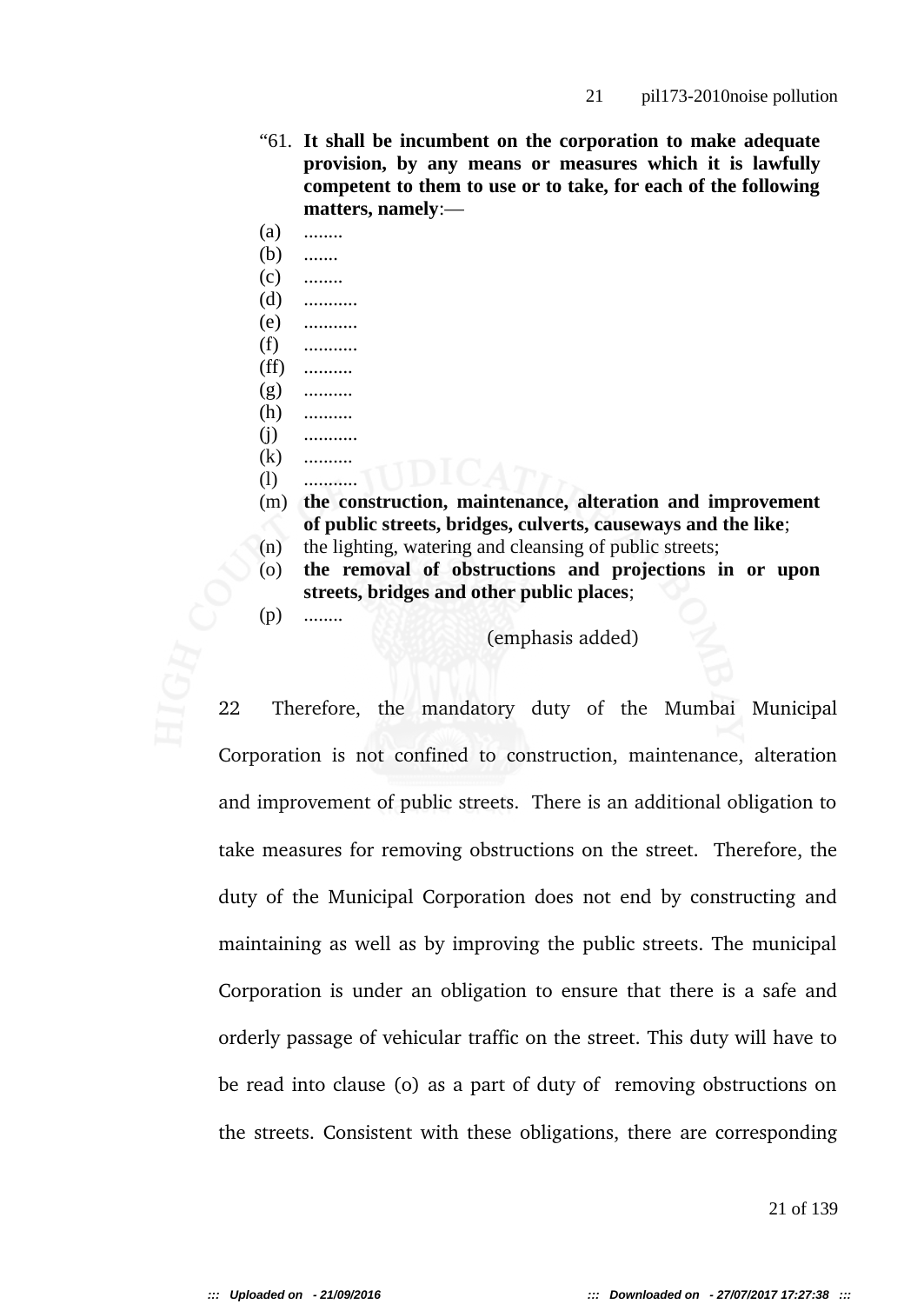- "61. **It shall be incumbent on the corporation to make adequate provision, by any means or measures which it is lawfully competent to them to use or to take, for each of the following matters, namely**:—
- (a) ........
- (b) .......
- $(C)$  ........
- (d) ........... (e) ...........
- $(f)$  ...........
- $(ff)$  ..........
- $(g)$  ..........
- (h) ..........
- (j) ...........
- (k) ..........
- (l) ...........
- (m) **the construction, maintenance, alteration and improvement of public streets, bridges, culverts, causeways and the like**;
- (n) the lighting, watering and cleansing of public streets;

(o) **the removal of obstructions and projections in or upon streets, bridges and other public places**;

(p) ........

#### (emphasis added)

22 Therefore, the mandatory duty of the Mumbai Municipal Corporation is not confined to construction, maintenance, alteration and improvement of public streets. There is an additional obligation to take measures for removing obstructions on the street. Therefore, the duty of the Municipal Corporation does not end by constructing and maintaining as well as by improving the public streets. The municipal Corporation is under an obligation to ensure that there is a safe and orderly passage of vehicular traffic on the street. This duty will have to be read into clause (o) as a part of duty of removing obstructions on the streets. Consistent with these obligations, there are corresponding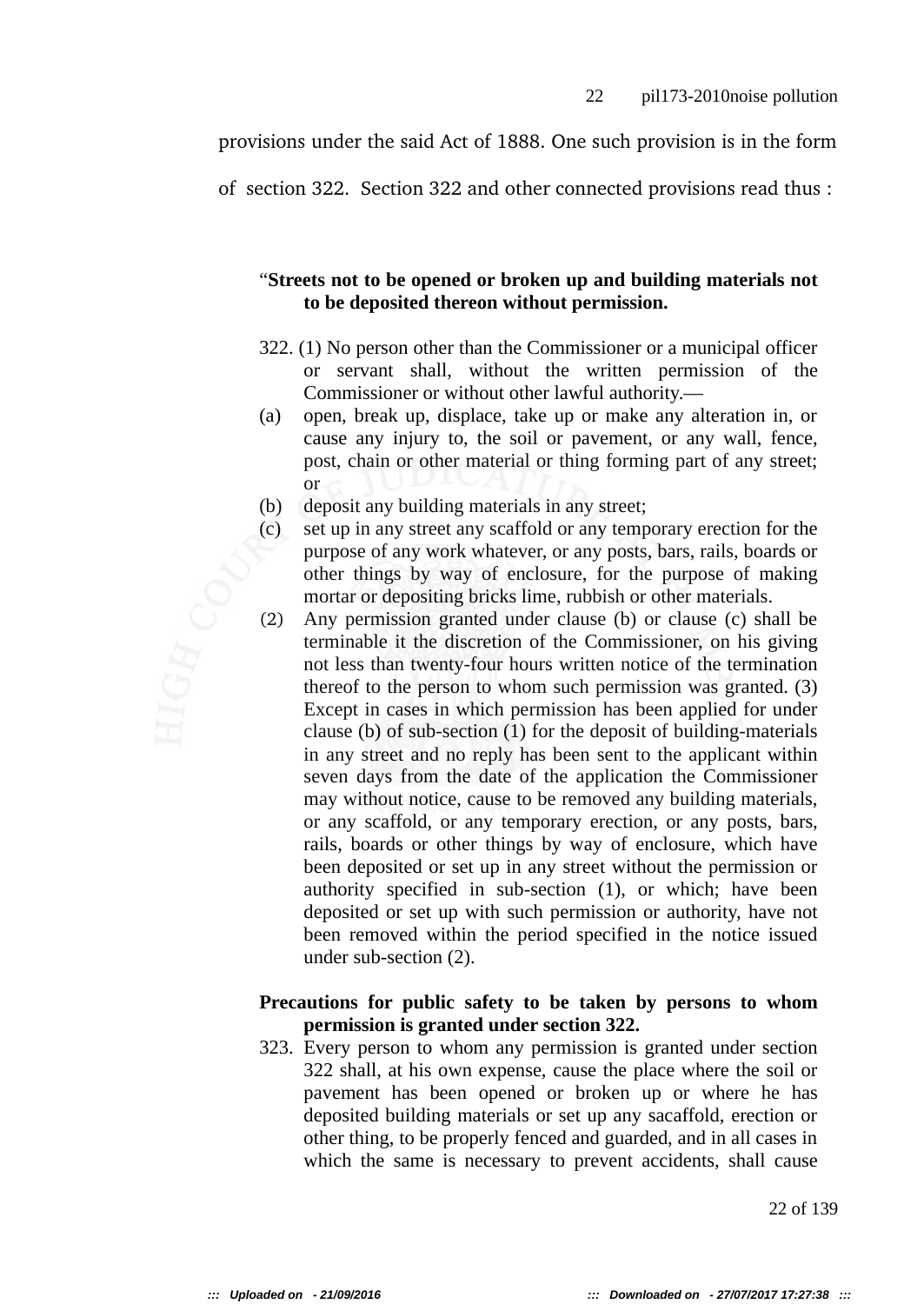provisions under the said Act of 1888. One such provision is in the form

of section 322. Section 322 and other connected provisions read thus :

# "**Streets not to be opened or broken up and building materials not to be deposited thereon without permission.**

- 322. (1) No person other than the Commissioner or a municipal officer or servant shall, without the written permission of the Commissioner or without other lawful authority.—
- (a) open, break up, displace, take up or make any alteration in, or cause any injury to, the soil or pavement, or any wall, fence, post, chain or other material or thing forming part of any street; or
- (b) deposit any building materials in any street;
- (c) set up in any street any scaffold or any temporary erection for the purpose of any work whatever, or any posts, bars, rails, boards or other things by way of enclosure, for the purpose of making mortar or depositing bricks lime, rubbish or other materials.
- (2) Any permission granted under clause (b) or clause (c) shall be terminable it the discretion of the Commissioner, on his giving not less than twenty-four hours written notice of the termination thereof to the person to whom such permission was granted. (3) Except in cases in which permission has been applied for under clause (b) of sub-section (1) for the deposit of building-materials in any street and no reply has been sent to the applicant within seven days from the date of the application the Commissioner may without notice, cause to be removed any building materials, or any scaffold, or any temporary erection, or any posts, bars, rails, boards or other things by way of enclosure, which have been deposited or set up in any street without the permission or authority specified in sub-section (1), or which; have been deposited or set up with such permission or authority, have not been removed within the period specified in the notice issued under sub-section (2).

## **Precautions for public safety to be taken by persons to whom permission is granted under section 322.**

323. Every person to whom any permission is granted under section 322 shall, at his own expense, cause the place where the soil or pavement has been opened or broken up or where he has deposited building materials or set up any sacaffold, erection or other thing, to be properly fenced and guarded, and in all cases in which the same is necessary to prevent accidents, shall cause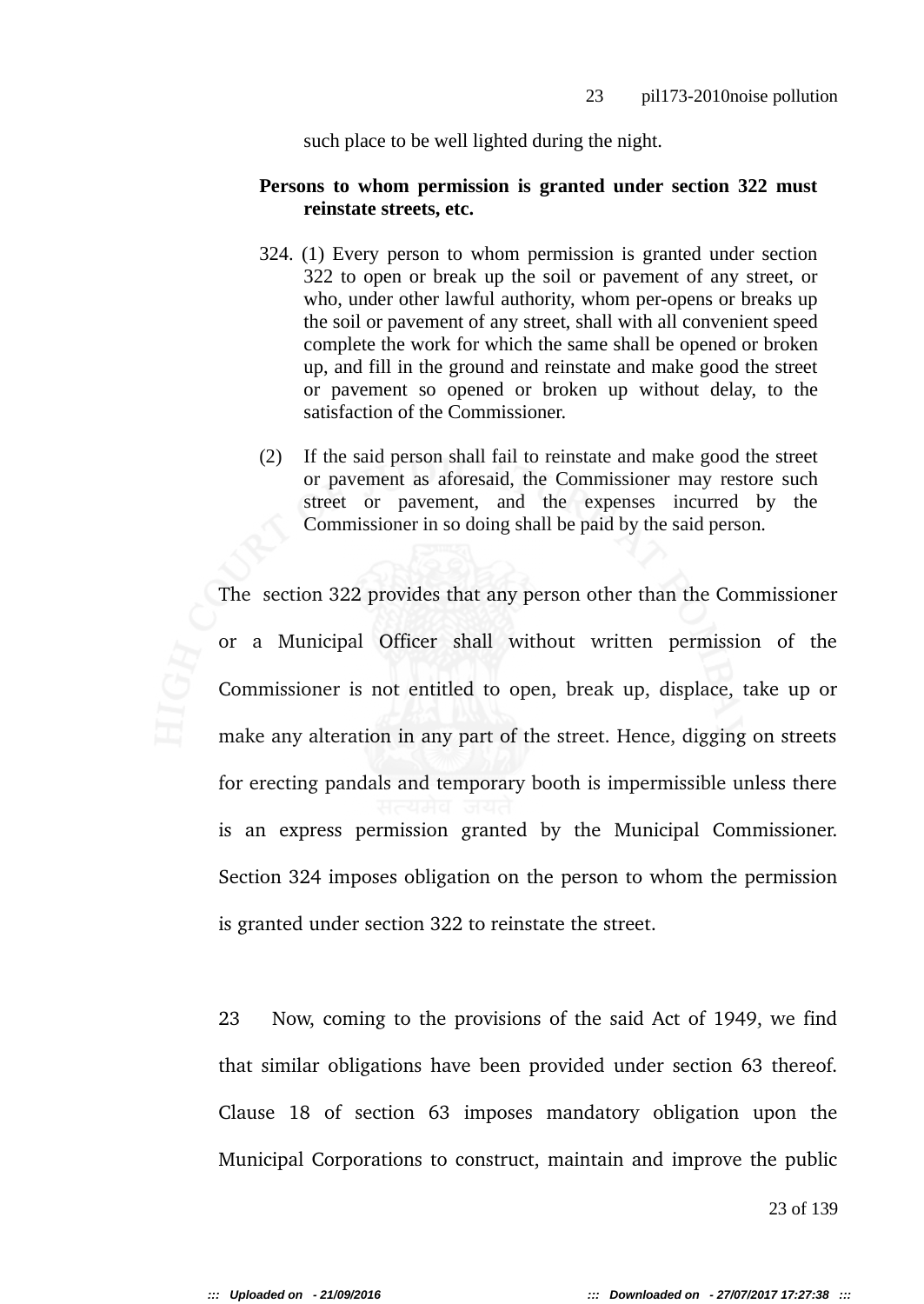such place to be well lighted during the night.

## **Persons to whom permission is granted under section 322 must reinstate streets, etc.**

- 324. (1) Every person to whom permission is granted under section 322 to open or break up the soil or pavement of any street, or who, under other lawful authority, whom per-opens or breaks up the soil or pavement of any street, shall with all convenient speed complete the work for which the same shall be opened or broken up, and fill in the ground and reinstate and make good the street or pavement so opened or broken up without delay, to the satisfaction of the Commissioner.
- (2) If the said person shall fail to reinstate and make good the street or pavement as aforesaid, the Commissioner may restore such street or pavement, and the expenses incurred by the Commissioner in so doing shall be paid by the said person.

The section 322 provides that any person other than the Commissioner or a Municipal Officer shall without written permission of the Commissioner is not entitled to open, break up, displace, take up or make any alteration in any part of the street. Hence, digging on streets for erecting pandals and temporary booth is impermissible unless there is an express permission granted by the Municipal Commissioner. Section 324 imposes obligation on the person to whom the permission is granted under section 322 to reinstate the street.

23 Now, coming to the provisions of the said Act of 1949, we find that similar obligations have been provided under section 63 thereof. Clause 18 of section 63 imposes mandatory obligation upon the Municipal Corporations to construct, maintain and improve the public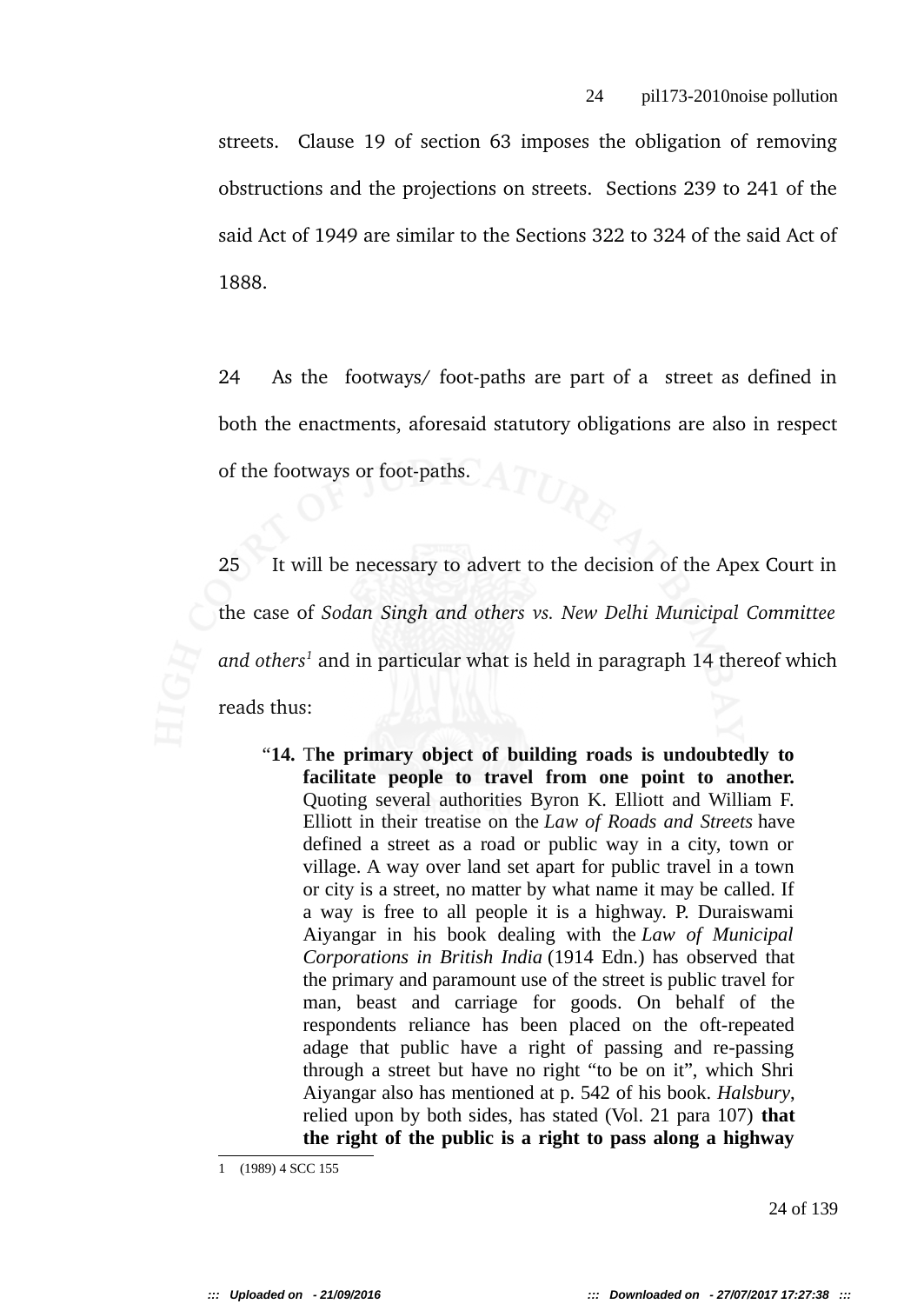streets. Clause 19 of section 63 imposes the obligation of removing obstructions and the projections on streets. Sections 239 to 241 of the said Act of 1949 are similar to the Sections 322 to 324 of the said Act of 1888.

24 As the footways/ foot-paths are part of a street as defined in both the enactments, aforesaid statutory obligations are also in respect of the footways or foot-paths.  $\overline{\phantom{a}}$ 

25 It will be necessary to advert to the decision of the Apex Court in the case of *Sodan Singh and others vs. New Delhi Municipal Committee* and others<sup>1</sup> and in particular what is held in paragraph 14 thereof which reads thus:

"**14.** T**he primary object of building roads is undoubtedly to facilitate people to travel from one point to another.** Quoting several authorities Byron K. Elliott and William F. Elliott in their treatise on the *Law of Roads and Streets* have defined a street as a road or public way in a city, town or village. A way over land set apart for public travel in a town or city is a street, no matter by what name it may be called. If a way is free to all people it is a highway. P. Duraiswami Aiyangar in his book dealing with the *Law of Municipal Corporations in British India* (1914 Edn.) has observed that the primary and paramount use of the street is public travel for man, beast and carriage for goods. On behalf of the respondents reliance has been placed on the oft-repeated adage that public have a right of passing and re-passing through a street but have no right "to be on it", which Shri Aiyangar also has mentioned at p. 542 of his book. *Halsbury*, relied upon by both sides, has stated (Vol. 21 para 107) **that the right of the public is a right to pass along a highway**

<sup>1</sup> (1989) 4 SCC 155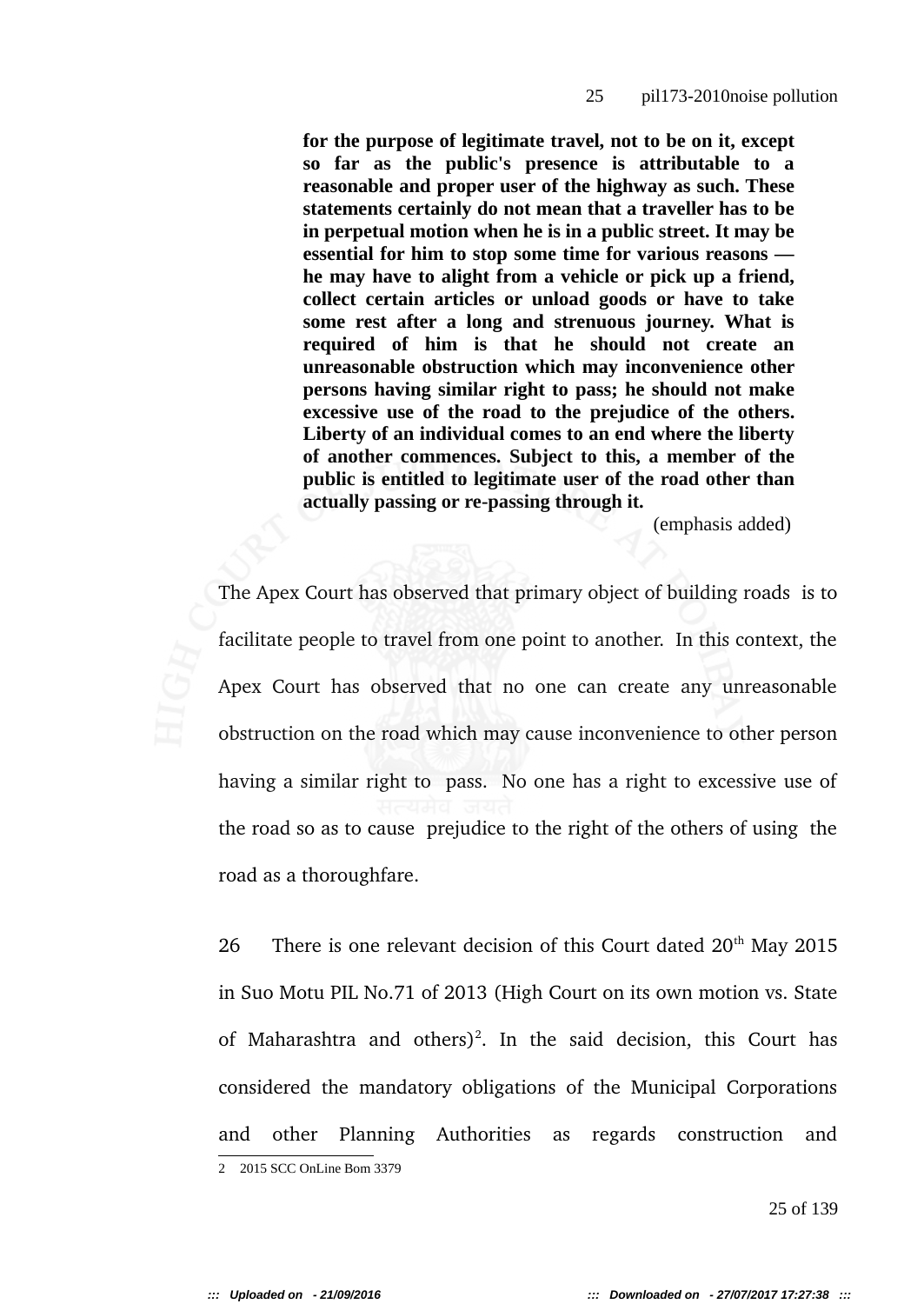**for the purpose of legitimate travel, not to be on it, except so far as the public's presence is attributable to a reasonable and proper user of the highway as such. These statements certainly do not mean that a traveller has to be in perpetual motion when he is in a public street. It may be essential for him to stop some time for various reasons he may have to alight from a vehicle or pick up a friend, collect certain articles or unload goods or have to take some rest after a long and strenuous journey. What is required of him is that he should not create an unreasonable obstruction which may inconvenience other persons having similar right to pass; he should not make excessive use of the road to the prejudice of the others. Liberty of an individual comes to an end where the liberty of another commences. Subject to this, a member of the public is entitled to legitimate user of the road other than actually passing or re-passing through it.**

(emphasis added)

The Apex Court has observed that primary object of building roads is to facilitate people to travel from one point to another. In this context, the Apex Court has observed that no one can create any unreasonable obstruction on the road which may cause inconvenience to other person having a similar right to pass. No one has a right to excessive use of the road so as to cause prejudice to the right of the others of using the road as a thoroughfare.

26 There is one relevant decision of this Court dated  $20<sup>th</sup>$  May 2015 in Suo Motu PIL No.71 of 2013 (High Court on its own motion vs. State of Maharashtra and others)<sup>2</sup>. In the said decision, this Court has considered the mandatory obligations of the Municipal Corporations and other Planning Authorities as regards construction and

<sup>2</sup> 2015 SCC OnLine Bom 3379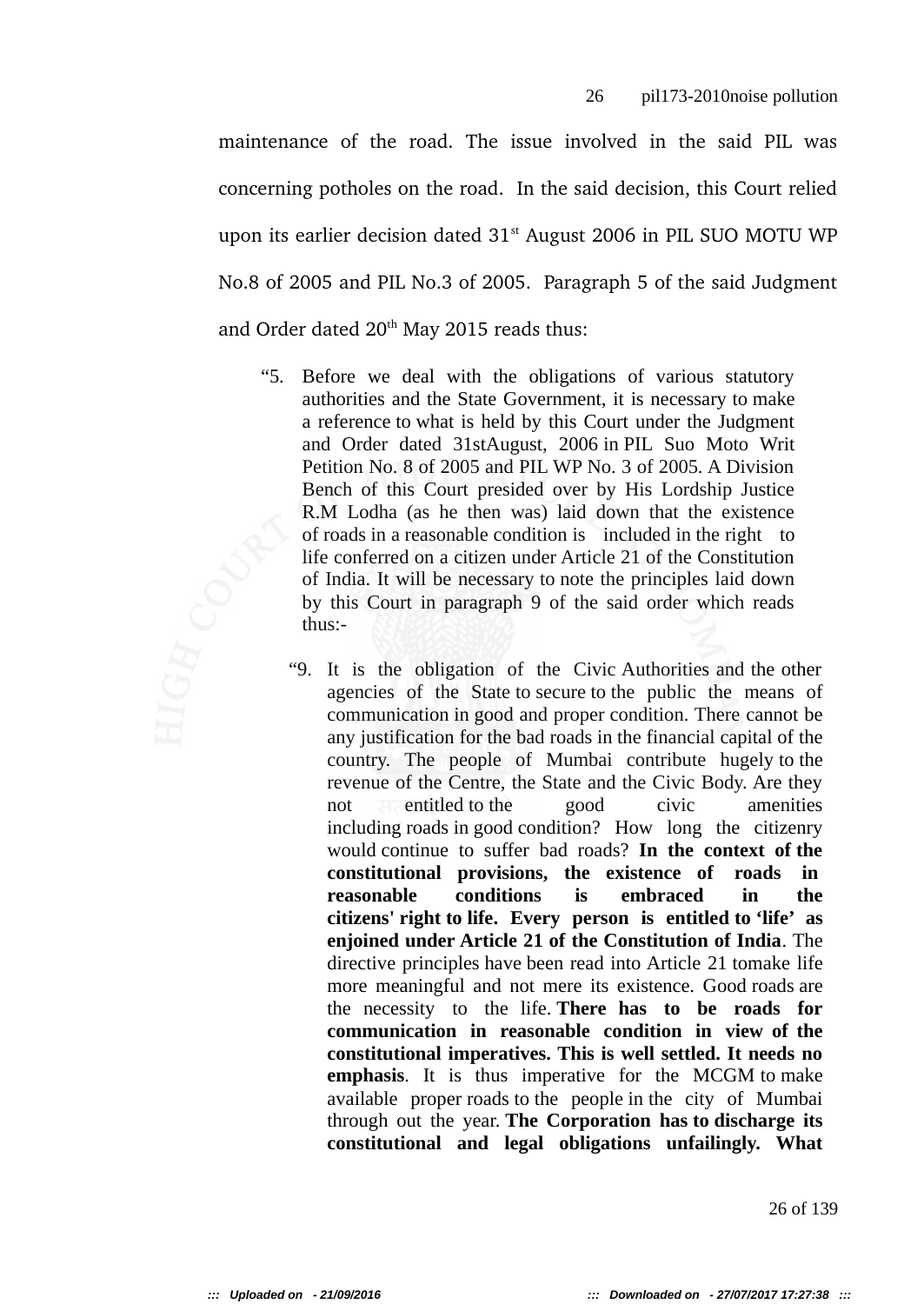maintenance of the road. The issue involved in the said PIL was concerning potholes on the road. In the said decision, this Court relied upon its earlier decision dated  $31<sup>st</sup>$  August 2006 in PIL SUO MOTU WP No.8 of 2005 and PIL No.3 of 2005. Paragraph 5 of the said Judgment and Order dated  $20<sup>th</sup>$  May 2015 reads thus:

"5. Before we deal with the obligations of various statutory authorities and the State Government, it is necessary to make a reference to what is held by this Court under the Judgment and Order dated 31stAugust, 2006 in PIL Suo Moto Writ Petition No. 8 of 2005 and PIL WP No. 3 of 2005. A Division Bench of this Court presided over by His Lordship Justice R.M Lodha (as he then was) laid down that the existence of roads in a reasonable condition is included in the right to life conferred on a citizen under Article 21 of the Constitution of India. It will be necessary to note the principles laid down by this Court in paragraph 9 of the said order which reads thus:-

"9. It is the obligation of the Civic Authorities and the other agencies of the State to secure to the public the means of communication in good and proper condition. There cannot be any justification for the bad roads in the financial capital of the country. The people of Mumbai contribute hugely to the revenue of the Centre, the State and the Civic Body. Are they not entitled to the good civic amenities including roads in good condition? How long the citizenry would continue to suffer bad roads? **In the context of the constitutional provisions, the existence of roads in reasonable conditions is embraced in the citizens' right to life. Every person is entitled to 'life' as enjoined under Article 21 of the Constitution of India**. The directive principles have been read into Article 21 tomake life more meaningful and not mere its existence. Good roads are the necessity to the life. **There has to be roads for communication in reasonable condition in view of the constitutional imperatives. This is well settled. It needs no emphasis**. It is thus imperative for the MCGM to make available proper roads to the people in the city of Mumbai through out the year. **The Corporation has to discharge its constitutional and legal obligations unfailingly. What**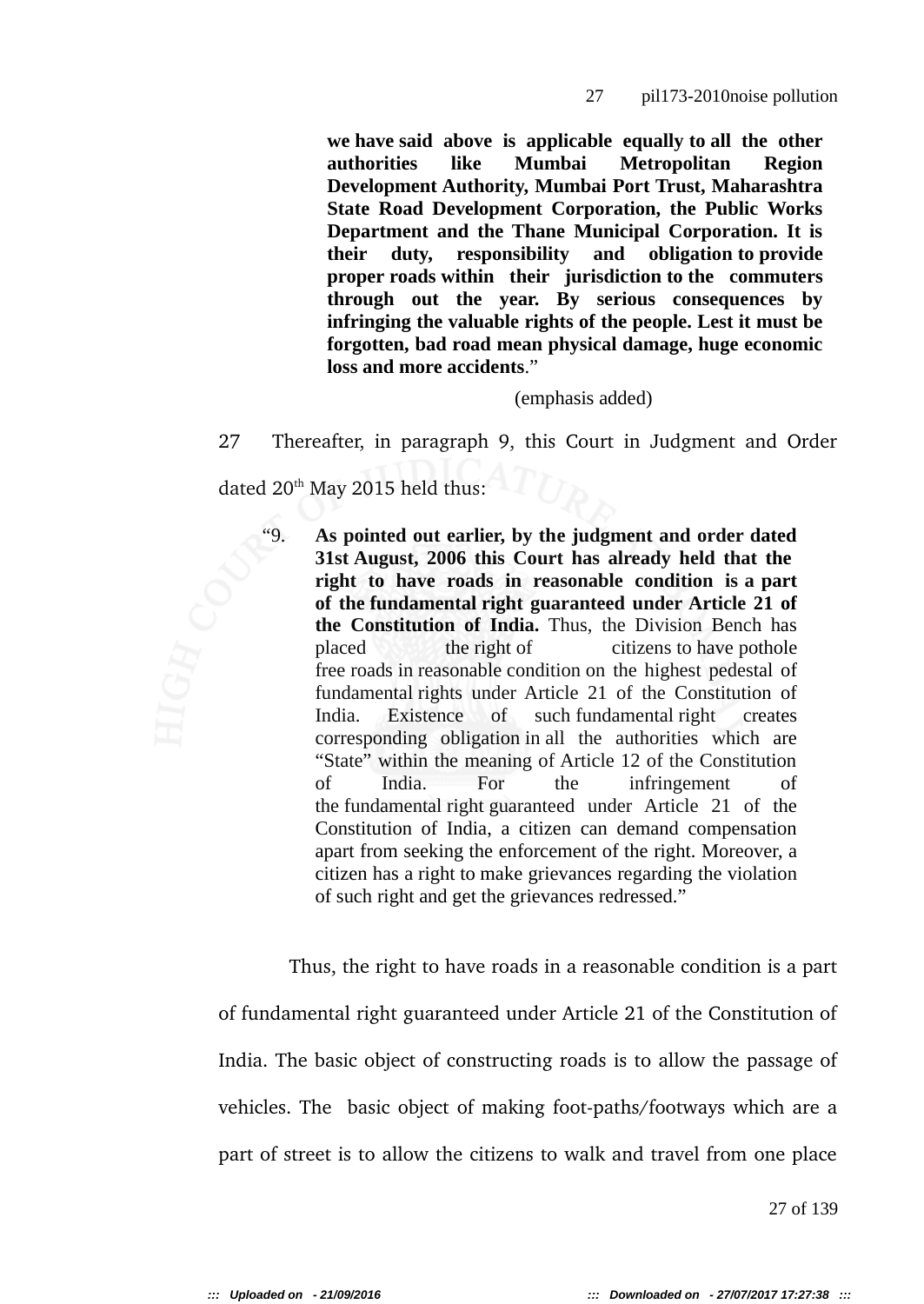**we have said above is applicable equally to all the other authorities like Mumbai Metropolitan Region Development Authority, Mumbai Port Trust, Maharashtra State Road Development Corporation, the Public Works Department and the Thane Municipal Corporation. It is their duty, responsibility and obligation to provide proper roads within their jurisdiction to the commuters through out the year. By serious consequences by infringing the valuable rights of the people. Lest it must be forgotten, bad road mean physical damage, huge economic loss and more accidents**."

(emphasis added)

27 Thereafter, in paragraph 9, this Court in Judgment and Order

dated 20<sup>th</sup> May 2015 held thus:

"9. **As pointed out earlier, by the judgment and order dated 31st August, 2006 this Court has already held that the right to have roads in reasonable condition is a part of the fundamental right guaranteed under Article 21 of the Constitution of India.** Thus, the Division Bench has placed the right of citizens to have pothole free roads in reasonable condition on the highest pedestal of fundamental rights under Article 21 of the Constitution of India. Existence of such fundamental right creates corresponding obligation in all the authorities which are "State" within the meaning of Article 12 of the Constitution of India. For the infringement of the fundamental right guaranteed under Article 21 of the Constitution of India, a citizen can demand compensation apart from seeking the enforcement of the right. Moreover, a citizen has a right to make grievances regarding the violation of such right and get the grievances redressed."

 Thus, the right to have roads in a reasonable condition is a part of fundamental right guaranteed under Article 21 of the Constitution of India. The basic object of constructing roads is to allow the passage of vehicles. The basic object of making foot-paths/footways which are a part of street is to allow the citizens to walk and travel from one place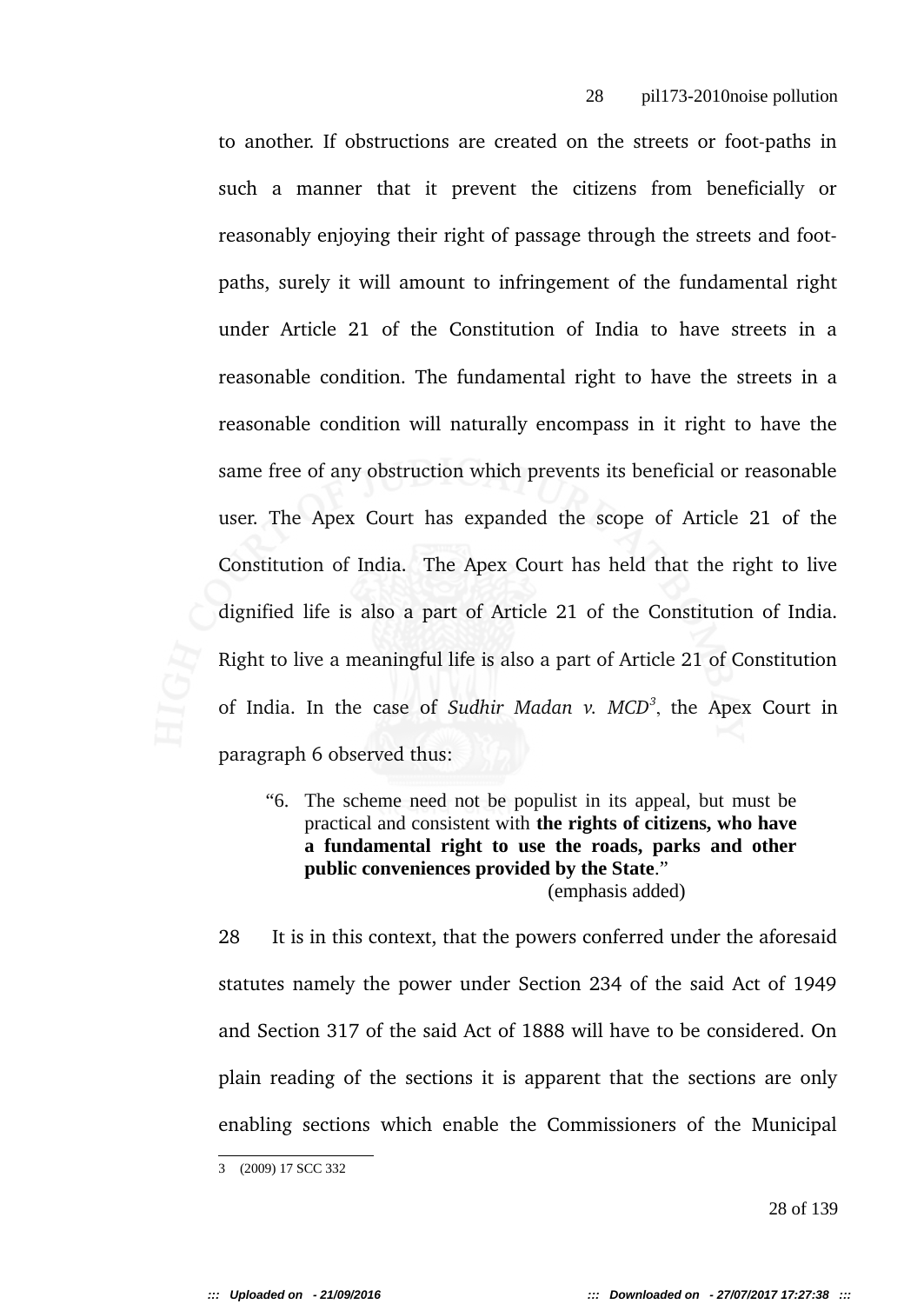to another. If obstructions are created on the streets or foot-paths in such a manner that it prevent the citizens from beneficially or reasonably enjoying their right of passage through the streets and footpaths, surely it will amount to infringement of the fundamental right under Article 21 of the Constitution of India to have streets in a reasonable condition. The fundamental right to have the streets in a reasonable condition will naturally encompass in it right to have the same free of any obstruction which prevents its beneficial or reasonable user. The Apex Court has expanded the scope of Article 21 of the Constitution of India. The Apex Court has held that the right to live dignified life is also a part of Article 21 of the Constitution of India. Right to live a meaningful life is also a part of Article 21 of Constitution of India. In the case of *Sudhir Madan v. MCD<sup>3</sup>* , the Apex Court in paragraph 6 observed thus:

 "6. The scheme need not be populist in its appeal, but must be practical and consistent with **the rights of citizens, who have a fundamental right to use the roads, parks and other public conveniences provided by the State**." (emphasis added)

28 It is in this context, that the powers conferred under the aforesaid statutes namely the power under Section 234 of the said Act of 1949 and Section 317 of the said Act of 1888 will have to be considered. On plain reading of the sections it is apparent that the sections are only enabling sections which enable the Commissioners of the Municipal

<sup>3</sup> (2009) 17 SCC 332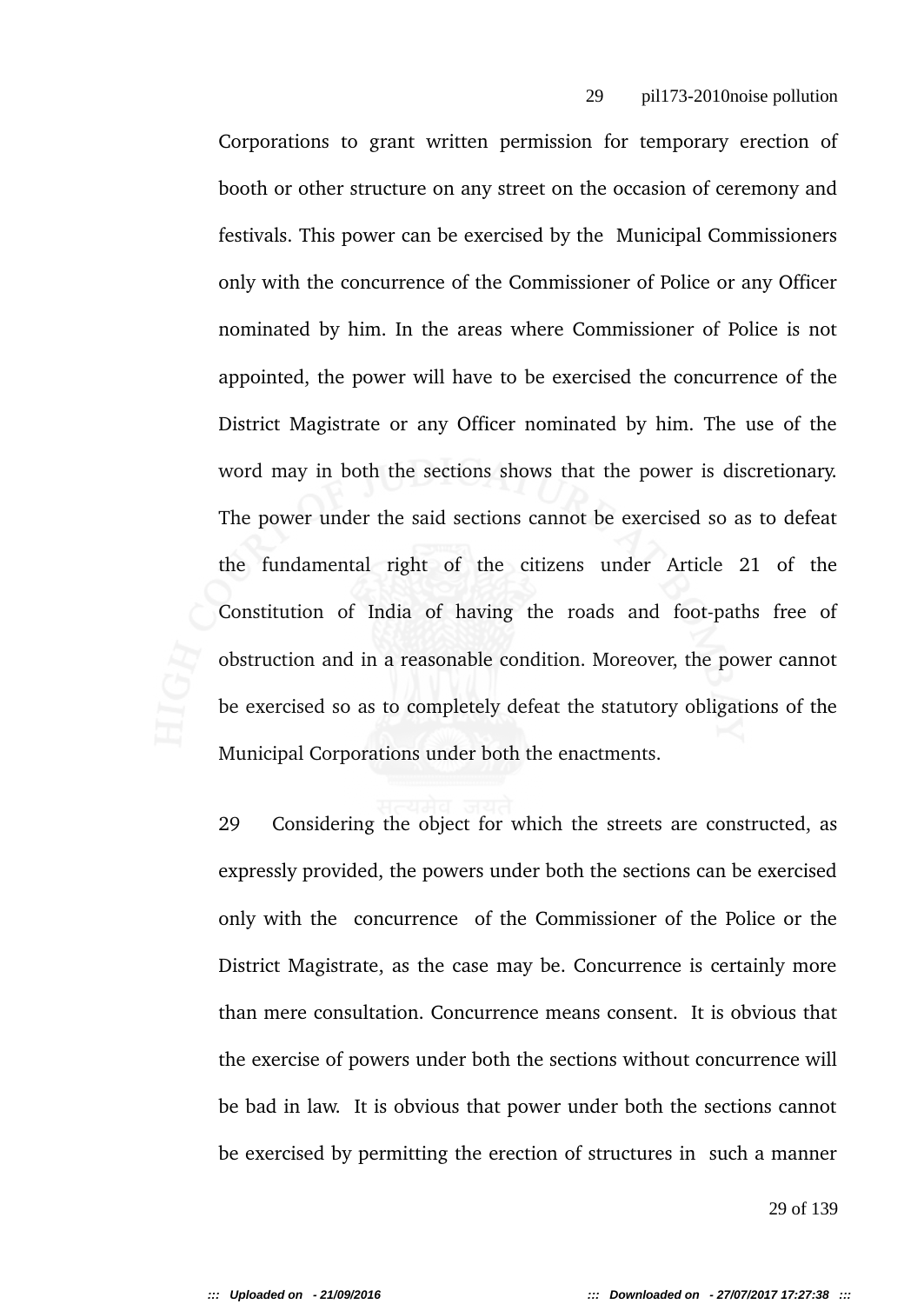Corporations to grant written permission for temporary erection of booth or other structure on any street on the occasion of ceremony and festivals. This power can be exercised by the Municipal Commissioners only with the concurrence of the Commissioner of Police or any Officer nominated by him. In the areas where Commissioner of Police is not appointed, the power will have to be exercised the concurrence of the District Magistrate or any Officer nominated by him. The use of the word may in both the sections shows that the power is discretionary. The power under the said sections cannot be exercised so as to defeat the fundamental right of the citizens under Article 21 of the Constitution of India of having the roads and foot-paths free of obstruction and in a reasonable condition. Moreover, the power cannot be exercised so as to completely defeat the statutory obligations of the Municipal Corporations under both the enactments.

29 Considering the object for which the streets are constructed, as expressly provided, the powers under both the sections can be exercised only with the concurrence of the Commissioner of the Police or the District Magistrate, as the case may be. Concurrence is certainly more than mere consultation. Concurrence means consent. It is obvious that the exercise of powers under both the sections without concurrence will be bad in law. It is obvious that power under both the sections cannot be exercised by permitting the erection of structures in such a manner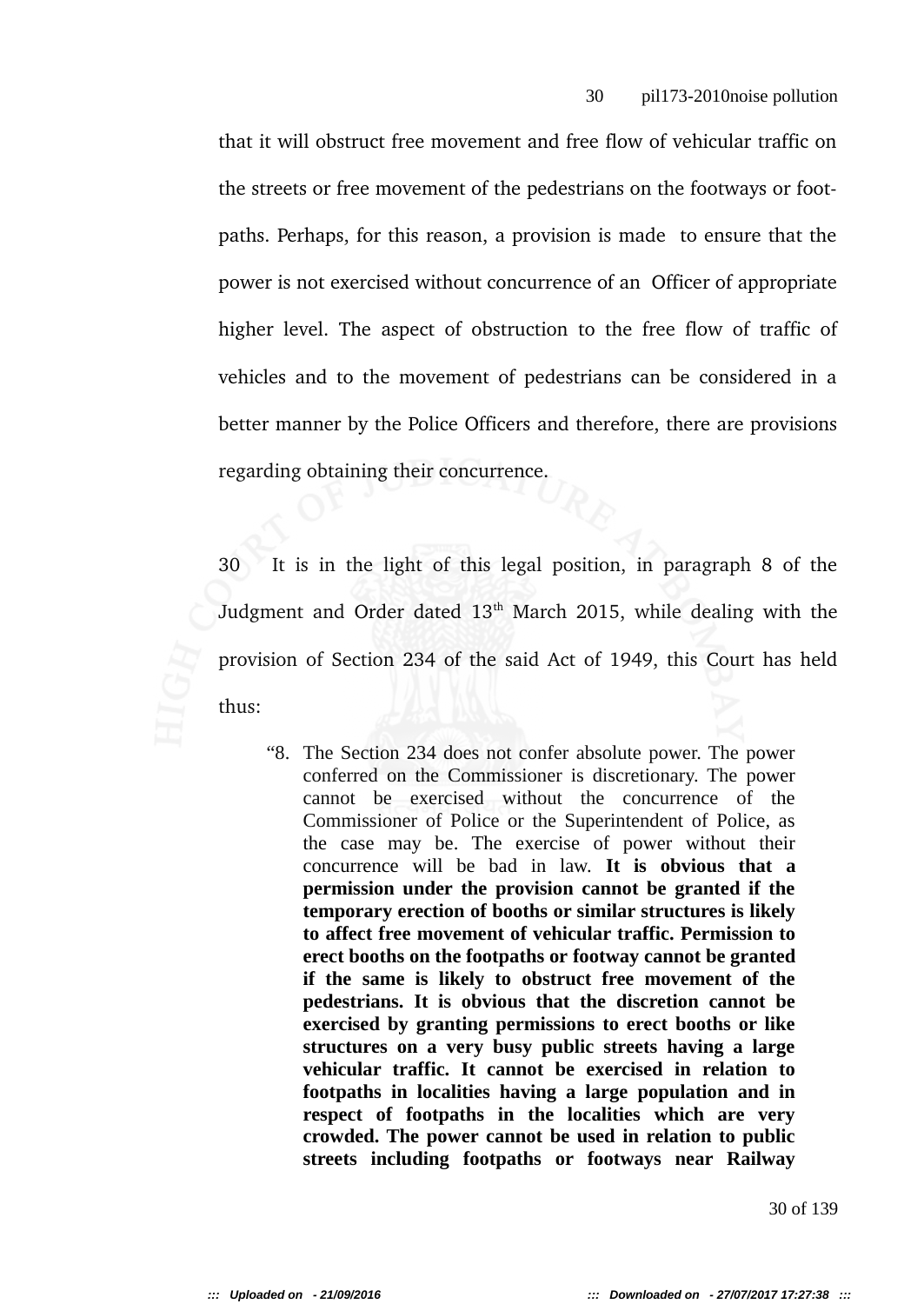that it will obstruct free movement and free flow of vehicular traffic on the streets or free movement of the pedestrians on the footways or footpaths. Perhaps, for this reason, a provision is made to ensure that the power is not exercised without concurrence of an Officer of appropriate higher level. The aspect of obstruction to the free flow of traffic of vehicles and to the movement of pedestrians can be considered in a better manner by the Police Officers and therefore, there are provisions regarding obtaining their concurrence.

30 It is in the light of this legal position, in paragraph 8 of the Judgment and Order dated  $13<sup>th</sup>$  March 2015, while dealing with the provision of Section 234 of the said Act of 1949, this Court has held thus:

 "8. The Section 234 does not confer absolute power. The power conferred on the Commissioner is discretionary. The power cannot be exercised without the concurrence of the Commissioner of Police or the Superintendent of Police, as the case may be. The exercise of power without their concurrence will be bad in law. **It is obvious that a permission under the provision cannot be granted if the temporary erection of booths or similar structures is likely to affect free movement of vehicular traffic. Permission to erect booths on the footpaths or footway cannot be granted if the same is likely to obstruct free movement of the pedestrians. It is obvious that the discretion cannot be exercised by granting permissions to erect booths or like structures on a very busy public streets having a large vehicular traffic. It cannot be exercised in relation to footpaths in localities having a large population and in respect of footpaths in the localities which are very crowded. The power cannot be used in relation to public streets including footpaths or footways near Railway**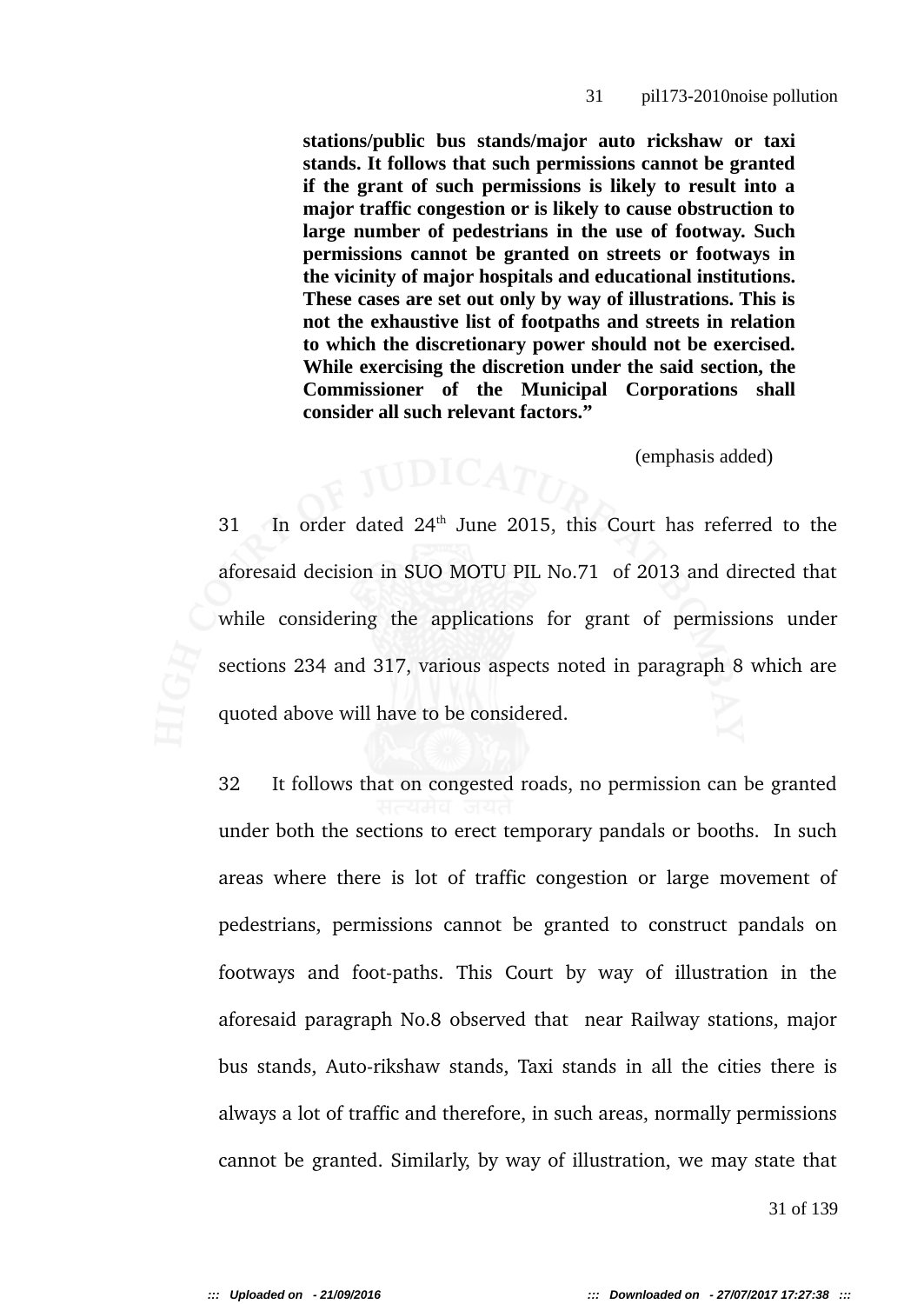**stations/public bus stands/major auto rickshaw or taxi stands. It follows that such permissions cannot be granted if the grant of such permissions is likely to result into a major traffic congestion or is likely to cause obstruction to large number of pedestrians in the use of footway. Such permissions cannot be granted on streets or footways in the vicinity of major hospitals and educational institutions. These cases are set out only by way of illustrations. This is not the exhaustive list of footpaths and streets in relation to which the discretionary power should not be exercised. While exercising the discretion under the said section, the Commissioner of the Municipal Corporations shall consider all such relevant factors."**

(emphasis added)

31 In order dated 24<sup>th</sup> June 2015, this Court has referred to the aforesaid decision in SUO MOTU PIL No.71 of 2013 and directed that while considering the applications for grant of permissions under sections 234 and 317, various aspects noted in paragraph 8 which are quoted above will have to be considered.

32 It follows that on congested roads, no permission can be granted under both the sections to erect temporary pandals or booths. In such areas where there is lot of traffic congestion or large movement of pedestrians, permissions cannot be granted to construct pandals on footways and foot-paths. This Court by way of illustration in the aforesaid paragraph No.8 observed that near Railway stations, major bus stands, Auto-rikshaw stands, Taxi stands in all the cities there is always a lot of traffic and therefore, in such areas, normally permissions cannot be granted. Similarly, by way of illustration, we may state that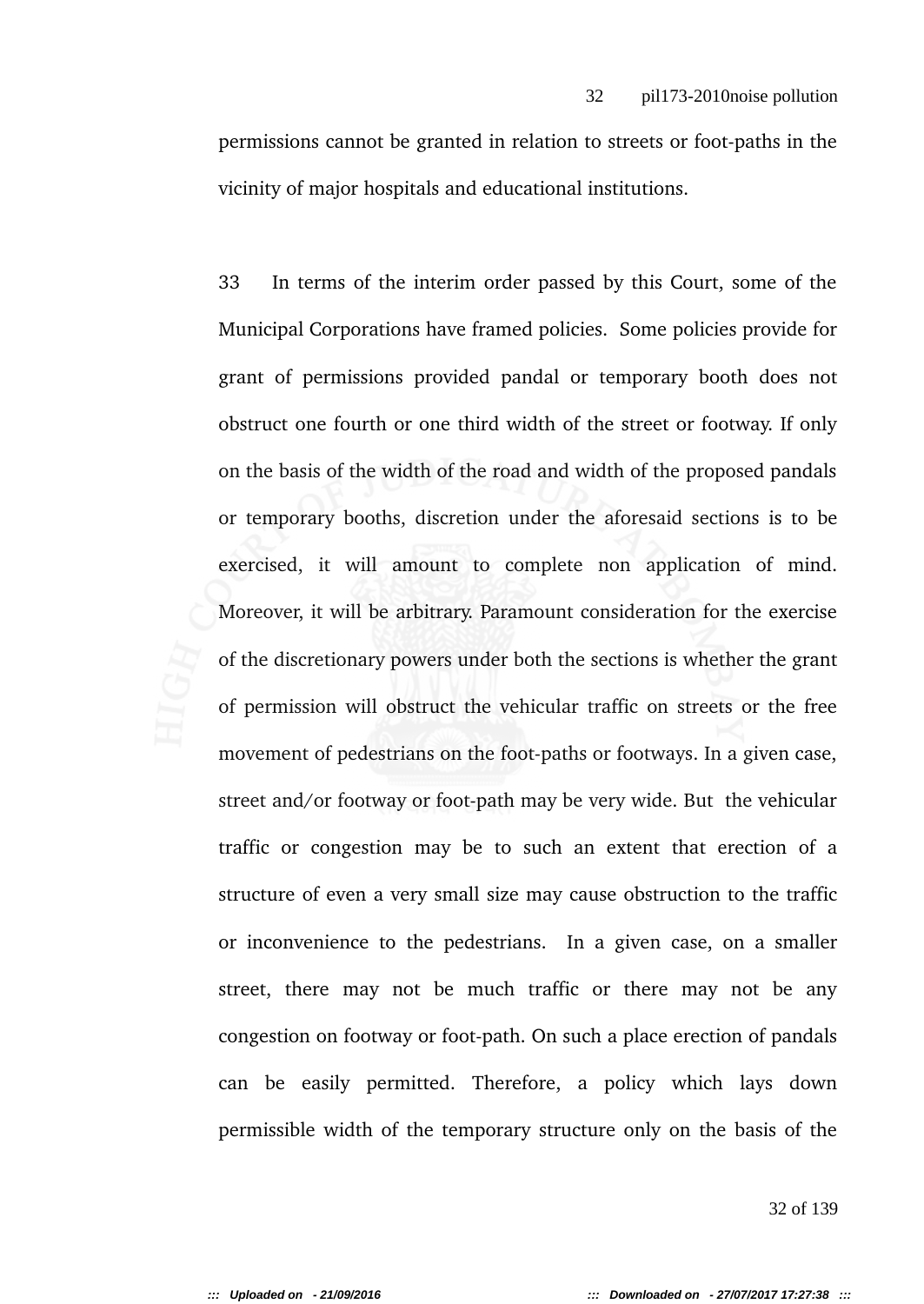permissions cannot be granted in relation to streets or foot-paths in the vicinity of major hospitals and educational institutions.

33 In terms of the interim order passed by this Court, some of the Municipal Corporations have framed policies. Some policies provide for grant of permissions provided pandal or temporary booth does not obstruct one fourth or one third width of the street or footway. If only on the basis of the width of the road and width of the proposed pandals or temporary booths, discretion under the aforesaid sections is to be exercised, it will amount to complete non application of mind. Moreover, it will be arbitrary. Paramount consideration for the exercise of the discretionary powers under both the sections is whether the grant of permission will obstruct the vehicular traffic on streets or the free movement of pedestrians on the foot-paths or footways. In a given case, street and/or footway or foot-path may be very wide. But the vehicular traffic or congestion may be to such an extent that erection of a structure of even a very small size may cause obstruction to the traffic or inconvenience to the pedestrians. In a given case, on a smaller street, there may not be much traffic or there may not be any congestion on footway or foot-path. On such a place erection of pandals can be easily permitted. Therefore, a policy which lays down permissible width of the temporary structure only on the basis of the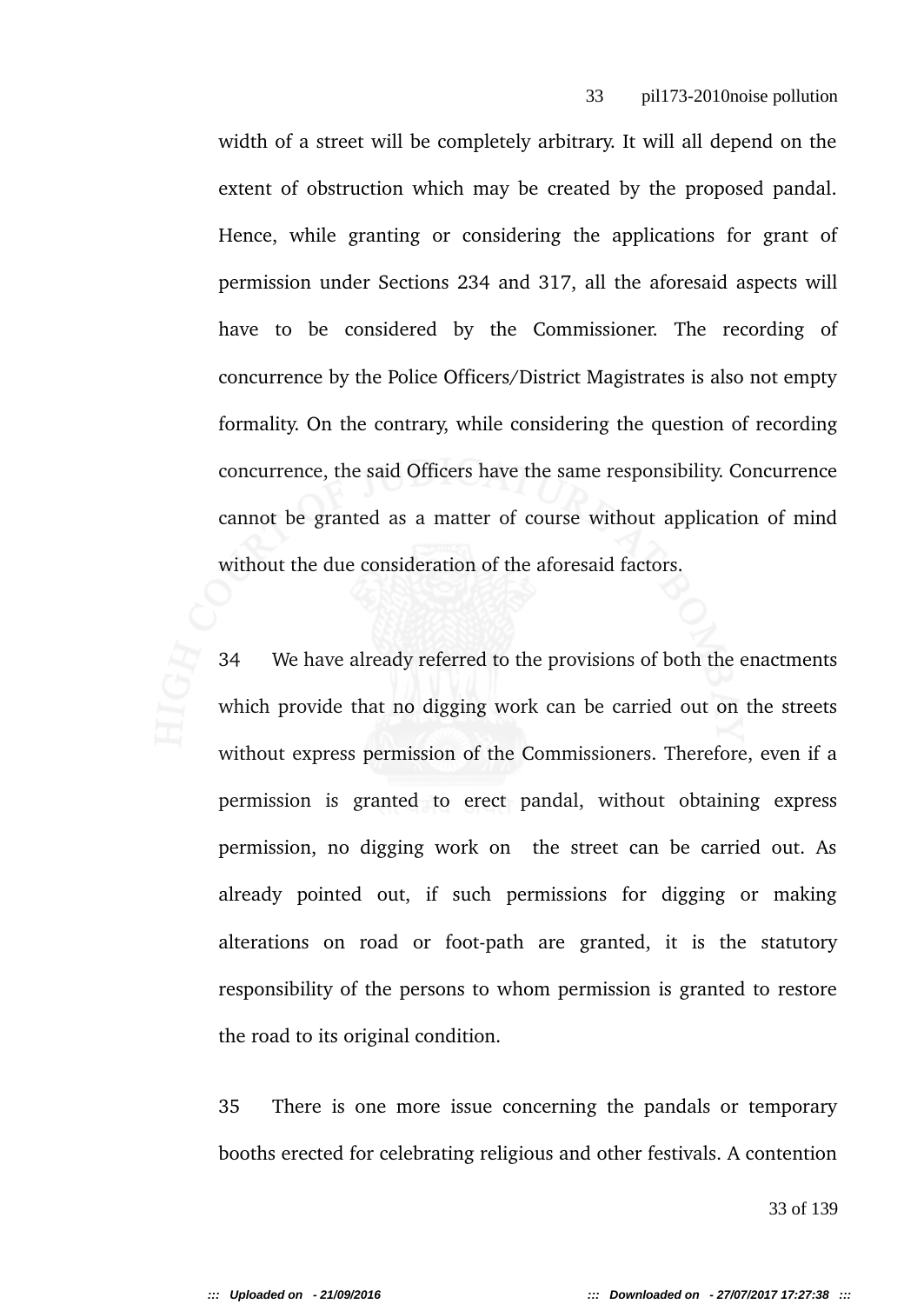width of a street will be completely arbitrary. It will all depend on the extent of obstruction which may be created by the proposed pandal. Hence, while granting or considering the applications for grant of permission under Sections 234 and 317, all the aforesaid aspects will have to be considered by the Commissioner. The recording of concurrence by the Police Officers/District Magistrates is also not empty formality. On the contrary, while considering the question of recording concurrence, the said Officers have the same responsibility. Concurrence cannot be granted as a matter of course without application of mind without the due consideration of the aforesaid factors.

34 We have already referred to the provisions of both the enactments which provide that no digging work can be carried out on the streets without express permission of the Commissioners. Therefore, even if a permission is granted to erect pandal, without obtaining express permission, no digging work on the street can be carried out. As already pointed out, if such permissions for digging or making alterations on road or foot-path are granted, it is the statutory responsibility of the persons to whom permission is granted to restore the road to its original condition.

35 There is one more issue concerning the pandals or temporary booths erected for celebrating religious and other festivals. A contention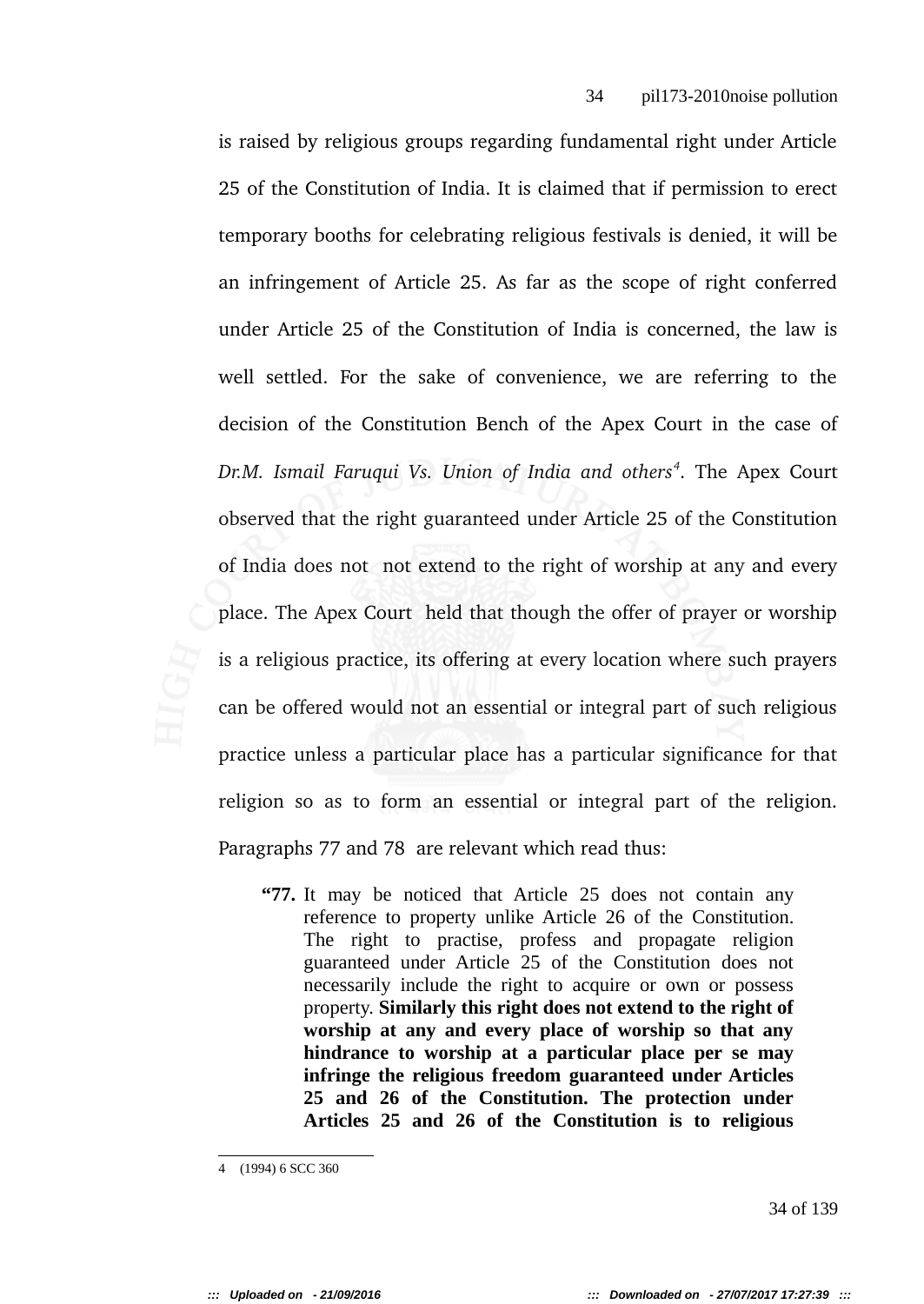is raised by religious groups regarding fundamental right under Article 25 of the Constitution of India. It is claimed that if permission to erect temporary booths for celebrating religious festivals is denied, it will be an infringement of Article 25. As far as the scope of right conferred under Article 25 of the Constitution of India is concerned, the law is well settled. For the sake of convenience, we are referring to the decision of the Constitution Bench of the Apex Court in the case of *Dr.M. Ismail Faruqui Vs. Union of India and others<sup>4</sup>* . The Apex Court observed that the right guaranteed under Article 25 of the Constitution of India does not not extend to the right of worship at any and every place. The Apex Court held that though the offer of prayer or worship is a religious practice, its offering at every location where such prayers can be offered would not an essential or integral part of such religious practice unless a particular place has a particular significance for that religion so as to form an essential or integral part of the religion. Paragraphs 77 and 78 are relevant which read thus:

**"77.** It may be noticed that Article 25 does not contain any reference to property unlike Article 26 of the Constitution. The right to practise, profess and propagate religion guaranteed under Article 25 of the Constitution does not necessarily include the right to acquire or own or possess property. **Similarly this right does not extend to the right of worship at any and every place of worship so that any hindrance to worship at a particular place per se may infringe the religious freedom guaranteed under Articles 25 and 26 of the Constitution. The protection under Articles 25 and 26 of the Constitution is to religious**

<sup>4</sup> (1994) 6 SCC 360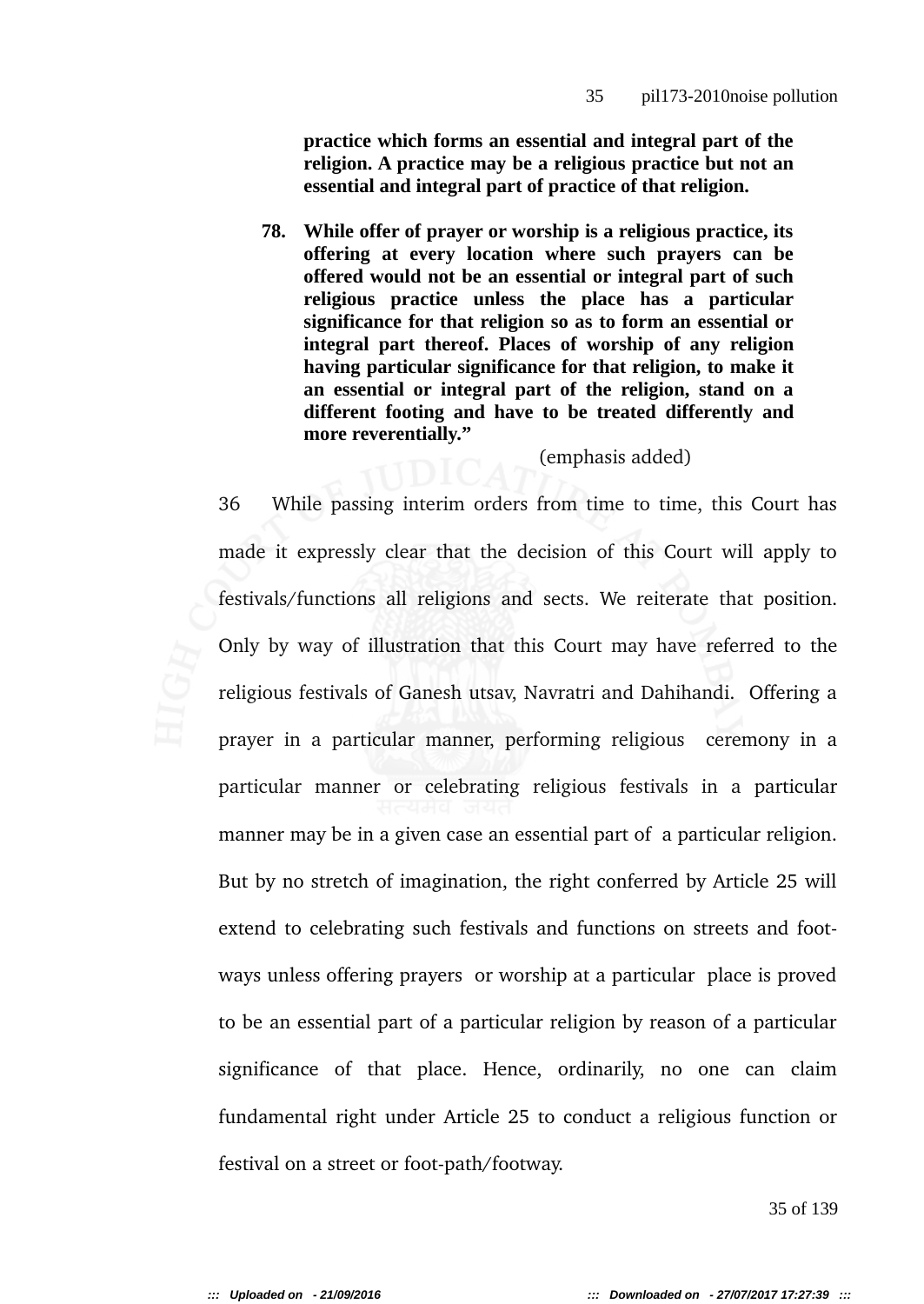**practice which forms an essential and integral part of the religion. A practice may be a religious practice but not an essential and integral part of practice of that religion.**

**78. While offer of prayer or worship is a religious practice, its offering at every location where such prayers can be offered would not be an essential or integral part of such religious practice unless the place has a particular significance for that religion so as to form an essential or integral part thereof. Places of worship of any religion having particular significance for that religion, to make it an essential or integral part of the religion, stand on a different footing and have to be treated differently and more reverentially."** 

(emphasis added)

36 While passing interim orders from time to time, this Court has made it expressly clear that the decision of this Court will apply to festivals/functions all religions and sects. We reiterate that position. Only by way of illustration that this Court may have referred to the religious festivals of Ganesh utsav, Navratri and Dahihandi. Offering a prayer in a particular manner, performing religious ceremony in a particular manner or celebrating religious festivals in a particular manner may be in a given case an essential part of a particular religion. But by no stretch of imagination, the right conferred by Article 25 will extend to celebrating such festivals and functions on streets and footways unless offering prayers or worship at a particular place is proved to be an essential part of a particular religion by reason of a particular significance of that place. Hence, ordinarily, no one can claim fundamental right under Article 25 to conduct a religious function or festival on a street or foot-path/footway.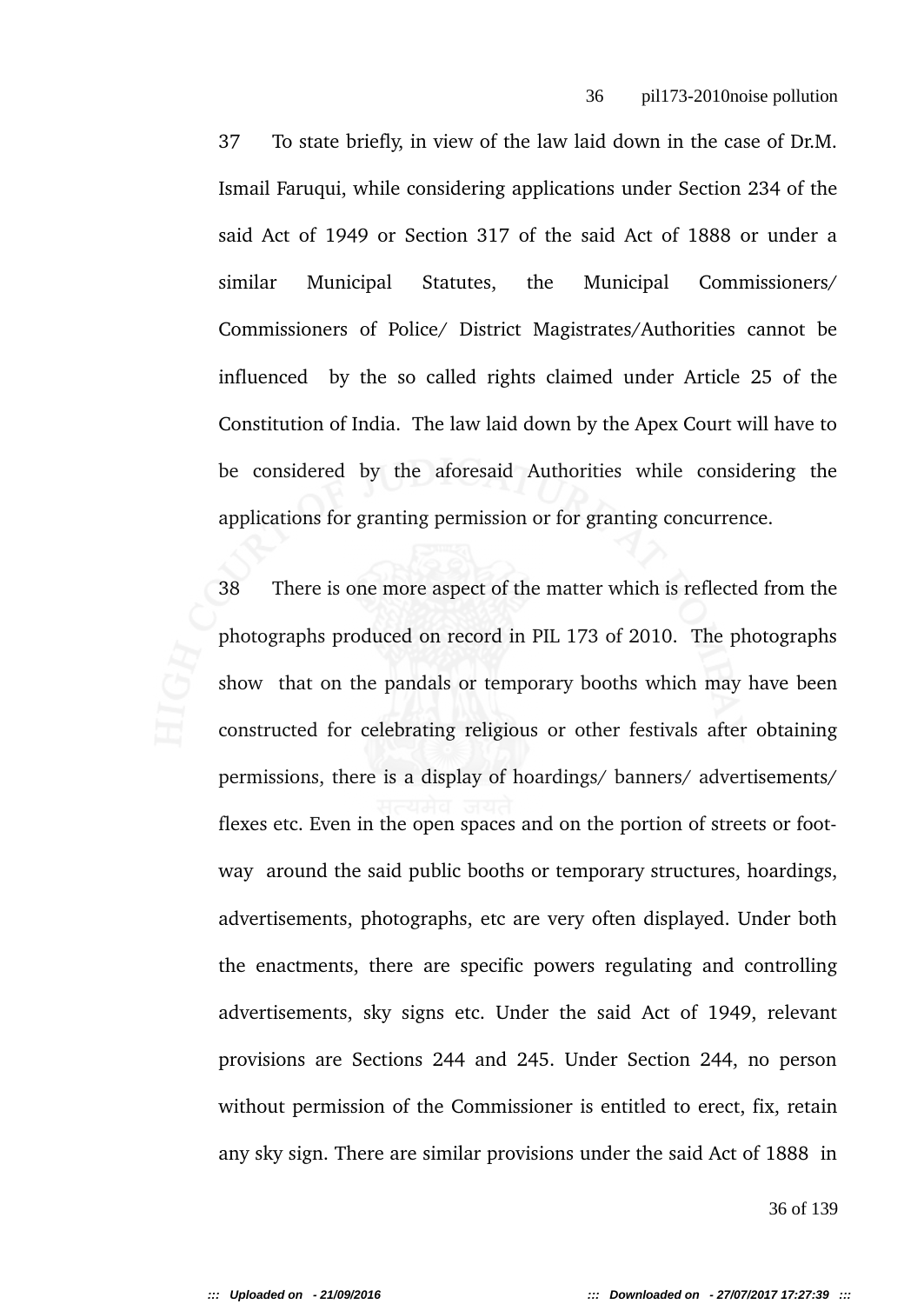37 To state briefly, in view of the law laid down in the case of Dr.M. Ismail Faruqui, while considering applications under Section 234 of the said Act of 1949 or Section 317 of the said Act of 1888 or under a similar Municipal Statutes, the Municipal Commissioners/ Commissioners of Police/ District Magistrates/Authorities cannot be influenced by the so called rights claimed under Article 25 of the Constitution of India. The law laid down by the Apex Court will have to be considered by the aforesaid Authorities while considering the applications for granting permission or for granting concurrence.

38 There is one more aspect of the matter which is reflected from the photographs produced on record in PIL 173 of 2010. The photographs show that on the pandals or temporary booths which may have been constructed for celebrating religious or other festivals after obtaining permissions, there is a display of hoardings/ banners/ advertisements/ flexes etc. Even in the open spaces and on the portion of streets or footway around the said public booths or temporary structures, hoardings, advertisements, photographs, etc are very often displayed. Under both the enactments, there are specific powers regulating and controlling advertisements, sky signs etc. Under the said Act of 1949, relevant provisions are Sections 244 and 245. Under Section 244, no person without permission of the Commissioner is entitled to erect, fix, retain any sky sign. There are similar provisions under the said Act of 1888 in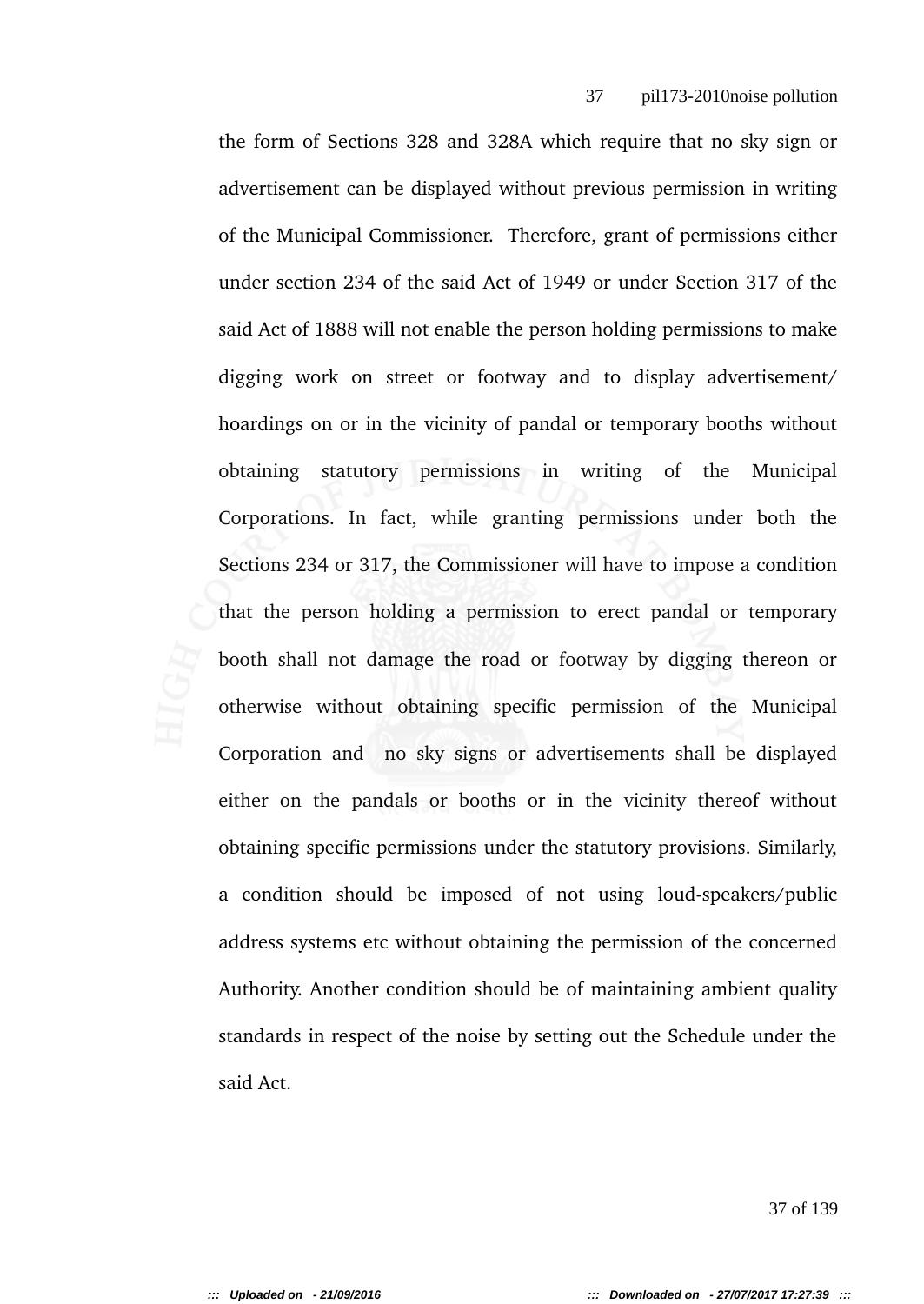the form of Sections 328 and 328A which require that no sky sign or advertisement can be displayed without previous permission in writing of the Municipal Commissioner. Therefore, grant of permissions either under section 234 of the said Act of 1949 or under Section 317 of the said Act of 1888 will not enable the person holding permissions to make digging work on street or footway and to display advertisement/ hoardings on or in the vicinity of pandal or temporary booths without obtaining statutory permissions in writing of the Municipal Corporations. In fact, while granting permissions under both the Sections 234 or 317, the Commissioner will have to impose a condition that the person holding a permission to erect pandal or temporary booth shall not damage the road or footway by digging thereon or otherwise without obtaining specific permission of the Municipal Corporation and no sky signs or advertisements shall be displayed either on the pandals or booths or in the vicinity thereof without obtaining specific permissions under the statutory provisions. Similarly, a condition should be imposed of not using loud-speakers/public address systems etc without obtaining the permission of the concerned Authority. Another condition should be of maintaining ambient quality standards in respect of the noise by setting out the Schedule under the said Act.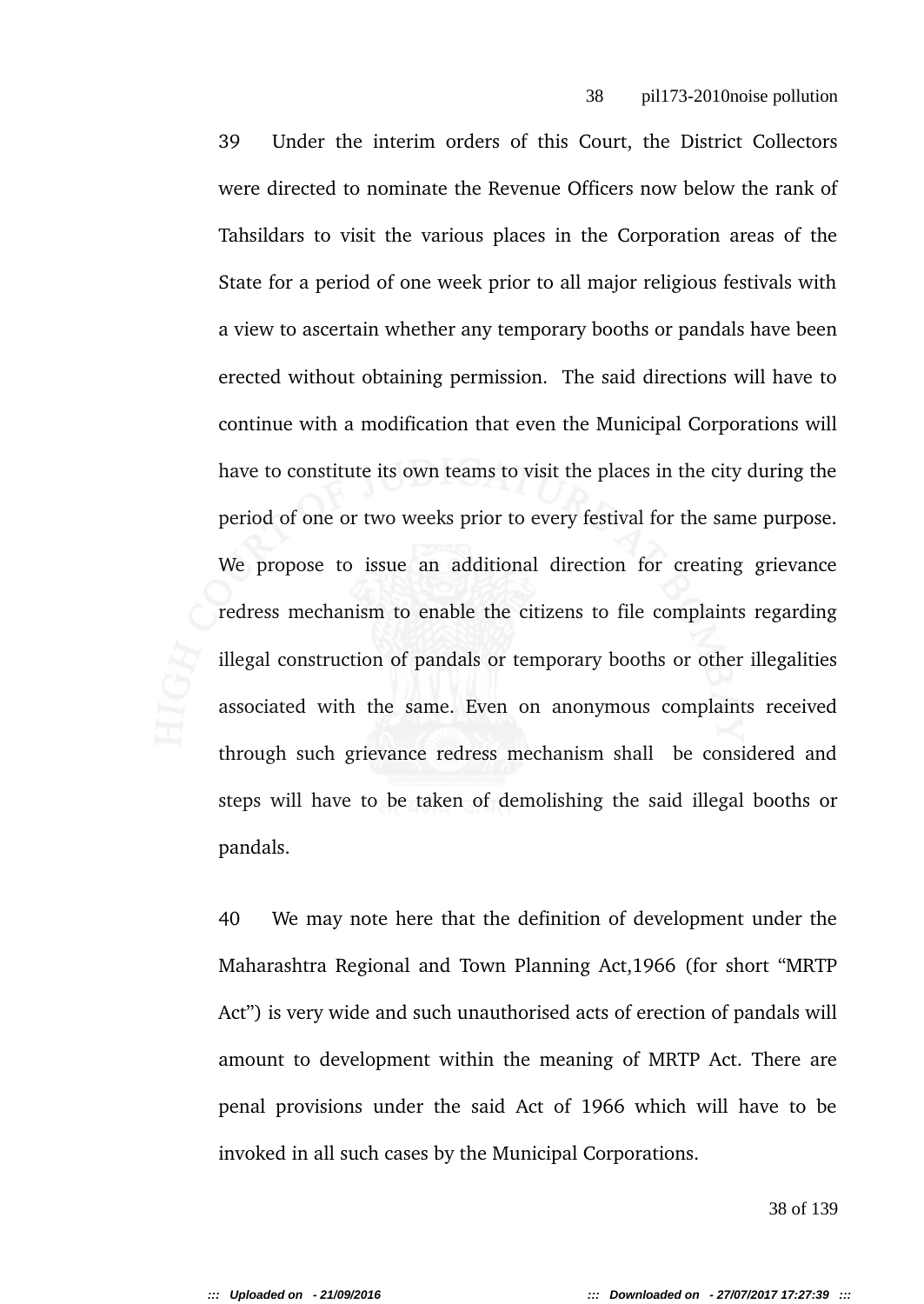39 Under the interim orders of this Court, the District Collectors were directed to nominate the Revenue Officers now below the rank of Tahsildars to visit the various places in the Corporation areas of the State for a period of one week prior to all major religious festivals with a view to ascertain whether any temporary booths or pandals have been erected without obtaining permission. The said directions will have to continue with a modification that even the Municipal Corporations will have to constitute its own teams to visit the places in the city during the period of one or two weeks prior to every festival for the same purpose. We propose to issue an additional direction for creating grievance redress mechanism to enable the citizens to file complaints regarding illegal construction of pandals or temporary booths or other illegalities associated with the same. Even on anonymous complaints received through such grievance redress mechanism shall be considered and steps will have to be taken of demolishing the said illegal booths or pandals.

40 We may note here that the definition of development under the Maharashtra Regional and Town Planning Act,1966 (for short "MRTP Act") is very wide and such unauthorised acts of erection of pandals will amount to development within the meaning of MRTP Act. There are penal provisions under the said Act of 1966 which will have to be invoked in all such cases by the Municipal Corporations.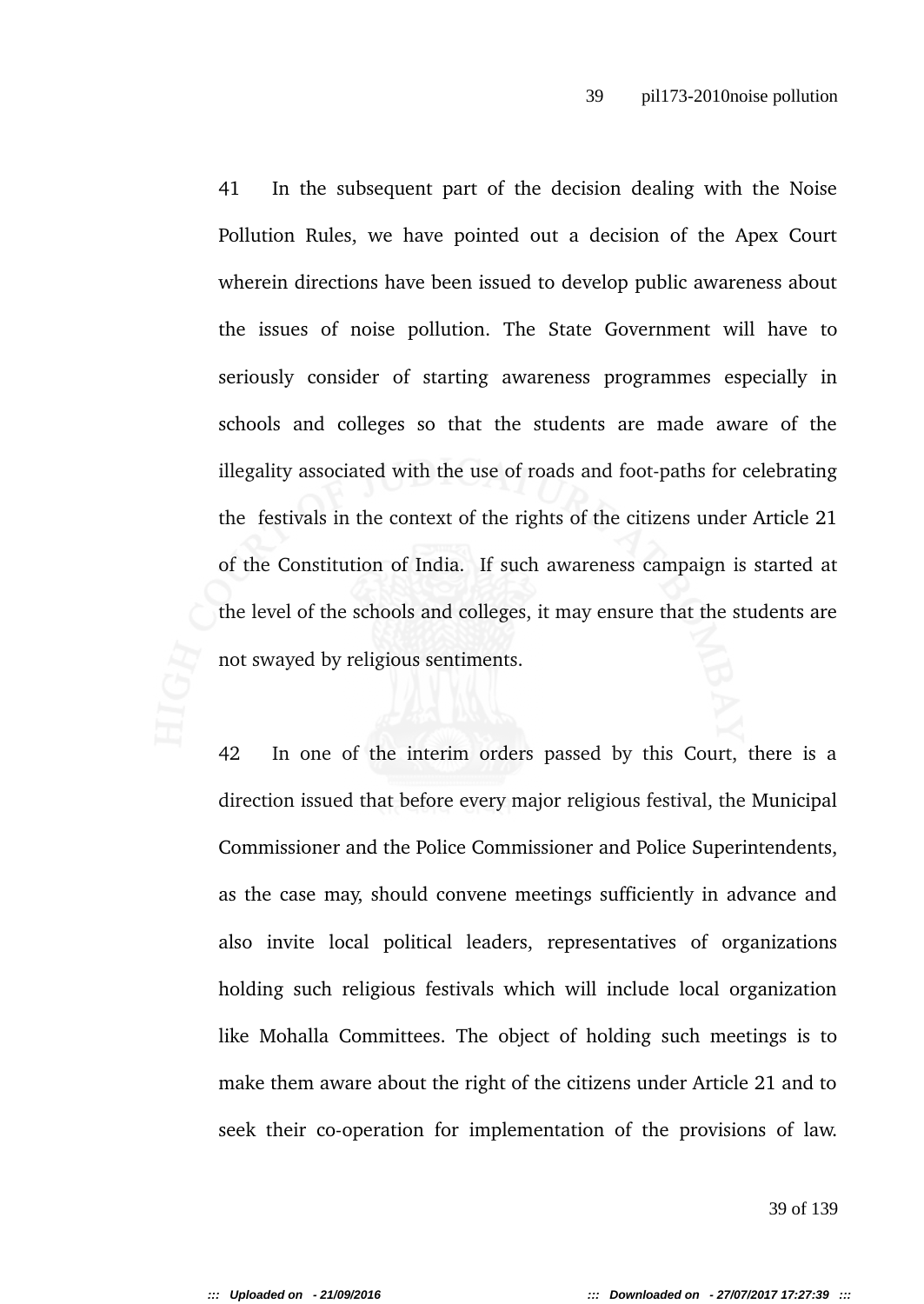41 In the subsequent part of the decision dealing with the Noise Pollution Rules, we have pointed out a decision of the Apex Court wherein directions have been issued to develop public awareness about the issues of noise pollution. The State Government will have to seriously consider of starting awareness programmes especially in schools and colleges so that the students are made aware of the illegality associated with the use of roads and foot-paths for celebrating the festivals in the context of the rights of the citizens under Article 21 of the Constitution of India. If such awareness campaign is started at the level of the schools and colleges, it may ensure that the students are not swayed by religious sentiments.

42 In one of the interim orders passed by this Court, there is a direction issued that before every major religious festival, the Municipal Commissioner and the Police Commissioner and Police Superintendents, as the case may, should convene meetings sufficiently in advance and also invite local political leaders, representatives of organizations holding such religious festivals which will include local organization like Mohalla Committees. The object of holding such meetings is to make them aware about the right of the citizens under Article 21 and to seek their co-operation for implementation of the provisions of law.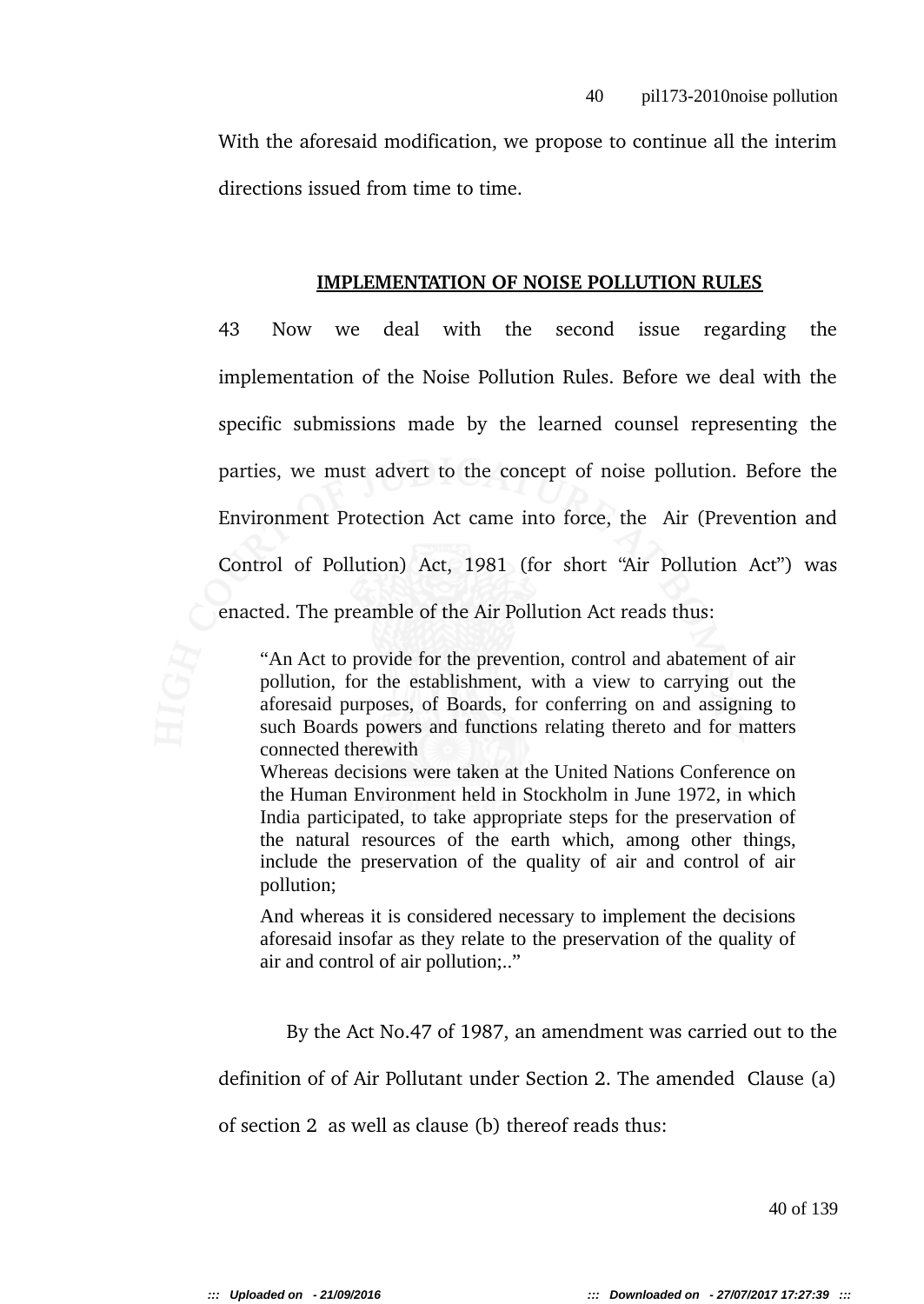With the aforesaid modification, we propose to continue all the interim directions issued from time to time.

### **IMPLEMENTATION OF NOISE POLLUTION RULES**

43 Now we deal with the second issue regarding the implementation of the Noise Pollution Rules. Before we deal with the specific submissions made by the learned counsel representing the parties, we must advert to the concept of noise pollution. Before the Environment Protection Act came into force, the Air (Prevention and Control of Pollution) Act, 1981 (for short "Air Pollution Act") was enacted. The preamble of the Air Pollution Act reads thus:

"An Act to provide for the prevention, control and abatement of air pollution, for the establishment, with a view to carrying out the aforesaid purposes, of Boards, for conferring on and assigning to such Boards powers and functions relating thereto and for matters connected therewith

Whereas decisions were taken at the United Nations Conference on the Human Environment held in Stockholm in June 1972, in which India participated, to take appropriate steps for the preservation of the natural resources of the earth which, among other things, include the preservation of the quality of air and control of air pollution;

And whereas it is considered necessary to implement the decisions aforesaid insofar as they relate to the preservation of the quality of air and control of air pollution;.."

By the Act No.47 of 1987, an amendment was carried out to the

definition of of Air Pollutant under Section 2. The amended Clause (a)

of section 2 as well as clause (b) thereof reads thus: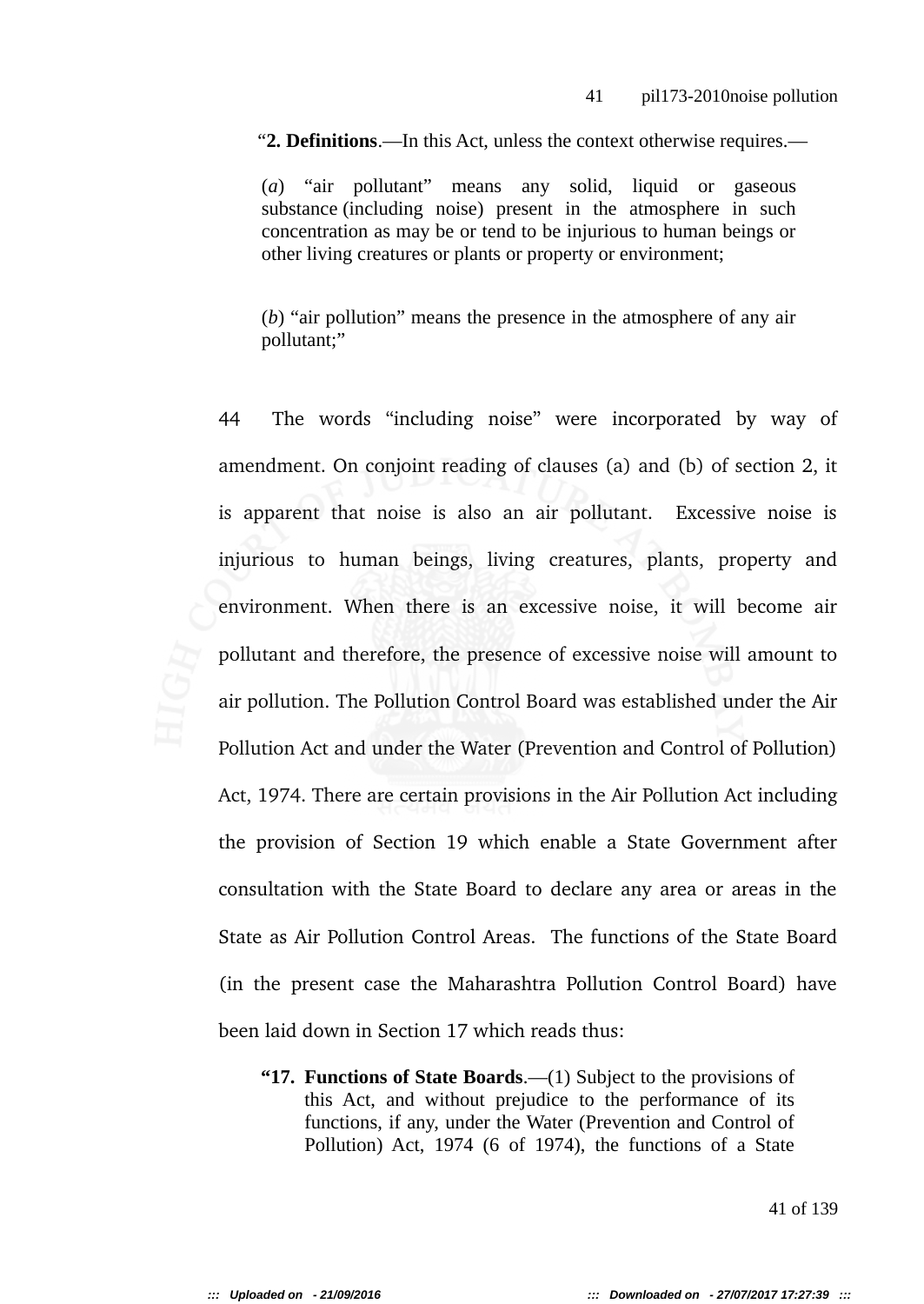"**2. Definitions**.—In this Act, unless the context otherwise requires.—

(*a*) "air pollutant" means any solid, liquid or gaseous substance (including noise) present in the atmosphere in such concentration as may be or tend to be injurious to human beings or other living creatures or plants or property or environment;

(*b*) "air pollution" means the presence in the atmosphere of any air pollutant;"

44 The words "including noise" were incorporated by way of amendment. On conjoint reading of clauses (a) and (b) of section 2, it is apparent that noise is also an air pollutant. Excessive noise is injurious to human beings, living creatures, plants, property and environment. When there is an excessive noise, it will become air pollutant and therefore, the presence of excessive noise will amount to air pollution. The Pollution Control Board was established under the Air Pollution Act and under the Water (Prevention and Control of Pollution) Act, 1974. There are certain provisions in the Air Pollution Act including the provision of Section 19 which enable a State Government after consultation with the State Board to declare any area or areas in the State as Air Pollution Control Areas. The functions of the State Board (in the present case the Maharashtra Pollution Control Board) have been laid down in Section 17 which reads thus:

**"17. Functions of State Boards**.—(1) Subject to the provisions of this Act, and without prejudice to the performance of its functions, if any, under the Water (Prevention and Control of Pollution) Act, 1974 (6 of 1974), the functions of a State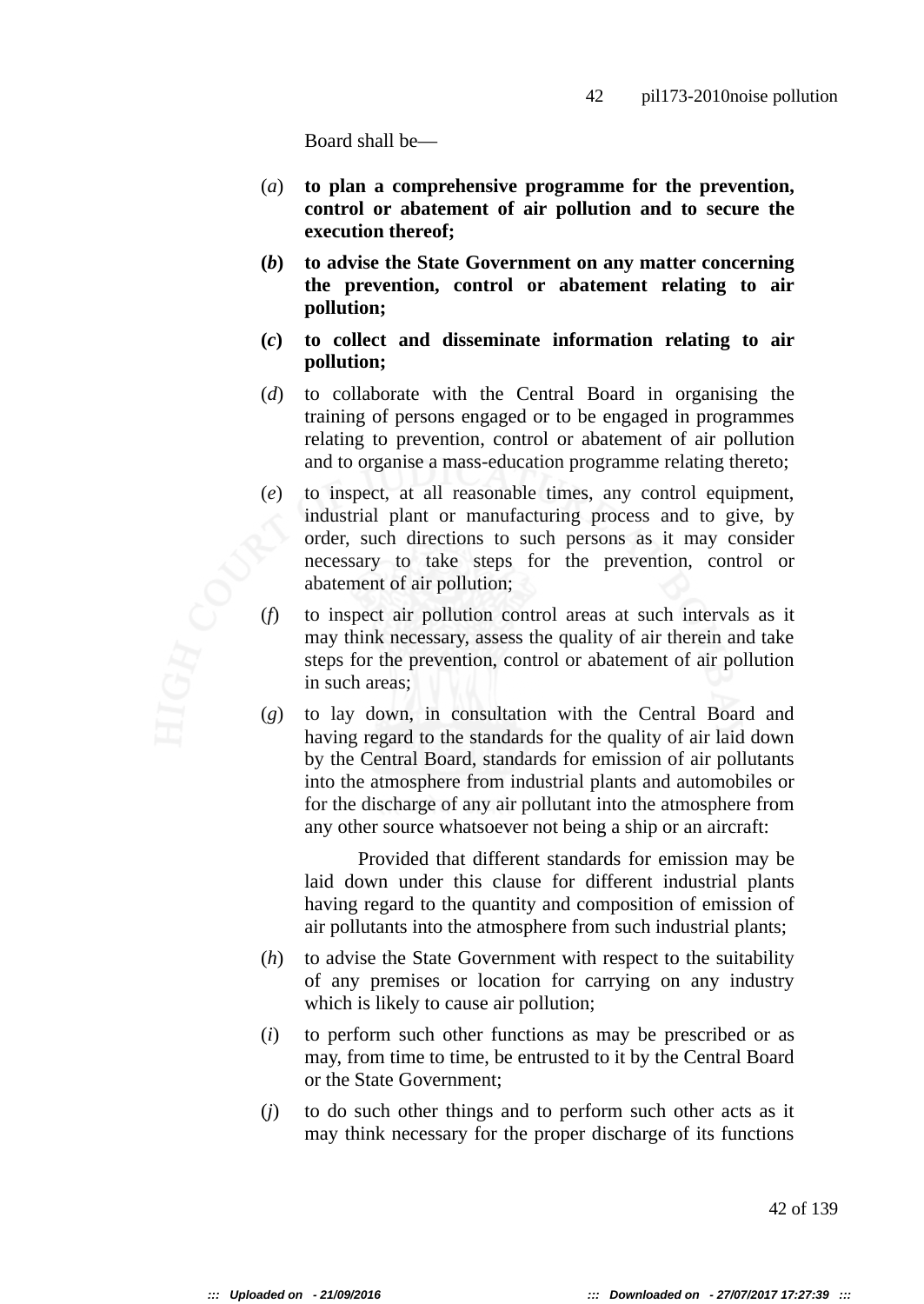Board shall be—

- (*a*) **to plan a comprehensive programme for the prevention, control or abatement of air pollution and to secure the execution thereof;**
- **(***b***) to advise the State Government on any matter concerning the prevention, control or abatement relating to air pollution;**
- **(***c***) to collect and disseminate information relating to air pollution;**
- (*d*) to collaborate with the Central Board in organising the training of persons engaged or to be engaged in programmes relating to prevention, control or abatement of air pollution and to organise a mass-education programme relating thereto;
- (*e*) to inspect, at all reasonable times, any control equipment, industrial plant or manufacturing process and to give, by order, such directions to such persons as it may consider necessary to take steps for the prevention, control or abatement of air pollution;
- (*f*) to inspect air pollution control areas at such intervals as it may think necessary, assess the quality of air therein and take steps for the prevention, control or abatement of air pollution in such areas;
- (*g*) to lay down, in consultation with the Central Board and having regard to the standards for the quality of air laid down by the Central Board, standards for emission of air pollutants into the atmosphere from industrial plants and automobiles or for the discharge of any air pollutant into the atmosphere from any other source whatsoever not being a ship or an aircraft:

Provided that different standards for emission may be laid down under this clause for different industrial plants having regard to the quantity and composition of emission of air pollutants into the atmosphere from such industrial plants;

- (*h*) to advise the State Government with respect to the suitability of any premises or location for carrying on any industry which is likely to cause air pollution;
- (*i*) to perform such other functions as may be prescribed or as may, from time to time, be entrusted to it by the Central Board or the State Government;
- (*j*) to do such other things and to perform such other acts as it may think necessary for the proper discharge of its functions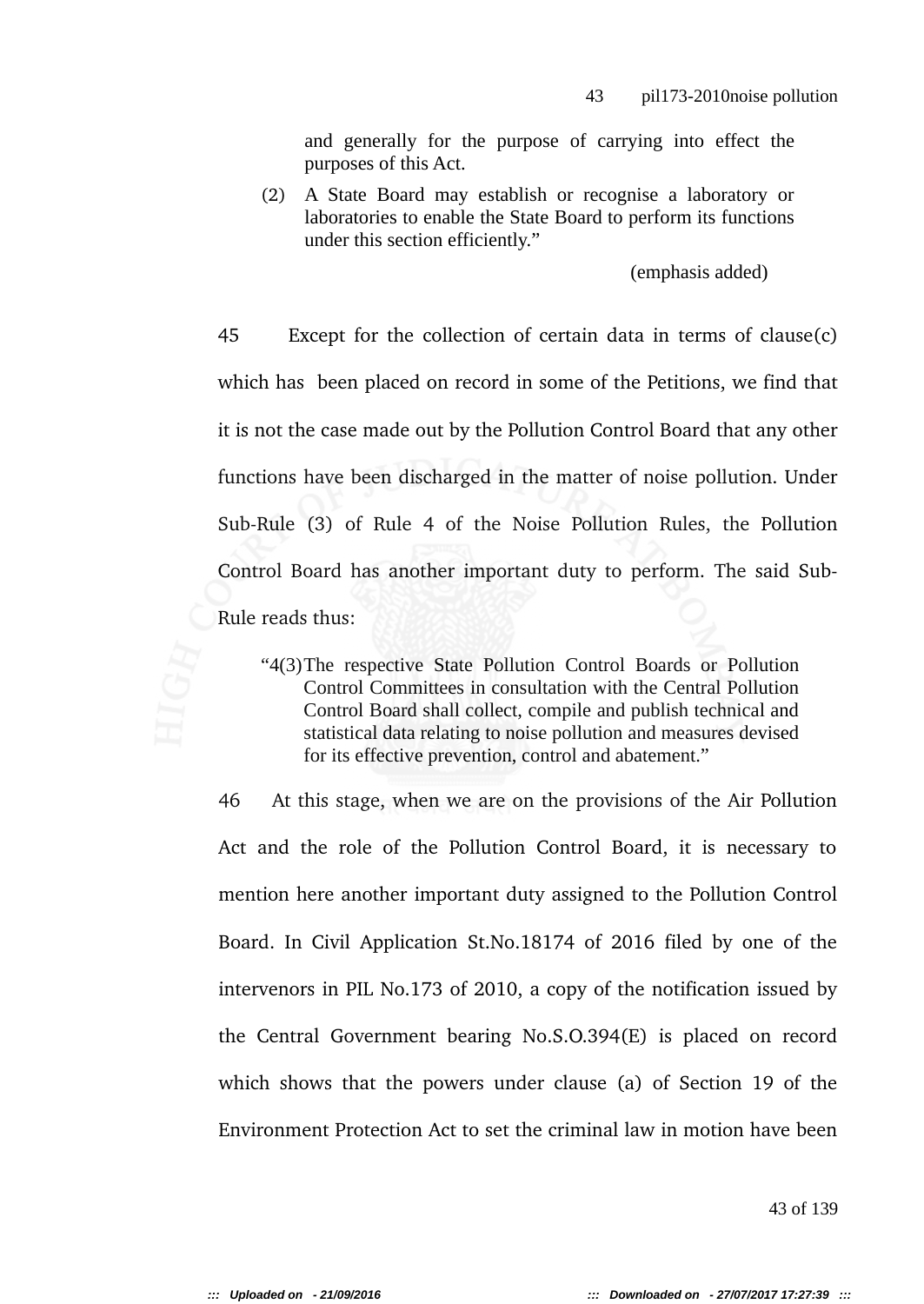and generally for the purpose of carrying into effect the purposes of this Act.

(2) A State Board may establish or recognise a laboratory or laboratories to enable the State Board to perform its functions under this section efficiently."

(emphasis added)

45 Except for the collection of certain data in terms of clause(c) which has been placed on record in some of the Petitions, we find that it is not the case made out by the Pollution Control Board that any other functions have been discharged in the matter of noise pollution. Under Sub-Rule (3) of Rule 4 of the Noise Pollution Rules, the Pollution Control Board has another important duty to perform. The said Sub-Rule reads thus:

"4(3)The respective State Pollution Control Boards or Pollution Control Committees in consultation with the Central Pollution Control Board shall collect, compile and publish technical and statistical data relating to noise pollution and measures devised for its effective prevention, control and abatement."

46 At this stage, when we are on the provisions of the Air Pollution Act and the role of the Pollution Control Board, it is necessary to mention here another important duty assigned to the Pollution Control Board. In Civil Application St.No.18174 of 2016 filed by one of the intervenors in PIL No.173 of 2010, a copy of the notification issued by the Central Government bearing No.S.O.394(E) is placed on record which shows that the powers under clause (a) of Section 19 of the Environment Protection Act to set the criminal law in motion have been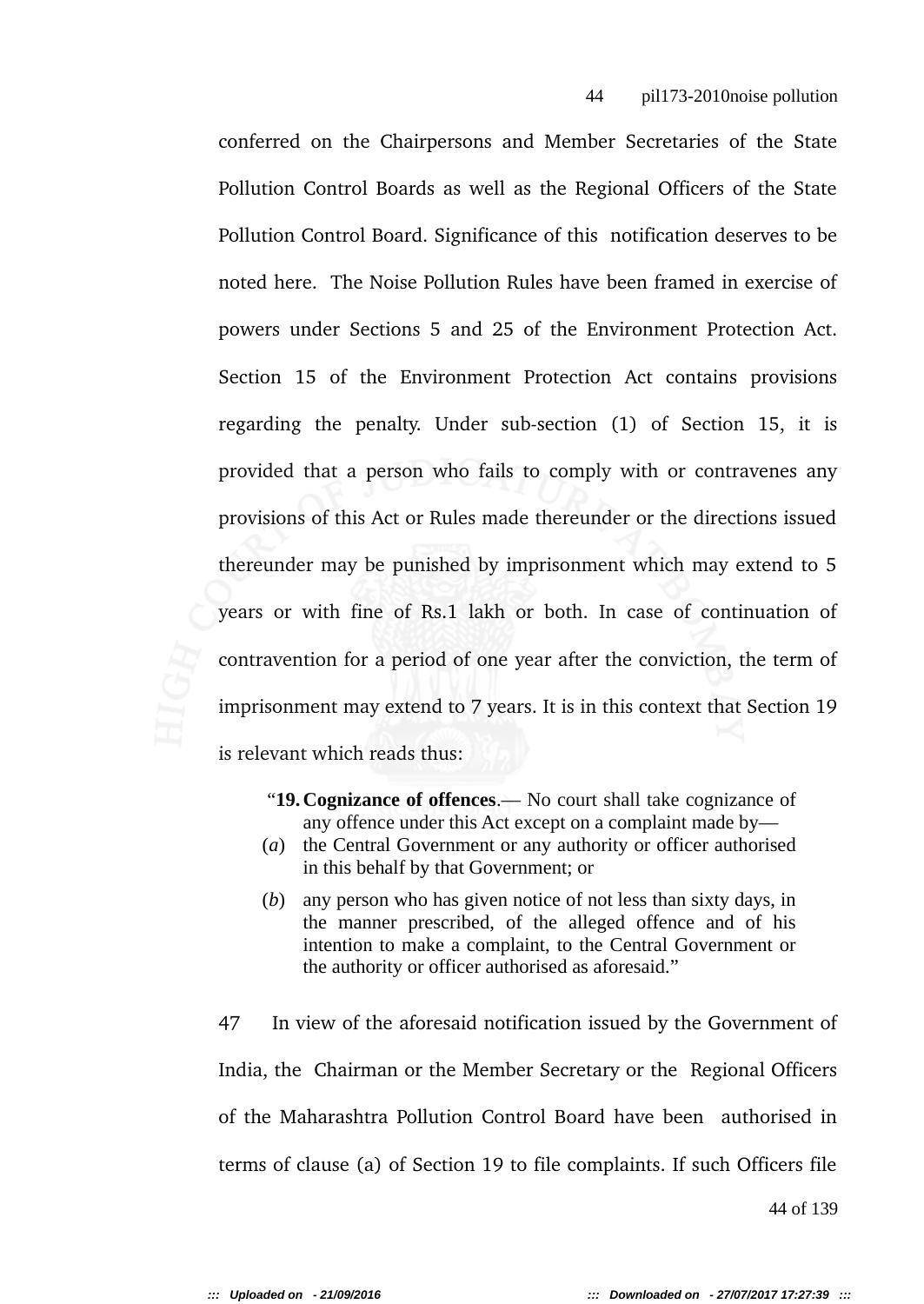conferred on the Chairpersons and Member Secretaries of the State Pollution Control Boards as well as the Regional Officers of the State Pollution Control Board. Significance of this notification deserves to be noted here. The Noise Pollution Rules have been framed in exercise of powers under Sections 5 and 25 of the Environment Protection Act. Section 15 of the Environment Protection Act contains provisions regarding the penalty. Under sub-section (1) of Section 15, it is provided that a person who fails to comply with or contravenes any provisions of this Act or Rules made thereunder or the directions issued thereunder may be punished by imprisonment which may extend to 5 years or with fine of Rs.1 lakh or both. In case of continuation of contravention for a period of one year after the conviction, the term of imprisonment may extend to 7 years. It is in this context that Section 19 is relevant which reads thus:

- "**19.Cognizance of offences**.— No court shall take cognizance of any offence under this Act except on a complaint made by—
- (*a*) the Central Government or any authority or officer authorised in this behalf by that Government; or
- (*b*) any person who has given notice of not less than sixty days, in the manner prescribed, of the alleged offence and of his intention to make a complaint, to the Central Government or the authority or officer authorised as aforesaid."

47 In view of the aforesaid notification issued by the Government of India, the Chairman or the Member Secretary or the Regional Officers of the Maharashtra Pollution Control Board have been authorised in terms of clause (a) of Section 19 to file complaints. If such Officers file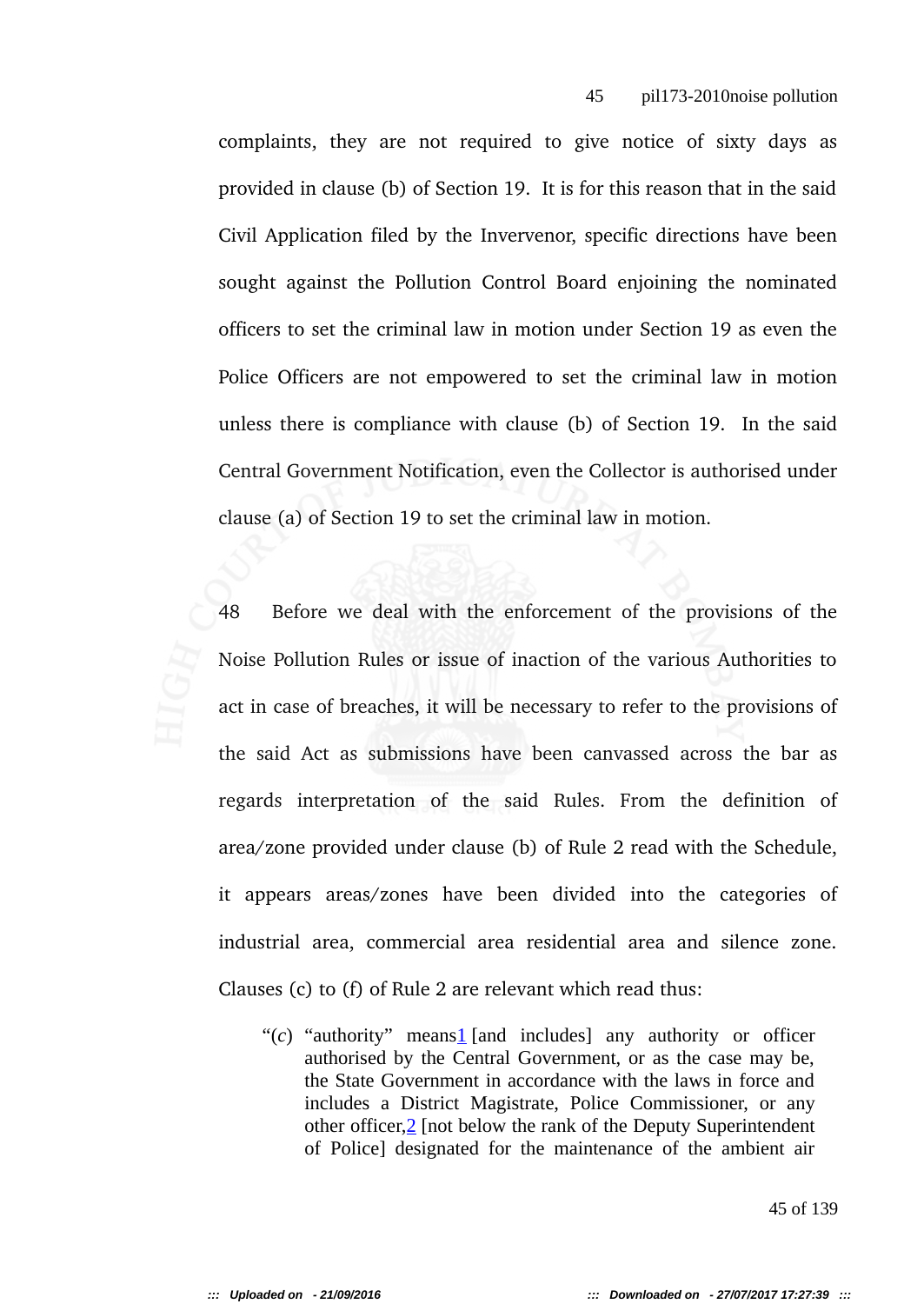complaints, they are not required to give notice of sixty days as provided in clause (b) of Section 19. It is for this reason that in the said Civil Application filed by the Invervenor, specific directions have been sought against the Pollution Control Board enjoining the nominated officers to set the criminal law in motion under Section 19 as even the Police Officers are not empowered to set the criminal law in motion unless there is compliance with clause (b) of Section 19. In the said Central Government Notification, even the Collector is authorised under clause (a) of Section 19 to set the criminal law in motion.

48 Before we deal with the enforcement of the provisions of the Noise Pollution Rules or issue of inaction of the various Authorities to act in case of breaches, it will be necessary to refer to the provisions of the said Act as submissions have been canvassed across the bar as regards interpretation of the said Rules. From the definition of area/zone provided under clause (b) of Rule 2 read with the Schedule, it appears areas/zones have been divided into the categories of industrial area, commercial area residential area and silence zone. Clauses (c) to (f) of Rule 2 are relevant which read thus:

"(*c*) "authority" means1 [and includes] any authority or officer authorised by the Central Government, or as the case may be, the State Government in accordance with the laws in force and includes a District Magistrate, Police Commissioner, or any other officer, 2 [not below the rank of the Deputy Superintendent of Police] designated for the maintenance of the ambient air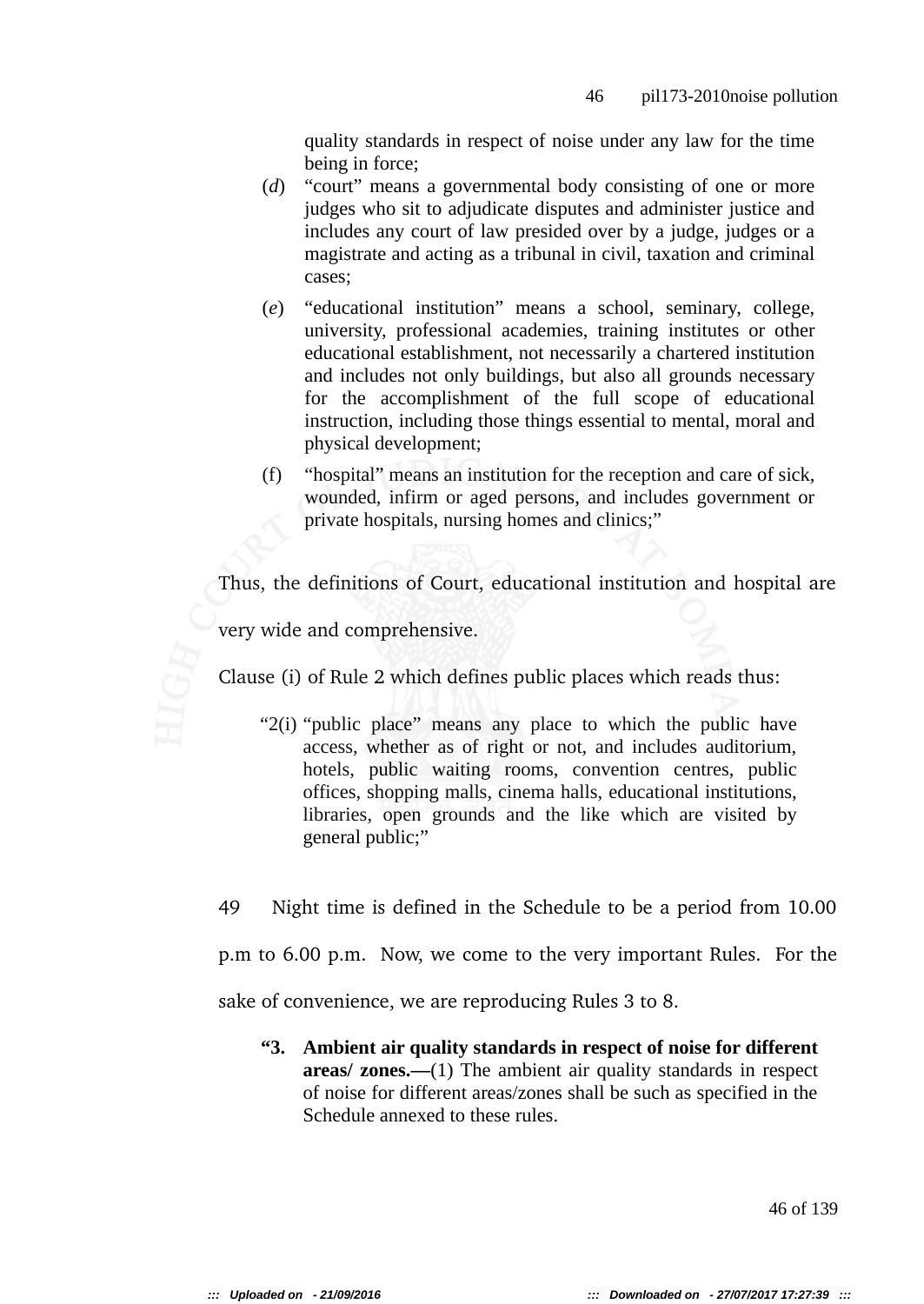quality standards in respect of noise under any law for the time being in force;

- (*d*) "court" means a governmental body consisting of one or more judges who sit to adjudicate disputes and administer justice and includes any court of law presided over by a judge, judges or a magistrate and acting as a tribunal in civil, taxation and criminal cases;
- (*e*) "educational institution" means a school, seminary, college, university, professional academies, training institutes or other educational establishment, not necessarily a chartered institution and includes not only buildings, but also all grounds necessary for the accomplishment of the full scope of educational instruction, including those things essential to mental, moral and physical development;
- (f) "hospital" means an institution for the reception and care of sick, wounded, infirm or aged persons, and includes government or private hospitals, nursing homes and clinics;"

Thus, the definitions of Court, educational institution and hospital are

very wide and comprehensive.

Clause (i) of Rule 2 which defines public places which reads thus:

"2(i) "public place" means any place to which the public have access, whether as of right or not, and includes auditorium, hotels, public waiting rooms, convention centres, public offices, shopping malls, cinema halls, educational institutions, libraries, open grounds and the like which are visited by general public;"

49 Night time is defined in the Schedule to be a period from 10.00

p.m to 6.00 p.m. Now, we come to the very important Rules. For the

sake of convenience, we are reproducing Rules 3 to 8.

**"3. Ambient air quality standards in respect of noise for different areas/ zones.—**(1) The ambient air quality standards in respect of noise for different areas/zones shall be such as specified in the Schedule annexed to these rules.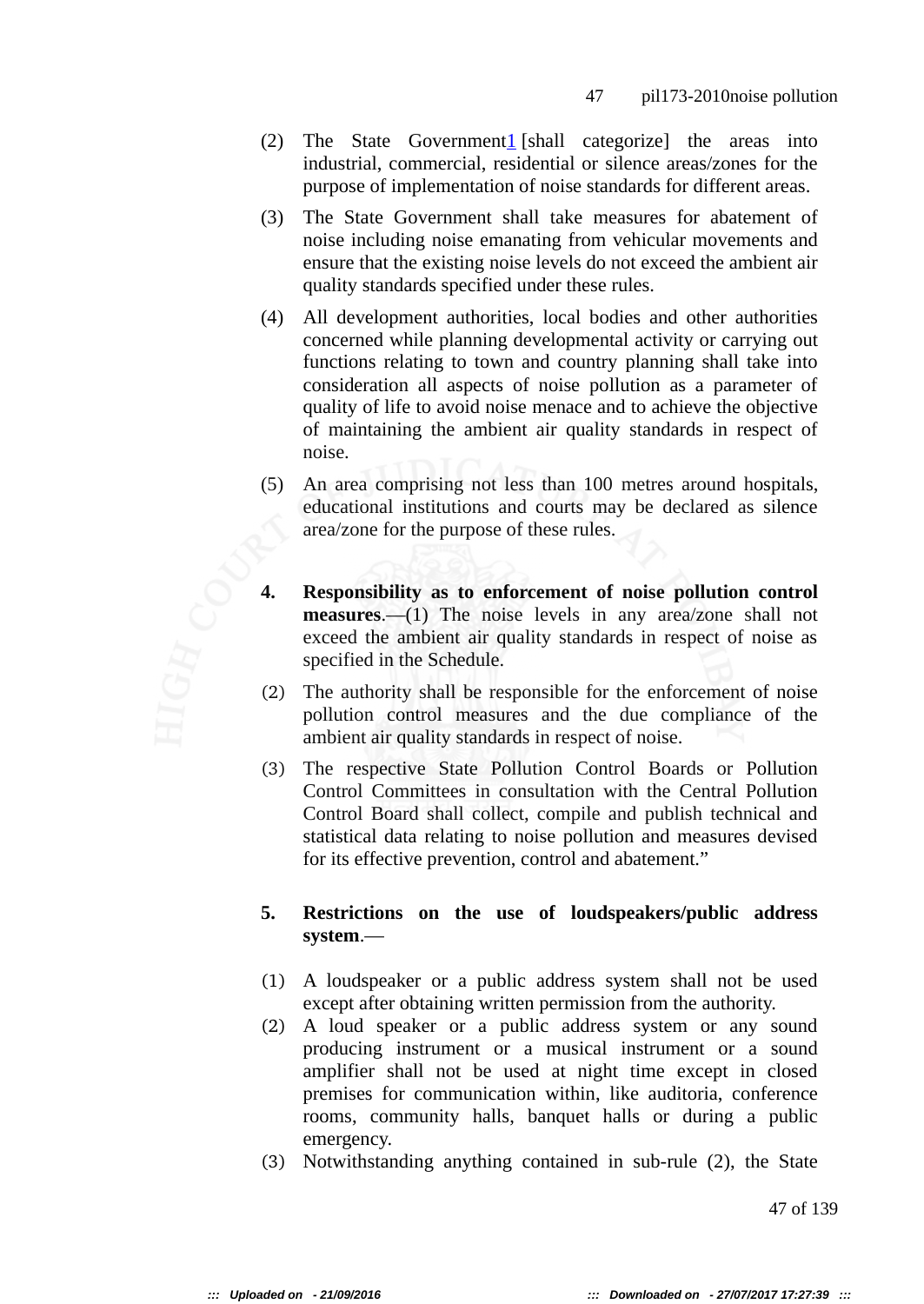- (2) The State Government<sup>1</sup> [shall categorize] the areas into industrial, commercial, residential or silence areas/zones for the purpose of implementation of noise standards for different areas.
- (3) The State Government shall take measures for abatement of noise including noise emanating from vehicular movements and ensure that the existing noise levels do not exceed the ambient air quality standards specified under these rules.
- (4) All development authorities, local bodies and other authorities concerned while planning developmental activity or carrying out functions relating to town and country planning shall take into consideration all aspects of noise pollution as a parameter of quality of life to avoid noise menace and to achieve the objective of maintaining the ambient air quality standards in respect of noise.
- (5) An area comprising not less than 100 metres around hospitals, educational institutions and courts may be declared as silence area/zone for the purpose of these rules.
- **4. Responsibility as to enforcement of noise pollution control measures**.—(1) The noise levels in any area/zone shall not exceed the ambient air quality standards in respect of noise as specified in the Schedule.
- (2) The authority shall be responsible for the enforcement of noise pollution control measures and the due compliance of the ambient air quality standards in respect of noise.
- (3) The respective State Pollution Control Boards or Pollution Control Committees in consultation with the Central Pollution Control Board shall collect, compile and publish technical and statistical data relating to noise pollution and measures devised for its effective prevention, control and abatement."

# **5. Restrictions on the use of loudspeakers/public address system**.—

- (1) A loudspeaker or a public address system shall not be used except after obtaining written permission from the authority.
- (2) A loud speaker or a public address system or any sound producing instrument or a musical instrument or a sound amplifier shall not be used at night time except in closed premises for communication within, like auditoria, conference rooms, community halls, banquet halls or during a public emergency.
- (3) Notwithstanding anything contained in sub-rule (2), the State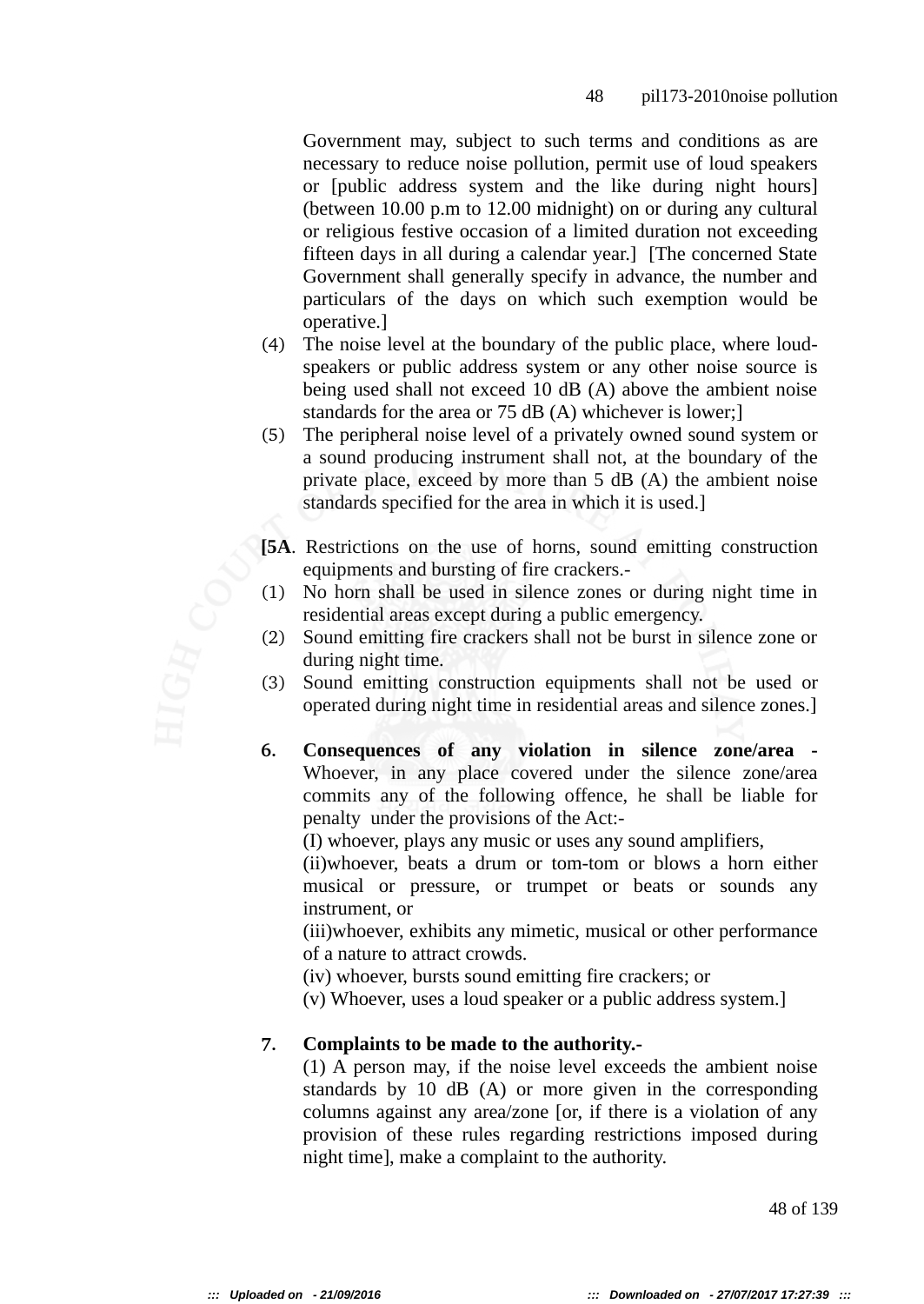Government may, subject to such terms and conditions as are necessary to reduce noise pollution, permit use of loud speakers or [public address system and the like during night hours] (between 10.00 p.m to 12.00 midnight) on or during any cultural or religious festive occasion of a limited duration not exceeding fifteen days in all during a calendar year.] [The concerned State Government shall generally specify in advance, the number and particulars of the days on which such exemption would be operative.]

- (4) The noise level at the boundary of the public place, where loudspeakers or public address system or any other noise source is being used shall not exceed 10 dB (A) above the ambient noise standards for the area or 75 dB (A) whichever is lower;
- (5) The peripheral noise level of a privately owned sound system or a sound producing instrument shall not, at the boundary of the private place, exceed by more than 5 dB (A) the ambient noise standards specified for the area in which it is used.]
- **[5A**. Restrictions on the use of horns, sound emitting construction equipments and bursting of fire crackers.-
- (1) No horn shall be used in silence zones or during night time in residential areas except during a public emergency.
- (2) Sound emitting fire crackers shall not be burst in silence zone or during night time.
- (3) Sound emitting construction equipments shall not be used or operated during night time in residential areas and silence zones.]
- **6. Consequences of any violation in silence zone/area -** Whoever, in any place covered under the silence zone/area commits any of the following offence, he shall be liable for penalty under the provisions of the Act:-

(I) whoever, plays any music or uses any sound amplifiers,

(ii)whoever, beats a drum or tom-tom or blows a horn either musical or pressure, or trumpet or beats or sounds any instrument, or

(iii)whoever, exhibits any mimetic, musical or other performance of a nature to attract crowds.

(iv) whoever, bursts sound emitting fire crackers; or

(v) Whoever, uses a loud speaker or a public address system.]

# **7. Complaints to be made to the authority.-**

(1) A person may, if the noise level exceeds the ambient noise standards by 10 dB (A) or more given in the corresponding columns against any area/zone [or, if there is a violation of any provision of these rules regarding restrictions imposed during night time], make a complaint to the authority.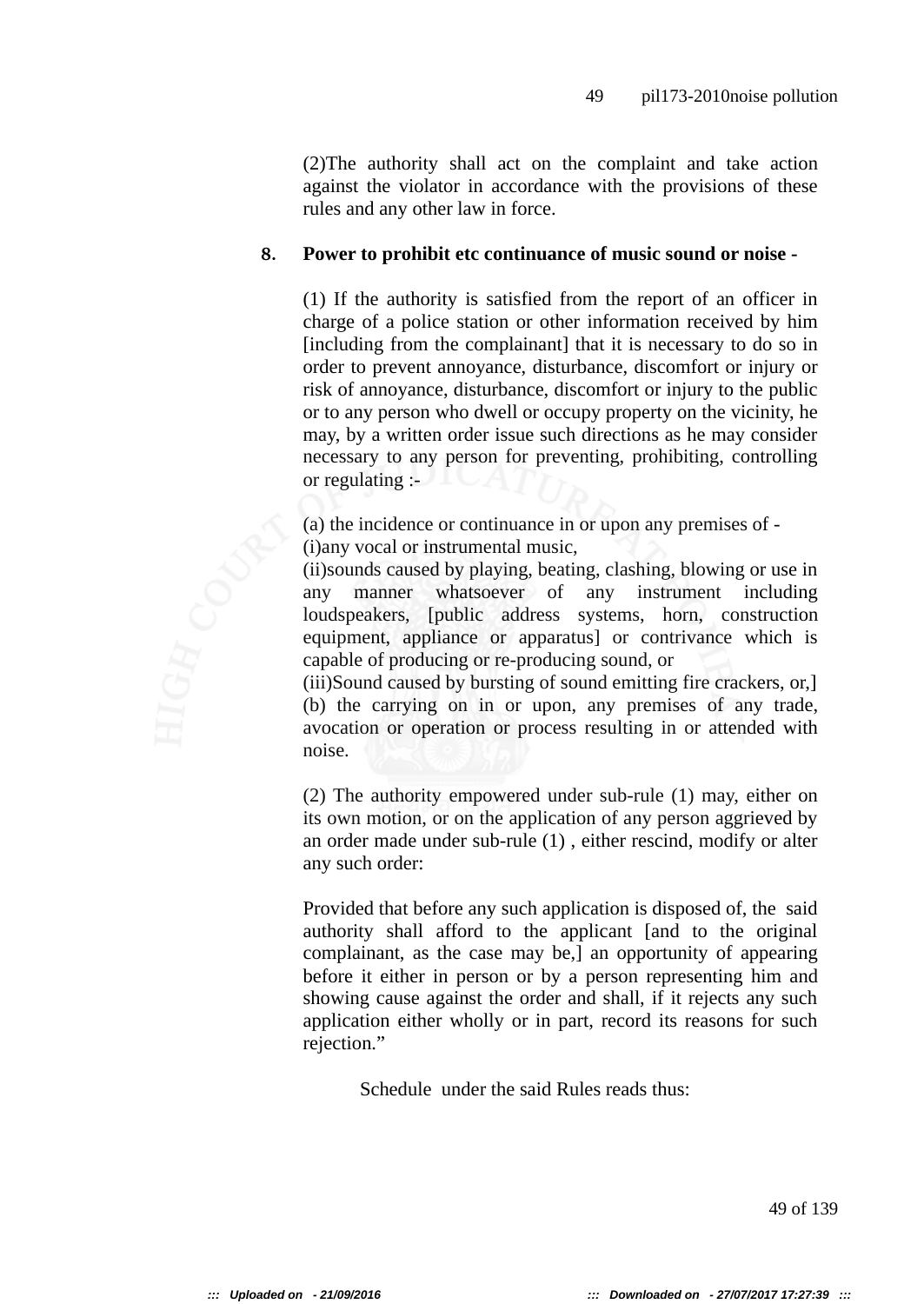(2)The authority shall act on the complaint and take action against the violator in accordance with the provisions of these rules and any other law in force.

# **8. Power to prohibit etc continuance of music sound or noise -**

(1) If the authority is satisfied from the report of an officer in charge of a police station or other information received by him [including from the complainant] that it is necessary to do so in order to prevent annoyance, disturbance, discomfort or injury or risk of annoyance, disturbance, discomfort or injury to the public or to any person who dwell or occupy property on the vicinity, he may, by a written order issue such directions as he may consider necessary to any person for preventing, prohibiting, controlling or regulating :-

(a) the incidence or continuance in or upon any premises of - (i)any vocal or instrumental music,

(ii)sounds caused by playing, beating, clashing, blowing or use in any manner whatsoever of any instrument including loudspeakers, [public address systems, horn, construction equipment, appliance or apparatus] or contrivance which is capable of producing or re-producing sound, or

(iii)Sound caused by bursting of sound emitting fire crackers, or,] (b) the carrying on in or upon, any premises of any trade, avocation or operation or process resulting in or attended with noise.

(2) The authority empowered under sub-rule (1) may, either on its own motion, or on the application of any person aggrieved by an order made under sub-rule (1) , either rescind, modify or alter any such order:

Provided that before any such application is disposed of, the said authority shall afford to the applicant [and to the original complainant, as the case may be,] an opportunity of appearing before it either in person or by a person representing him and showing cause against the order and shall, if it rejects any such application either wholly or in part, record its reasons for such rejection."

Schedule under the said Rules reads thus:

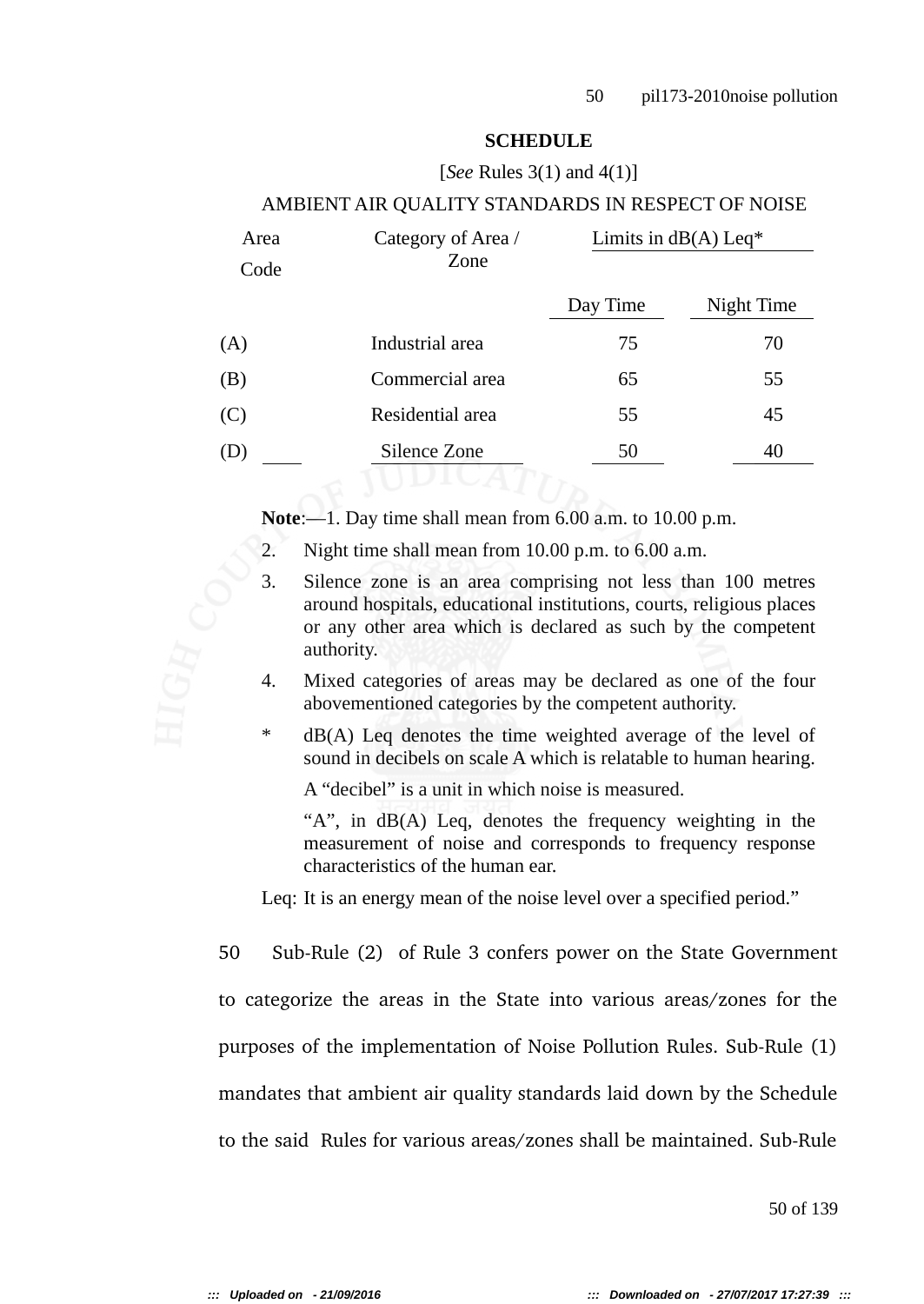#### **SCHEDULE**

[*See* Rules 3(1) and 4(1)]

### AMBIENT AIR QUALITY STANDARDS IN RESPECT OF NOISE

| Area | Category of Area / | Limits in $dB(A)$ Leq* |            |
|------|--------------------|------------------------|------------|
| Code | Zone               |                        |            |
|      |                    | Day Time               | Night Time |
| (A)  | Industrial area    | 75                     | 70         |
| (B)  | Commercial area    | 65                     | 55         |
| (C)  | Residential area   | 55                     | 45         |
| (D)  | Silence Zone       | 50                     | 40         |
|      |                    |                        |            |

**Note**:—1. Day time shall mean from 6.00 a.m. to 10.00 p.m.

- 2. Night time shall mean from 10.00 p.m. to 6.00 a.m.
- 3. Silence zone is an area comprising not less than 100 metres around hospitals, educational institutions, courts, religious places or any other area which is declared as such by the competent authority.
- 4. Mixed categories of areas may be declared as one of the four abovementioned categories by the competent authority.
- \* dB(A) Leq denotes the time weighted average of the level of sound in decibels on scale A which is relatable to human hearing.

A "decibel" is a unit in which noise is measured.

"A", in dB(A) Leq, denotes the frequency weighting in the measurement of noise and corresponds to frequency response characteristics of the human ear.

Leq: It is an energy mean of the noise level over a specified period."

50 Sub-Rule (2) of Rule 3 confers power on the State Government to categorize the areas in the State into various areas/zones for the purposes of the implementation of Noise Pollution Rules. Sub-Rule (1) mandates that ambient air quality standards laid down by the Schedule to the said Rules for various areas/zones shall be maintained. Sub-Rule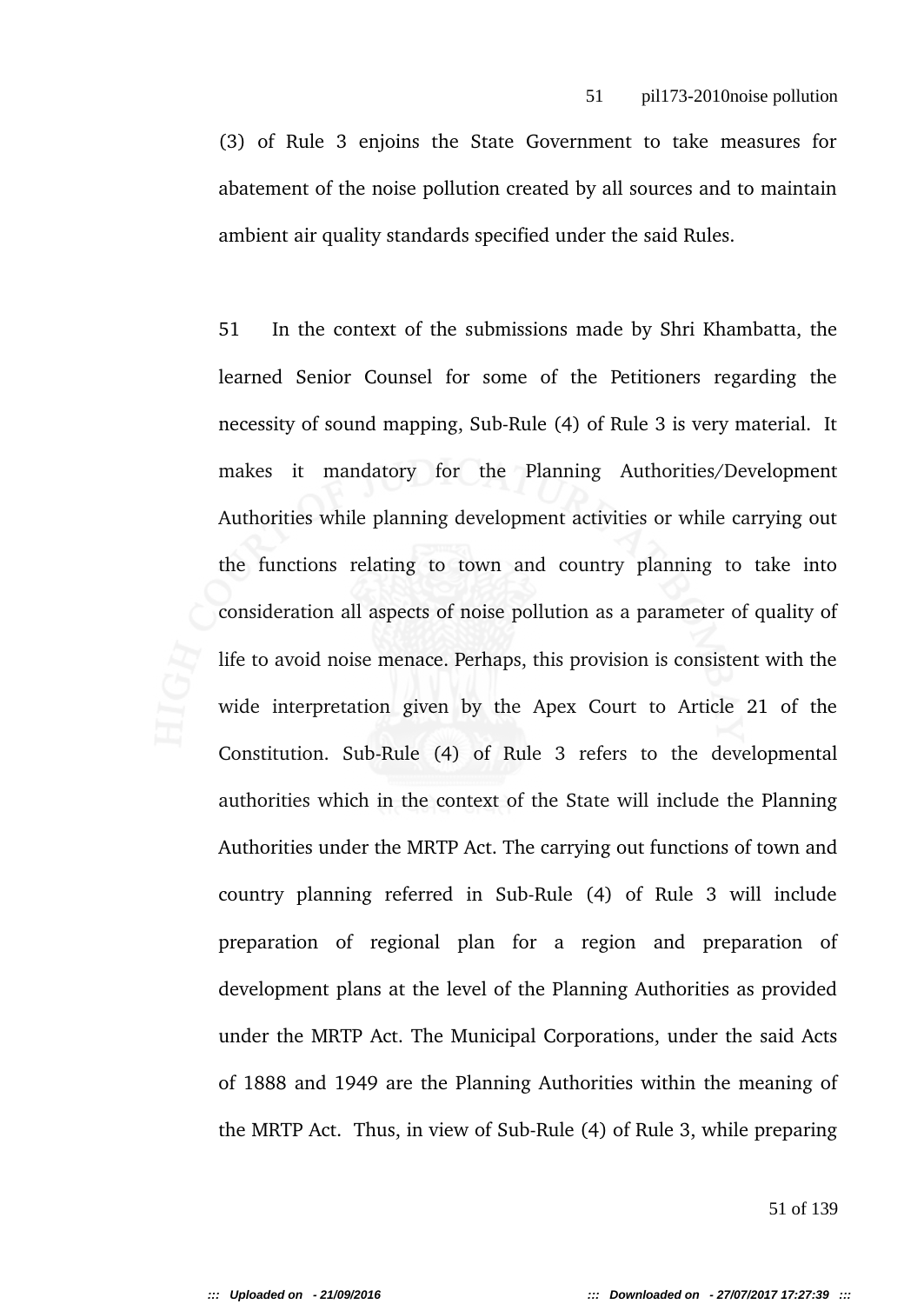(3) of Rule 3 enjoins the State Government to take measures for abatement of the noise pollution created by all sources and to maintain ambient air quality standards specified under the said Rules.

51 In the context of the submissions made by Shri Khambatta, the learned Senior Counsel for some of the Petitioners regarding the necessity of sound mapping, Sub-Rule (4) of Rule 3 is very material. It makes it mandatory for the Planning Authorities/Development Authorities while planning development activities or while carrying out the functions relating to town and country planning to take into consideration all aspects of noise pollution as a parameter of quality of life to avoid noise menace. Perhaps, this provision is consistent with the wide interpretation given by the Apex Court to Article 21 of the Constitution. Sub-Rule (4) of Rule 3 refers to the developmental authorities which in the context of the State will include the Planning Authorities under the MRTP Act. The carrying out functions of town and country planning referred in Sub-Rule (4) of Rule 3 will include preparation of regional plan for a region and preparation of development plans at the level of the Planning Authorities as provided under the MRTP Act. The Municipal Corporations, under the said Acts of 1888 and 1949 are the Planning Authorities within the meaning of the MRTP Act. Thus, in view of Sub-Rule (4) of Rule 3, while preparing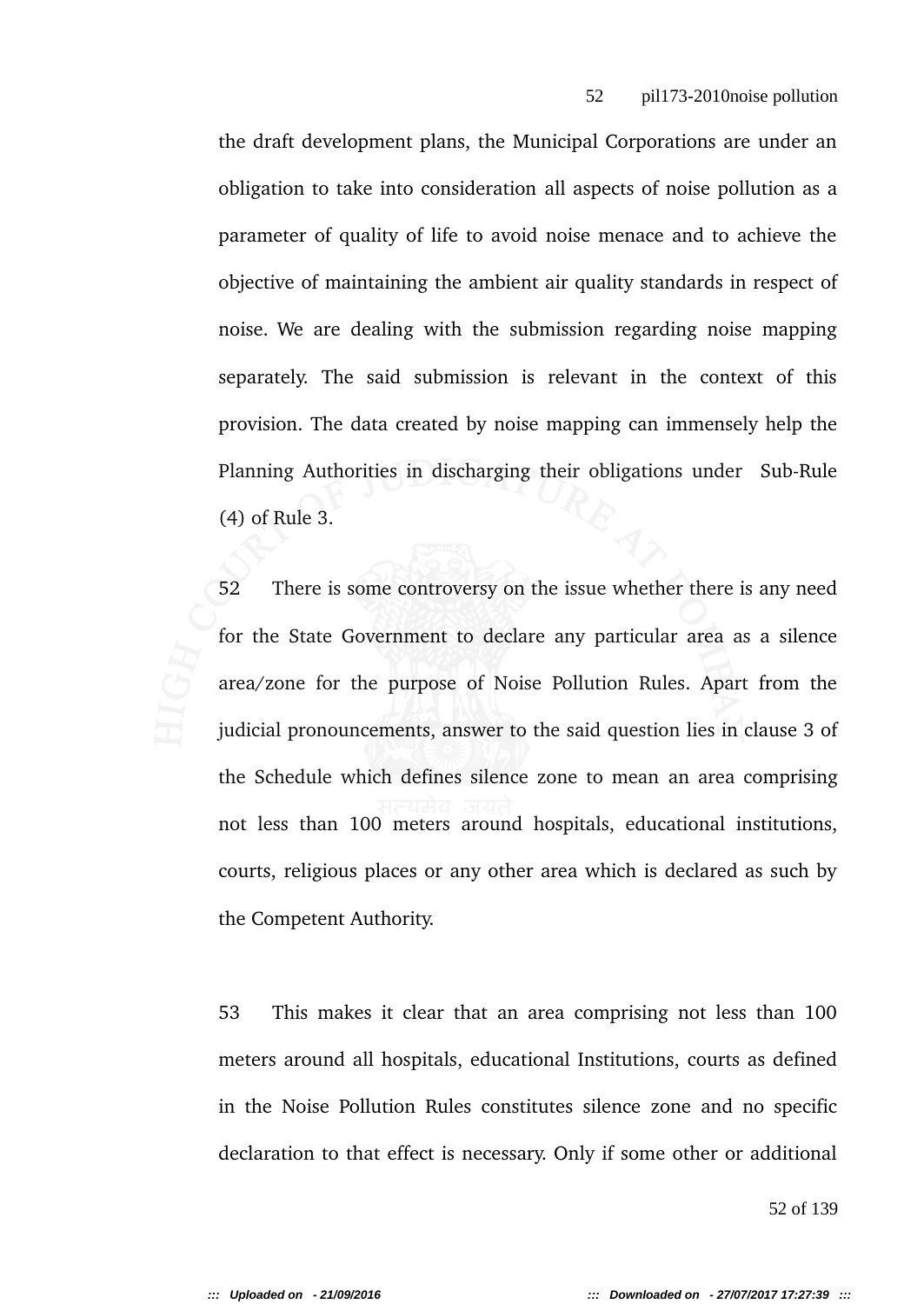the draft development plans, the Municipal Corporations are under an obligation to take into consideration all aspects of noise pollution as a parameter of quality of life to avoid noise menace and to achieve the objective of maintaining the ambient air quality standards in respect of noise. We are dealing with the submission regarding noise mapping separately. The said submission is relevant in the context of this provision. The data created by noise mapping can immensely help the Planning Authorities in discharging their obligations under Sub-Rule (4) of Rule 3.

52 There is some controversy on the issue whether there is any need for the State Government to declare any particular area as a silence area/zone for the purpose of Noise Pollution Rules. Apart from the judicial pronouncements, answer to the said question lies in clause 3 of the Schedule which defines silence zone to mean an area comprising not less than 100 meters around hospitals, educational institutions, courts, religious places or any other area which is declared as such by the Competent Authority.

53 This makes it clear that an area comprising not less than 100 meters around all hospitals, educational Institutions, courts as defined in the Noise Pollution Rules constitutes silence zone and no specific declaration to that effect is necessary. Only if some other or additional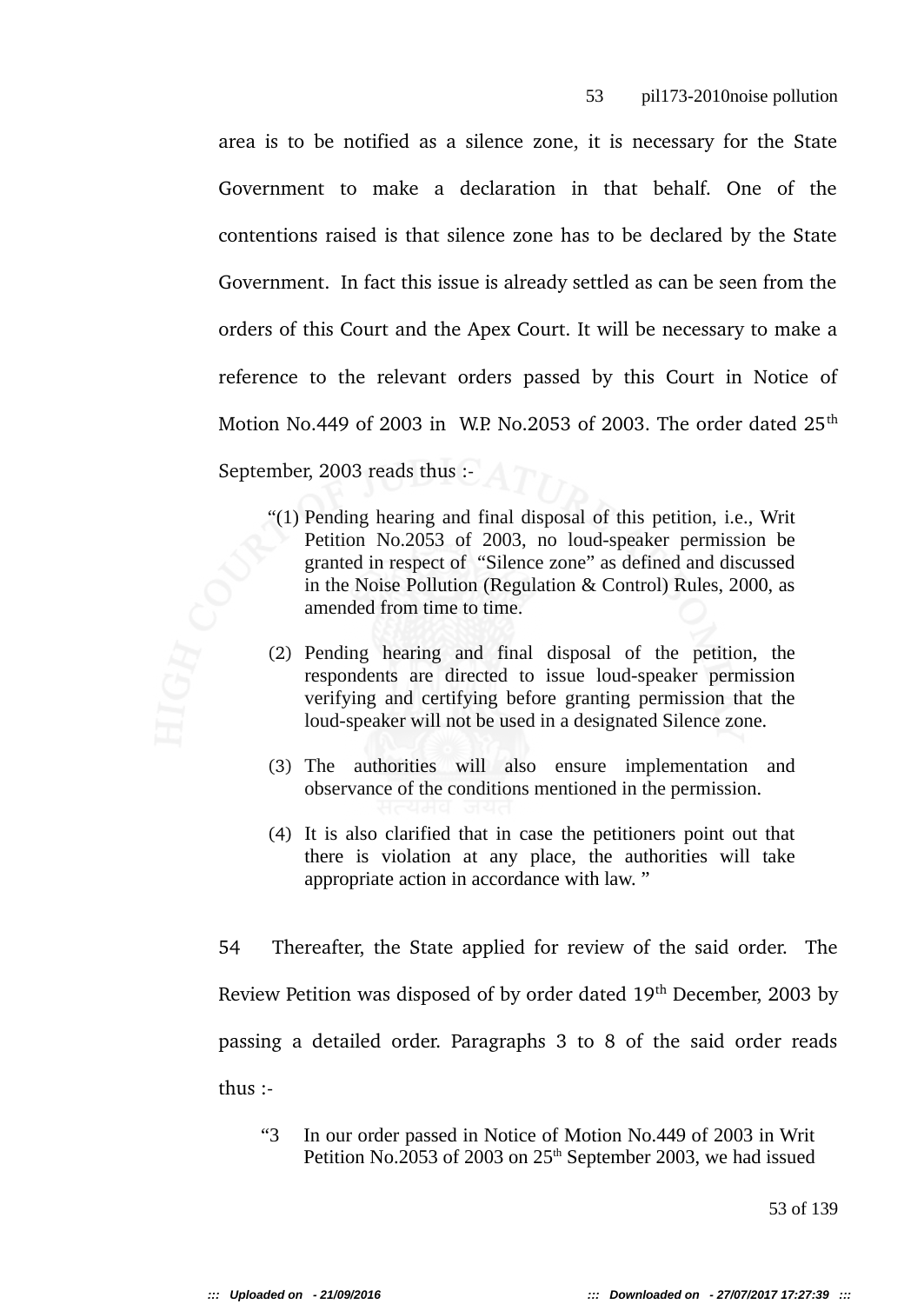area is to be notified as a silence zone, it is necessary for the State Government to make a declaration in that behalf. One of the contentions raised is that silence zone has to be declared by the State Government. In fact this issue is already settled as can be seen from the orders of this Court and the Apex Court. It will be necessary to make a reference to the relevant orders passed by this Court in Notice of Motion No.449 of 2003 in W.P. No.2053 of 2003. The order dated  $25^{\text{th}}$ September, 2003 reads thus :

- "(1) Pending hearing and final disposal of this petition, i.e., Writ Petition No.2053 of 2003, no loud-speaker permission be granted in respect of "Silence zone" as defined and discussed in the Noise Pollution (Regulation & Control) Rules, 2000, as amended from time to time.
- (2) Pending hearing and final disposal of the petition, the respondents are directed to issue loud-speaker permission verifying and certifying before granting permission that the loud-speaker will not be used in a designated Silence zone.
- (3) The authorities will also ensure implementation and observance of the conditions mentioned in the permission.
- (4) It is also clarified that in case the petitioners point out that there is violation at any place, the authorities will take appropriate action in accordance with law. "

54 Thereafter, the State applied for review of the said order. The Review Petition was disposed of by order dated 19<sup>th</sup> December, 2003 by passing a detailed order. Paragraphs 3 to 8 of the said order reads thus :

"3 In our order passed in Notice of Motion No.449 of 2003 in Writ Petition No.2053 of 2003 on  $25<sup>th</sup>$  September 2003, we had issued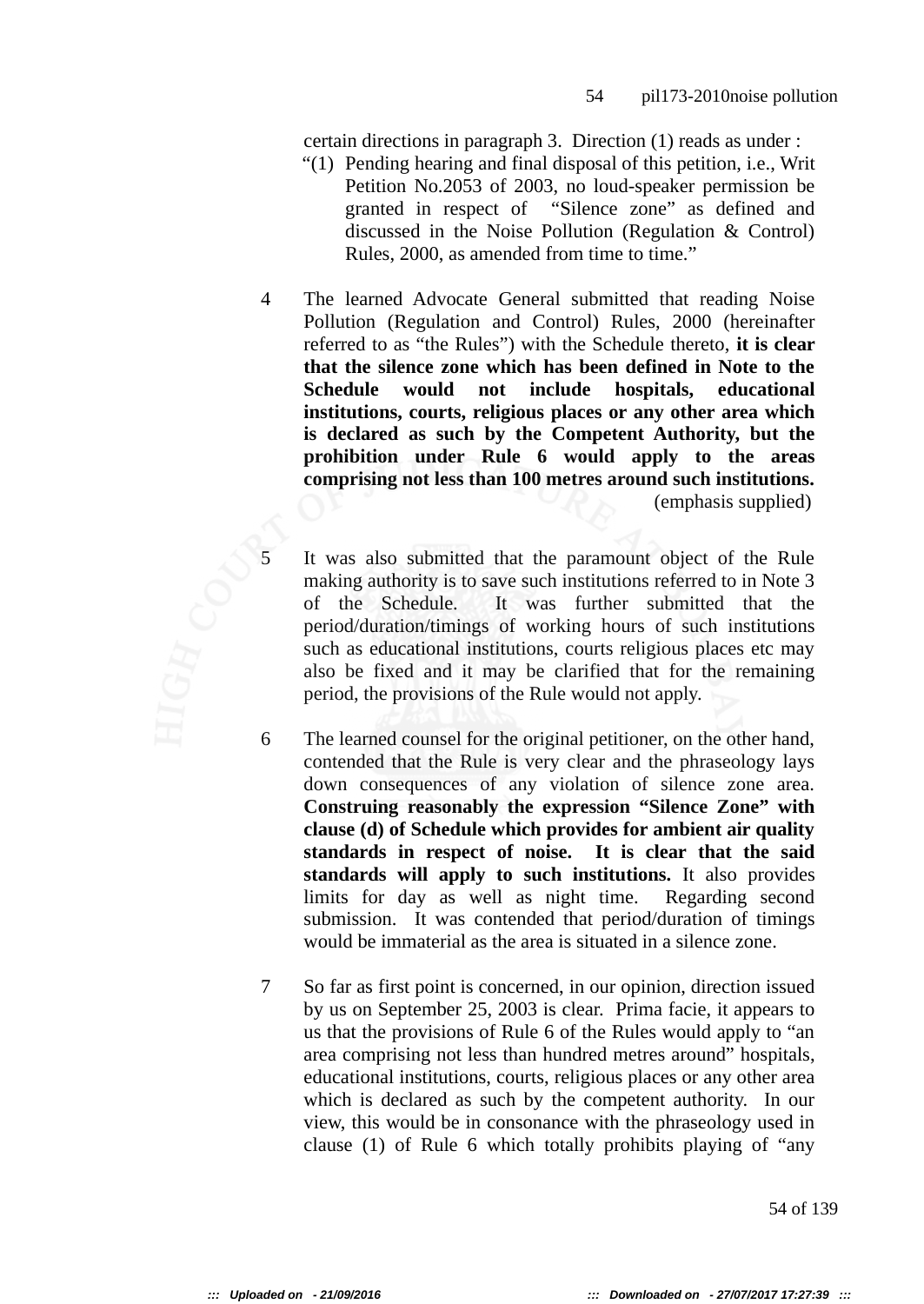certain directions in paragraph 3. Direction (1) reads as under :

- "(1) Pending hearing and final disposal of this petition, i.e., Writ Petition No.2053 of 2003, no loud-speaker permission be granted in respect of "Silence zone" as defined and discussed in the Noise Pollution (Regulation & Control) Rules, 2000, as amended from time to time."
- 4 The learned Advocate General submitted that reading Noise Pollution (Regulation and Control) Rules, 2000 (hereinafter referred to as "the Rules") with the Schedule thereto, **it is clear that the silence zone which has been defined in Note to the Schedule would not include hospitals, educational institutions, courts, religious places or any other area which is declared as such by the Competent Authority, but the prohibition under Rule 6 would apply to the areas comprising not less than 100 metres around such institutions.** (emphasis supplied)
	- It was also submitted that the paramount object of the Rule making authority is to save such institutions referred to in Note 3 of the Schedule. It was further submitted that the period/duration/timings of working hours of such institutions such as educational institutions, courts religious places etc may also be fixed and it may be clarified that for the remaining period, the provisions of the Rule would not apply.
- 6 The learned counsel for the original petitioner, on the other hand, contended that the Rule is very clear and the phraseology lays down consequences of any violation of silence zone area. **Construing reasonably the expression "Silence Zone" with clause (d) of Schedule which provides for ambient air quality standards in respect of noise. It is clear that the said standards will apply to such institutions.** It also provides limits for day as well as night time. Regarding second submission. It was contended that period/duration of timings would be immaterial as the area is situated in a silence zone.
- 7 So far as first point is concerned, in our opinion, direction issued by us on September 25, 2003 is clear. Prima facie, it appears to us that the provisions of Rule 6 of the Rules would apply to "an area comprising not less than hundred metres around" hospitals, educational institutions, courts, religious places or any other area which is declared as such by the competent authority. In our view, this would be in consonance with the phraseology used in clause (1) of Rule 6 which totally prohibits playing of "any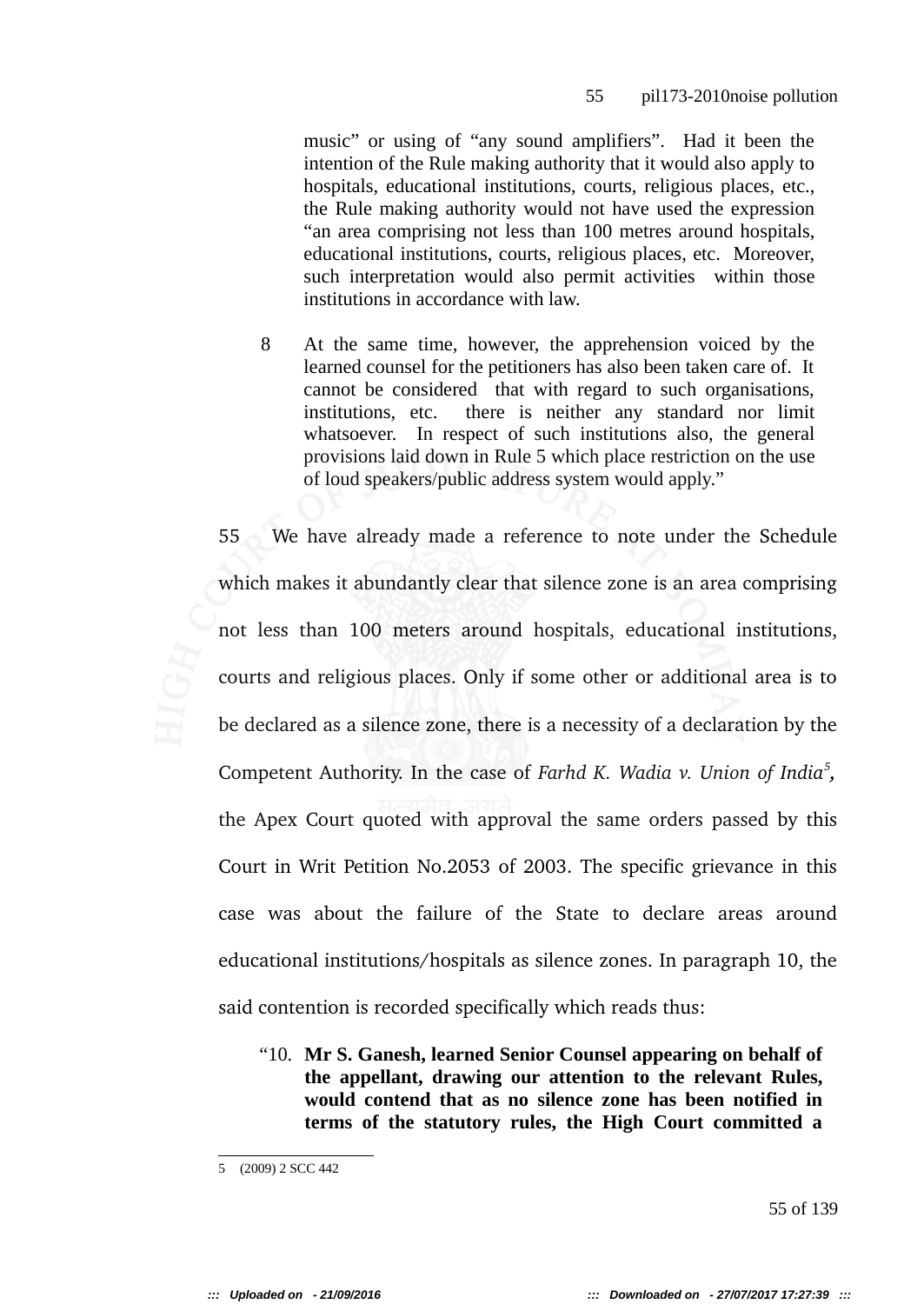music" or using of "any sound amplifiers". Had it been the intention of the Rule making authority that it would also apply to hospitals, educational institutions, courts, religious places, etc., the Rule making authority would not have used the expression "an area comprising not less than 100 metres around hospitals, educational institutions, courts, religious places, etc. Moreover, such interpretation would also permit activities within those institutions in accordance with law.

8 At the same time, however, the apprehension voiced by the learned counsel for the petitioners has also been taken care of. It cannot be considered that with regard to such organisations, institutions, etc. there is neither any standard nor limit whatsoever. In respect of such institutions also, the general provisions laid down in Rule 5 which place restriction on the use of loud speakers/public address system would apply."

55 We have already made a reference to note under the Schedule which makes it abundantly clear that silence zone is an area comprising not less than 100 meters around hospitals, educational institutions, courts and religious places. Only if some other or additional area is to be declared as a silence zone, there is a necessity of a declaration by the Competent Authority. In the case of *Farhd K. Wadia v. Union of India<sup>5</sup> ,* the Apex Court quoted with approval the same orders passed by this Court in Writ Petition No.2053 of 2003. The specific grievance in this case was about the failure of the State to declare areas around educational institutions/hospitals as silence zones. In paragraph 10, the said contention is recorded specifically which reads thus:

"10. **Mr S. Ganesh, learned Senior Counsel appearing on behalf of the appellant, drawing our attention to the relevant Rules, would contend that as no silence zone has been notified in terms of the statutory rules, the High Court committed a**

<sup>5</sup> (2009) 2 SCC 442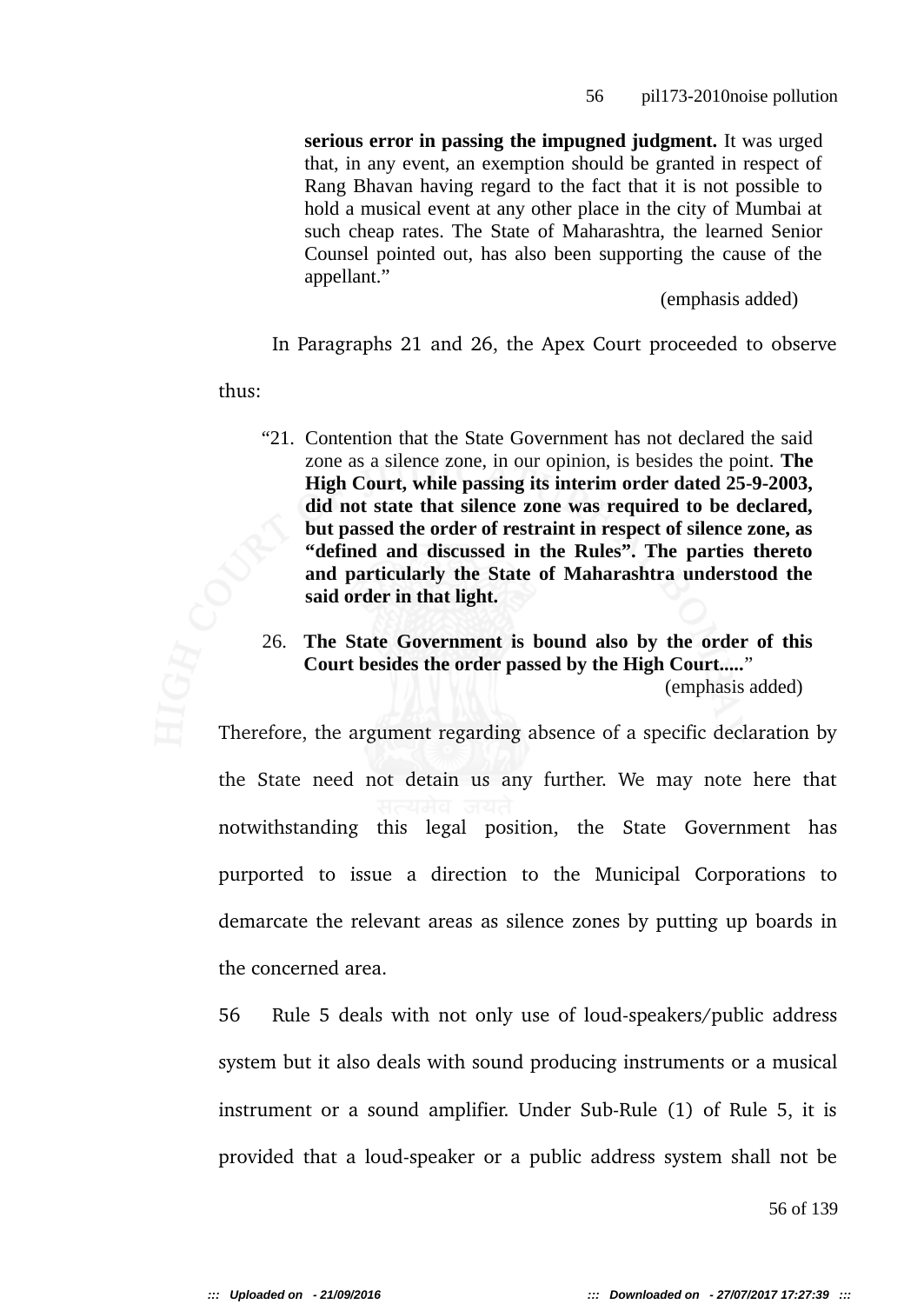**serious error in passing the impugned judgment.** It was urged that, in any event, an exemption should be granted in respect of Rang Bhavan having regard to the fact that it is not possible to hold a musical event at any other place in the city of Mumbai at such cheap rates. The State of Maharashtra, the learned Senior Counsel pointed out, has also been supporting the cause of the appellant."

(emphasis added)

In Paragraphs 21 and 26, the Apex Court proceeded to observe

thus:

- "21. Contention that the State Government has not declared the said zone as a silence zone, in our opinion, is besides the point. **The High Court, while passing its interim order dated 25-9-2003, did not state that silence zone was required to be declared, but passed the order of restraint in respect of silence zone, as "defined and discussed in the Rules". The parties thereto and particularly the State of Maharashtra understood the said order in that light.**
- 26. **The State Government is bound also by the order of this Court besides the order passed by the High Court.....**" (emphasis added)

Therefore, the argument regarding absence of a specific declaration by the State need not detain us any further. We may note here that notwithstanding this legal position, the State Government has purported to issue a direction to the Municipal Corporations to demarcate the relevant areas as silence zones by putting up boards in the concerned area.

56 Rule 5 deals with not only use of loud-speakers/public address system but it also deals with sound producing instruments or a musical instrument or a sound amplifier. Under Sub-Rule  $(1)$  of Rule 5, it is provided that a loud-speaker or a public address system shall not be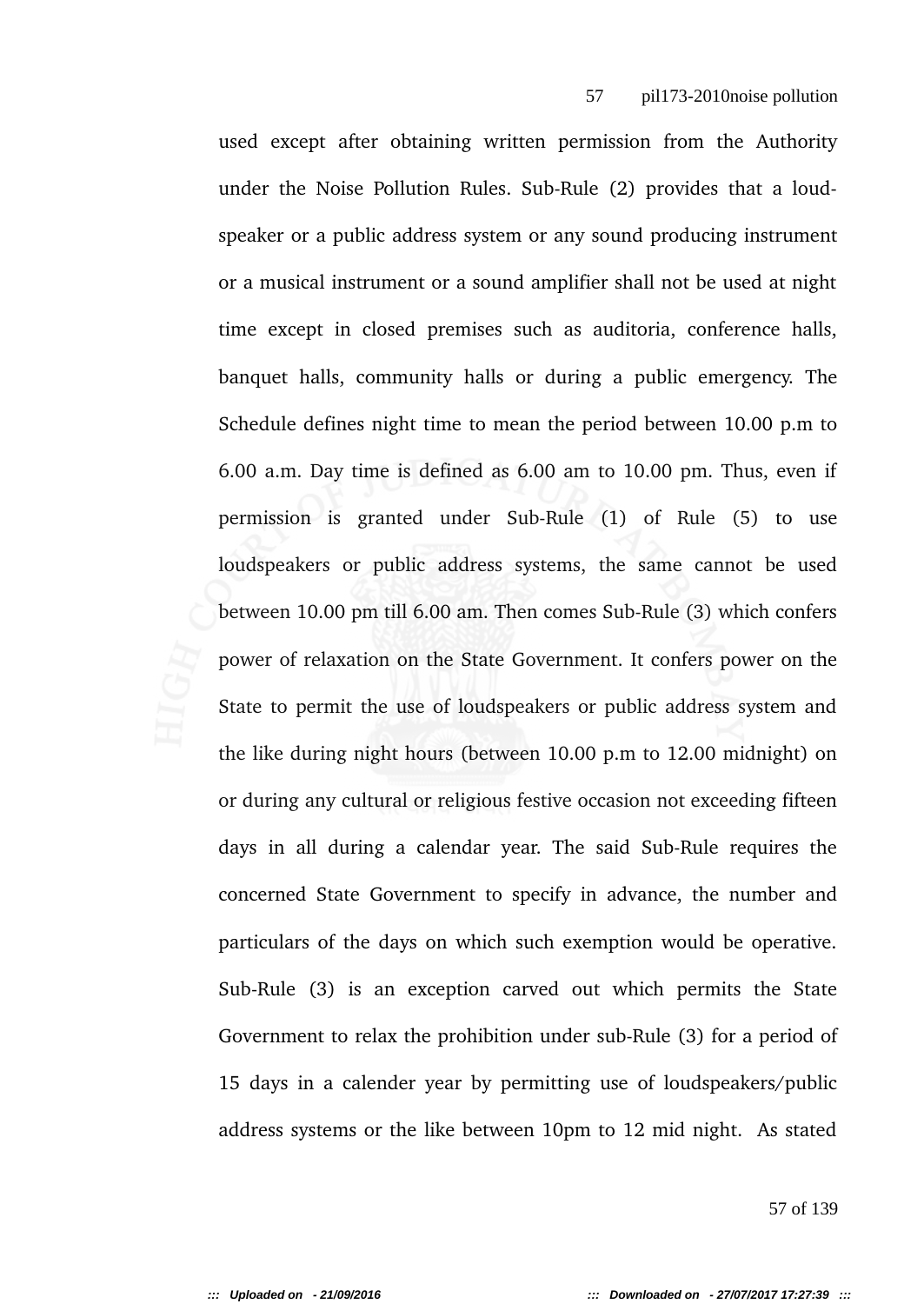used except after obtaining written permission from the Authority under the Noise Pollution Rules. Sub-Rule (2) provides that a loudspeaker or a public address system or any sound producing instrument or a musical instrument or a sound amplifier shall not be used at night time except in closed premises such as auditoria, conference halls, banquet halls, community halls or during a public emergency. The Schedule defines night time to mean the period between 10.00 p.m to 6.00 a.m. Day time is defined as 6.00 am to 10.00 pm. Thus, even if permission is granted under Sub-Rule (1) of Rule (5) to use loudspeakers or public address systems, the same cannot be used between 10.00 pm till 6.00 am. Then comes Sub-Rule (3) which confers power of relaxation on the State Government. It confers power on the State to permit the use of loudspeakers or public address system and the like during night hours (between 10.00 p.m to 12.00 midnight) on or during any cultural or religious festive occasion not exceeding fifteen days in all during a calendar year. The said Sub-Rule requires the concerned State Government to specify in advance, the number and particulars of the days on which such exemption would be operative. Sub-Rule (3) is an exception carved out which permits the State Government to relax the prohibition under sub-Rule (3) for a period of 15 days in a calender year by permitting use of loudspeakers/public address systems or the like between 10pm to 12 mid night. As stated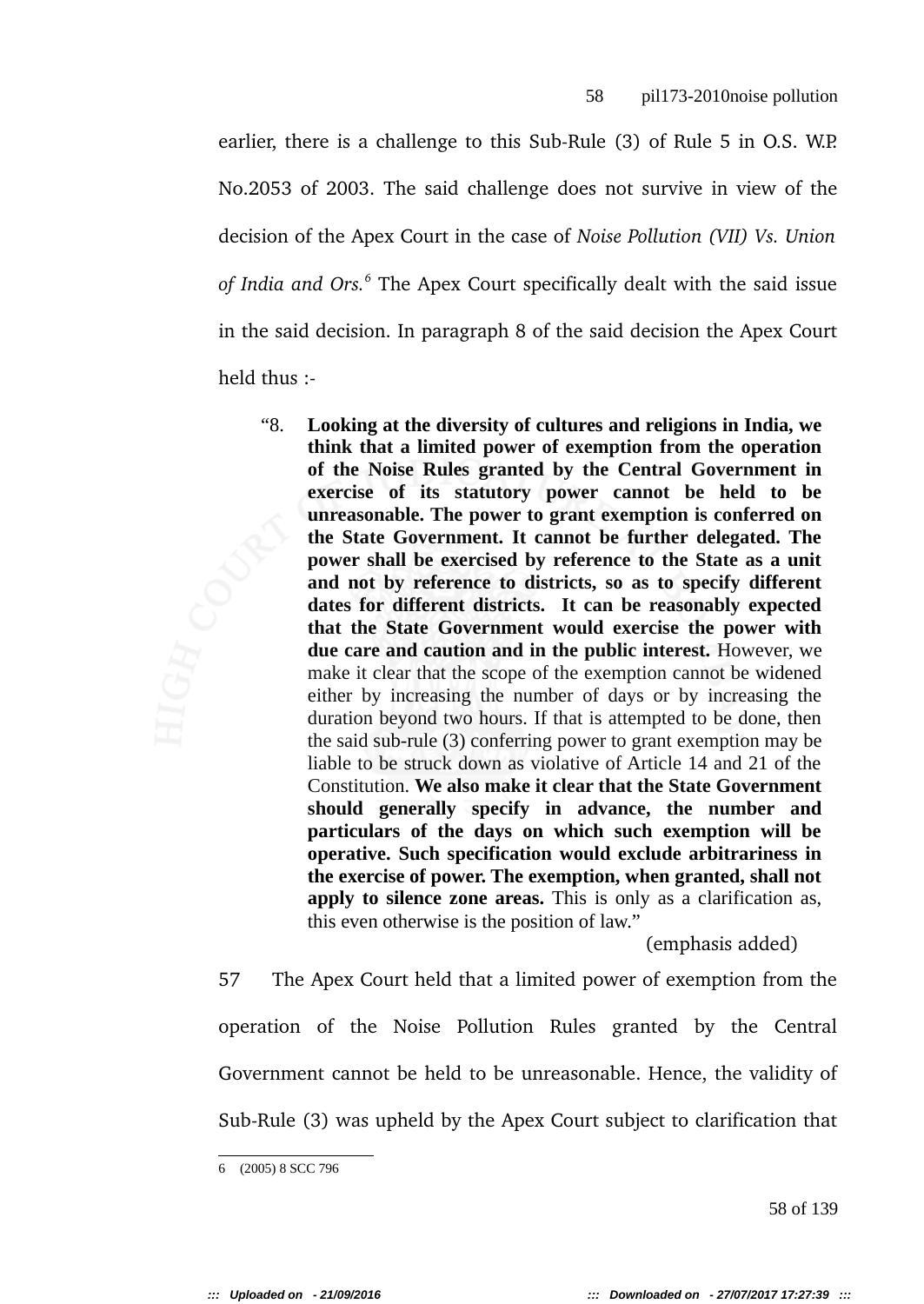earlier, there is a challenge to this Sub-Rule  $(3)$  of Rule 5 in O.S. W.P. No.2053 of 2003. The said challenge does not survive in view of the decision of the Apex Court in the case of *Noise Pollution (VII) Vs. Union of India and Ors.<sup>6</sup>* The Apex Court specifically dealt with the said issue in the said decision. In paragraph 8 of the said decision the Apex Court held thus :

"8. **Looking at the diversity of cultures and religions in India, we think that a limited power of exemption from the operation of the Noise Rules granted by the Central Government in exercise of its statutory power cannot be held to be unreasonable. The power to grant exemption is conferred on the State Government. It cannot be further delegated. The power shall be exercised by reference to the State as a unit and not by reference to districts, so as to specify different dates for different districts. It can be reasonably expected that the State Government would exercise the power with due care and caution and in the public interest.** However, we make it clear that the scope of the exemption cannot be widened either by increasing the number of days or by increasing the duration beyond two hours. If that is attempted to be done, then the said sub-rule (3) conferring power to grant exemption may be liable to be struck down as violative of Article 14 and 21 of the Constitution. **We also make it clear that the State Government should generally specify in advance, the number and particulars of the days on which such exemption will be operative. Such specification would exclude arbitrariness in the exercise of power. The exemption, when granted, shall not apply to silence zone areas.** This is only as a clarification as, this even otherwise is the position of law."

(emphasis added)

57 The Apex Court held that a limited power of exemption from the operation of the Noise Pollution Rules granted by the Central Government cannot be held to be unreasonable. Hence, the validity of Sub-Rule (3) was upheld by the Apex Court subject to clarification that

<sup>6</sup> (2005) 8 SCC 796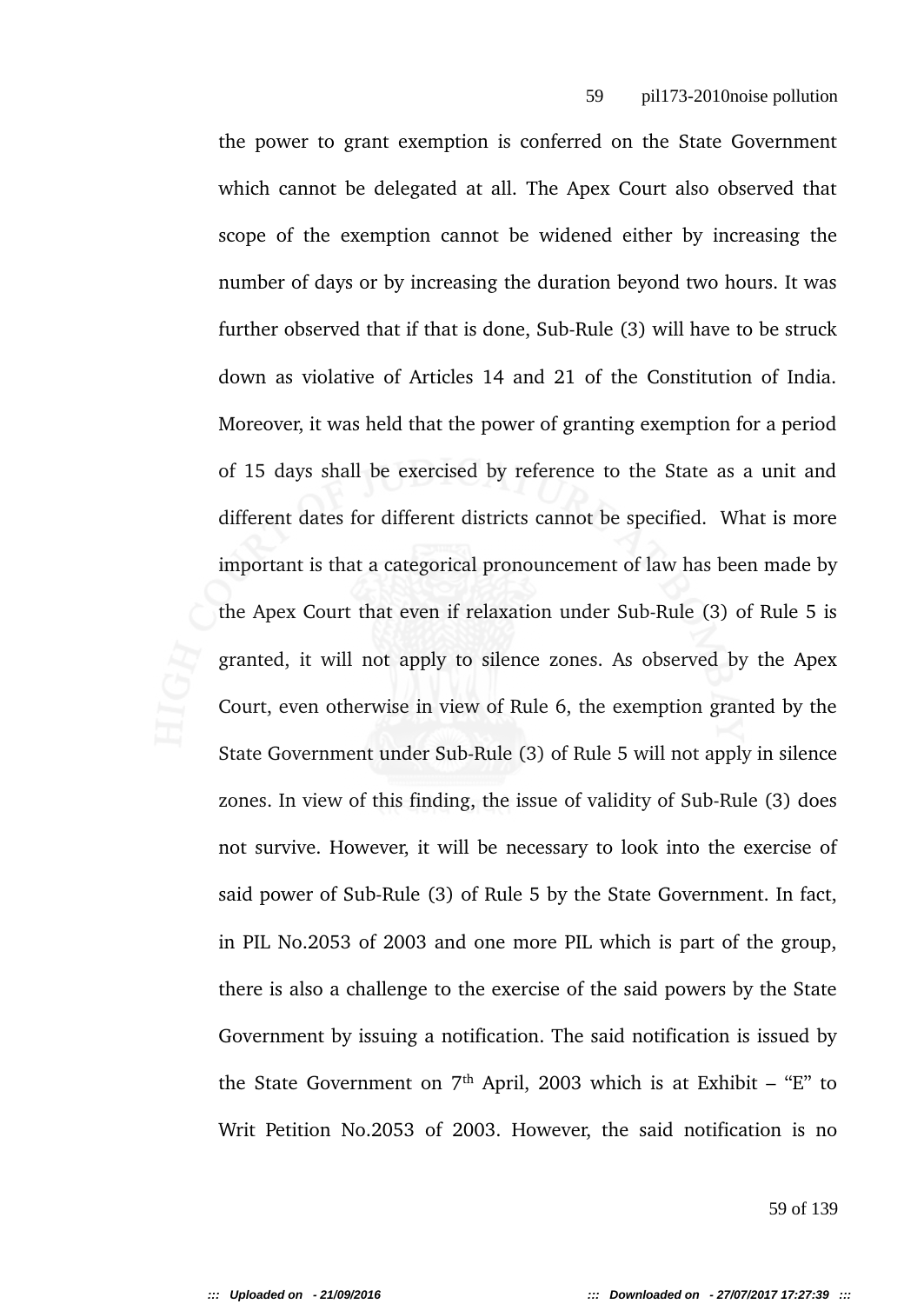the power to grant exemption is conferred on the State Government which cannot be delegated at all. The Apex Court also observed that scope of the exemption cannot be widened either by increasing the number of days or by increasing the duration beyond two hours. It was further observed that if that is done, Sub-Rule (3) will have to be struck down as violative of Articles 14 and 21 of the Constitution of India. Moreover, it was held that the power of granting exemption for a period of 15 days shall be exercised by reference to the State as a unit and different dates for different districts cannot be specified. What is more important is that a categorical pronouncement of law has been made by the Apex Court that even if relaxation under Sub-Rule (3) of Rule 5 is granted, it will not apply to silence zones. As observed by the Apex Court, even otherwise in view of Rule 6, the exemption granted by the State Government under Sub-Rule (3) of Rule 5 will not apply in silence zones. In view of this finding, the issue of validity of Sub-Rule (3) does not survive. However, it will be necessary to look into the exercise of said power of Sub-Rule (3) of Rule 5 by the State Government. In fact, in PIL No.2053 of 2003 and one more PIL which is part of the group, there is also a challenge to the exercise of the said powers by the State Government by issuing a notification. The said notification is issued by the State Government on  $7<sup>th</sup>$  April, 2003 which is at Exhibit – "E" to Writ Petition No.2053 of 2003. However, the said notification is no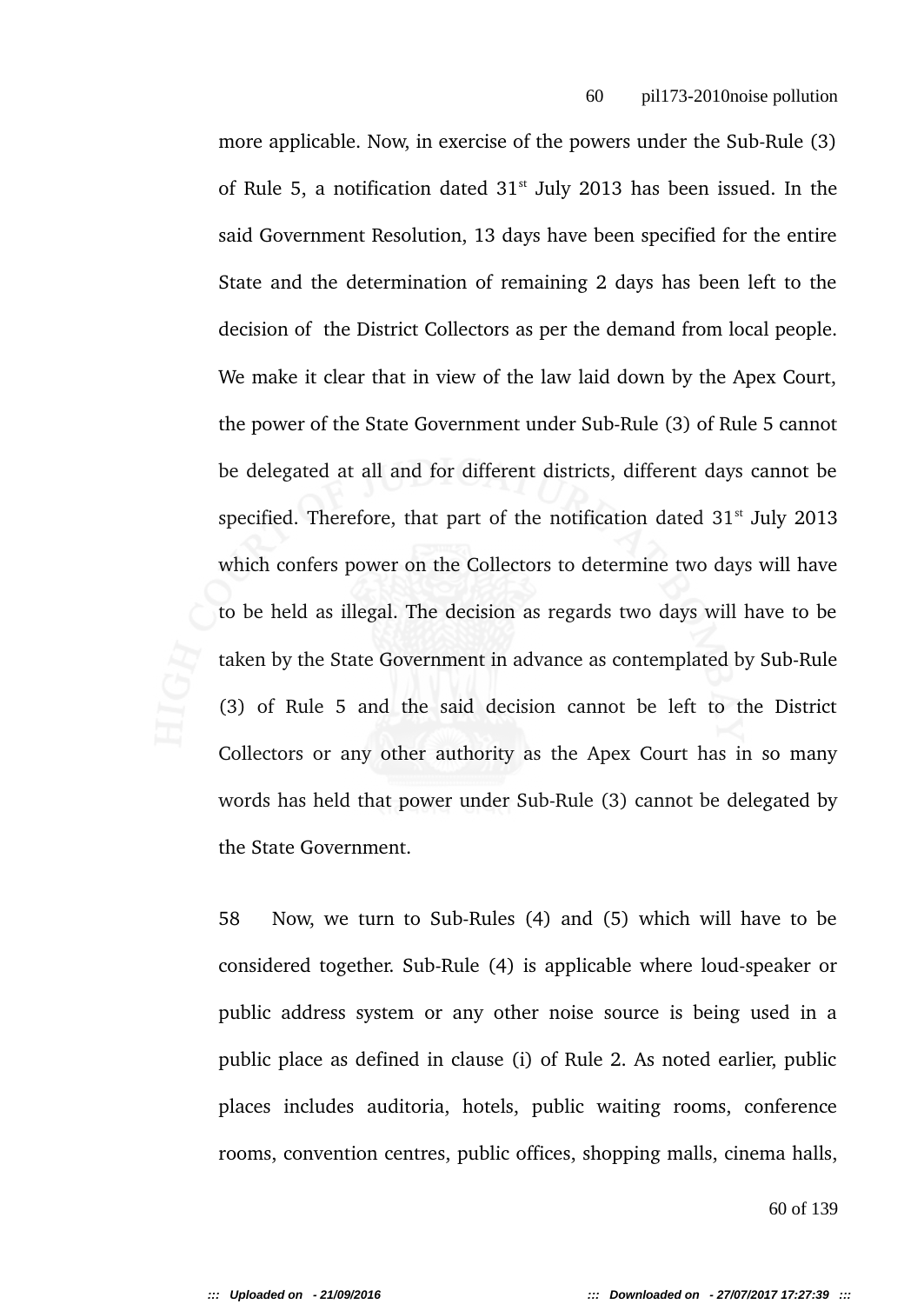more applicable. Now, in exercise of the powers under the Sub-Rule (3) of Rule 5, a notification dated  $31<sup>st</sup>$  July 2013 has been issued. In the said Government Resolution, 13 days have been specified for the entire State and the determination of remaining 2 days has been left to the decision of the District Collectors as per the demand from local people. We make it clear that in view of the law laid down by the Apex Court, the power of the State Government under Sub-Rule (3) of Rule 5 cannot be delegated at all and for different districts, different days cannot be specified. Therefore, that part of the notification dated  $31<sup>st</sup>$  July 2013 which confers power on the Collectors to determine two days will have to be held as illegal. The decision as regards two days will have to be taken by the State Government in advance as contemplated by Sub-Rule (3) of Rule 5 and the said decision cannot be left to the District Collectors or any other authority as the Apex Court has in so many words has held that power under Sub-Rule (3) cannot be delegated by the State Government.

58 Now, we turn to Sub-Rules (4) and (5) which will have to be considered together. Sub-Rule (4) is applicable where loud-speaker or public address system or any other noise source is being used in a public place as defined in clause (i) of Rule 2. As noted earlier, public places includes auditoria, hotels, public waiting rooms, conference rooms, convention centres, public offices, shopping malls, cinema halls,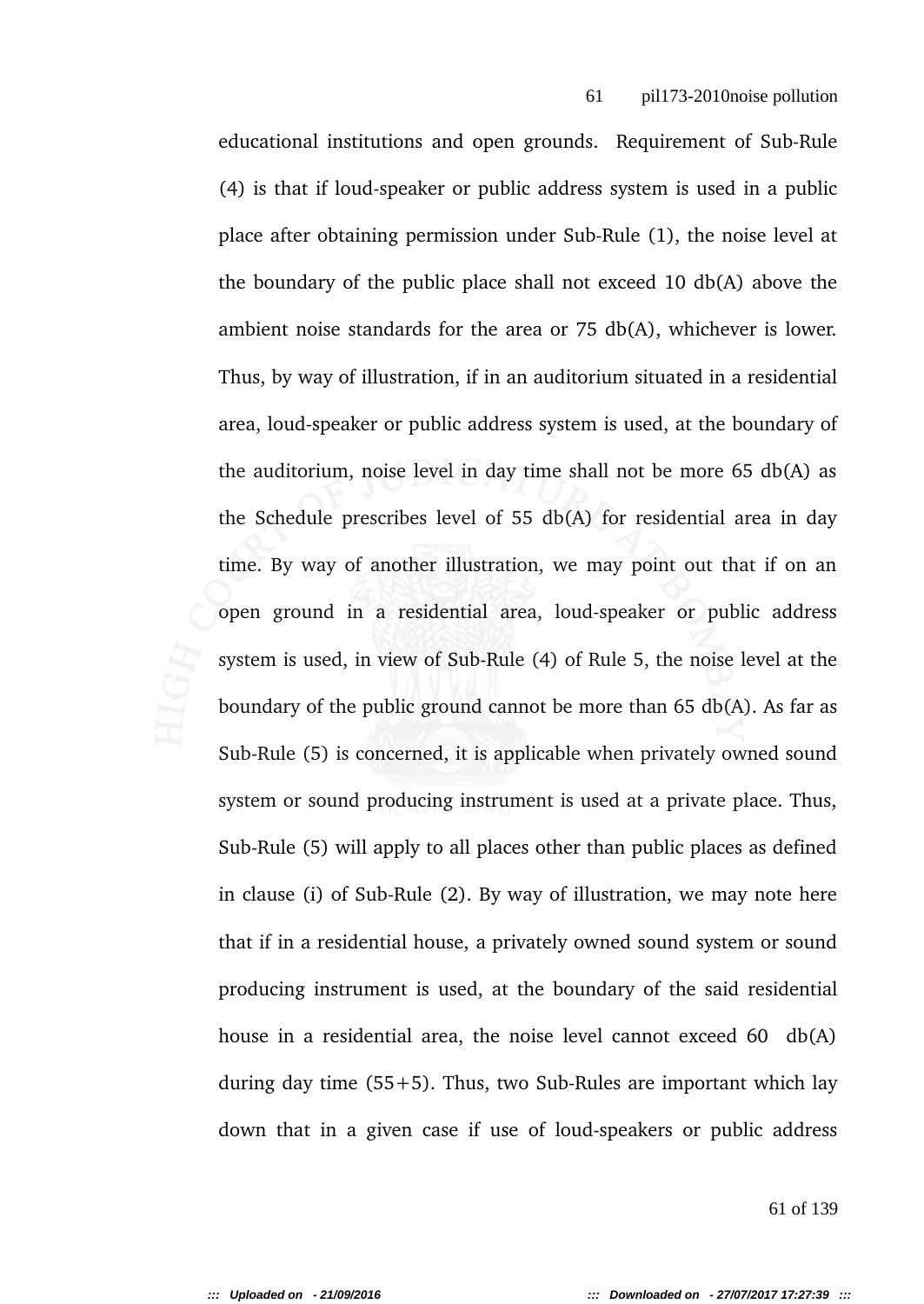educational institutions and open grounds. Requirement of Sub-Rule (4) is that if loud-speaker or public address system is used in a public place after obtaining permission under Sub-Rule (1), the noise level at the boundary of the public place shall not exceed 10 db(A) above the ambient noise standards for the area or 75 db(A), whichever is lower. Thus, by way of illustration, if in an auditorium situated in a residential area, loud-speaker or public address system is used, at the boundary of the auditorium, noise level in day time shall not be more 65 db(A) as the Schedule prescribes level of 55 db(A) for residential area in day time. By way of another illustration, we may point out that if on an open ground in a residential area, loud-speaker or public address system is used, in view of Sub-Rule (4) of Rule 5, the noise level at the boundary of the public ground cannot be more than 65 db(A). As far as Sub-Rule (5) is concerned, it is applicable when privately owned sound system or sound producing instrument is used at a private place. Thus, Sub-Rule (5) will apply to all places other than public places as defined in clause (i) of Sub-Rule  $(2)$ . By way of illustration, we may note here that if in a residential house, a privately owned sound system or sound producing instrument is used, at the boundary of the said residential house in a residential area, the noise level cannot exceed 60 db(A) during day time  $(55+5)$ . Thus, two Sub-Rules are important which lay down that in a given case if use of loud-speakers or public address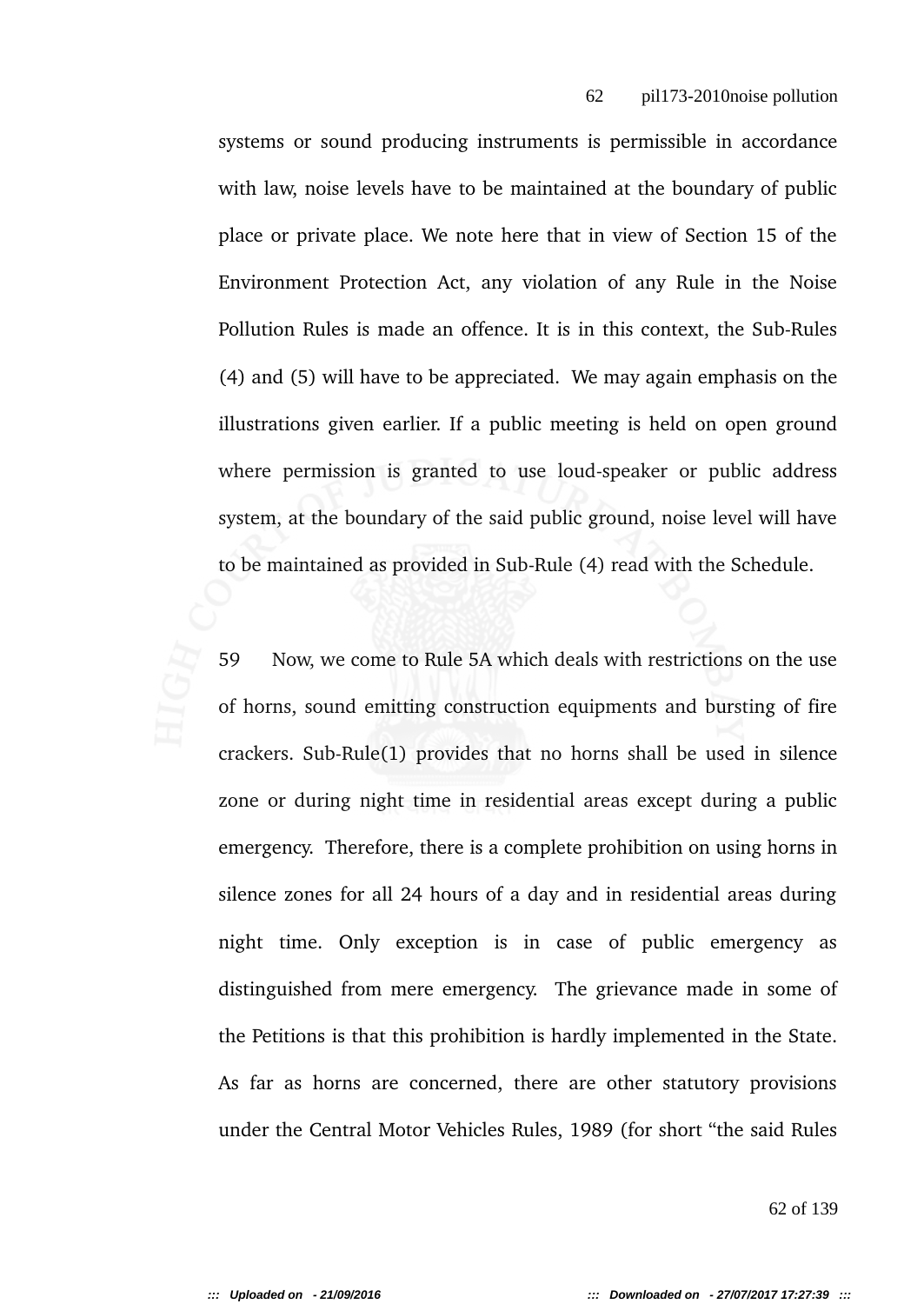## 62 pil173-2010noise pollution

systems or sound producing instruments is permissible in accordance with law, noise levels have to be maintained at the boundary of public place or private place. We note here that in view of Section 15 of the Environment Protection Act, any violation of any Rule in the Noise Pollution Rules is made an offence. It is in this context, the Sub-Rules (4) and (5) will have to be appreciated. We may again emphasis on the illustrations given earlier. If a public meeting is held on open ground where permission is granted to use loud-speaker or public address system, at the boundary of the said public ground, noise level will have to be maintained as provided in Sub-Rule (4) read with the Schedule.

59 Now, we come to Rule 5A which deals with restrictions on the use of horns, sound emitting construction equipments and bursting of fire crackers. Sub-Rule $(1)$  provides that no horns shall be used in silence zone or during night time in residential areas except during a public emergency. Therefore, there is a complete prohibition on using horns in silence zones for all 24 hours of a day and in residential areas during night time. Only exception is in case of public emergency as distinguished from mere emergency. The grievance made in some of the Petitions is that this prohibition is hardly implemented in the State. As far as horns are concerned, there are other statutory provisions under the Central Motor Vehicles Rules, 1989 (for short "the said Rules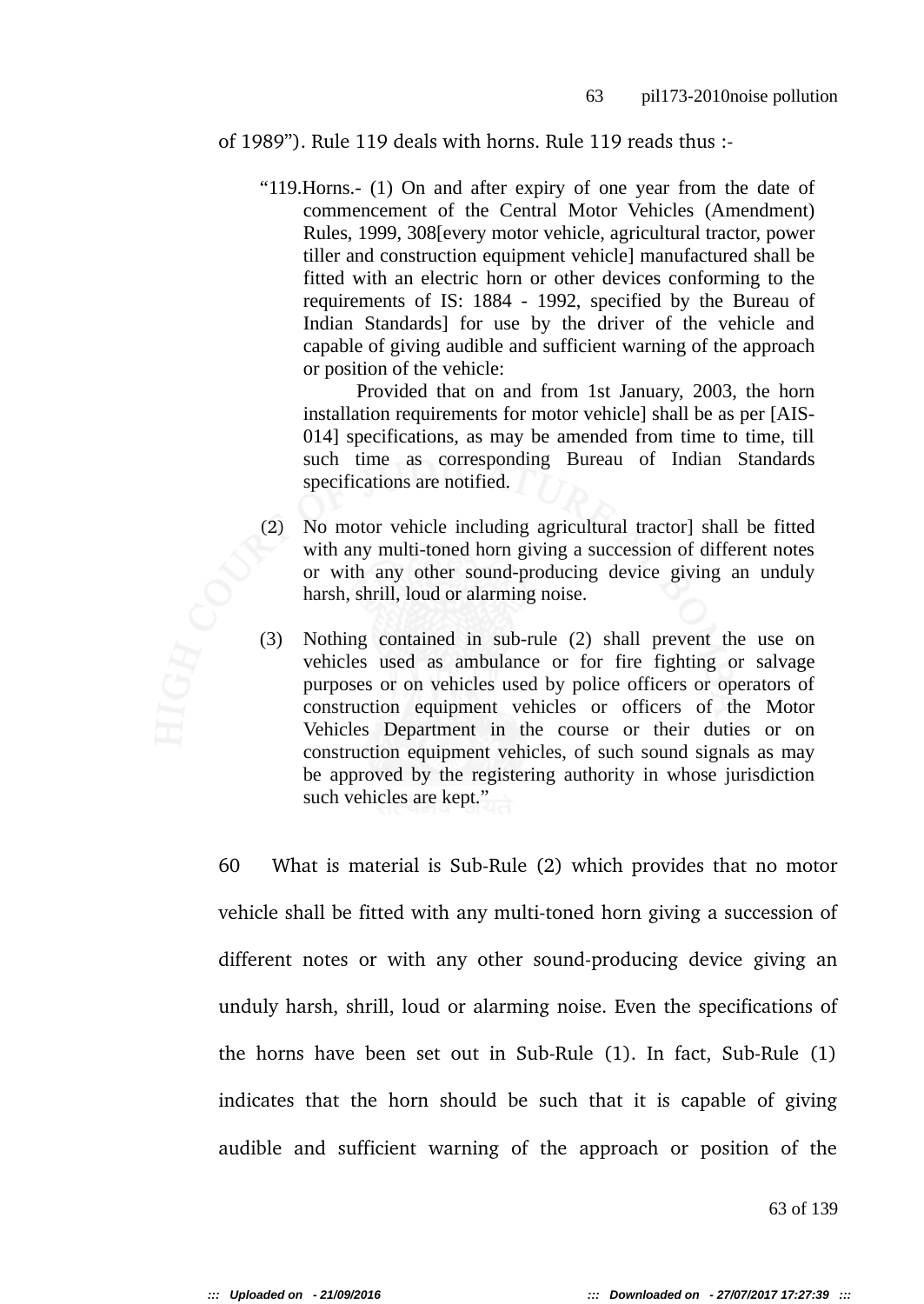#### of 1989"). Rule 119 deals with horns. Rule 119 reads thus :

"119.Horns.- (1) On and after expiry of one year from the date of commencement of the Central Motor Vehicles (Amendment) Rules, 1999, 308[every motor vehicle, agricultural tractor, power tiller and construction equipment vehicle] manufactured shall be fitted with an electric horn or other devices conforming to the requirements of IS: 1884 - 1992, specified by the Bureau of Indian Standards] for use by the driver of the vehicle and capable of giving audible and sufficient warning of the approach or position of the vehicle:

Provided that on and from 1st January, 2003, the horn installation requirements for motor vehicle] shall be as per [AIS-014] specifications, as may be amended from time to time, till such time as corresponding Bureau of Indian Standards specifications are notified.

- (2) No motor vehicle including agricultural tractor] shall be fitted with any multi-toned horn giving a succession of different notes or with any other sound-producing device giving an unduly harsh, shrill, loud or alarming noise.
- (3) Nothing contained in sub-rule (2) shall prevent the use on vehicles used as ambulance or for fire fighting or salvage purposes or on vehicles used by police officers or operators of construction equipment vehicles or officers of the Motor Vehicles Department in the course or their duties or on construction equipment vehicles, of such sound signals as may be approved by the registering authority in whose jurisdiction such vehicles are kept."

60 What is material is Sub-Rule (2) which provides that no motor vehicle shall be fitted with any multi-toned horn giving a succession of different notes or with any other sound-producing device giving an unduly harsh, shrill, loud or alarming noise. Even the specifications of the horns have been set out in Sub-Rule  $(1)$ . In fact, Sub-Rule  $(1)$ indicates that the horn should be such that it is capable of giving audible and sufficient warning of the approach or position of the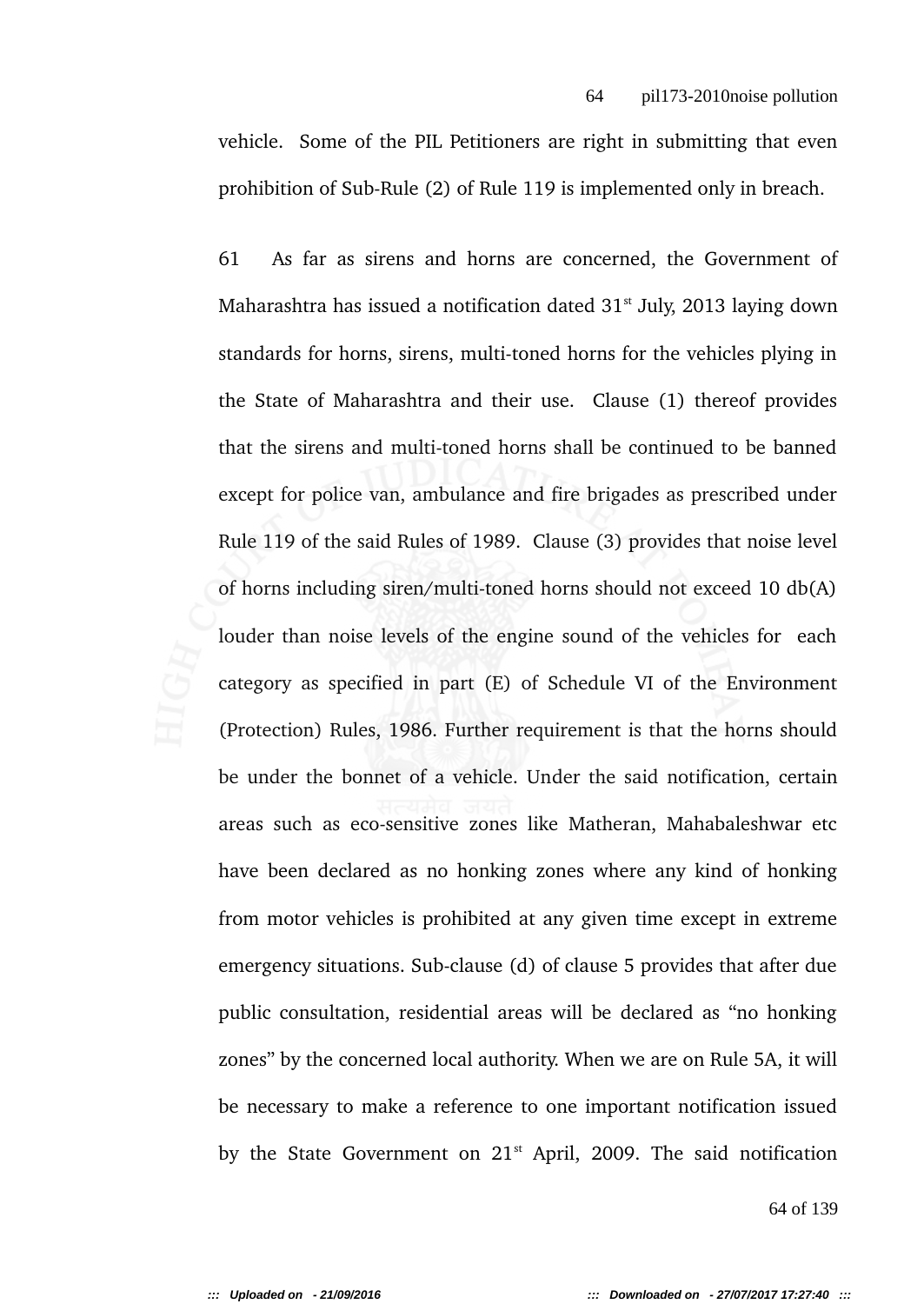vehicle. Some of the PIL Petitioners are right in submitting that even prohibition of Sub-Rule (2) of Rule 119 is implemented only in breach.

61 As far as sirens and horns are concerned, the Government of Maharashtra has issued a notification dated  $31<sup>st</sup>$  July, 2013 laying down standards for horns, sirens, multi-toned horns for the vehicles plying in the State of Maharashtra and their use. Clause (1) thereof provides that the sirens and multi-toned horns shall be continued to be banned except for police van, ambulance and fire brigades as prescribed under Rule 119 of the said Rules of 1989. Clause (3) provides that noise level of horns including siren/multi-toned horns should not exceed  $10$  db(A) louder than noise levels of the engine sound of the vehicles for each category as specified in part (E) of Schedule VI of the Environment (Protection) Rules, 1986. Further requirement is that the horns should be under the bonnet of a vehicle. Under the said notification, certain areas such as eco-sensitive zones like Matheran, Mahabaleshwar etc have been declared as no honking zones where any kind of honking from motor vehicles is prohibited at any given time except in extreme emergency situations. Sub-clause (d) of clause 5 provides that after due public consultation, residential areas will be declared as "no honking zones" by the concerned local authority. When we are on Rule 5A, it will be necessary to make a reference to one important notification issued by the State Government on  $21^{st}$  April, 2009. The said notification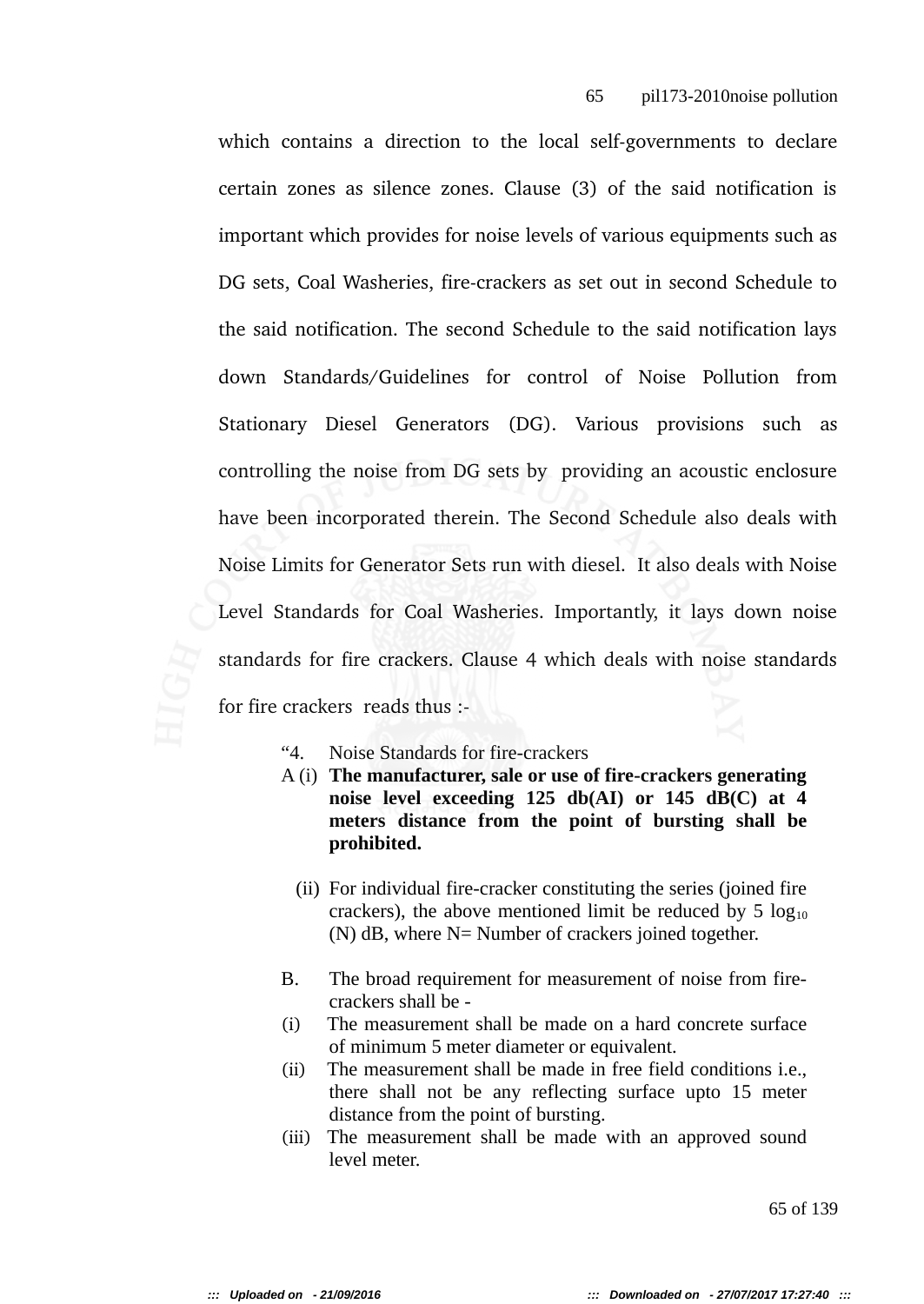which contains a direction to the local self-governments to declare certain zones as silence zones. Clause (3) of the said notification is important which provides for noise levels of various equipments such as DG sets, Coal Washeries, fire-crackers as set out in second Schedule to the said notification. The second Schedule to the said notification lays down Standards/Guidelines for control of Noise Pollution from Stationary Diesel Generators (DG). Various provisions such as controlling the noise from DG sets by providing an acoustic enclosure have been incorporated therein. The Second Schedule also deals with Noise Limits for Generator Sets run with diesel. It also deals with Noise Level Standards for Coal Washeries. Importantly, it lays down noise standards for fire crackers. Clause 4 which deals with noise standards for fire crackers reads thus :

- "4. Noise Standards for fire-crackers
- A (i) **The manufacturer, sale or use of fire-crackers generating noise level exceeding 125 db(AI) or 145 dB(C) at 4 meters distance from the point of bursting shall be prohibited.**
	- (ii) For individual fire-cracker constituting the series (joined fire crackers), the above mentioned limit be reduced by 5  $log_{10}$ (N) dB, where N= Number of crackers joined together.
- B. The broad requirement for measurement of noise from firecrackers shall be -
- (i) The measurement shall be made on a hard concrete surface of minimum 5 meter diameter or equivalent.
- (ii) The measurement shall be made in free field conditions i.e., there shall not be any reflecting surface upto 15 meter distance from the point of bursting.
- (iii) The measurement shall be made with an approved sound level meter.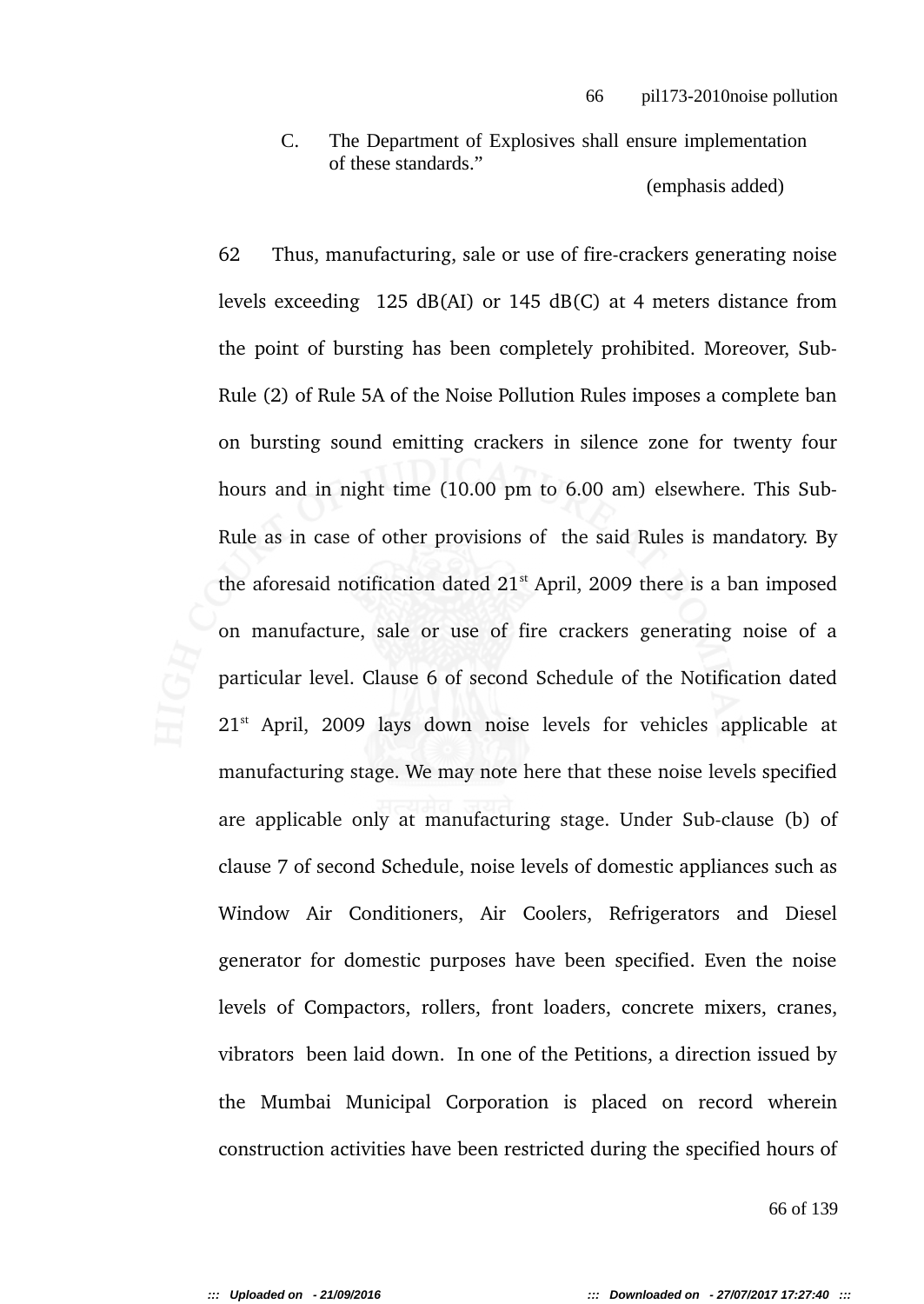C. The Department of Explosives shall ensure implementation of these standards."

(emphasis added)

62 Thus, manufacturing, sale or use of fire-crackers generating noise levels exceeding 125 dB(AI) or 145 dB(C) at 4 meters distance from the point of bursting has been completely prohibited. Moreover, Sub-Rule (2) of Rule 5A of the Noise Pollution Rules imposes a complete ban on bursting sound emitting crackers in silence zone for twenty four hours and in night time (10.00 pm to 6.00 am) elsewhere. This Sub-Rule as in case of other provisions of the said Rules is mandatory. By the aforesaid notification dated  $21<sup>st</sup>$  April, 2009 there is a ban imposed on manufacture, sale or use of fire crackers generating noise of a particular level. Clause 6 of second Schedule of the Notification dated 21<sup>st</sup> April, 2009 lays down noise levels for vehicles applicable at manufacturing stage. We may note here that these noise levels specified are applicable only at manufacturing stage. Under Sub-clause (b) of clause 7 of second Schedule, noise levels of domestic appliances such as Window Air Conditioners, Air Coolers, Refrigerators and Diesel generator for domestic purposes have been specified. Even the noise levels of Compactors, rollers, front loaders, concrete mixers, cranes, vibrators been laid down. In one of the Petitions, a direction issued by the Mumbai Municipal Corporation is placed on record wherein construction activities have been restricted during the specified hours of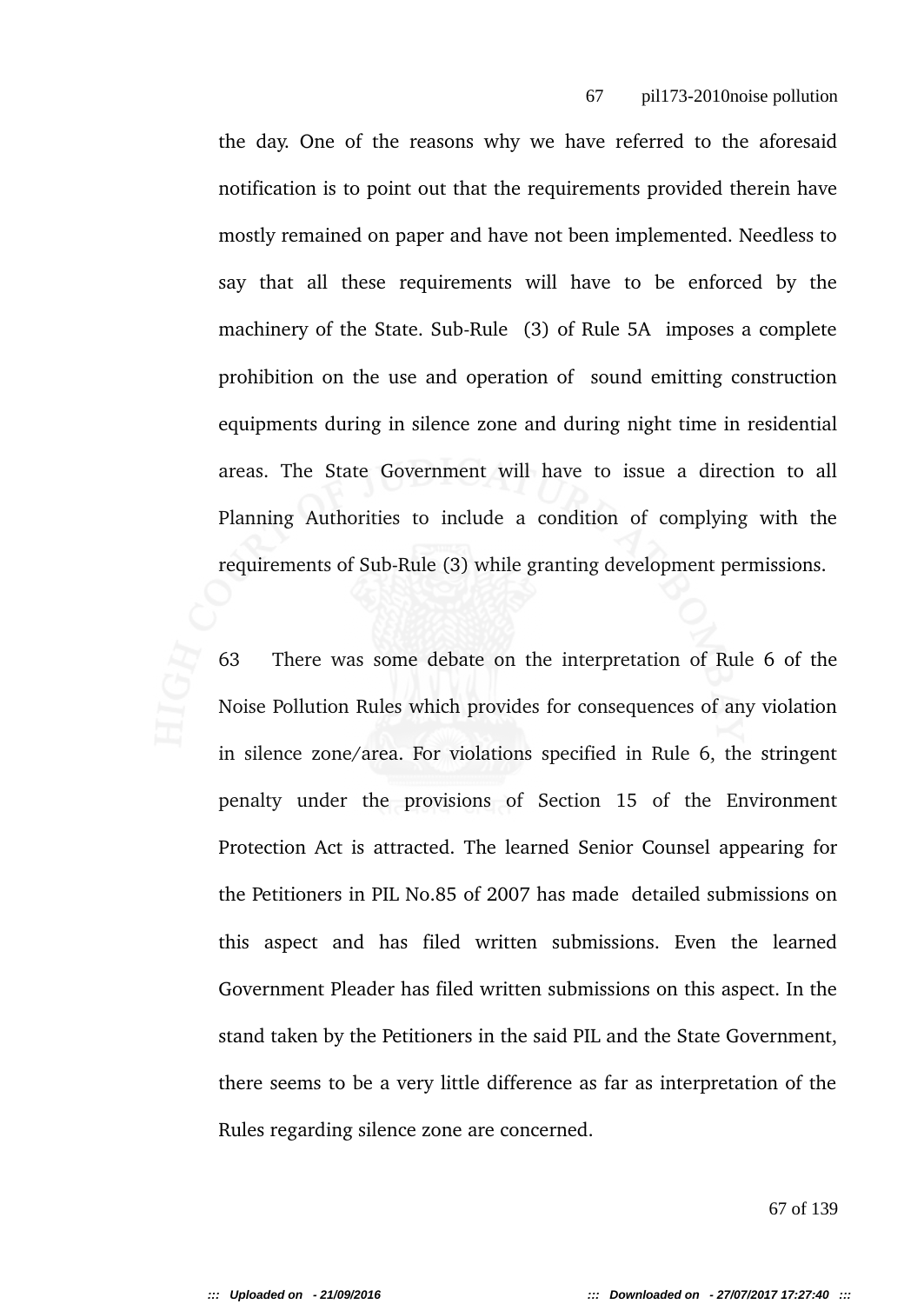## 67 pil173-2010noise pollution

the day. One of the reasons why we have referred to the aforesaid notification is to point out that the requirements provided therein have mostly remained on paper and have not been implemented. Needless to say that all these requirements will have to be enforced by the machinery of the State. Sub-Rule (3) of Rule 5A imposes a complete prohibition on the use and operation of sound emitting construction equipments during in silence zone and during night time in residential areas. The State Government will have to issue a direction to all Planning Authorities to include a condition of complying with the requirements of Sub-Rule (3) while granting development permissions.

63 There was some debate on the interpretation of Rule 6 of the Noise Pollution Rules which provides for consequences of any violation in silence zone/area. For violations specified in Rule 6, the stringent penalty under the provisions of Section 15 of the Environment Protection Act is attracted. The learned Senior Counsel appearing for the Petitioners in PIL No.85 of 2007 has made detailed submissions on this aspect and has filed written submissions. Even the learned Government Pleader has filed written submissions on this aspect. In the stand taken by the Petitioners in the said PIL and the State Government, there seems to be a very little difference as far as interpretation of the Rules regarding silence zone are concerned.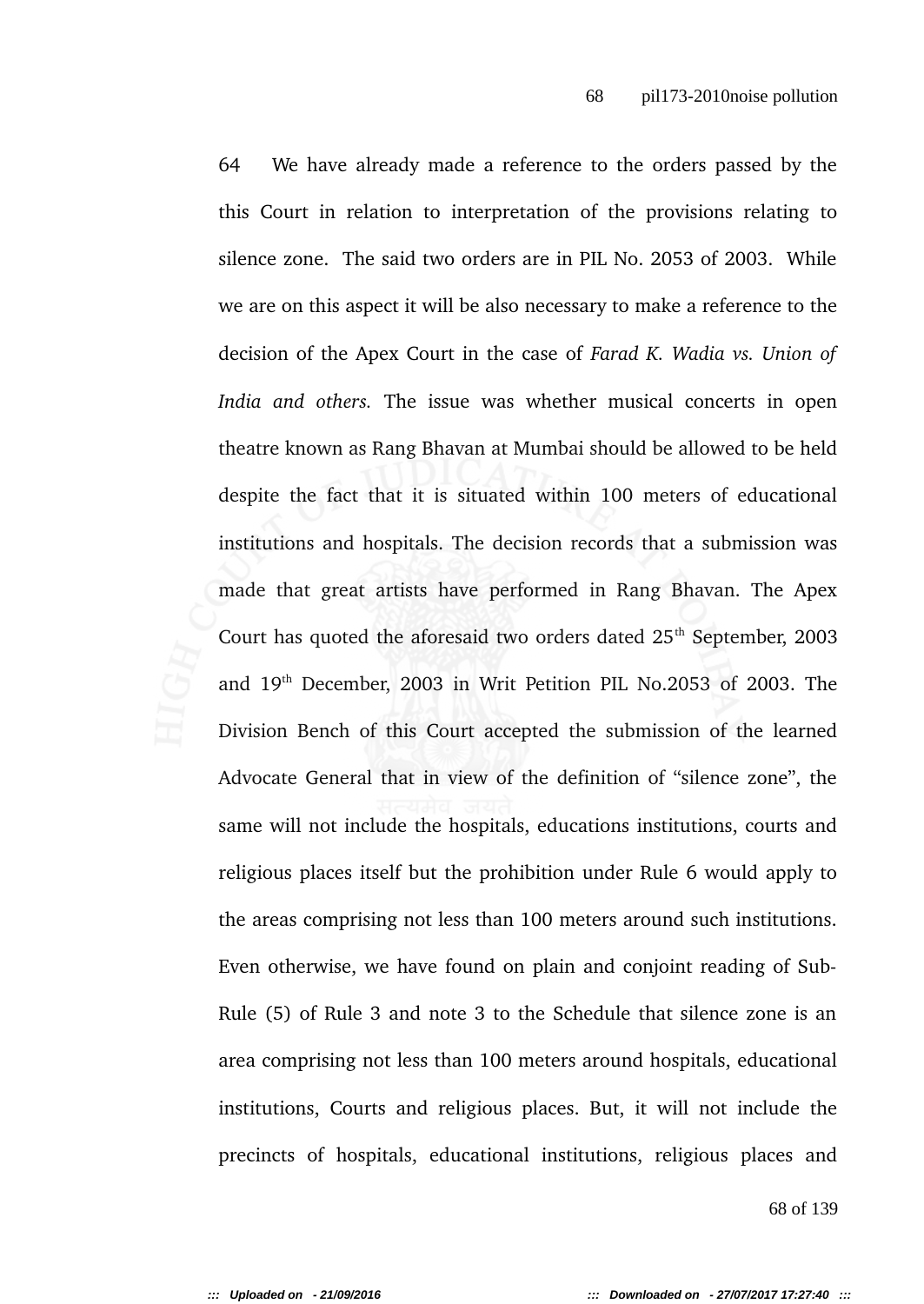64 We have already made a reference to the orders passed by the this Court in relation to interpretation of the provisions relating to silence zone. The said two orders are in PIL No. 2053 of 2003. While we are on this aspect it will be also necessary to make a reference to the decision of the Apex Court in the case of *Farad K. Wadia vs. Union of India and others.* The issue was whether musical concerts in open theatre known as Rang Bhavan at Mumbai should be allowed to be held despite the fact that it is situated within 100 meters of educational institutions and hospitals. The decision records that a submission was made that great artists have performed in Rang Bhavan. The Apex Court has quoted the aforesaid two orders dated  $25<sup>th</sup>$  September, 2003 and 19<sup>th</sup> December, 2003 in Writ Petition PIL No.2053 of 2003. The Division Bench of this Court accepted the submission of the learned Advocate General that in view of the definition of "silence zone", the same will not include the hospitals, educations institutions, courts and religious places itself but the prohibition under Rule 6 would apply to the areas comprising not less than 100 meters around such institutions. Even otherwise, we have found on plain and conjoint reading of Sub-Rule (5) of Rule 3 and note 3 to the Schedule that silence zone is an area comprising not less than 100 meters around hospitals, educational institutions, Courts and religious places. But, it will not include the precincts of hospitals, educational institutions, religious places and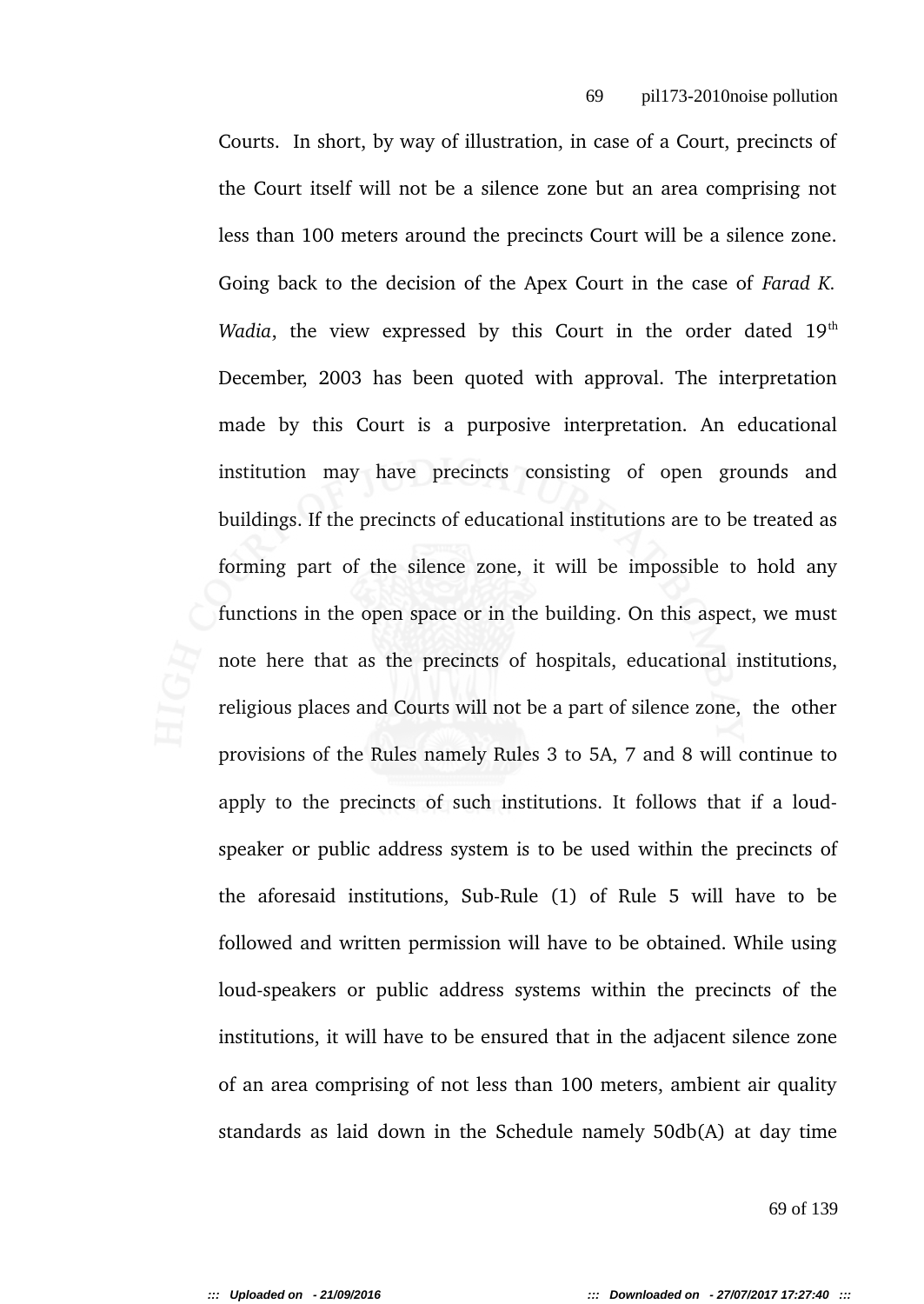Courts. In short, by way of illustration, in case of a Court, precincts of the Court itself will not be a silence zone but an area comprising not less than 100 meters around the precincts Court will be a silence zone. Going back to the decision of the Apex Court in the case of *Farad K. Wadia*, the view expressed by this Court in the order dated 19<sup>th</sup> December, 2003 has been quoted with approval. The interpretation made by this Court is a purposive interpretation. An educational institution may have precincts consisting of open grounds and buildings. If the precincts of educational institutions are to be treated as forming part of the silence zone, it will be impossible to hold any functions in the open space or in the building. On this aspect, we must note here that as the precincts of hospitals, educational institutions, religious places and Courts will not be a part of silence zone, the other provisions of the Rules namely Rules 3 to 5A, 7 and 8 will continue to apply to the precincts of such institutions. It follows that if a loudspeaker or public address system is to be used within the precincts of the aforesaid institutions, Sub-Rule  $(1)$  of Rule 5 will have to be followed and written permission will have to be obtained. While using loud-speakers or public address systems within the precincts of the institutions, it will have to be ensured that in the adjacent silence zone of an area comprising of not less than 100 meters, ambient air quality standards as laid down in the Schedule namely 50db(A) at day time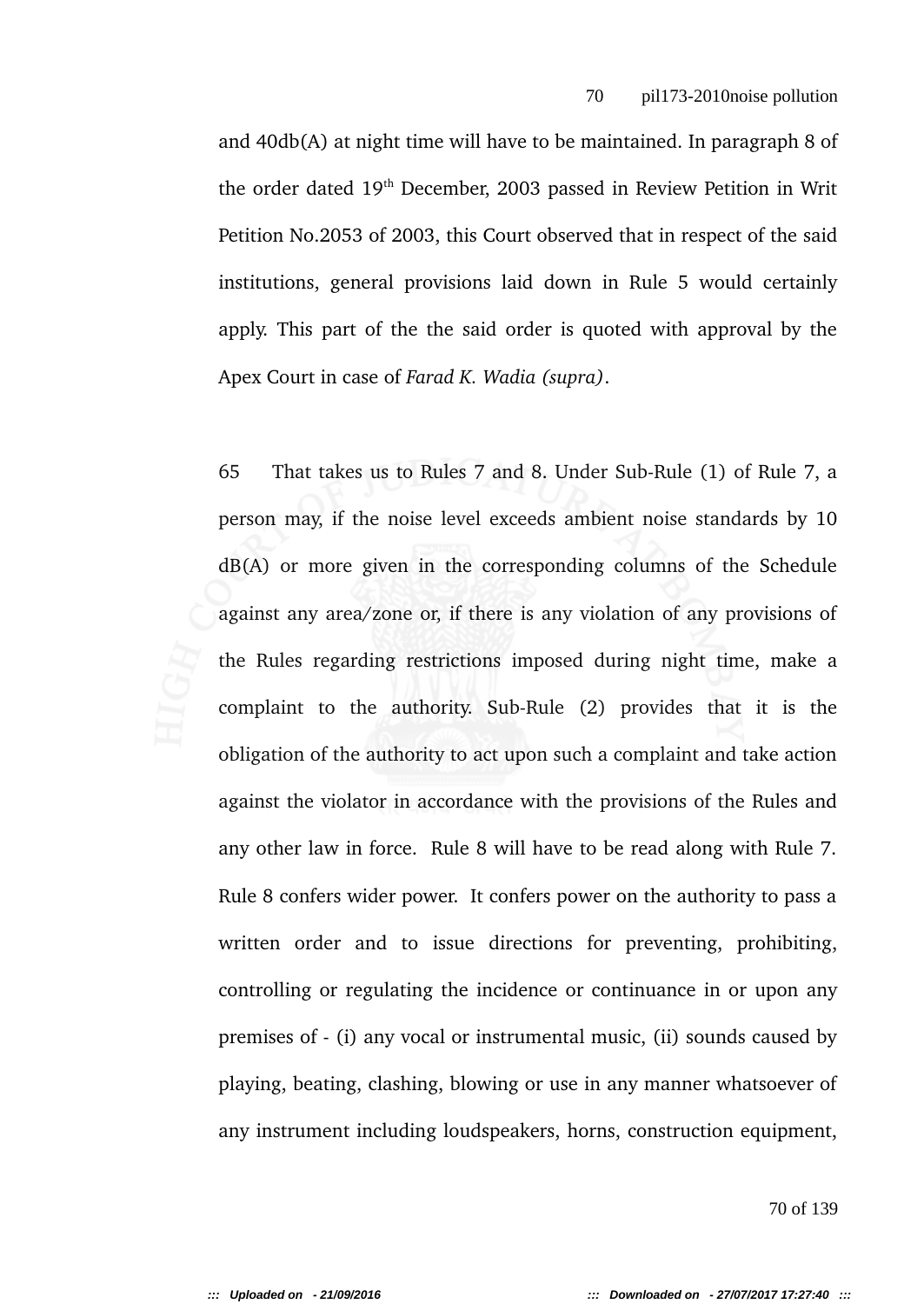and 40db(A) at night time will have to be maintained. In paragraph 8 of the order dated 19<sup>th</sup> December, 2003 passed in Review Petition in Writ Petition No.2053 of 2003, this Court observed that in respect of the said institutions, general provisions laid down in Rule 5 would certainly apply. This part of the the said order is quoted with approval by the Apex Court in case of *Farad K. Wadia (supra)*.

65 That takes us to Rules 7 and 8. Under Sub-Rule (1) of Rule 7, a person may, if the noise level exceeds ambient noise standards by 10 dB(A) or more given in the corresponding columns of the Schedule against any area/zone or, if there is any violation of any provisions of the Rules regarding restrictions imposed during night time, make a complaint to the authority. Sub-Rule  $(2)$  provides that it is the obligation of the authority to act upon such a complaint and take action against the violator in accordance with the provisions of the Rules and any other law in force. Rule 8 will have to be read along with Rule 7. Rule 8 confers wider power. It confers power on the authority to pass a written order and to issue directions for preventing, prohibiting, controlling or regulating the incidence or continuance in or upon any premises of - (i) any vocal or instrumental music, (ii) sounds caused by playing, beating, clashing, blowing or use in any manner whatsoever of any instrument including loudspeakers, horns, construction equipment,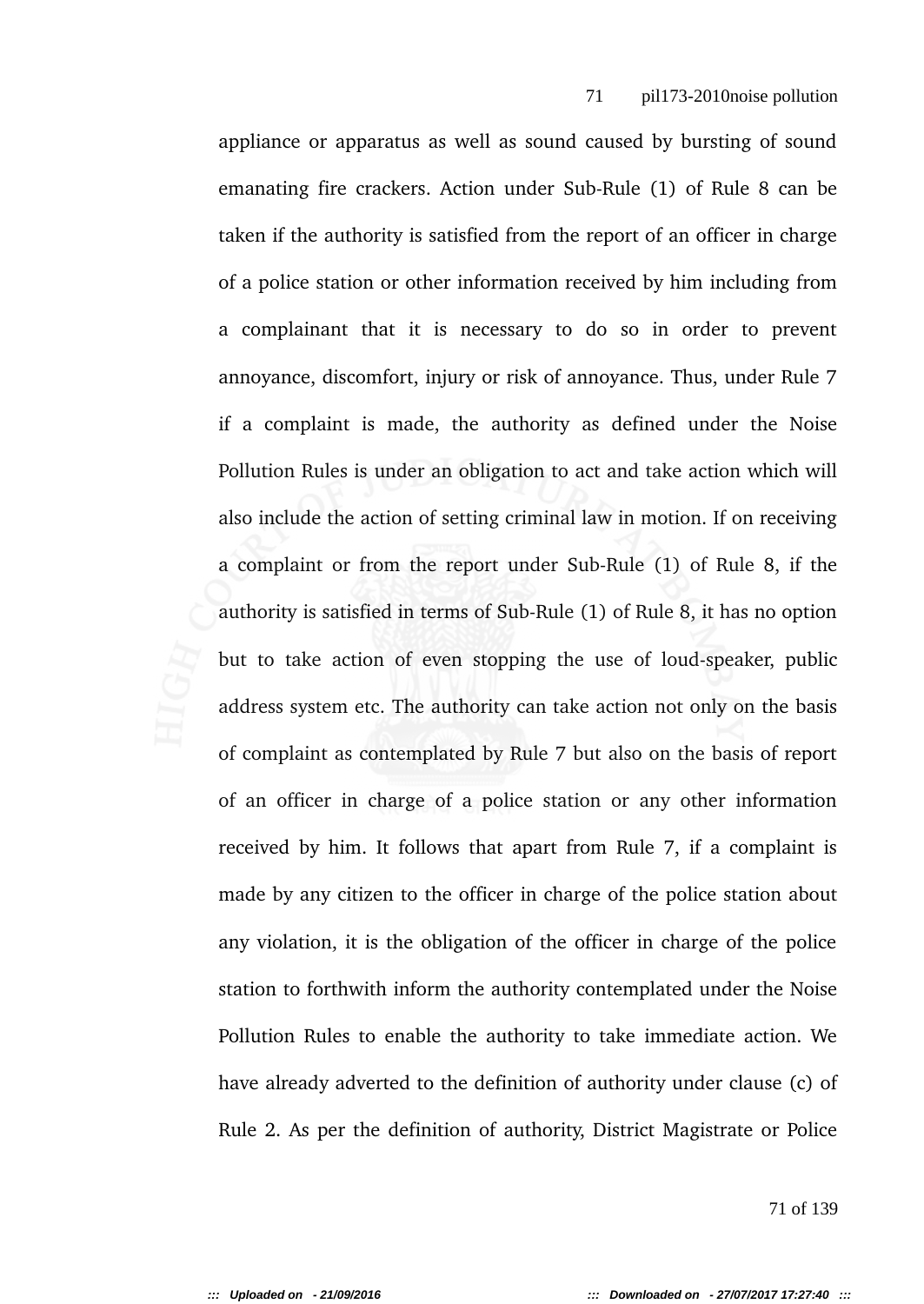appliance or apparatus as well as sound caused by bursting of sound emanating fire crackers. Action under Sub-Rule (1) of Rule 8 can be taken if the authority is satisfied from the report of an officer in charge of a police station or other information received by him including from a complainant that it is necessary to do so in order to prevent annoyance, discomfort, injury or risk of annoyance. Thus, under Rule 7 if a complaint is made, the authority as defined under the Noise Pollution Rules is under an obligation to act and take action which will also include the action of setting criminal law in motion. If on receiving a complaint or from the report under Sub-Rule (1) of Rule 8, if the authority is satisfied in terms of Sub-Rule  $(1)$  of Rule 8, it has no option but to take action of even stopping the use of loud-speaker, public address system etc. The authority can take action not only on the basis of complaint as contemplated by Rule 7 but also on the basis of report of an officer in charge of a police station or any other information received by him. It follows that apart from Rule 7, if a complaint is made by any citizen to the officer in charge of the police station about any violation, it is the obligation of the officer in charge of the police station to forthwith inform the authority contemplated under the Noise Pollution Rules to enable the authority to take immediate action. We have already adverted to the definition of authority under clause (c) of Rule 2. As per the definition of authority, District Magistrate or Police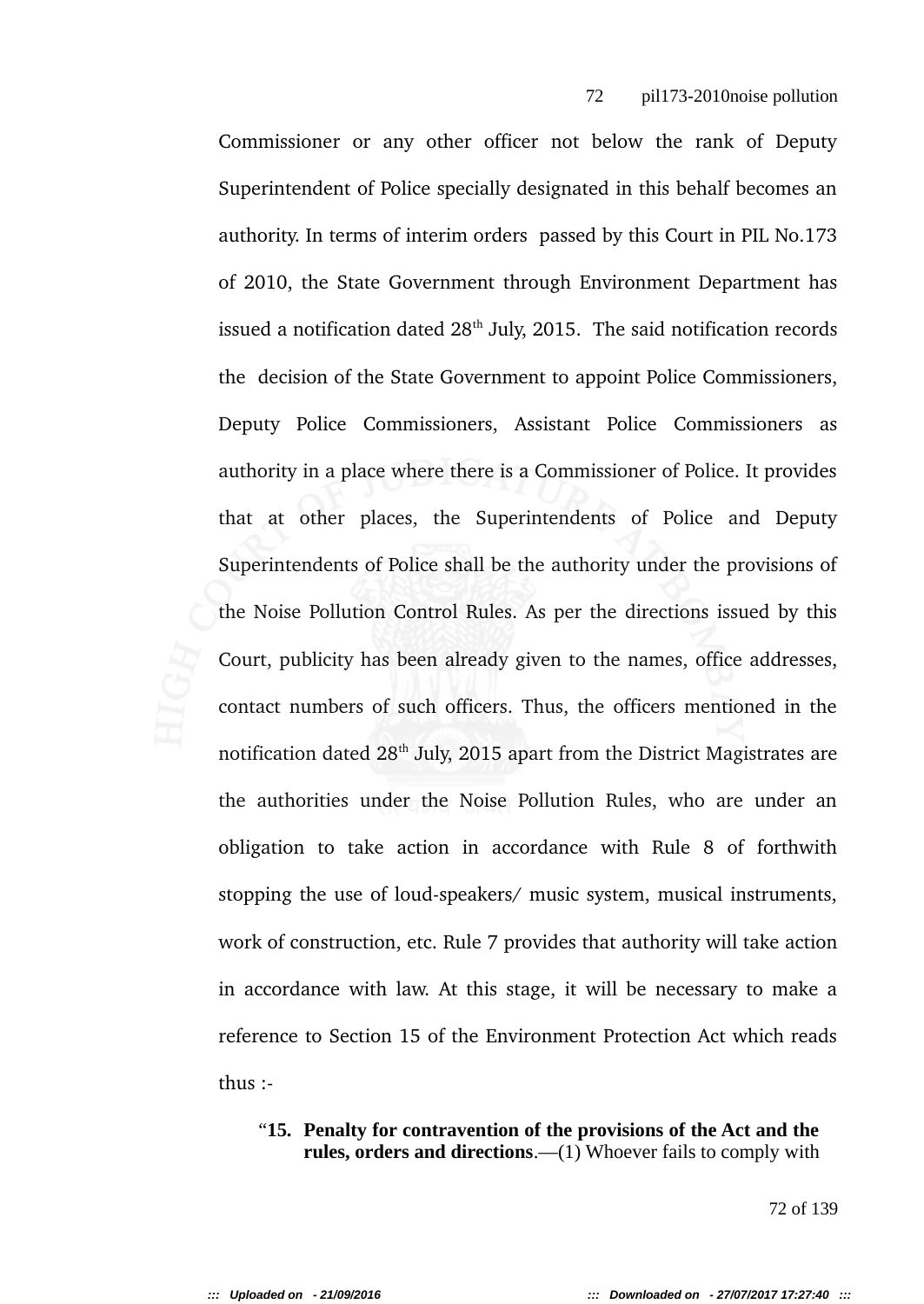Commissioner or any other officer not below the rank of Deputy Superintendent of Police specially designated in this behalf becomes an authority. In terms of interim orders passed by this Court in PIL No.173 of 2010, the State Government through Environment Department has issued a notification dated  $28<sup>th</sup>$  July, 2015. The said notification records the decision of the State Government to appoint Police Commissioners, Deputy Police Commissioners, Assistant Police Commissioners as authority in a place where there is a Commissioner of Police. It provides that at other places, the Superintendents of Police and Deputy Superintendents of Police shall be the authority under the provisions of the Noise Pollution Control Rules. As per the directions issued by this Court, publicity has been already given to the names, office addresses, contact numbers of such officers. Thus, the officers mentioned in the notification dated  $28<sup>th</sup>$  July, 2015 apart from the District Magistrates are the authorities under the Noise Pollution Rules, who are under an obligation to take action in accordance with Rule 8 of forthwith stopping the use of loud-speakers/ music system, musical instruments, work of construction, etc. Rule 7 provides that authority will take action in accordance with law. At this stage, it will be necessary to make a reference to Section 15 of the Environment Protection Act which reads thus :

## "**15. Penalty for contravention of the provisions of the Act and the rules, orders and directions**.—(1) Whoever fails to comply with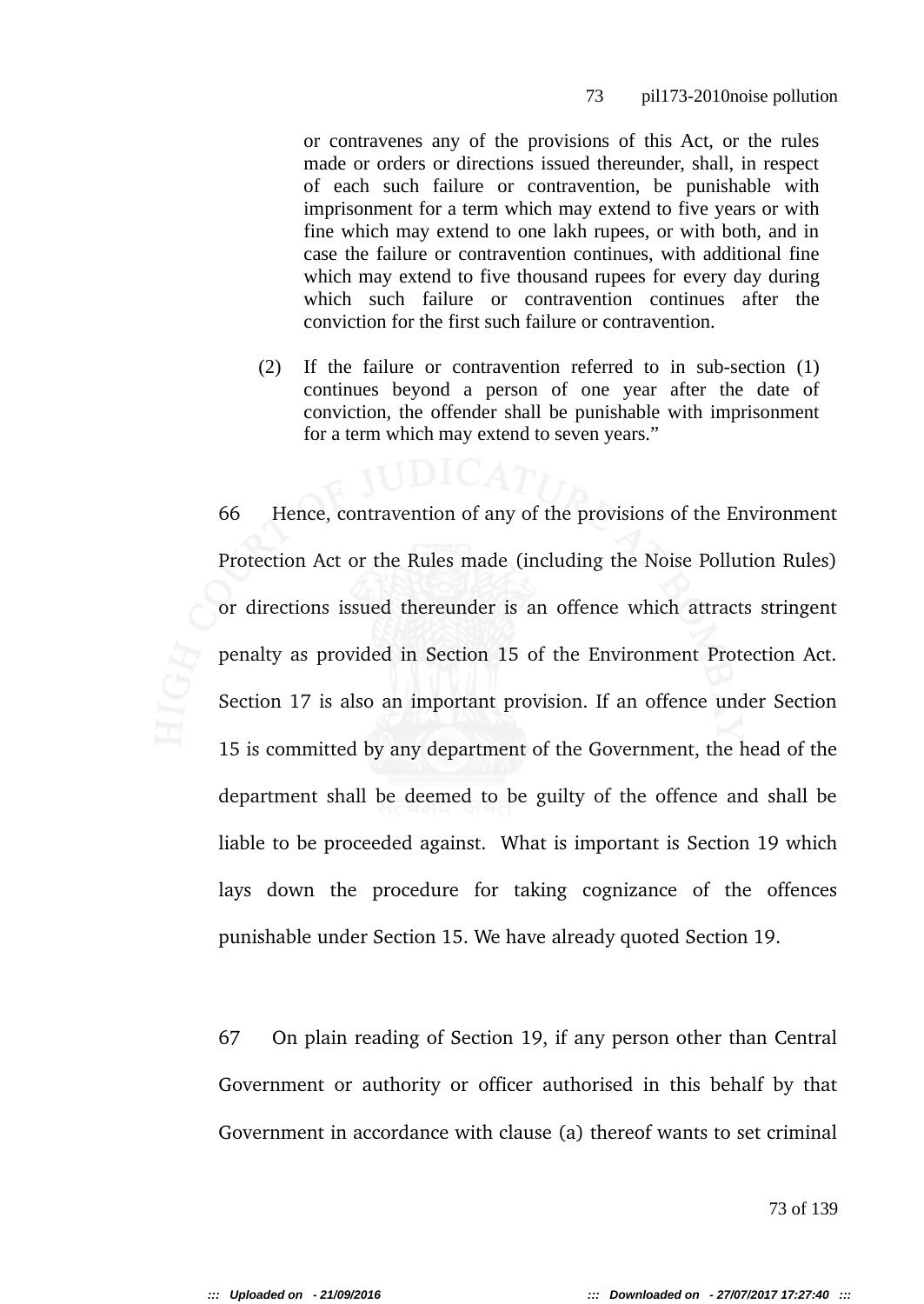or contravenes any of the provisions of this Act, or the rules made or orders or directions issued thereunder, shall, in respect of each such failure or contravention, be punishable with imprisonment for a term which may extend to five years or with fine which may extend to one lakh rupees, or with both, and in case the failure or contravention continues, with additional fine which may extend to five thousand rupees for every day during which such failure or contravention continues after the conviction for the first such failure or contravention.

(2) If the failure or contravention referred to in sub-section (1) continues beyond a person of one year after the date of conviction, the offender shall be punishable with imprisonment for a term which may extend to seven years."

66 Hence, contravention of any of the provisions of the Environment Protection Act or the Rules made (including the Noise Pollution Rules) or directions issued thereunder is an offence which attracts stringent penalty as provided in Section 15 of the Environment Protection Act. Section 17 is also an important provision. If an offence under Section 15 is committed by any department of the Government, the head of the department shall be deemed to be guilty of the offence and shall be liable to be proceeded against. What is important is Section 19 which lays down the procedure for taking cognizance of the offences punishable under Section 15. We have already quoted Section 19.

67 On plain reading of Section 19, if any person other than Central Government or authority or officer authorised in this behalf by that Government in accordance with clause (a) thereof wants to set criminal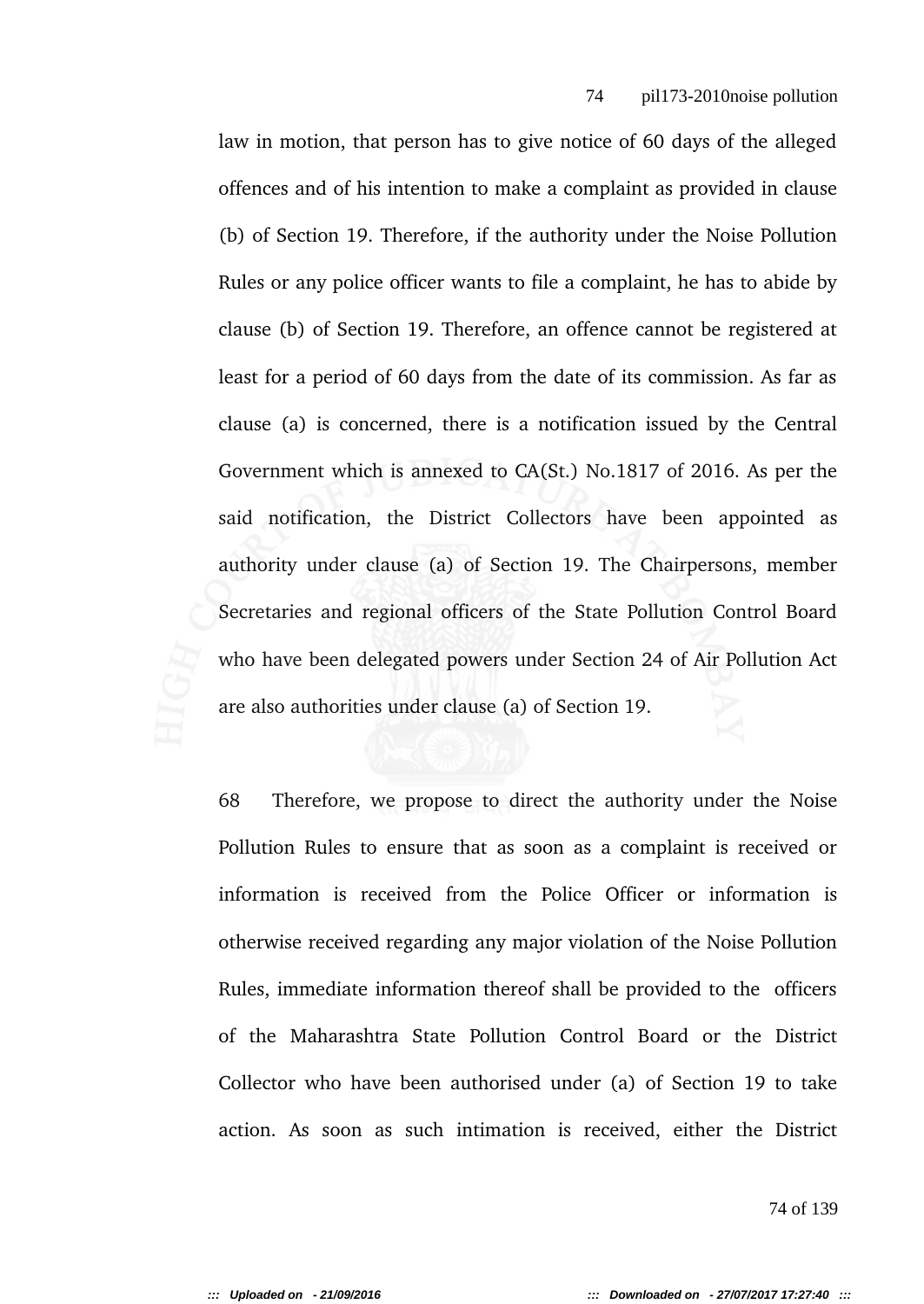law in motion, that person has to give notice of 60 days of the alleged offences and of his intention to make a complaint as provided in clause (b) of Section 19. Therefore, if the authority under the Noise Pollution Rules or any police officer wants to file a complaint, he has to abide by clause (b) of Section 19. Therefore, an offence cannot be registered at least for a period of 60 days from the date of its commission. As far as clause (a) is concerned, there is a notification issued by the Central Government which is annexed to CA(St.) No.1817 of 2016. As per the said notification, the District Collectors have been appointed as authority under clause (a) of Section 19. The Chairpersons, member Secretaries and regional officers of the State Pollution Control Board who have been delegated powers under Section 24 of Air Pollution Act are also authorities under clause (a) of Section 19.

68 Therefore, we propose to direct the authority under the Noise Pollution Rules to ensure that as soon as a complaint is received or information is received from the Police Officer or information is otherwise received regarding any major violation of the Noise Pollution Rules, immediate information thereof shall be provided to the officers of the Maharashtra State Pollution Control Board or the District Collector who have been authorised under (a) of Section 19 to take action. As soon as such intimation is received, either the District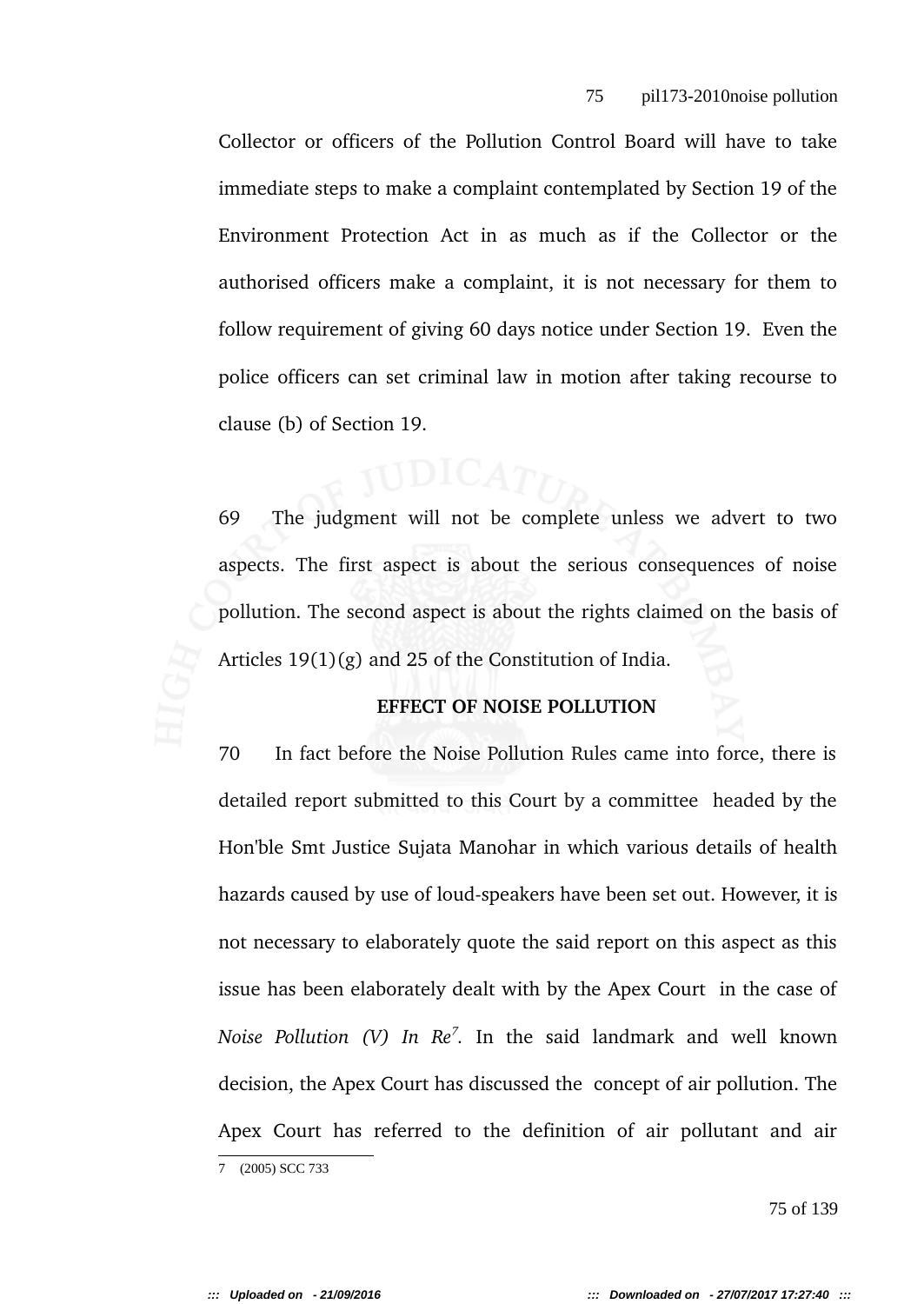Collector or officers of the Pollution Control Board will have to take immediate steps to make a complaint contemplated by Section 19 of the Environment Protection Act in as much as if the Collector or the authorised officers make a complaint, it is not necessary for them to follow requirement of giving 60 days notice under Section 19. Even the police officers can set criminal law in motion after taking recourse to clause (b) of Section 19.

69 The judgment will not be complete unless we advert to two aspects. The first aspect is about the serious consequences of noise pollution. The second aspect is about the rights claimed on the basis of Articles 19(1)(g) and 25 of the Constitution of India.

#### **EFFECT OF NOISE POLLUTION**

70 In fact before the Noise Pollution Rules came into force, there is detailed report submitted to this Court by a committee headed by the Hon'ble Smt Justice Sujata Manohar in which various details of health hazards caused by use of loud-speakers have been set out. However, it is not necessary to elaborately quote the said report on this aspect as this issue has been elaborately dealt with by the Apex Court in the case of *Noise Pollution (V) In Re<sup>7</sup> .* In the said landmark and well known decision, the Apex Court has discussed the concept of air pollution. The Apex Court has referred to the definition of air pollutant and air

<sup>7</sup> (2005) SCC 733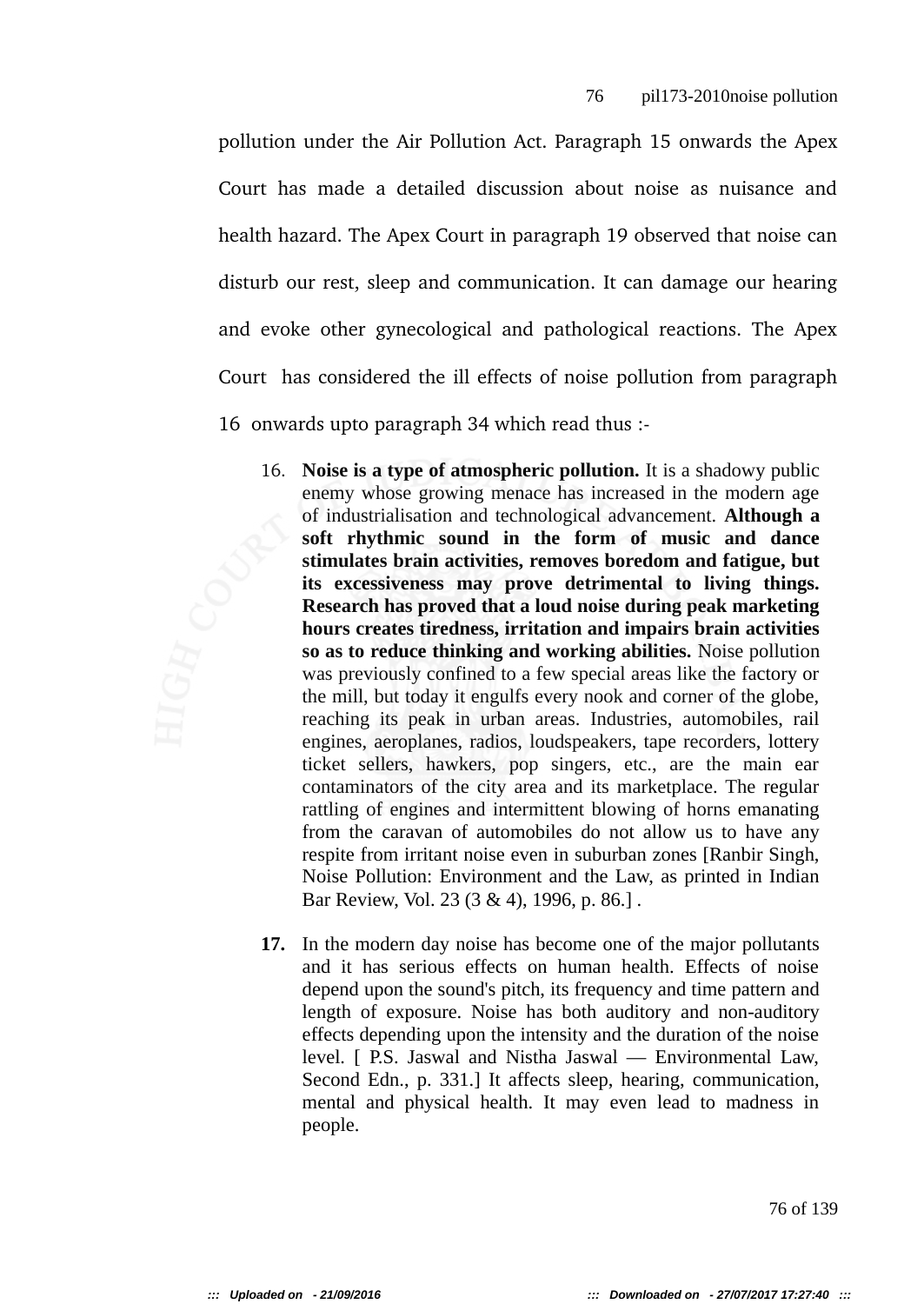pollution under the Air Pollution Act. Paragraph 15 onwards the Apex Court has made a detailed discussion about noise as nuisance and health hazard. The Apex Court in paragraph 19 observed that noise can disturb our rest, sleep and communication. It can damage our hearing and evoke other gynecological and pathological reactions. The Apex Court has considered the ill effects of noise pollution from paragraph 16 onwards upto paragraph 34 which read thus :

- 16. **Noise is a type of atmospheric pollution.** It is a shadowy public enemy whose growing menace has increased in the modern age of industrialisation and technological advancement. **Although a soft rhythmic sound in the form of music and dance stimulates brain activities, removes boredom and fatigue, but its excessiveness may prove detrimental to living things. Research has proved that a loud noise during peak marketing hours creates tiredness, irritation and impairs brain activities so as to reduce thinking and working abilities.** Noise pollution was previously confined to a few special areas like the factory or the mill, but today it engulfs every nook and corner of the globe, reaching its peak in urban areas. Industries, automobiles, rail engines, aeroplanes, radios, loudspeakers, tape recorders, lottery ticket sellers, hawkers, pop singers, etc., are the main ear contaminators of the city area and its marketplace. The regular rattling of engines and intermittent blowing of horns emanating from the caravan of automobiles do not allow us to have any respite from irritant noise even in suburban zones [Ranbir Singh, Noise Pollution: Environment and the Law, as printed in Indian Bar Review, Vol. 23 (3 & 4), 1996, p. 86.] .
- **17.** In the modern day noise has become one of the major pollutants and it has serious effects on human health. Effects of noise depend upon the sound's pitch, its frequency and time pattern and length of exposure. Noise has both auditory and non-auditory effects depending upon the intensity and the duration of the noise level. [ P.S. Jaswal and Nistha Jaswal — Environmental Law, Second Edn., p. 331.] It affects sleep, hearing, communication, mental and physical health. It may even lead to madness in people.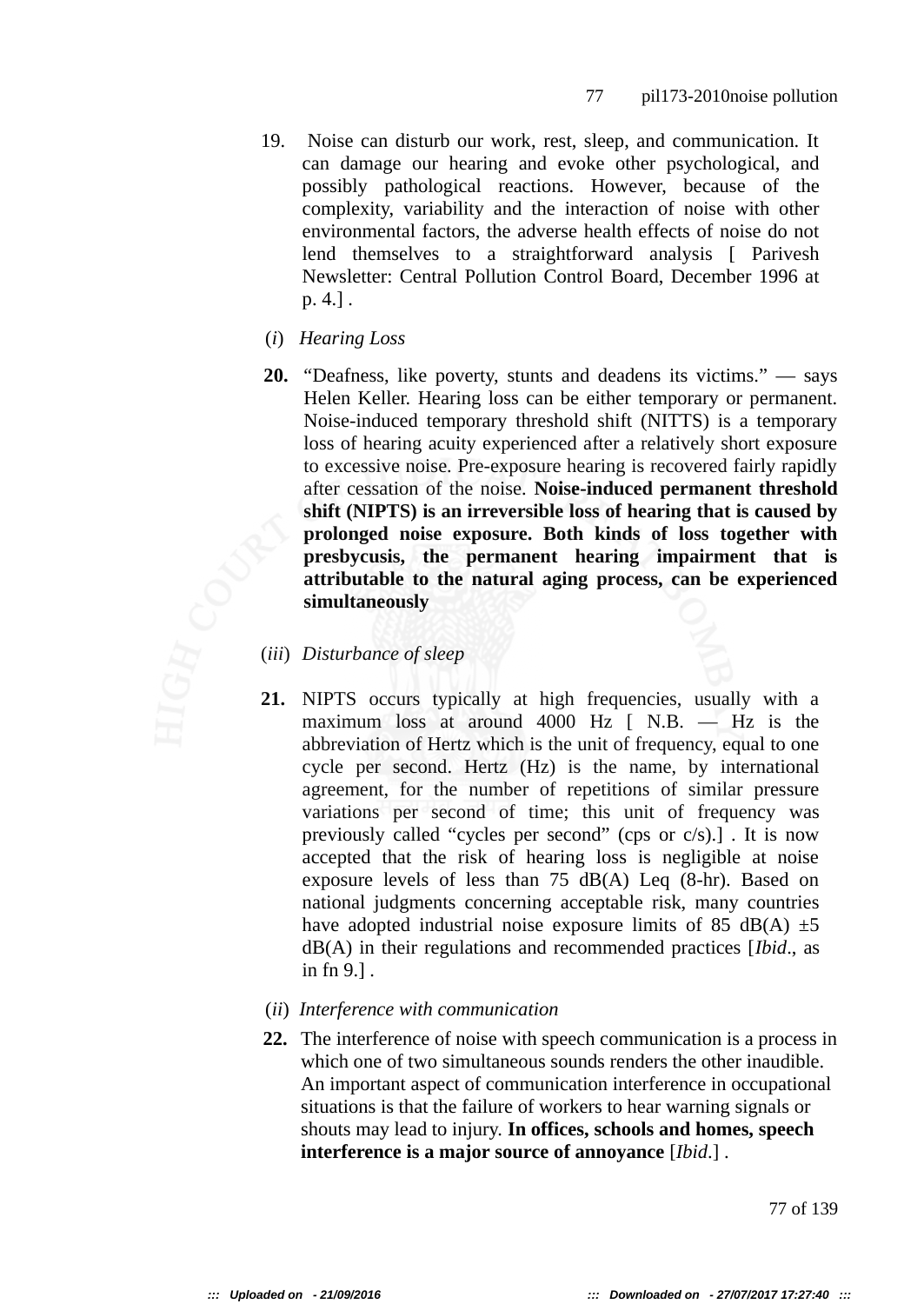- 19. Noise can disturb our work, rest, sleep, and communication. It can damage our hearing and evoke other psychological, and possibly pathological reactions. However, because of the complexity, variability and the interaction of noise with other environmental factors, the adverse health effects of noise do not lend themselves to a straightforward analysis [ Parivesh Newsletter: Central Pollution Control Board, December 1996 at p. 4.] .
- (*i*) *Hearing Loss*
- **20.** *"*Deafness, like poverty, stunts and deadens its victims." says Helen Keller. Hearing loss can be either temporary or permanent. Noise-induced temporary threshold shift (NITTS) is a temporary loss of hearing acuity experienced after a relatively short exposure to excessive noise. Pre-exposure hearing is recovered fairly rapidly after cessation of the noise. **Noise-induced permanent threshold shift (NIPTS) is an irreversible loss of hearing that is caused by prolonged noise exposure. Both kinds of loss together with presbycusis, the permanent hearing impairment that is attributable to the natural aging process, can be experienced simultaneously**

### (*iii*) *Disturbance of sleep*

- **21.** NIPTS occurs typically at high frequencies, usually with a maximum loss at around 4000 Hz [ N.B. — Hz is the abbreviation of Hertz which is the unit of frequency, equal to one cycle per second. Hertz (Hz) is the name, by international agreement, for the number of repetitions of similar pressure variations per second of time; this unit of frequency was previously called "cycles per second" (cps or c/s).] . It is now accepted that the risk of hearing loss is negligible at noise exposure levels of less than 75 dB(A) Leq (8-hr). Based on national judgments concerning acceptable risk, many countries have adopted industrial noise exposure limits of 85 dB(A)  $\pm$ 5 dB(A) in their regulations and recommended practices [*Ibid*., as in fn 9.] .
- (*ii*) *Interference with communication*
- **22.** The interference of noise with speech communication is a process in which one of two simultaneous sounds renders the other inaudible. An important aspect of communication interference in occupational situations is that the failure of workers to hear warning signals or shouts may lead to injury. **In offices, schools and homes, speech interference is a major source of annoyance** [*Ibid*.] .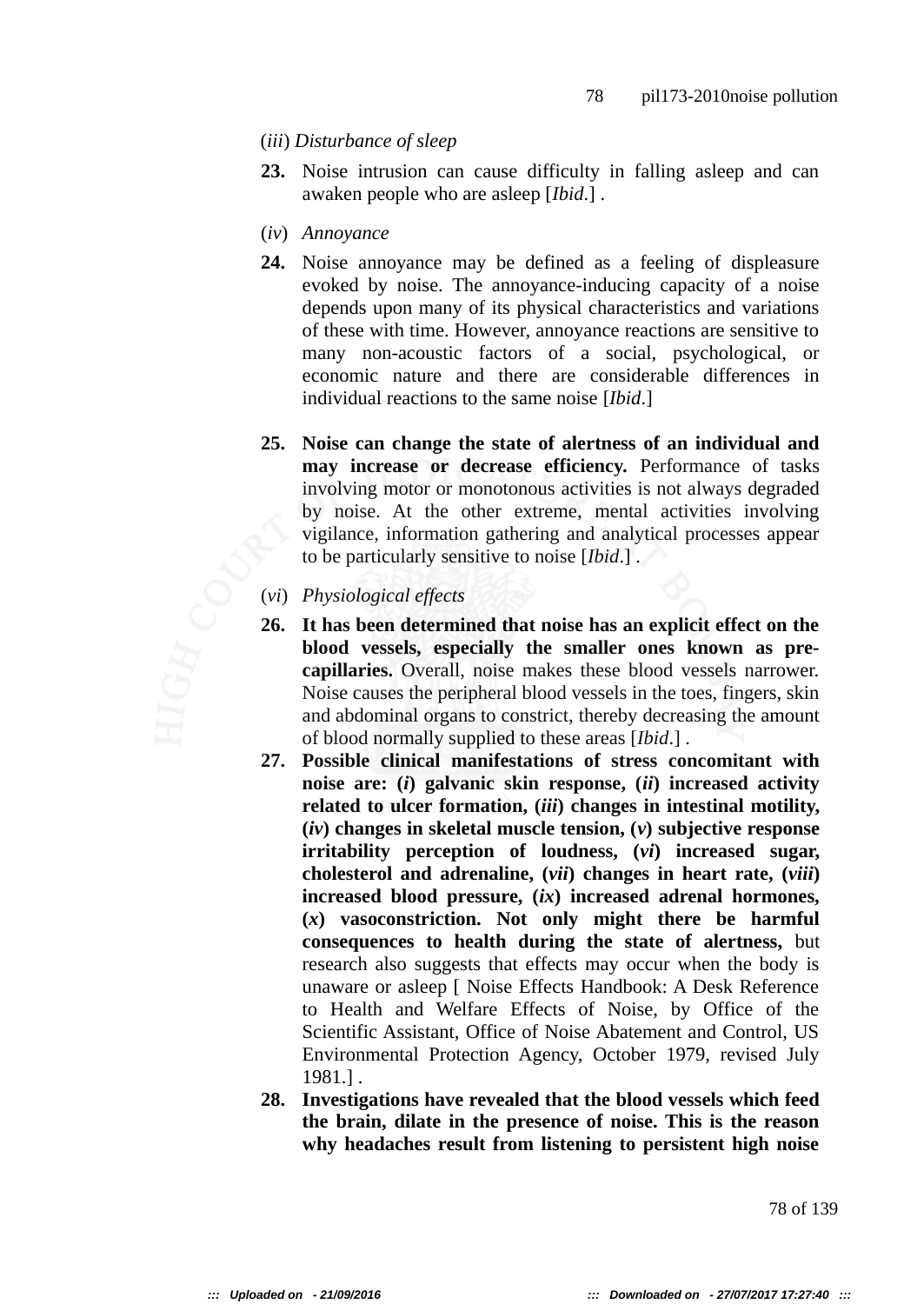- (*iii*) *Disturbance of sleep*
- **23.** Noise intrusion can cause difficulty in falling asleep and can awaken people who are asleep [*Ibid*.] .
- (*iv*) *Annoyance*
- **24.** Noise annoyance may be defined as a feeling of displeasure evoked by noise. The annoyance-inducing capacity of a noise depends upon many of its physical characteristics and variations of these with time. However, annoyance reactions are sensitive to many non-acoustic factors of a social, psychological, or economic nature and there are considerable differences in individual reactions to the same noise [*Ibid*.]
- **25. Noise can change the state of alertness of an individual and may increase or decrease efficiency.** Performance of tasks involving motor or monotonous activities is not always degraded by noise. At the other extreme, mental activities involving vigilance, information gathering and analytical processes appear to be particularly sensitive to noise [*Ibid*.] .

# (*vi*) *Physiological effects*

- **26. It has been determined that noise has an explicit effect on the blood vessels, especially the smaller ones known as precapillaries.** Overall, noise makes these blood vessels narrower. Noise causes the peripheral blood vessels in the toes, fingers, skin and abdominal organs to constrict, thereby decreasing the amount of blood normally supplied to these areas [*Ibid*.] .
- **27. Possible clinical manifestations of stress concomitant with noise are: (***i***) galvanic skin response, (***ii***) increased activity related to ulcer formation, (***iii***) changes in intestinal motility, (***iv***) changes in skeletal muscle tension, (***v***) subjective response irritability perception of loudness, (***vi***) increased sugar, cholesterol and adrenaline, (***vii***) changes in heart rate, (***viii***) increased blood pressure, (***ix***) increased adrenal hormones, (***x***) vasoconstriction. Not only might there be harmful consequences to health during the state of alertness,** but research also suggests that effects may occur when the body is unaware or asleep [ Noise Effects Handbook: A Desk Reference to Health and Welfare Effects of Noise, by Office of the Scientific Assistant, Office of Noise Abatement and Control, US Environmental Protection Agency, October 1979, revised July 1981.] .
- **28. Investigations have revealed that the blood vessels which feed the brain, dilate in the presence of noise. This is the reason why headaches result from listening to persistent high noise**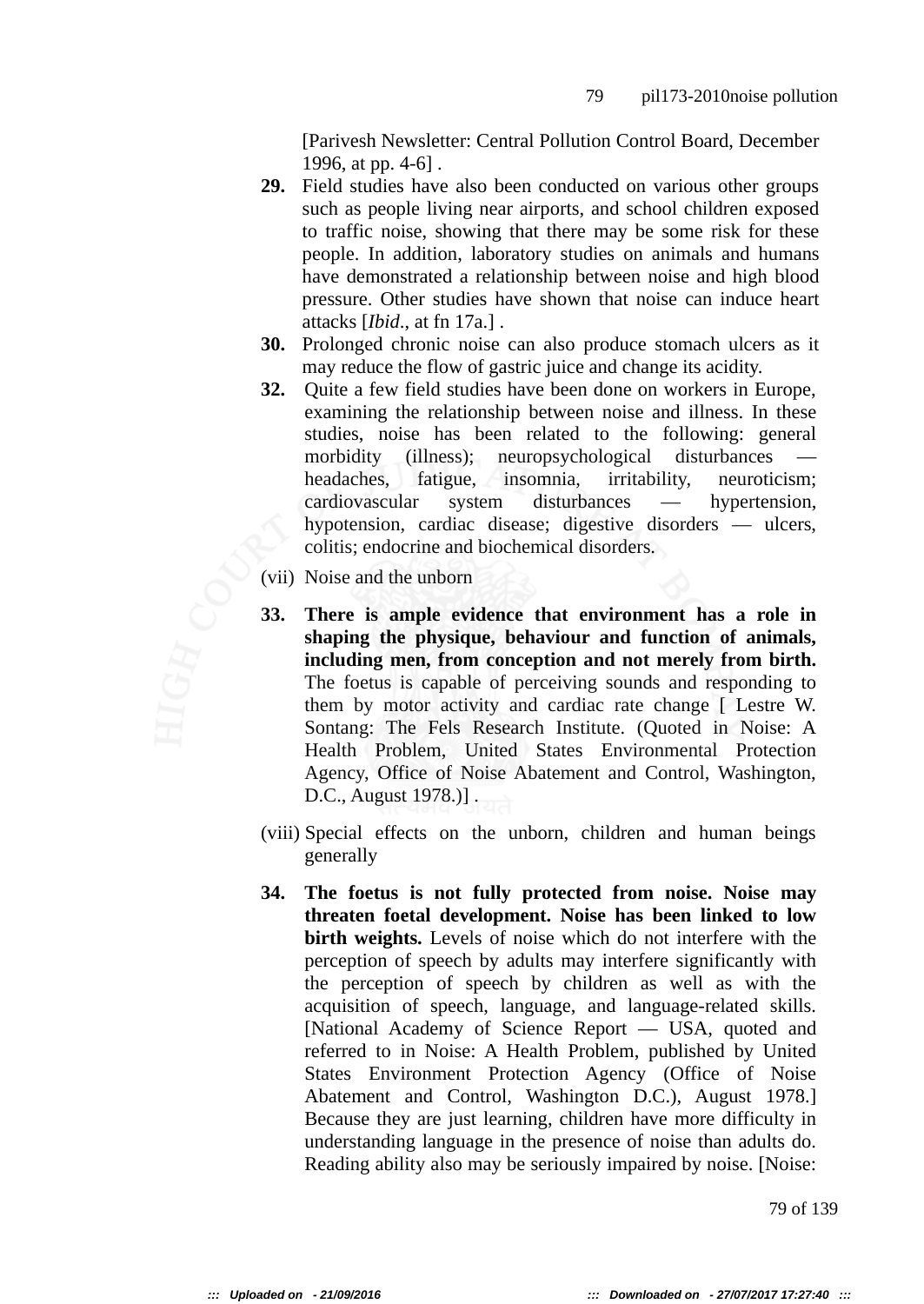[Parivesh Newsletter: Central Pollution Control Board, December 1996, at pp. 4-6] .

- **29.** Field studies have also been conducted on various other groups such as people living near airports, and school children exposed to traffic noise, showing that there may be some risk for these people. In addition, laboratory studies on animals and humans have demonstrated a relationship between noise and high blood pressure. Other studies have shown that noise can induce heart attacks [*Ibid*., at fn 17a.] .
- **30.** Prolonged chronic noise can also produce stomach ulcers as it may reduce the flow of gastric juice and change its acidity.
- **32.** Quite a few field studies have been done on workers in Europe, examining the relationship between noise and illness. In these studies, noise has been related to the following: general morbidity (illness); neuropsychological disturbances headaches, fatigue, insomnia, irritability, neuroticism; cardiovascular system disturbances — hypertension, hypotension, cardiac disease; digestive disorders — ulcers, colitis; endocrine and biochemical disorders.
- (vii) Noise and the unborn
- **33. There is ample evidence that environment has a role in shaping the physique, behaviour and function of animals, including men, from conception and not merely from birth.** The foetus is capable of perceiving sounds and responding to them by motor activity and cardiac rate change [ Lestre W. Sontang: The Fels Research Institute. (Quoted in Noise: A Health Problem, United States Environmental Protection Agency, Office of Noise Abatement and Control, Washington, D.C., August 1978.)] .
- (viii) Special effects on the unborn, children and human beings generally
- **34. The foetus is not fully protected from noise. Noise may threaten foetal development. Noise has been linked to low birth weights.** Levels of noise which do not interfere with the perception of speech by adults may interfere significantly with the perception of speech by children as well as with the acquisition of speech, language, and language-related skills. [National Academy of Science Report — USA, quoted and referred to in Noise: A Health Problem, published by United States Environment Protection Agency (Office of Noise Abatement and Control, Washington D.C.), August 1978.] Because they are just learning, children have more difficulty in understanding language in the presence of noise than adults do. Reading ability also may be seriously impaired by noise. [Noise: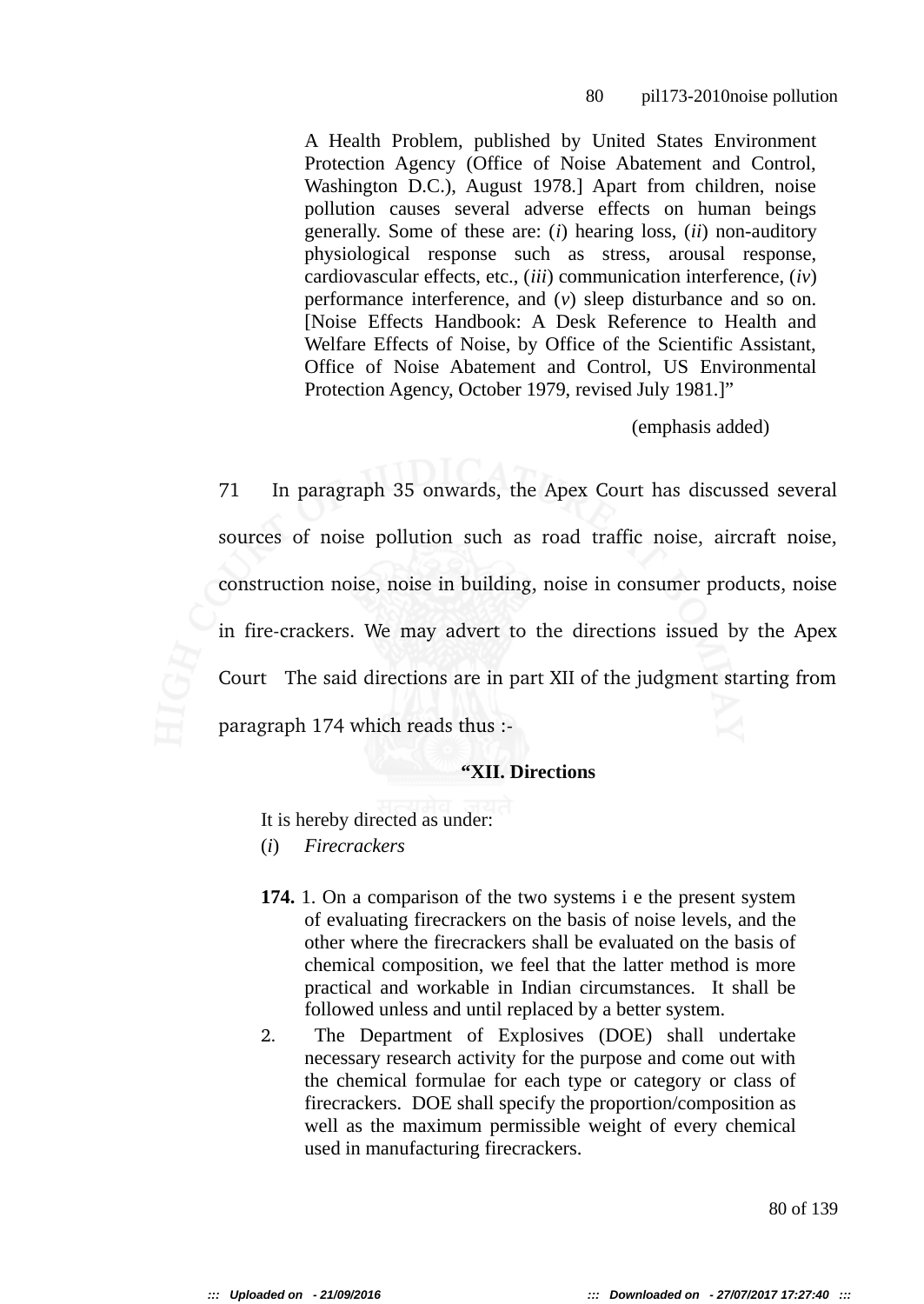A Health Problem, published by United States Environment Protection Agency (Office of Noise Abatement and Control, Washington D.C.), August 1978.] Apart from children, noise pollution causes several adverse effects on human beings generally. Some of these are: (*i*) hearing loss, (*ii*) non-auditory physiological response such as stress, arousal response, cardiovascular effects, etc., (*iii*) communication interference, (*iv*) performance interference, and (*v*) sleep disturbance and so on. [Noise Effects Handbook: A Desk Reference to Health and Welfare Effects of Noise, by Office of the Scientific Assistant, Office of Noise Abatement and Control, US Environmental Protection Agency, October 1979, revised July 1981.]"

(emphasis added)

71 In paragraph 35 onwards, the Apex Court has discussed several sources of noise pollution such as road traffic noise, aircraft noise, construction noise, noise in building, noise in consumer products, noise in fire-crackers. We may advert to the directions issued by the Apex Court The said directions are in part XII of the judgment starting from paragraph 174 which reads thus :

### **"XII. Directions**

It is hereby directed as under:

- (*i*) *Firecrackers*
- **174.** 1. On a comparison of the two systems i e the present system of evaluating firecrackers on the basis of noise levels, and the other where the firecrackers shall be evaluated on the basis of chemical composition, we feel that the latter method is more practical and workable in Indian circumstances. It shall be followed unless and until replaced by a better system.
- 2. The Department of Explosives (DOE) shall undertake necessary research activity for the purpose and come out with the chemical formulae for each type or category or class of firecrackers. DOE shall specify the proportion/composition as well as the maximum permissible weight of every chemical used in manufacturing firecrackers.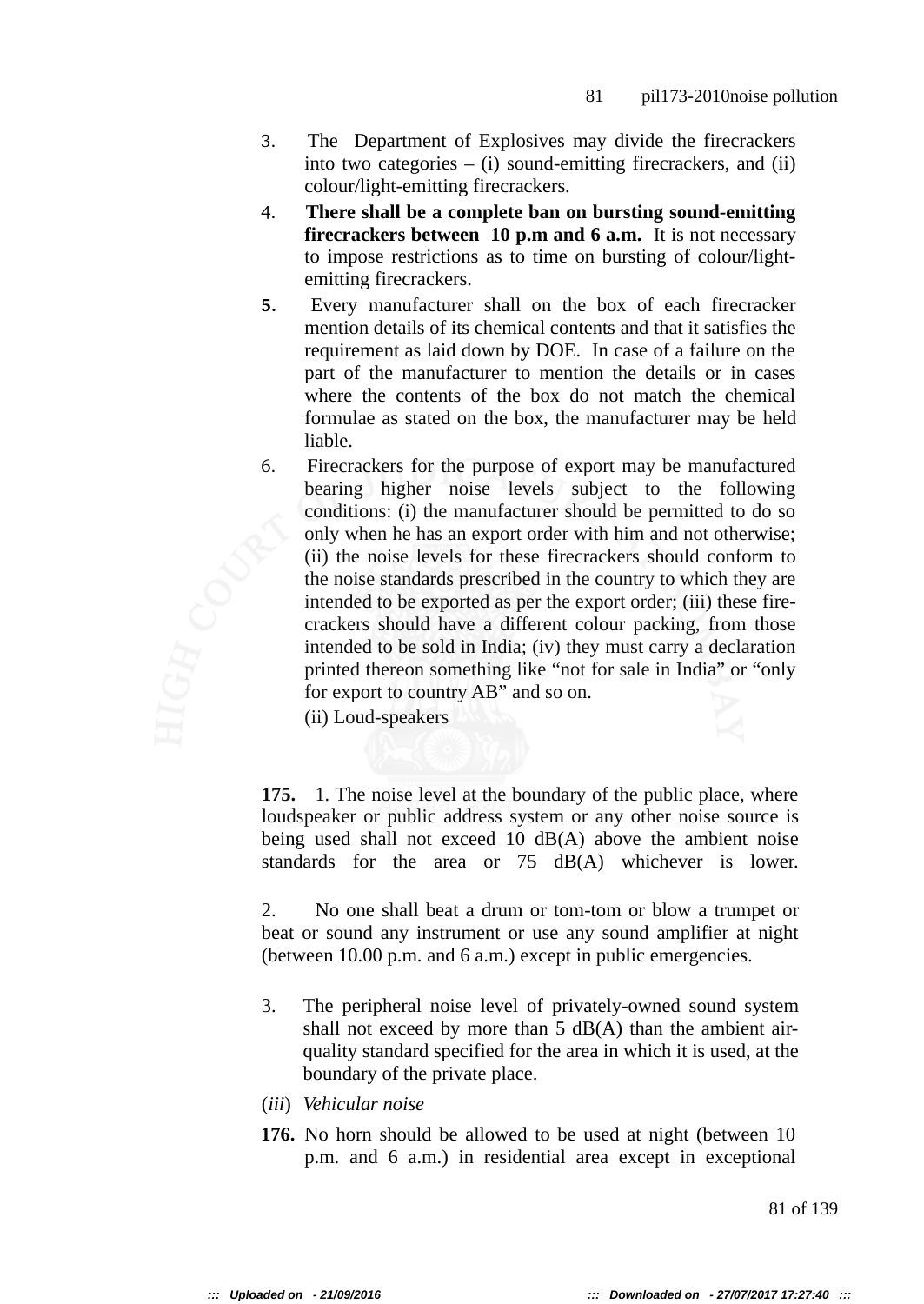- 3. The Department of Explosives may divide the firecrackers into two categories  $-$  (i) sound-emitting firecrackers, and (ii) colour/light-emitting firecrackers.
- 4. **There shall be a complete ban on bursting sound-emitting firecrackers between 10 p.m and 6 a.m.** It is not necessary to impose restrictions as to time on bursting of colour/lightemitting firecrackers.
- **5.** Every manufacturer shall on the box of each firecracker mention details of its chemical contents and that it satisfies the requirement as laid down by DOE. In case of a failure on the part of the manufacturer to mention the details or in cases where the contents of the box do not match the chemical formulae as stated on the box, the manufacturer may be held liable.
- 6. Firecrackers for the purpose of export may be manufactured bearing higher noise levels subject to the following conditions: (i) the manufacturer should be permitted to do so only when he has an export order with him and not otherwise; (ii) the noise levels for these firecrackers should conform to the noise standards prescribed in the country to which they are intended to be exported as per the export order; (iii) these firecrackers should have a different colour packing, from those intended to be sold in India; (iv) they must carry a declaration printed thereon something like "not for sale in India" or "only for export to country AB" and so on.

(ii) Loud-speakers

**175.** 1. The noise level at the boundary of the public place, where loudspeaker or public address system or any other noise source is being used shall not exceed 10  $dB(A)$  above the ambient noise standards for the area or 75 dB(A) whichever is lower.

2. No one shall beat a drum or tom-tom or blow a trumpet or beat or sound any instrument or use any sound amplifier at night (between 10.00 p.m. and 6 a.m.) except in public emergencies.

- 3. The peripheral noise level of privately-owned sound system shall not exceed by more than  $5$  dB(A) than the ambient airquality standard specified for the area in which it is used, at the boundary of the private place.
- (*iii*) *Vehicular noise*
- **176.** No horn should be allowed to be used at night (between 10 p.m. and 6 a.m.) in residential area except in exceptional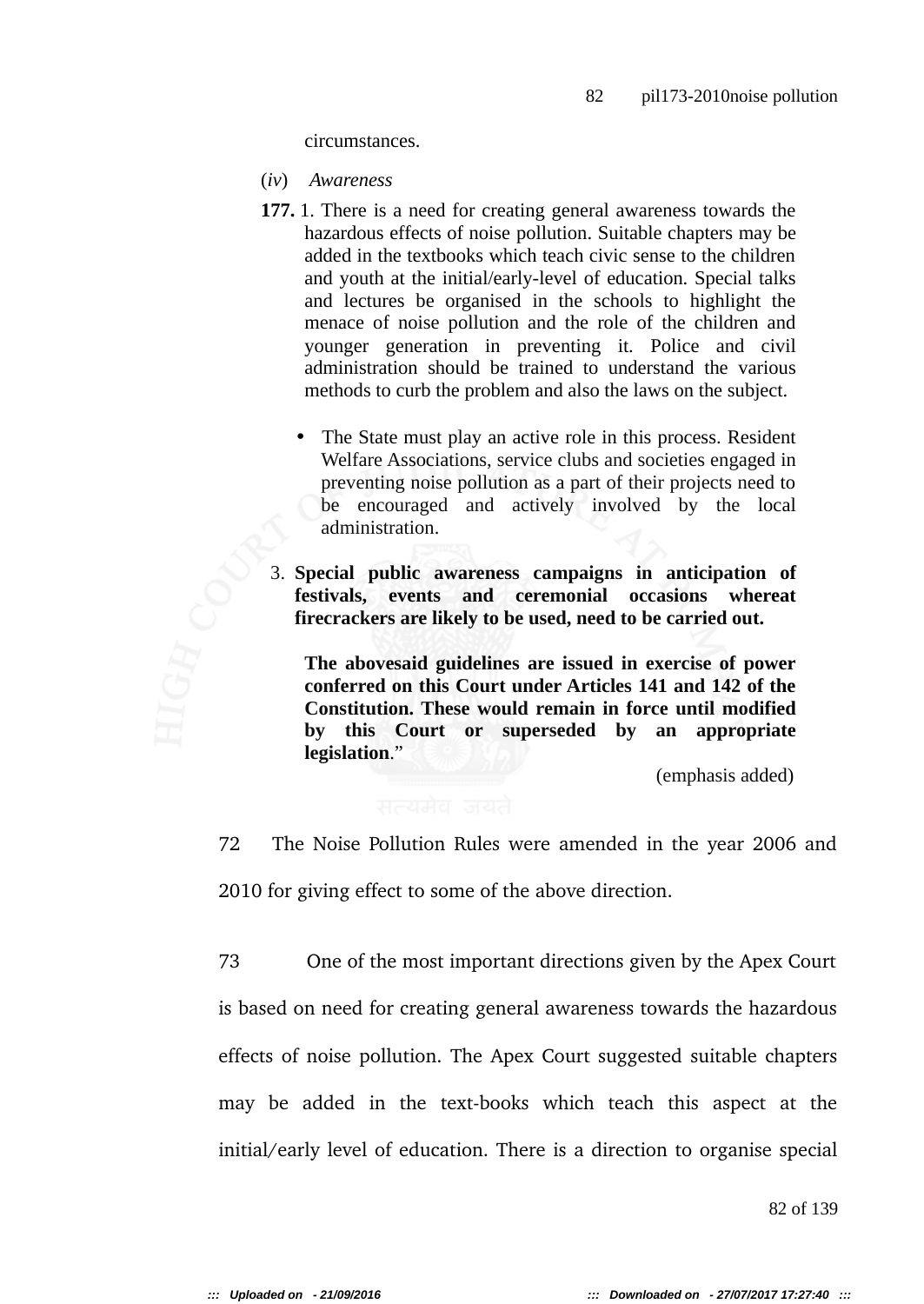circumstances.

- (*iv*) *Awareness*
- **177.** 1. There is a need for creating general awareness towards the hazardous effects of noise pollution. Suitable chapters may be added in the textbooks which teach civic sense to the children and youth at the initial/early-level of education. Special talks and lectures be organised in the schools to highlight the menace of noise pollution and the role of the children and younger generation in preventing it. Police and civil administration should be trained to understand the various methods to curb the problem and also the laws on the subject.
	- The State must play an active role in this process. Resident Welfare Associations, service clubs and societies engaged in preventing noise pollution as a part of their projects need to be encouraged and actively involved by the local administration.
- 3. **Special public awareness campaigns in anticipation of festivals, events and ceremonial occasions whereat firecrackers are likely to be used, need to be carried out.**

**The abovesaid guidelines are issued in exercise of power conferred on this Court under Articles 141 and 142 of the Constitution. These would remain in force until modified by this Court or superseded by an appropriate legislation**."

(emphasis added)

72 The Noise Pollution Rules were amended in the year 2006 and 2010 for giving effect to some of the above direction.

73 One of the most important directions given by the Apex Court is based on need for creating general awareness towards the hazardous effects of noise pollution. The Apex Court suggested suitable chapters may be added in the text-books which teach this aspect at the initial/early level of education. There is a direction to organise special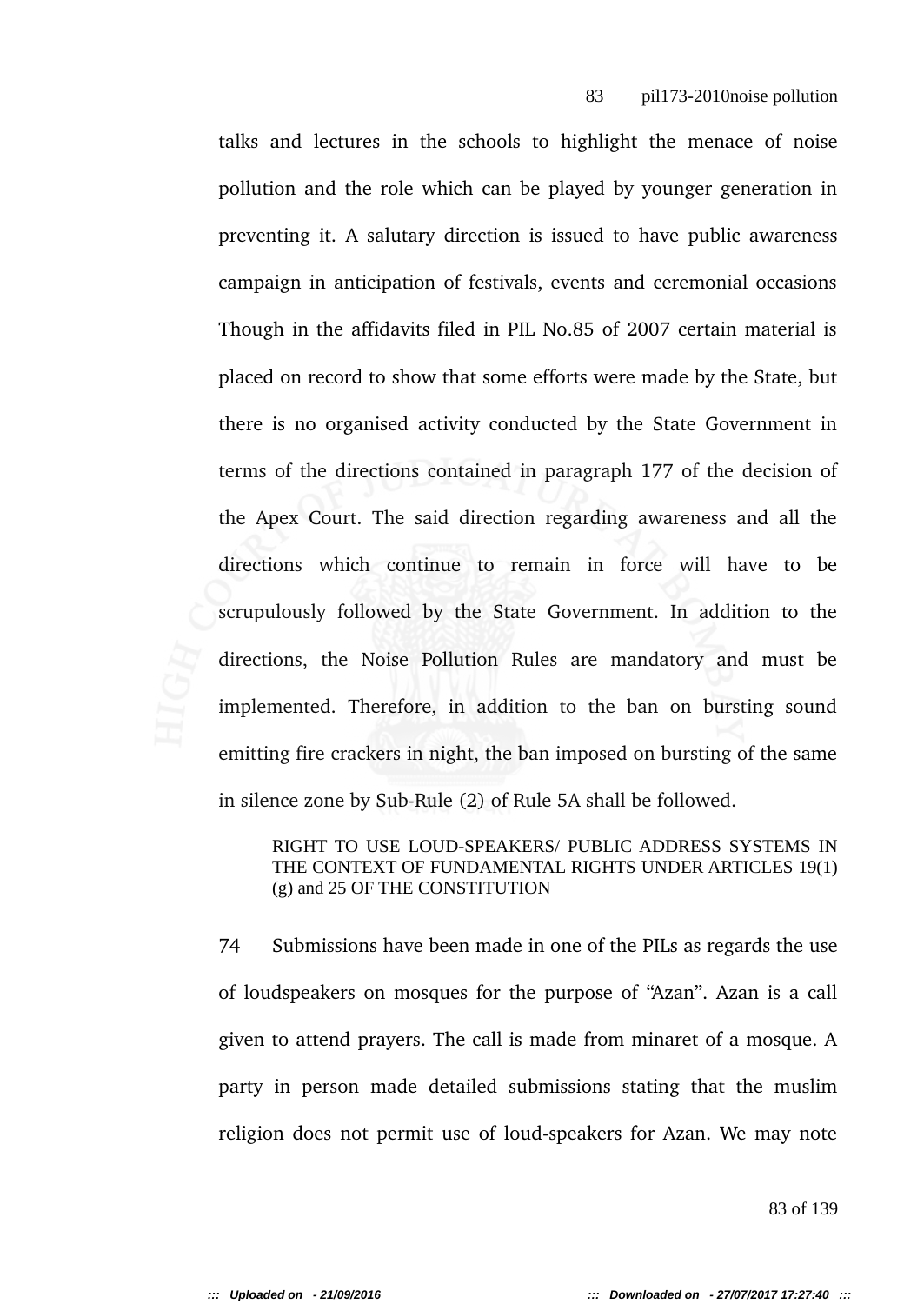talks and lectures in the schools to highlight the menace of noise pollution and the role which can be played by younger generation in preventing it. A salutary direction is issued to have public awareness campaign in anticipation of festivals, events and ceremonial occasions Though in the affidavits filed in PIL No.85 of 2007 certain material is placed on record to show that some efforts were made by the State, but there is no organised activity conducted by the State Government in terms of the directions contained in paragraph 177 of the decision of the Apex Court. The said direction regarding awareness and all the directions which continue to remain in force will have to be scrupulously followed by the State Government. In addition to the directions, the Noise Pollution Rules are mandatory and must be implemented. Therefore, in addition to the ban on bursting sound emitting fire crackers in night, the ban imposed on bursting of the same in silence zone by Sub-Rule (2) of Rule 5A shall be followed.

RIGHT TO USE LOUD-SPEAKERS/ PUBLIC ADDRESS SYSTEMS IN THE CONTEXT OF FUNDAMENTAL RIGHTS UNDER ARTICLES 19(1) (g) and 25 OF THE CONSTITUTION

74 Submissions have been made in one of the PILs as regards the use of loudspeakers on mosques for the purpose of "Azan". Azan is a call given to attend prayers. The call is made from minaret of a mosque. A party in person made detailed submissions stating that the muslim religion does not permit use of loud-speakers for Azan. We may note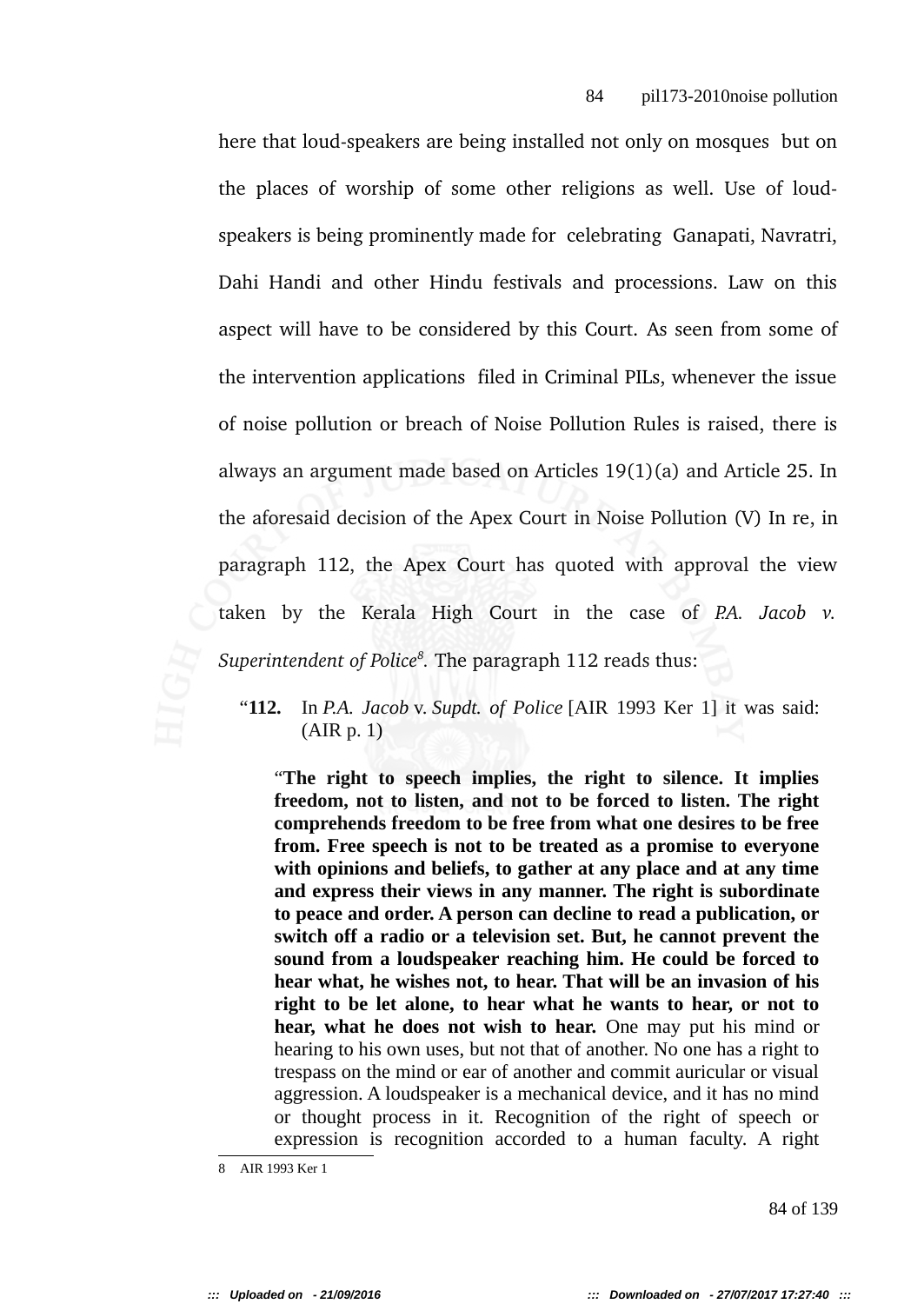here that loud-speakers are being installed not only on mosques but on the places of worship of some other religions as well. Use of loudspeakers is being prominently made for celebrating Ganapati, Navratri, Dahi Handi and other Hindu festivals and processions. Law on this aspect will have to be considered by this Court. As seen from some of the intervention applications filed in Criminal PILs, whenever the issue of noise pollution or breach of Noise Pollution Rules is raised, there is always an argument made based on Articles 19(1)(a) and Article 25. In the aforesaid decision of the Apex Court in Noise Pollution (V) In re, in paragraph 112, the Apex Court has quoted with approval the view taken by the Kerala High Court in the case of *P.A. Jacob v. Superintendent of Police<sup>8</sup> .* The paragraph 112 reads thus:

"**112.** In *P.A. Jacob* v. *Supdt. of Police* [AIR 1993 Ker 1] it was said: (AIR p. 1)

"**The right to speech implies, the right to silence. It implies freedom, not to listen, and not to be forced to listen. The right comprehends freedom to be free from what one desires to be free from. Free speech is not to be treated as a promise to everyone with opinions and beliefs, to gather at any place and at any time and express their views in any manner. The right is subordinate to peace and order. A person can decline to read a publication, or switch off a radio or a television set. But, he cannot prevent the sound from a loudspeaker reaching him. He could be forced to hear what, he wishes not, to hear. That will be an invasion of his right to be let alone, to hear what he wants to hear, or not to hear, what he does not wish to hear.** One may put his mind or hearing to his own uses, but not that of another. No one has a right to trespass on the mind or ear of another and commit auricular or visual aggression. A loudspeaker is a mechanical device, and it has no mind or thought process in it. Recognition of the right of speech or expression is recognition accorded to a human faculty. A right

<sup>8</sup> AIR 1993 Ker 1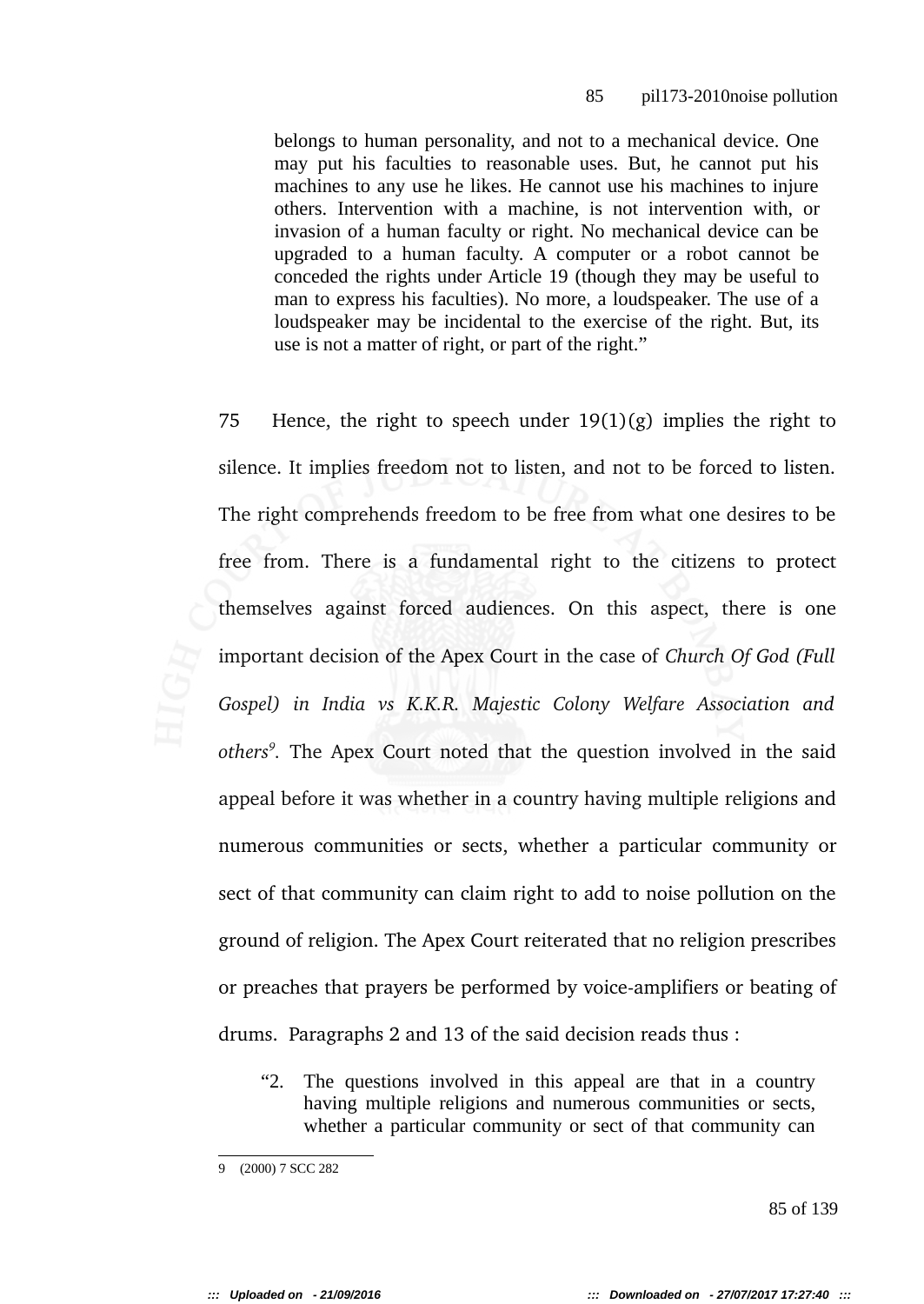belongs to human personality, and not to a mechanical device. One may put his faculties to reasonable uses. But, he cannot put his machines to any use he likes. He cannot use his machines to injure others. Intervention with a machine, is not intervention with, or invasion of a human faculty or right. No mechanical device can be upgraded to a human faculty. A computer or a robot cannot be conceded the rights under Article 19 (though they may be useful to man to express his faculties). No more, a loudspeaker. The use of a loudspeaker may be incidental to the exercise of the right. But, its use is not a matter of right, or part of the right."

75 Hence, the right to speech under  $19(1)(g)$  implies the right to silence. It implies freedom not to listen, and not to be forced to listen. The right comprehends freedom to be free from what one desires to be free from. There is a fundamental right to the citizens to protect themselves against forced audiences. On this aspect, there is one important decision of the Apex Court in the case of *Church Of God (Full Gospel) in India vs K.K.R. Majestic Colony Welfare Association and others<sup>9</sup> .* The Apex Court noted that the question involved in the said appeal before it was whether in a country having multiple religions and numerous communities or sects, whether a particular community or sect of that community can claim right to add to noise pollution on the ground of religion. The Apex Court reiterated that no religion prescribes or preaches that prayers be performed by voice-amplifiers or beating of drums. Paragraphs 2 and 13 of the said decision reads thus :

"2. The questions involved in this appeal are that in a country having multiple religions and numerous communities or sects, whether a particular community or sect of that community can

<sup>9</sup> (2000) 7 SCC 282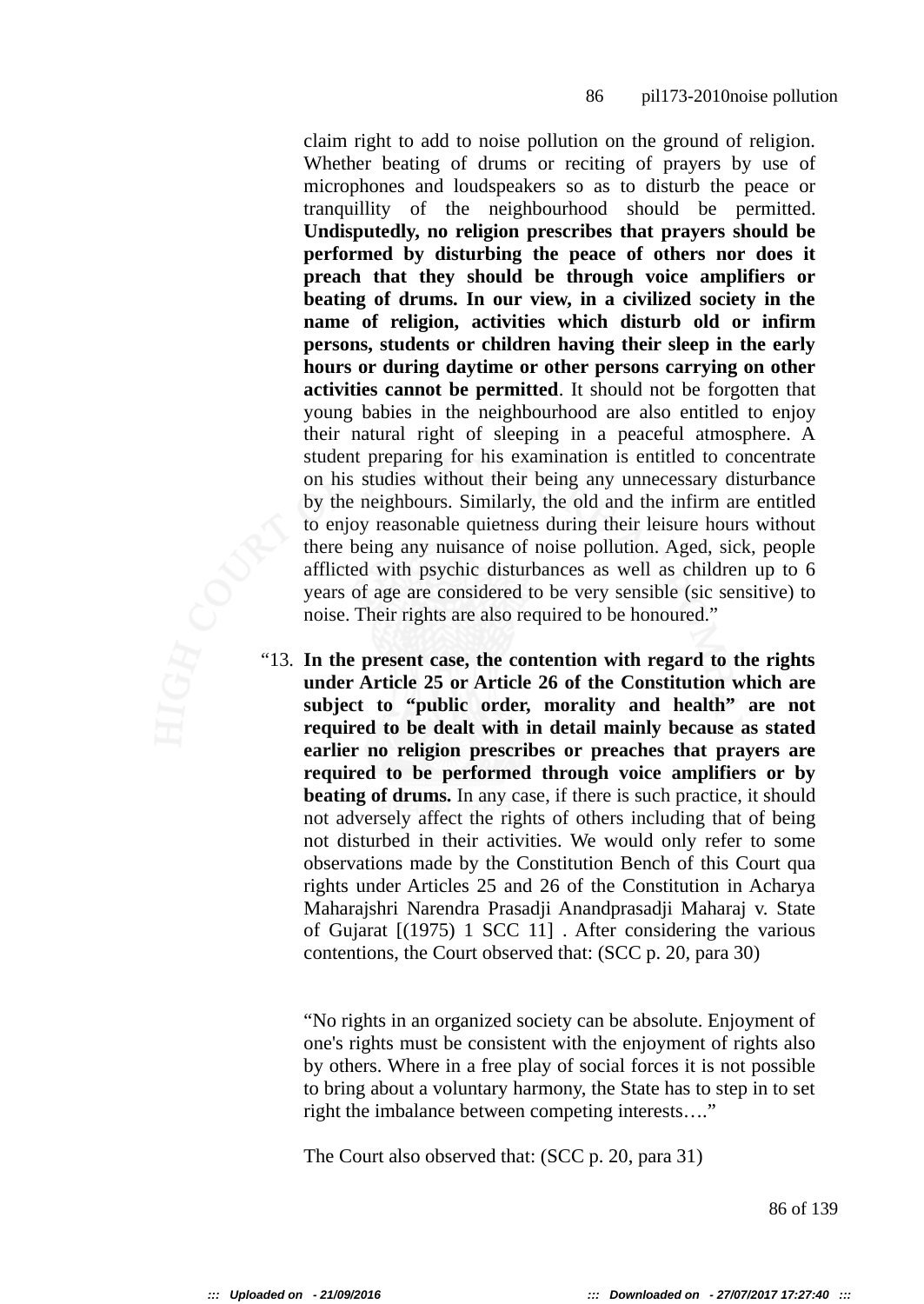claim right to add to noise pollution on the ground of religion. Whether beating of drums or reciting of prayers by use of microphones and loudspeakers so as to disturb the peace or tranquillity of the neighbourhood should be permitted. **Undisputedly, no religion prescribes that prayers should be performed by disturbing the peace of others nor does it preach that they should be through voice amplifiers or beating of drums. In our view, in a civilized society in the name of religion, activities which disturb old or infirm persons, students or children having their sleep in the early hours or during daytime or other persons carrying on other activities cannot be permitted**. It should not be forgotten that young babies in the neighbourhood are also entitled to enjoy their natural right of sleeping in a peaceful atmosphere. A student preparing for his examination is entitled to concentrate on his studies without their being any unnecessary disturbance by the neighbours. Similarly, the old and the infirm are entitled to enjoy reasonable quietness during their leisure hours without there being any nuisance of noise pollution. Aged, sick, people afflicted with psychic disturbances as well as children up to 6 years of age are considered to be very sensible (sic sensitive) to noise. Their rights are also required to be honoured."

"13. **In the present case, the contention with regard to the rights under Article 25 or Article 26 of the Constitution which are subject to "public order, morality and health" are not required to be dealt with in detail mainly because as stated earlier no religion prescribes or preaches that prayers are required to be performed through voice amplifiers or by beating of drums.** In any case, if there is such practice, it should not adversely affect the rights of others including that of being not disturbed in their activities. We would only refer to some observations made by the Constitution Bench of this Court qua rights under Articles 25 and 26 of the Constitution in Acharya Maharajshri Narendra Prasadji Anandprasadji Maharaj v. State of Gujarat [(1975) 1 SCC 11] . After considering the various contentions, the Court observed that: (SCC p. 20, para 30)

"No rights in an organized society can be absolute. Enjoyment of one's rights must be consistent with the enjoyment of rights also by others. Where in a free play of social forces it is not possible to bring about a voluntary harmony, the State has to step in to set right the imbalance between competing interests…."

The Court also observed that: (SCC p. 20, para 31)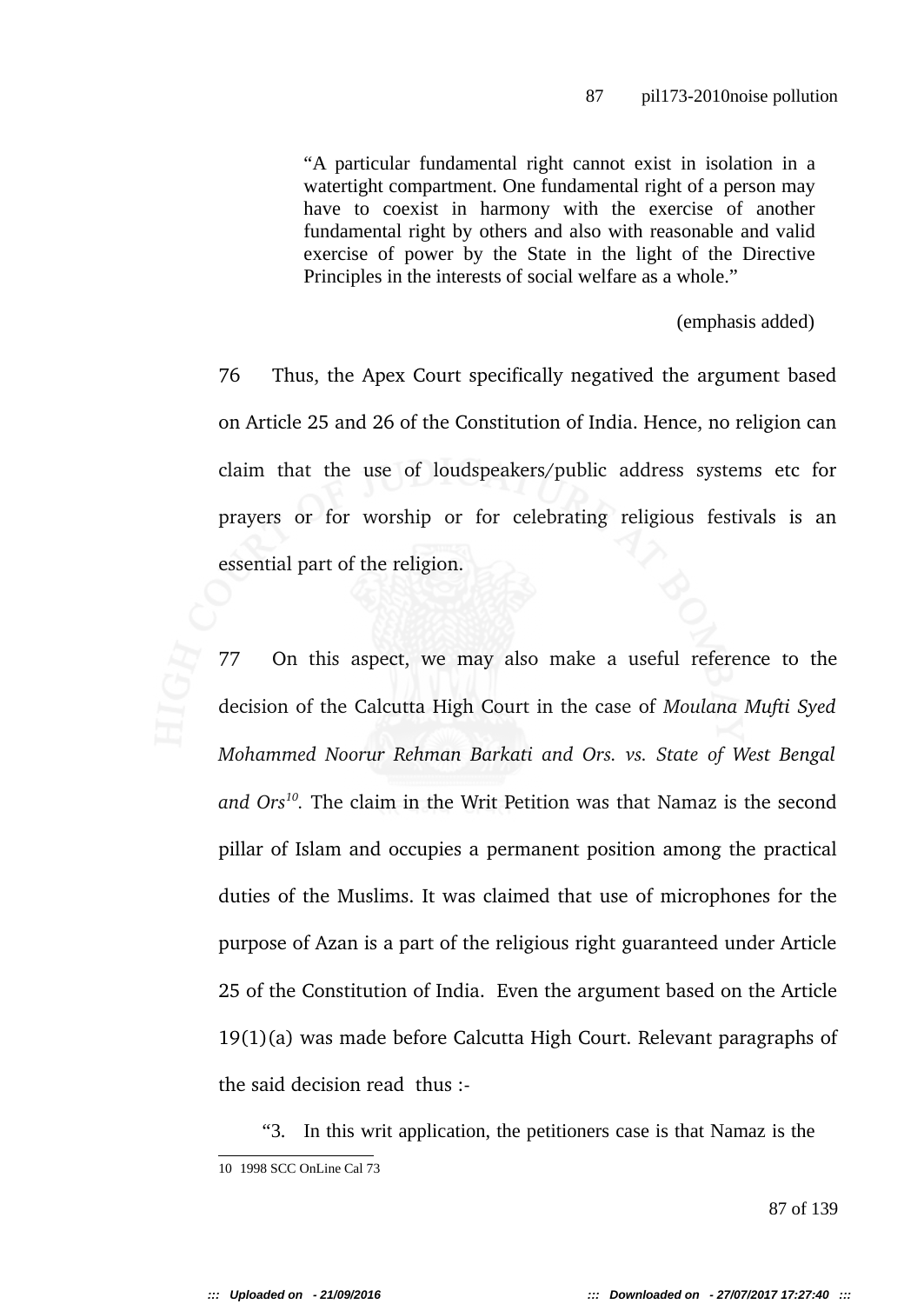"A particular fundamental right cannot exist in isolation in a watertight compartment. One fundamental right of a person may have to coexist in harmony with the exercise of another fundamental right by others and also with reasonable and valid exercise of power by the State in the light of the Directive Principles in the interests of social welfare as a whole."

#### (emphasis added)

76 Thus, the Apex Court specifically negatived the argument based on Article 25 and 26 of the Constitution of India. Hence, no religion can claim that the use of loudspeakers/public address systems etc for prayers or for worship or for celebrating religious festivals is an essential part of the religion.

77 On this aspect, we may also make a useful reference to the decision of the Calcutta High Court in the case of *Moulana Mufti Syed Mohammed Noorur Rehman Barkati and Ors. vs. State of West Bengal and Ors<sup>10</sup> .* The claim in the Writ Petition was that Namaz is the second pillar of Islam and occupies a permanent position among the practical duties of the Muslims. It was claimed that use of microphones for the purpose of Azan is a part of the religious right guaranteed under Article 25 of the Constitution of India. Even the argument based on the Article 19(1)(a) was made before Calcutta High Court. Relevant paragraphs of the said decision read thus :

"3. In this writ application, the petitioners case is that Namaz is the 10 1998 SCC OnLine Cal 73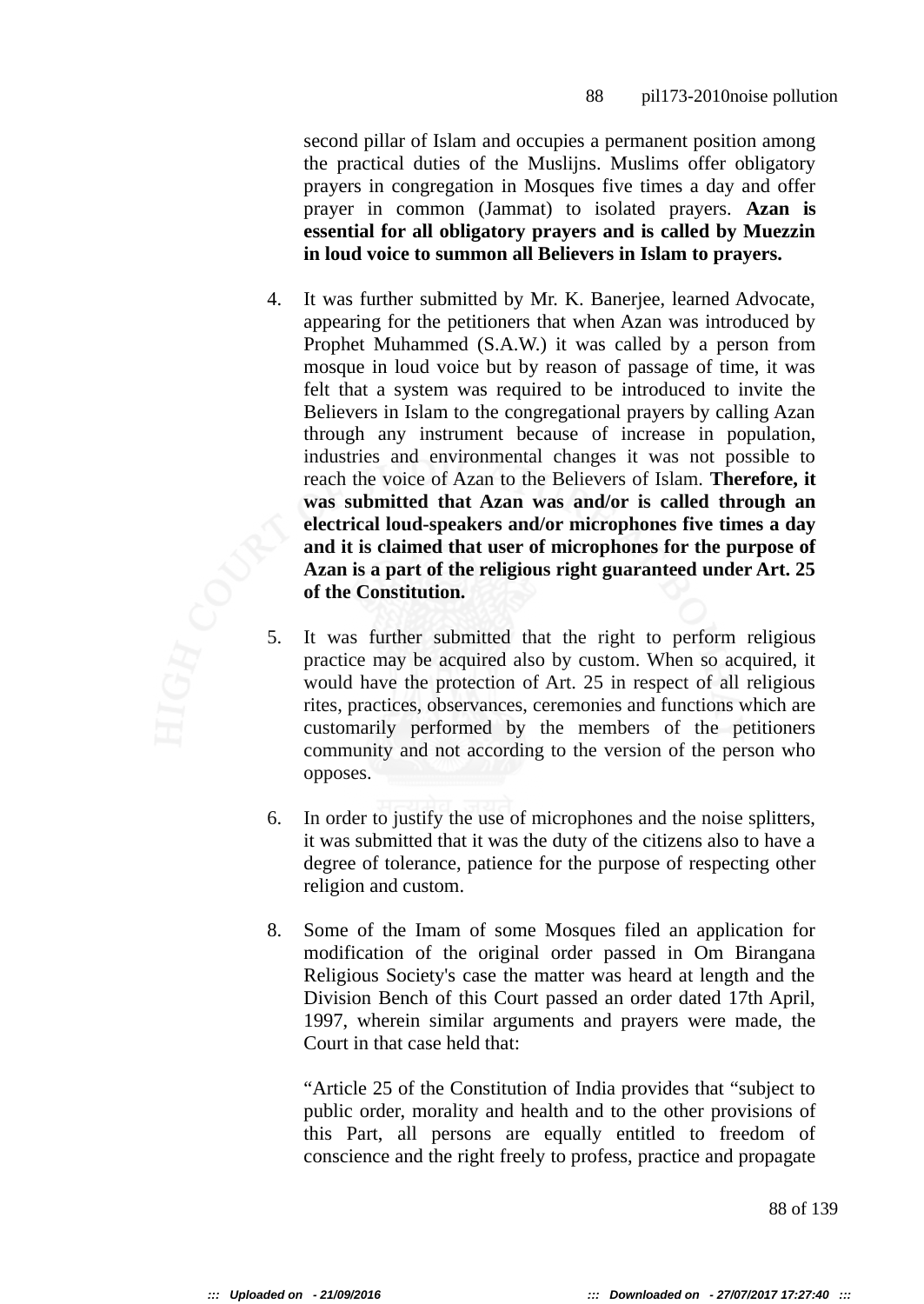second pillar of Islam and occupies a permanent position among the practical duties of the Muslijns. Muslims offer obligatory prayers in congregation in Mosques five times a day and offer prayer in common (Jammat) to isolated prayers. **Azan is essential for all obligatory prayers and is called by Muezzin in loud voice to summon all Believers in Islam to prayers.**

- 4. It was further submitted by Mr. K. Banerjee, learned Advocate, appearing for the petitioners that when Azan was introduced by Prophet Muhammed (S.A.W.) it was called by a person from mosque in loud voice but by reason of passage of time, it was felt that a system was required to be introduced to invite the Believers in Islam to the congregational prayers by calling Azan through any instrument because of increase in population, industries and environmental changes it was not possible to reach the voice of Azan to the Believers of Islam. **Therefore, it was submitted that Azan was and/or is called through an electrical loud-speakers and/or microphones five times a day and it is claimed that user of microphones for the purpose of Azan is a part of the religious right guaranteed under Art. 25 of the Constitution.**
- 5. It was further submitted that the right to perform religious practice may be acquired also by custom. When so acquired, it would have the protection of Art. 25 in respect of all religious rites, practices, observances, ceremonies and functions which are customarily performed by the members of the petitioners community and not according to the version of the person who opposes.
- 6. In order to justify the use of microphones and the noise splitters, it was submitted that it was the duty of the citizens also to have a degree of tolerance, patience for the purpose of respecting other religion and custom.
- 8. Some of the Imam of some Mosques filed an application for modification of the original order passed in Om Birangana Religious Society's case the matter was heard at length and the Division Bench of this Court passed an order dated 17th April, 1997, wherein similar arguments and prayers were made, the Court in that case held that:

"Article 25 of the Constitution of India provides that "subject to public order, morality and health and to the other provisions of this Part, all persons are equally entitled to freedom of conscience and the right freely to profess, practice and propagate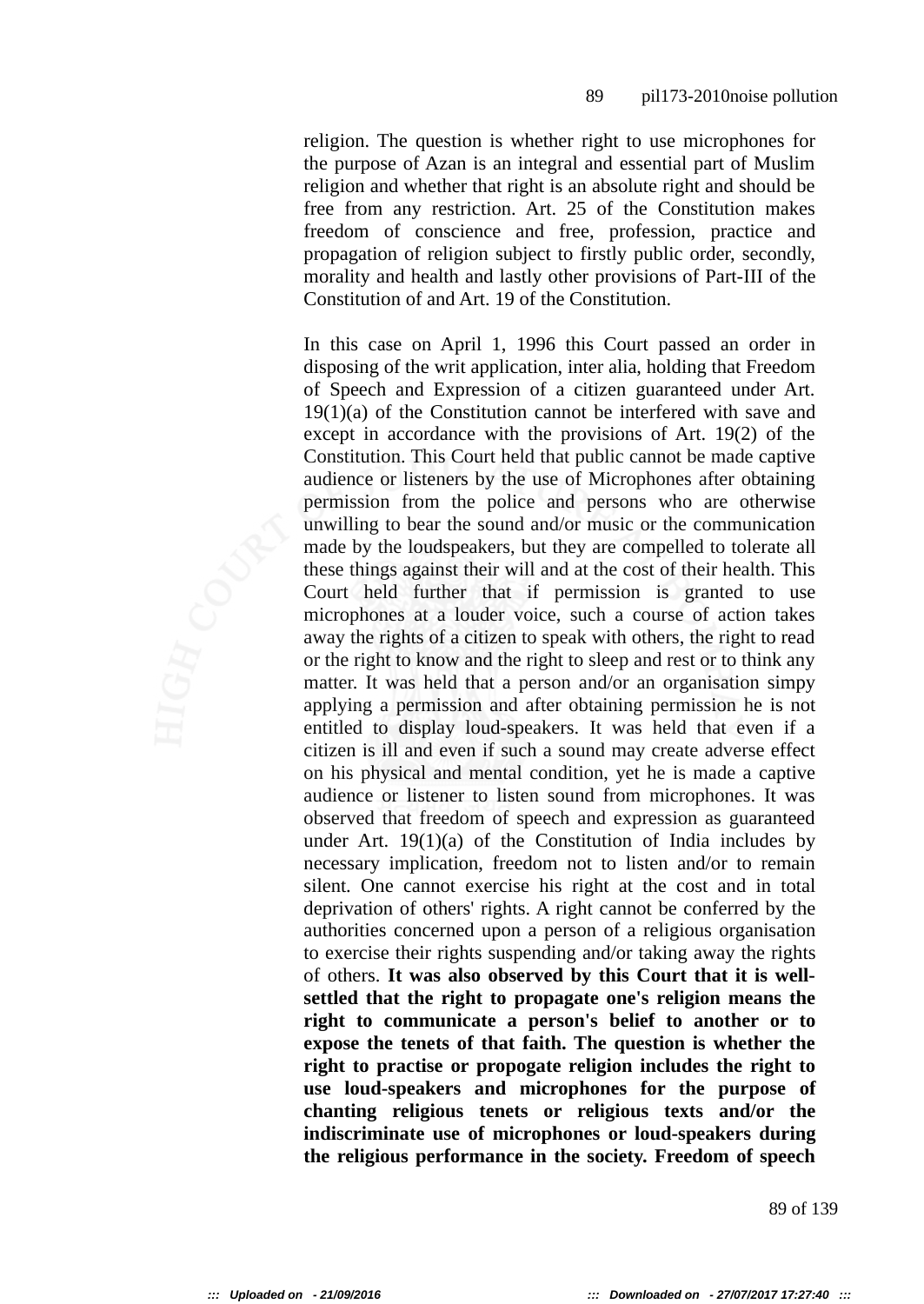religion. The question is whether right to use microphones for the purpose of Azan is an integral and essential part of Muslim religion and whether that right is an absolute right and should be free from any restriction. Art. 25 of the Constitution makes freedom of conscience and free, profession, practice and propagation of religion subject to firstly public order, secondly, morality and health and lastly other provisions of Part-III of the Constitution of and Art. 19 of the Constitution.

In this case on April 1, 1996 this Court passed an order in disposing of the writ application, inter alia, holding that Freedom of Speech and Expression of a citizen guaranteed under Art. 19(1)(a) of the Constitution cannot be interfered with save and except in accordance with the provisions of Art. 19(2) of the Constitution. This Court held that public cannot be made captive audience or listeners by the use of Microphones after obtaining permission from the police and persons who are otherwise unwilling to bear the sound and/or music or the communication made by the loudspeakers, but they are compelled to tolerate all these things against their will and at the cost of their health. This Court held further that if permission is granted to use microphones at a louder voice, such a course of action takes away the rights of a citizen to speak with others, the right to read or the right to know and the right to sleep and rest or to think any matter. It was held that a person and/or an organisation simpy applying a permission and after obtaining permission he is not entitled to display loud-speakers. It was held that even if a citizen is ill and even if such a sound may create adverse effect on his physical and mental condition, yet he is made a captive audience or listener to listen sound from microphones. It was observed that freedom of speech and expression as guaranteed under Art. 19(1)(a) of the Constitution of India includes by necessary implication, freedom not to listen and/or to remain silent. One cannot exercise his right at the cost and in total deprivation of others' rights. A right cannot be conferred by the authorities concerned upon a person of a religious organisation to exercise their rights suspending and/or taking away the rights of others. **It was also observed by this Court that it is wellsettled that the right to propagate one's religion means the right to communicate a person's belief to another or to expose the tenets of that faith. The question is whether the right to practise or propogate religion includes the right to use loud-speakers and microphones for the purpose of chanting religious tenets or religious texts and/or the indiscriminate use of microphones or loud-speakers during the religious performance in the society. Freedom of speech**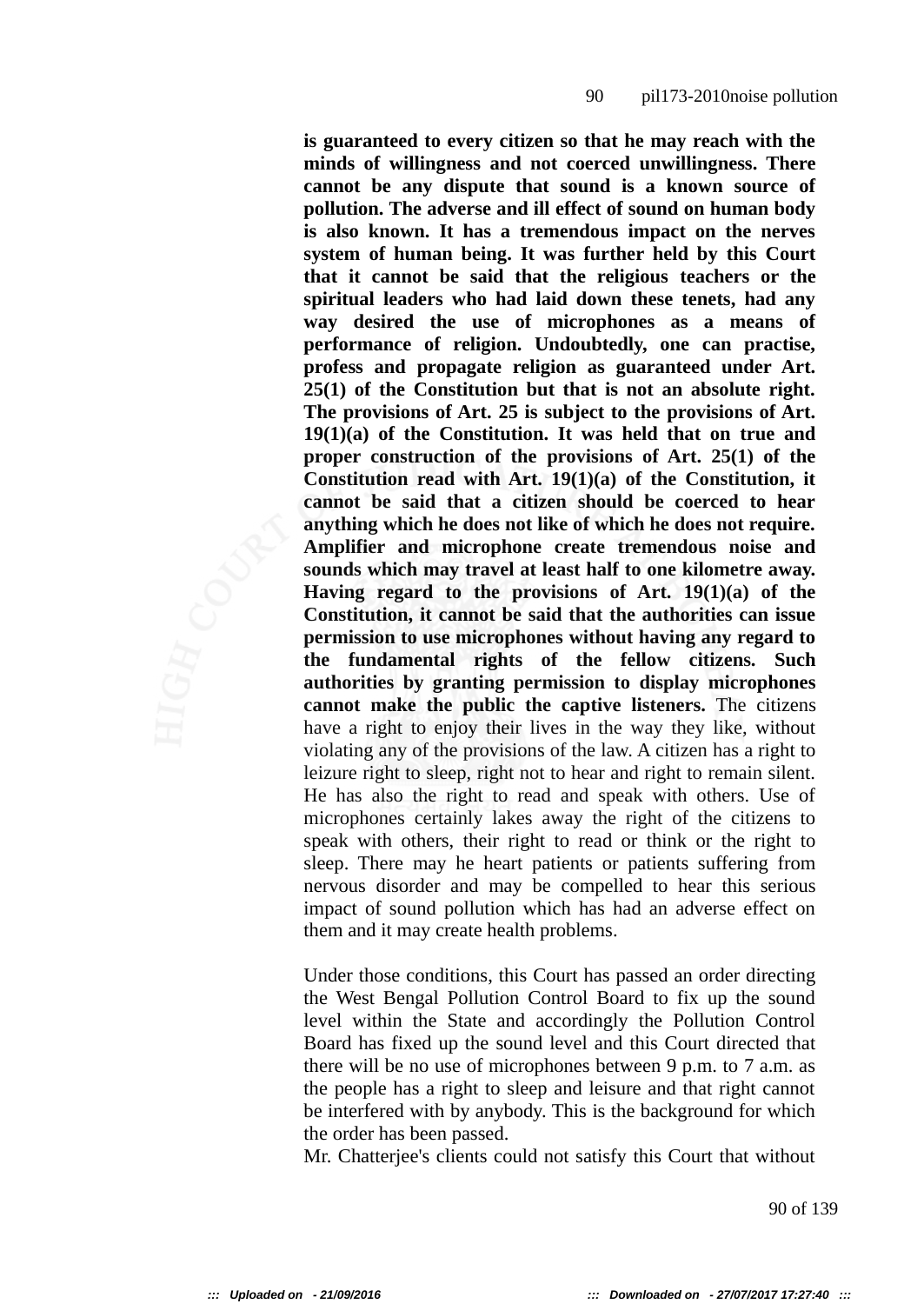**is guaranteed to every citizen so that he may reach with the minds of willingness and not coerced unwillingness. There cannot be any dispute that sound is a known source of pollution. The adverse and ill effect of sound on human body is also known. It has a tremendous impact on the nerves system of human being. It was further held by this Court that it cannot be said that the religious teachers or the spiritual leaders who had laid down these tenets, had any way desired the use of microphones as a means of performance of religion. Undoubtedly, one can practise, profess and propagate religion as guaranteed under Art. 25(1) of the Constitution but that is not an absolute right. The provisions of Art. 25 is subject to the provisions of Art. 19(1)(a) of the Constitution. It was held that on true and proper construction of the provisions of Art. 25(1) of the Constitution read with Art. 19(1)(a) of the Constitution, it cannot be said that a citizen should be coerced to hear anything which he does not like of which he does not require. Amplifier and microphone create tremendous noise and sounds which may travel at least half to one kilometre away. Having regard to the provisions of Art. 19(1)(a) of the Constitution, it cannot be said that the authorities can issue permission to use microphones without having any regard to the fundamental rights of the fellow citizens. Such authorities by granting permission to display microphones cannot make the public the captive listeners.** The citizens have a right to enjoy their lives in the way they like, without violating any of the provisions of the law. A citizen has a right to leizure right to sleep, right not to hear and right to remain silent. He has also the right to read and speak with others. Use of microphones certainly lakes away the right of the citizens to speak with others, their right to read or think or the right to sleep. There may he heart patients or patients suffering from nervous disorder and may be compelled to hear this serious impact of sound pollution which has had an adverse effect on them and it may create health problems.

Under those conditions, this Court has passed an order directing the West Bengal Pollution Control Board to fix up the sound level within the State and accordingly the Pollution Control Board has fixed up the sound level and this Court directed that there will be no use of microphones between 9 p.m. to 7 a.m. as the people has a right to sleep and leisure and that right cannot be interfered with by anybody. This is the background for which the order has been passed.

Mr. Chatterjee's clients could not satisfy this Court that without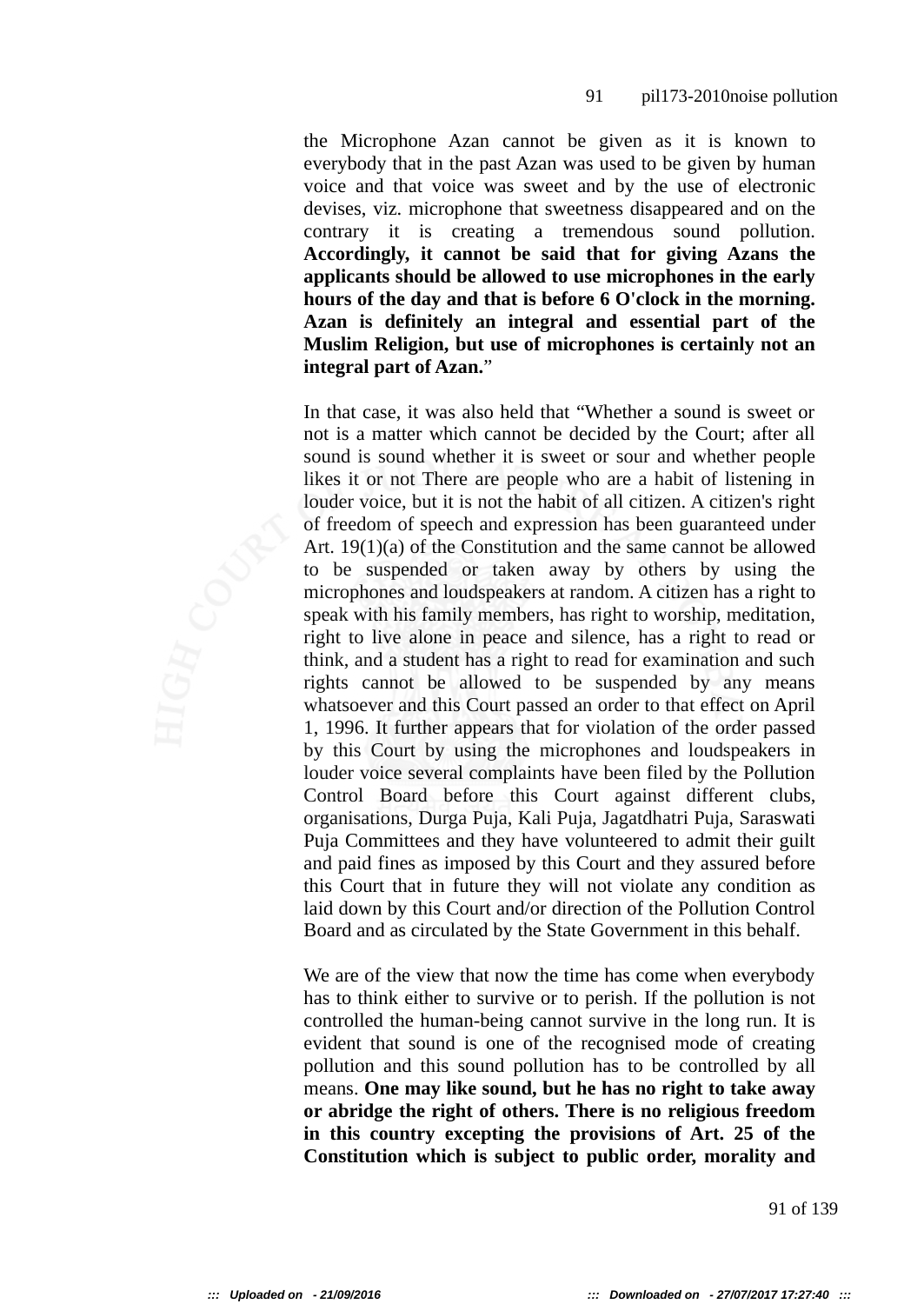the Microphone Azan cannot be given as it is known to everybody that in the past Azan was used to be given by human voice and that voice was sweet and by the use of electronic devises, viz. microphone that sweetness disappeared and on the contrary it is creating a tremendous sound pollution. **Accordingly, it cannot be said that for giving Azans the applicants should be allowed to use microphones in the early hours of the day and that is before 6 O'clock in the morning. Azan is definitely an integral and essential part of the Muslim Religion, but use of microphones is certainly not an integral part of Azan.**"

In that case, it was also held that "Whether a sound is sweet or not is a matter which cannot be decided by the Court; after all sound is sound whether it is sweet or sour and whether people likes it or not There are people who are a habit of listening in louder voice, but it is not the habit of all citizen. A citizen's right of freedom of speech and expression has been guaranteed under Art. 19(1)(a) of the Constitution and the same cannot be allowed to be suspended or taken away by others by using the microphones and loudspeakers at random. A citizen has a right to speak with his family members, has right to worship, meditation, right to live alone in peace and silence, has a right to read or think, and a student has a right to read for examination and such rights cannot be allowed to be suspended by any means whatsoever and this Court passed an order to that effect on April 1, 1996. It further appears that for violation of the order passed by this Court by using the microphones and loudspeakers in louder voice several complaints have been filed by the Pollution Control Board before this Court against different clubs, organisations, Durga Puja, Kali Puja, Jagatdhatri Puja, Saraswati Puja Committees and they have volunteered to admit their guilt and paid fines as imposed by this Court and they assured before this Court that in future they will not violate any condition as laid down by this Court and/or direction of the Pollution Control Board and as circulated by the State Government in this behalf.

We are of the view that now the time has come when everybody has to think either to survive or to perish. If the pollution is not controlled the human-being cannot survive in the long run. It is evident that sound is one of the recognised mode of creating pollution and this sound pollution has to be controlled by all means. **One may like sound, but he has no right to take away or abridge the right of others. There is no religious freedom in this country excepting the provisions of Art. 25 of the Constitution which is subject to public order, morality and**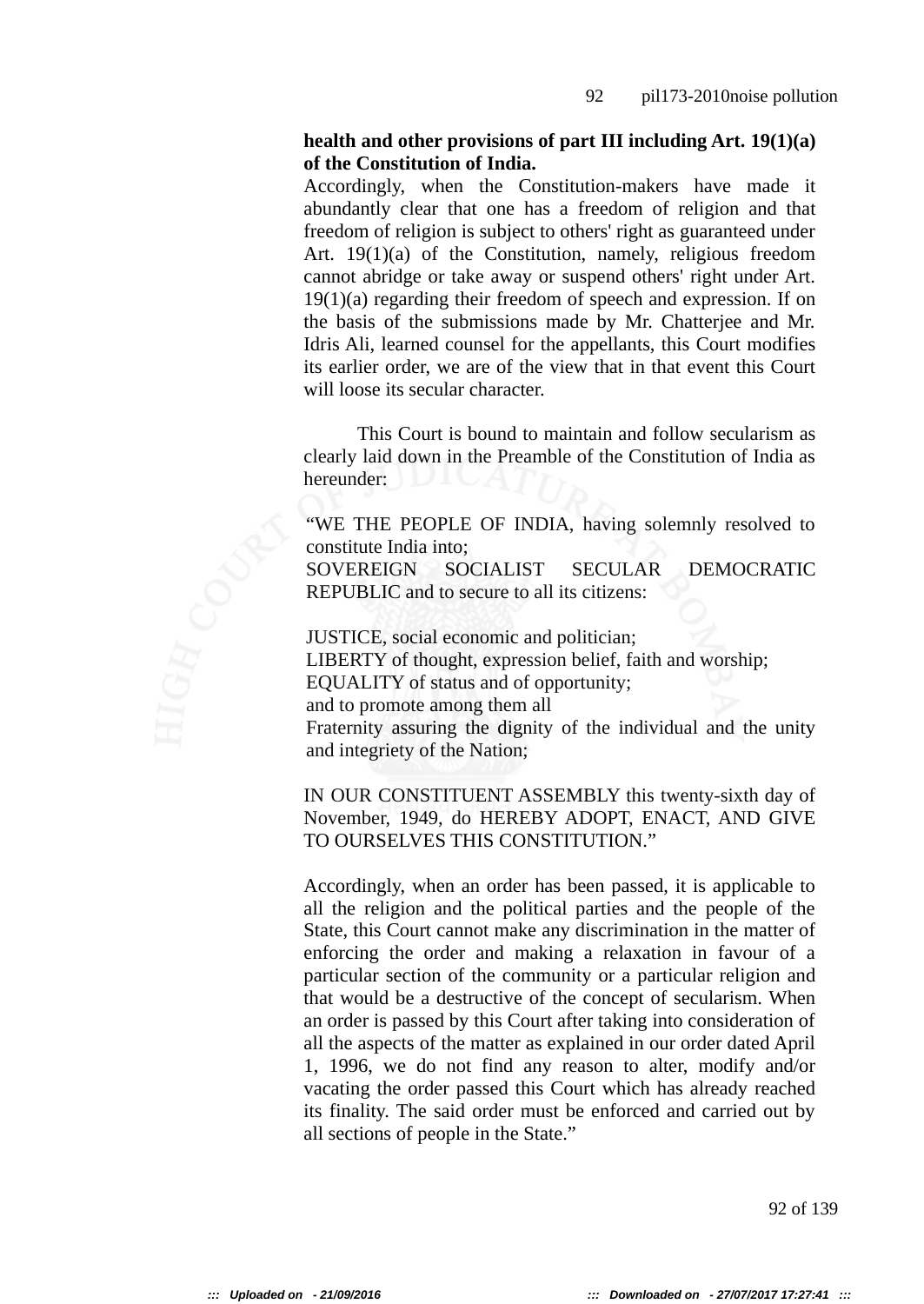## **health and other provisions of part III including Art. 19(1)(a) of the Constitution of India.**

Accordingly, when the Constitution-makers have made it abundantly clear that one has a freedom of religion and that freedom of religion is subject to others' right as guaranteed under Art. 19(1)(a) of the Constitution, namely, religious freedom cannot abridge or take away or suspend others' right under Art.  $19(1)(a)$  regarding their freedom of speech and expression. If on the basis of the submissions made by Mr. Chatterjee and Mr. Idris Ali, learned counsel for the appellants, this Court modifies its earlier order, we are of the view that in that event this Court will loose its secular character.

This Court is bound to maintain and follow secularism as clearly laid down in the Preamble of the Constitution of India as hereunder:

"WE THE PEOPLE OF INDIA, having solemnly resolved to constitute India into;

SOVEREIGN SOCIALIST SECULAR DEMOCRATIC REPUBLIC and to secure to all its citizens:

JUSTICE, social economic and politician; LIBERTY of thought, expression belief, faith and worship; EQUALITY of status and of opportunity; and to promote among them all Fraternity assuring the dignity of the individual and the unity and integriety of the Nation;

IN OUR CONSTITUENT ASSEMBLY this twenty-sixth day of November, 1949, do HEREBY ADOPT, ENACT, AND GIVE TO OURSELVES THIS CONSTITUTION."

Accordingly, when an order has been passed, it is applicable to all the religion and the political parties and the people of the State, this Court cannot make any discrimination in the matter of enforcing the order and making a relaxation in favour of a particular section of the community or a particular religion and that would be a destructive of the concept of secularism. When an order is passed by this Court after taking into consideration of all the aspects of the matter as explained in our order dated April 1, 1996, we do not find any reason to alter, modify and/or vacating the order passed this Court which has already reached its finality. The said order must be enforced and carried out by all sections of people in the State."

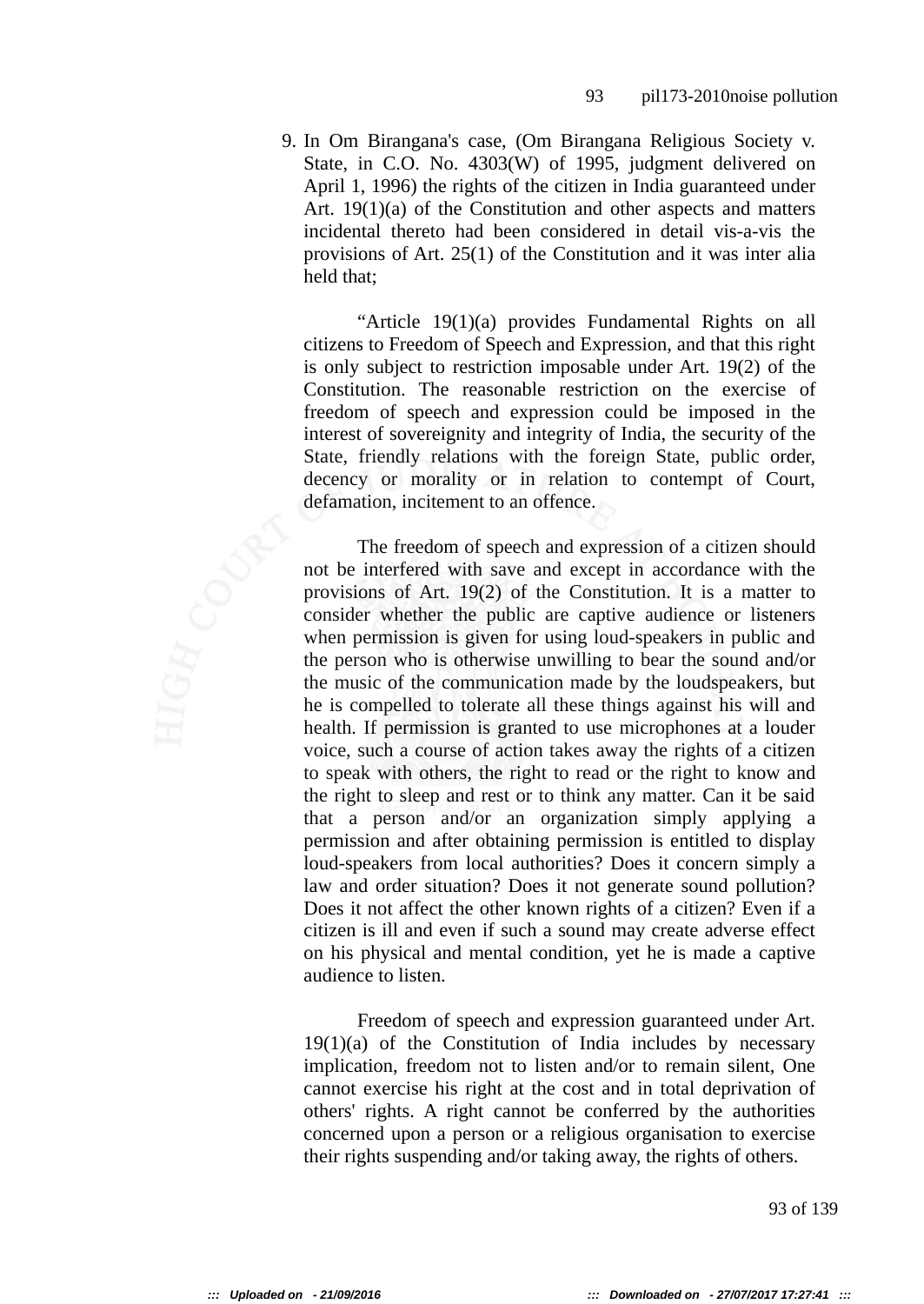9. In Om Birangana's case, (Om Birangana Religious Society v. State, in C.O. No. 4303(W) of 1995, judgment delivered on April 1, 1996) the rights of the citizen in India guaranteed under Art. 19(1)(a) of the Constitution and other aspects and matters incidental thereto had been considered in detail vis-a-vis the provisions of Art. 25(1) of the Constitution and it was inter alia held that;

"Article 19(1)(a) provides Fundamental Rights on all citizens to Freedom of Speech and Expression, and that this right is only subject to restriction imposable under Art. 19(2) of the Constitution. The reasonable restriction on the exercise of freedom of speech and expression could be imposed in the interest of sovereignity and integrity of India, the security of the State, friendly relations with the foreign State, public order, decency or morality or in relation to contempt of Court, defamation, incitement to an offence.

The freedom of speech and expression of a citizen should not be interfered with save and except in accordance with the provisions of Art. 19(2) of the Constitution. It is a matter to consider whether the public are captive audience or listeners when permission is given for using loud-speakers in public and the person who is otherwise unwilling to bear the sound and/or the music of the communication made by the loudspeakers, but he is compelled to tolerate all these things against his will and health. If permission is granted to use microphones at a louder voice, such a course of action takes away the rights of a citizen to speak with others, the right to read or the right to know and the right to sleep and rest or to think any matter. Can it be said that a person and/or an organization simply applying a permission and after obtaining permission is entitled to display loud-speakers from local authorities? Does it concern simply a law and order situation? Does it not generate sound pollution? Does it not affect the other known rights of a citizen? Even if a citizen is ill and even if such a sound may create adverse effect on his physical and mental condition, yet he is made a captive audience to listen.

Freedom of speech and expression guaranteed under Art. 19(1)(a) of the Constitution of India includes by necessary implication, freedom not to listen and/or to remain silent, One cannot exercise his right at the cost and in total deprivation of others' rights. A right cannot be conferred by the authorities concerned upon a person or a religious organisation to exercise their rights suspending and/or taking away, the rights of others.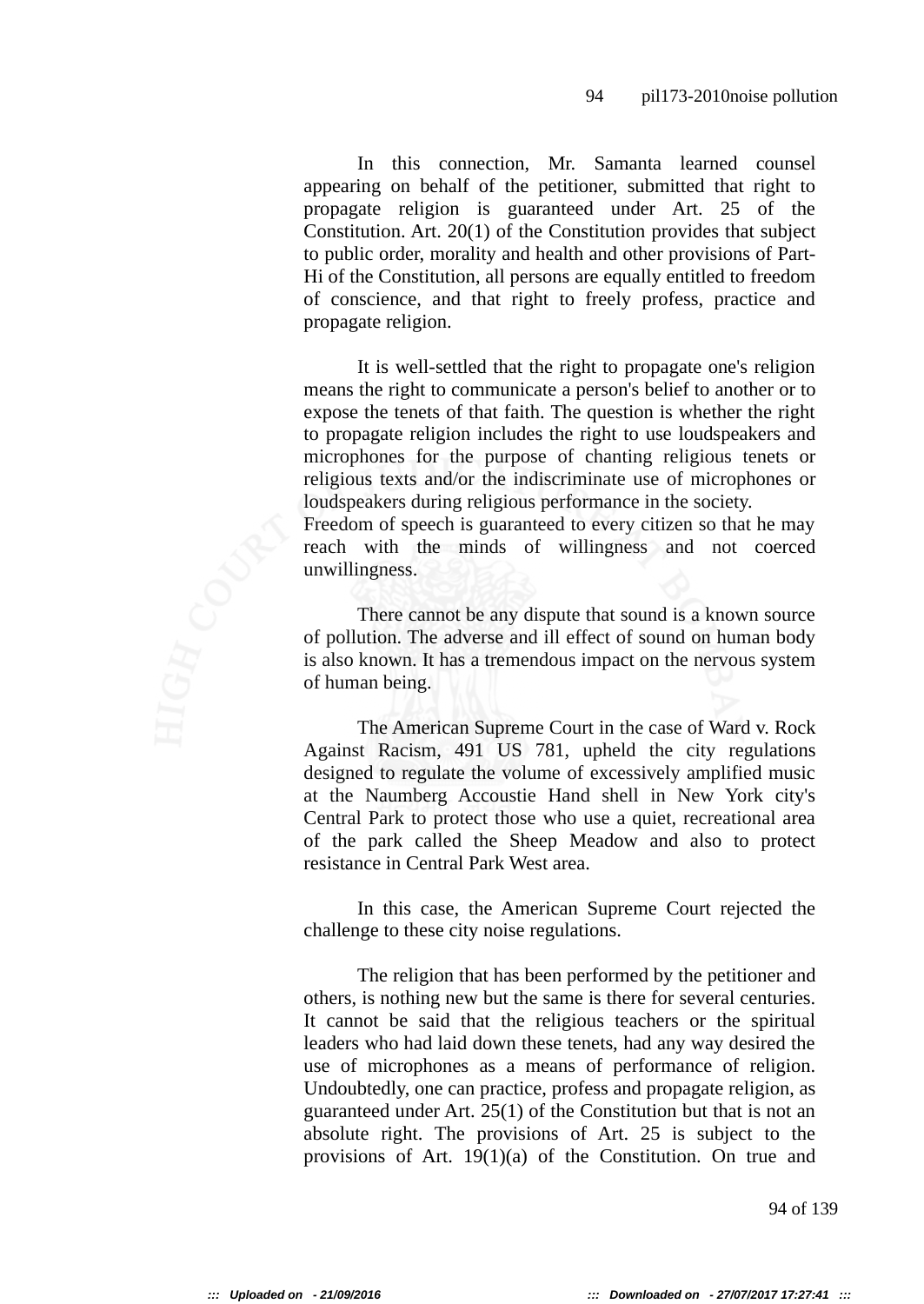In this connection, Mr. Samanta learned counsel appearing on behalf of the petitioner, submitted that right to propagate religion is guaranteed under Art. 25 of the Constitution. Art. 20(1) of the Constitution provides that subject to public order, morality and health and other provisions of Part-Hi of the Constitution, all persons are equally entitled to freedom of conscience, and that right to freely profess, practice and propagate religion.

It is well-settled that the right to propagate one's religion means the right to communicate a person's belief to another or to expose the tenets of that faith. The question is whether the right to propagate religion includes the right to use loudspeakers and microphones for the purpose of chanting religious tenets or religious texts and/or the indiscriminate use of microphones or loudspeakers during religious performance in the society.

Freedom of speech is guaranteed to every citizen so that he may reach with the minds of willingness and not coerced unwillingness.

There cannot be any dispute that sound is a known source of pollution. The adverse and ill effect of sound on human body is also known. It has a tremendous impact on the nervous system of human being.

The American Supreme Court in the case of Ward v. Rock Against Racism, 491 US 781, upheld the city regulations designed to regulate the volume of excessively amplified music at the Naumberg Accoustie Hand shell in New York city's Central Park to protect those who use a quiet, recreational area of the park called the Sheep Meadow and also to protect resistance in Central Park West area.

In this case, the American Supreme Court rejected the challenge to these city noise regulations.

The religion that has been performed by the petitioner and others, is nothing new but the same is there for several centuries. It cannot be said that the religious teachers or the spiritual leaders who had laid down these tenets, had any way desired the use of microphones as a means of performance of religion. Undoubtedly, one can practice, profess and propagate religion, as guaranteed under Art. 25(1) of the Constitution but that is not an absolute right. The provisions of Art. 25 is subject to the provisions of Art. 19(1)(a) of the Constitution. On true and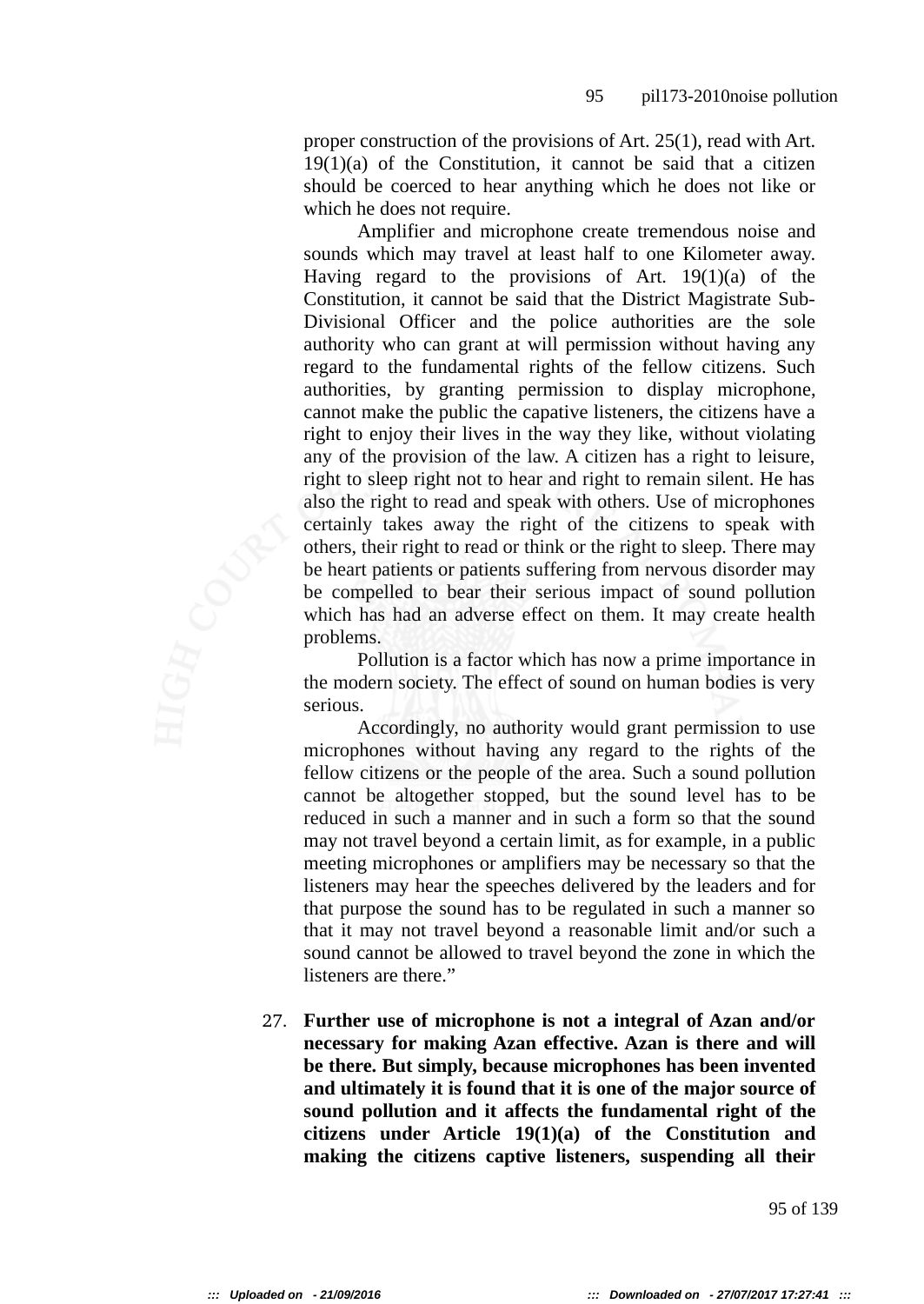proper construction of the provisions of Art. 25(1), read with Art.  $19(1)(a)$  of the Constitution, it cannot be said that a citizen should be coerced to hear anything which he does not like or which he does not require.

Amplifier and microphone create tremendous noise and sounds which may travel at least half to one Kilometer away. Having regard to the provisions of Art. 19(1)(a) of the Constitution, it cannot be said that the District Magistrate Sub-Divisional Officer and the police authorities are the sole authority who can grant at will permission without having any regard to the fundamental rights of the fellow citizens. Such authorities, by granting permission to display microphone, cannot make the public the capative listeners, the citizens have a right to enjoy their lives in the way they like, without violating any of the provision of the law. A citizen has a right to leisure, right to sleep right not to hear and right to remain silent. He has also the right to read and speak with others. Use of microphones certainly takes away the right of the citizens to speak with others, their right to read or think or the right to sleep. There may be heart patients or patients suffering from nervous disorder may be compelled to bear their serious impact of sound pollution which has had an adverse effect on them. It may create health problems.

Pollution is a factor which has now a prime importance in the modern society. The effect of sound on human bodies is very serious.

Accordingly, no authority would grant permission to use microphones without having any regard to the rights of the fellow citizens or the people of the area. Such a sound pollution cannot be altogether stopped, but the sound level has to be reduced in such a manner and in such a form so that the sound may not travel beyond a certain limit, as for example, in a public meeting microphones or amplifiers may be necessary so that the listeners may hear the speeches delivered by the leaders and for that purpose the sound has to be regulated in such a manner so that it may not travel beyond a reasonable limit and/or such a sound cannot be allowed to travel beyond the zone in which the listeners are there."

27. **Further use of microphone is not a integral of Azan and/or necessary for making Azan effective. Azan is there and will be there. But simply, because microphones has been invented and ultimately it is found that it is one of the major source of sound pollution and it affects the fundamental right of the citizens under Article 19(1)(a) of the Constitution and making the citizens captive listeners, suspending all their**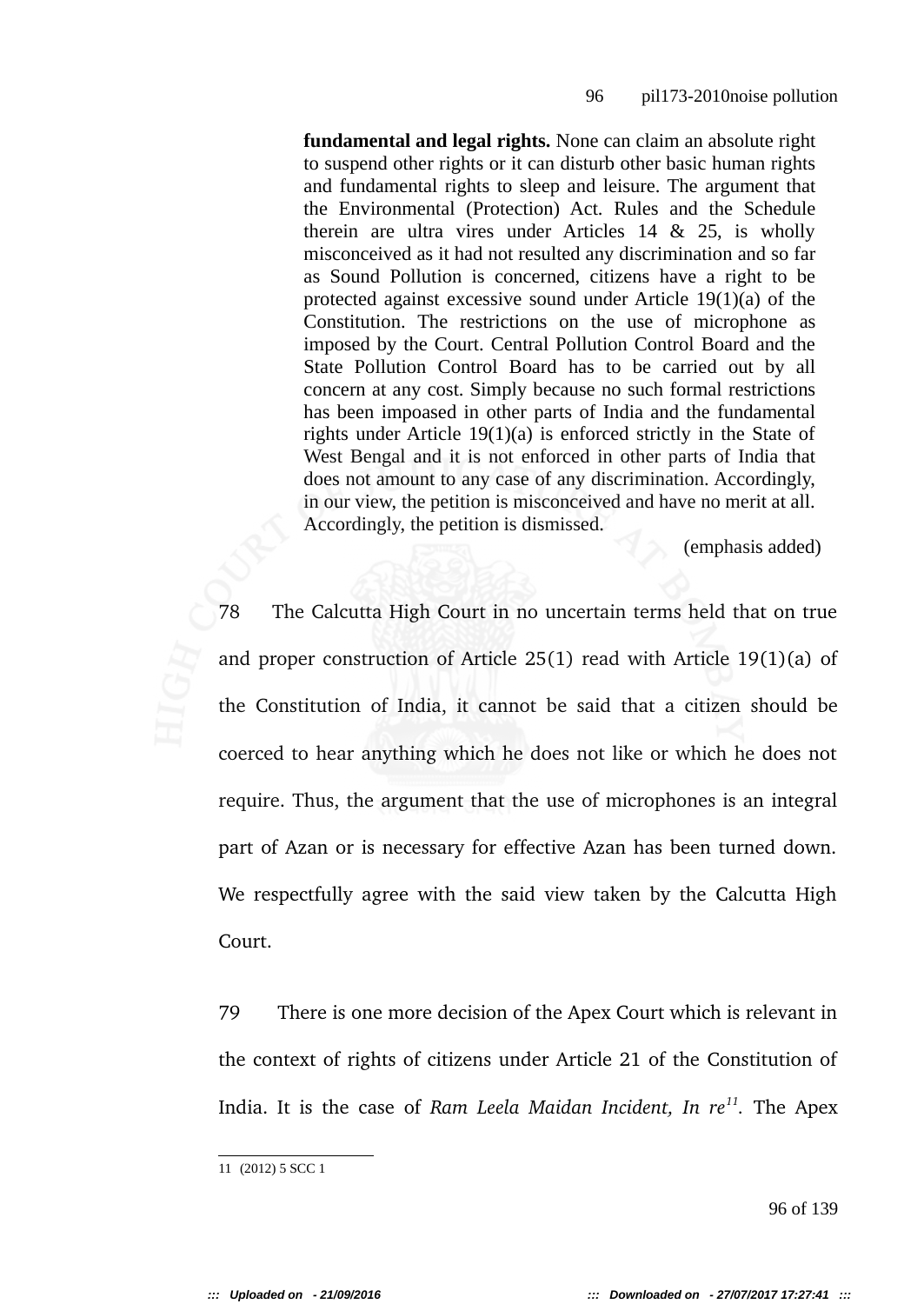**fundamental and legal rights.** None can claim an absolute right to suspend other rights or it can disturb other basic human rights and fundamental rights to sleep and leisure. The argument that the Environmental (Protection) Act. Rules and the Schedule therein are ultra vires under Articles 14 & 25, is wholly misconceived as it had not resulted any discrimination and so far as Sound Pollution is concerned, citizens have a right to be protected against excessive sound under Article 19(1)(a) of the Constitution. The restrictions on the use of microphone as imposed by the Court. Central Pollution Control Board and the State Pollution Control Board has to be carried out by all concern at any cost. Simply because no such formal restrictions has been impoased in other parts of India and the fundamental rights under Article 19(1)(a) is enforced strictly in the State of West Bengal and it is not enforced in other parts of India that does not amount to any case of any discrimination. Accordingly, in our view, the petition is misconceived and have no merit at all. Accordingly, the petition is dismissed.

(emphasis added)

78 The Calcutta High Court in no uncertain terms held that on true and proper construction of Article 25(1) read with Article 19(1)(a) of the Constitution of India, it cannot be said that a citizen should be coerced to hear anything which he does not like or which he does not require. Thus, the argument that the use of microphones is an integral part of Azan or is necessary for effective Azan has been turned down. We respectfully agree with the said view taken by the Calcutta High Court.

79 There is one more decision of the Apex Court which is relevant in the context of rights of citizens under Article 21 of the Constitution of India. It is the case of *Ram Leela Maidan Incident, In re<sup>11</sup>.* The Apex

<sup>11</sup> (2012) 5 SCC 1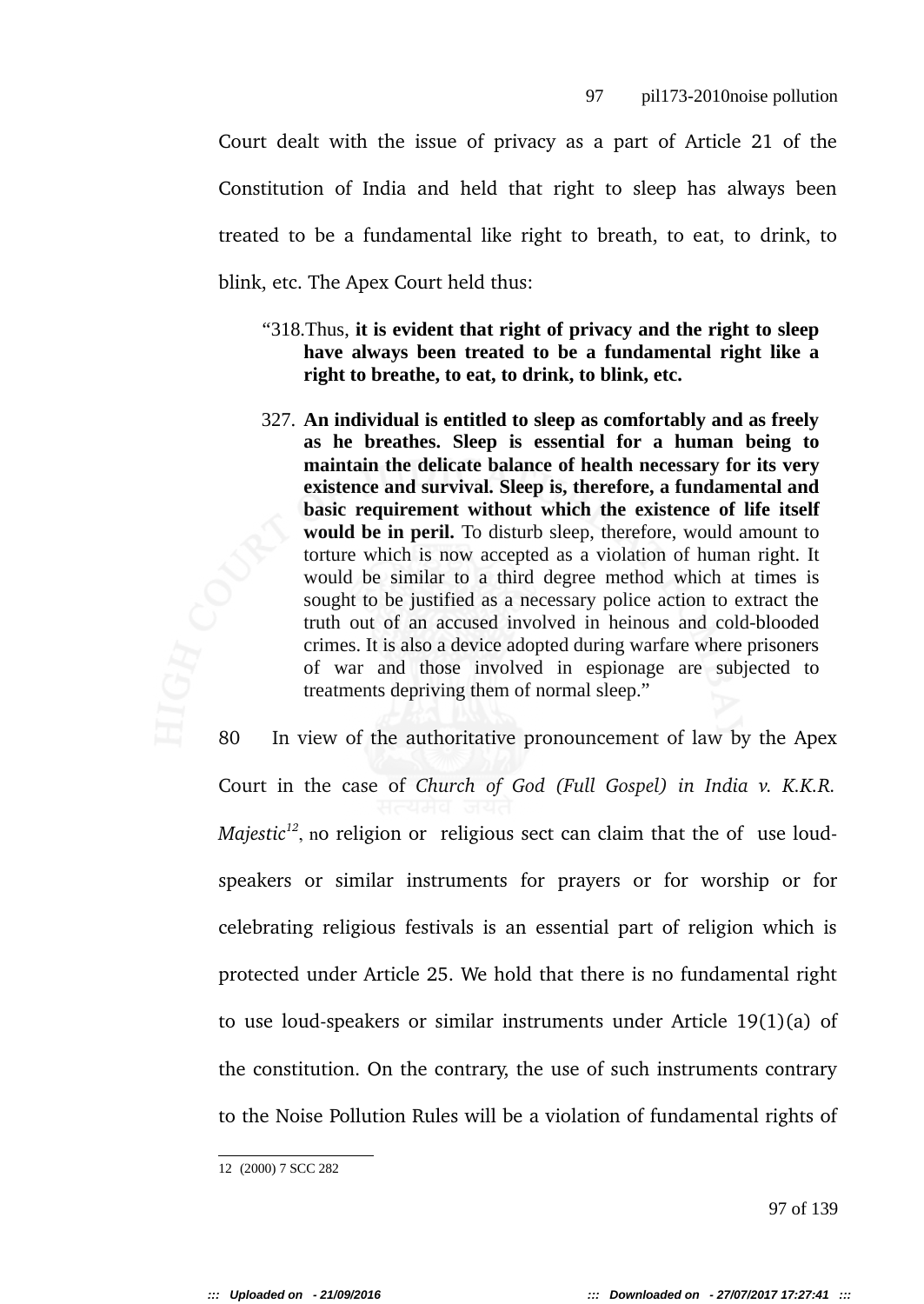Court dealt with the issue of privacy as a part of Article 21 of the Constitution of India and held that right to sleep has always been treated to be a fundamental like right to breath, to eat, to drink, to blink, etc. The Apex Court held thus:

- "318.Thus, **it is evident that right of privacy and the right to sleep have always been treated to be a fundamental right like a right to breathe, to eat, to drink, to blink, etc.**
- 327. **An individual is entitled to sleep as comfortably and as freely as he breathes. Sleep is essential for a human being to maintain the delicate balance of health necessary for its very existence and survival. Sleep is, therefore, a fundamental and basic requirement without which the existence of life itself would be in peril.** To disturb sleep, therefore, would amount to torture which is now accepted as a violation of human right. It would be similar to a third degree method which at times is sought to be justified as a necessary police action to extract the truth out of an accused involved in heinous and cold-blooded crimes. It is also a device adopted during warfare where prisoners of war and those involved in espionage are subjected to treatments depriving them of normal sleep."

80 In view of the authoritative pronouncement of law by the Apex Court in the case of *Church of God (Full Gospel) in India v. K.K.R. Majestic*<sup>12</sup>, no religion or religious sect can claim that the of use loudspeakers or similar instruments for prayers or for worship or for celebrating religious festivals is an essential part of religion which is protected under Article 25. We hold that there is no fundamental right to use loud-speakers or similar instruments under Article  $19(1)(a)$  of the constitution. On the contrary, the use of such instruments contrary to the Noise Pollution Rules will be a violation of fundamental rights of

<sup>12</sup> (2000) 7 SCC 282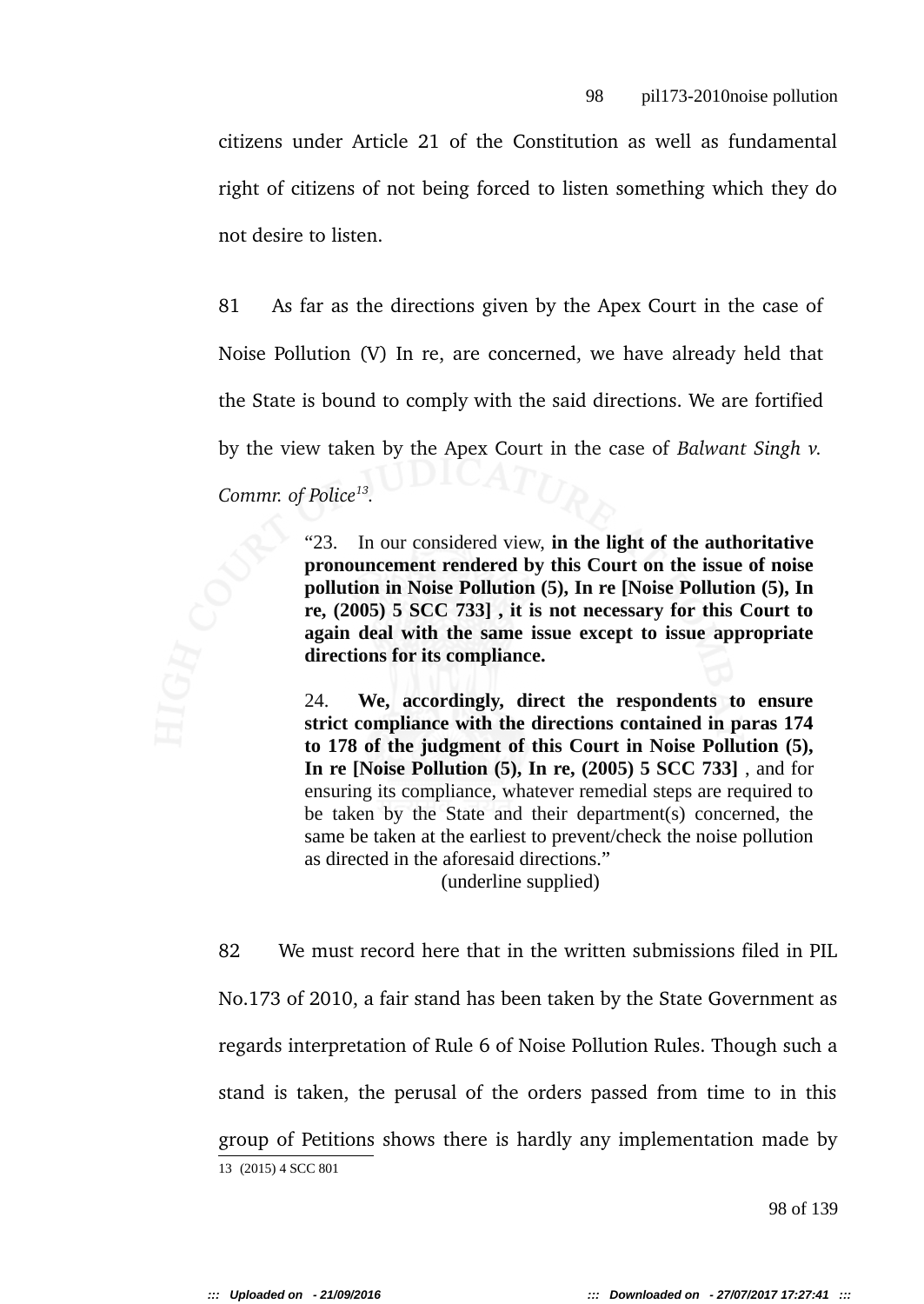citizens under Article 21 of the Constitution as well as fundamental right of citizens of not being forced to listen something which they do not desire to listen.

81 As far as the directions given by the Apex Court in the case of Noise Pollution (V) In re, are concerned, we have already held that the State is bound to comply with the said directions. We are fortified by the view taken by the Apex Court in the case of *Balwant Singh v. Commr. of Police<sup>13</sup> .*

> "23. In our considered view, **in the light of the authoritative pronouncement rendered by this Court on the issue of noise pollution in Noise Pollution (5), In re [Noise Pollution (5), In re, (2005) 5 SCC 733] , it is not necessary for this Court to again deal with the same issue except to issue appropriate directions for its compliance.**

> 24. **We, accordingly, direct the respondents to ensure strict compliance with the directions contained in paras 174 to 178 of the judgment of this Court in Noise Pollution (5), In re [Noise Pollution (5), In re, (2005) 5 SCC 733]** , and for ensuring its compliance, whatever remedial steps are required to be taken by the State and their department(s) concerned, the same be taken at the earliest to prevent/check the noise pollution as directed in the aforesaid directions."

(underline supplied)

82 We must record here that in the written submissions filed in PIL No.173 of 2010, a fair stand has been taken by the State Government as regards interpretation of Rule 6 of Noise Pollution Rules. Though such a stand is taken, the perusal of the orders passed from time to in this group of Petitions shows there is hardly any implementation made by 13 (2015) 4 SCC 801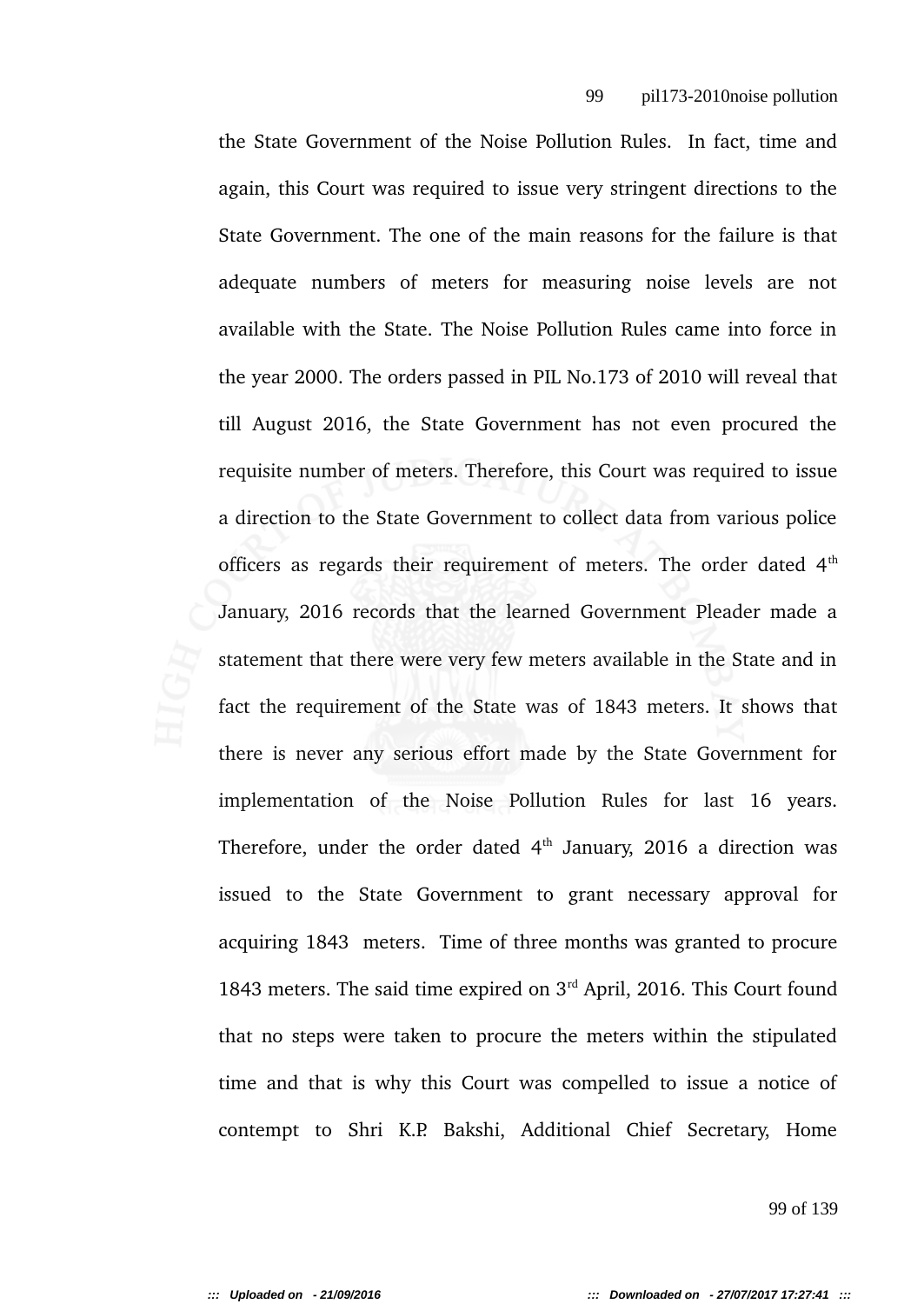the State Government of the Noise Pollution Rules. In fact, time and again, this Court was required to issue very stringent directions to the State Government. The one of the main reasons for the failure is that adequate numbers of meters for measuring noise levels are not available with the State. The Noise Pollution Rules came into force in the year 2000. The orders passed in PIL No.173 of 2010 will reveal that till August 2016, the State Government has not even procured the requisite number of meters. Therefore, this Court was required to issue a direction to the State Government to collect data from various police officers as regards their requirement of meters. The order dated  $4<sup>th</sup>$ January, 2016 records that the learned Government Pleader made a statement that there were very few meters available in the State and in fact the requirement of the State was of 1843 meters. It shows that there is never any serious effort made by the State Government for implementation of the Noise Pollution Rules for last 16 years. Therefore, under the order dated  $4<sup>th</sup>$  January, 2016 a direction was issued to the State Government to grant necessary approval for acquiring 1843 meters. Time of three months was granted to procure 1843 meters. The said time expired on  $3<sup>rd</sup>$  April, 2016. This Court found that no steps were taken to procure the meters within the stipulated time and that is why this Court was compelled to issue a notice of contempt to Shri K.P. Bakshi, Additional Chief Secretary, Home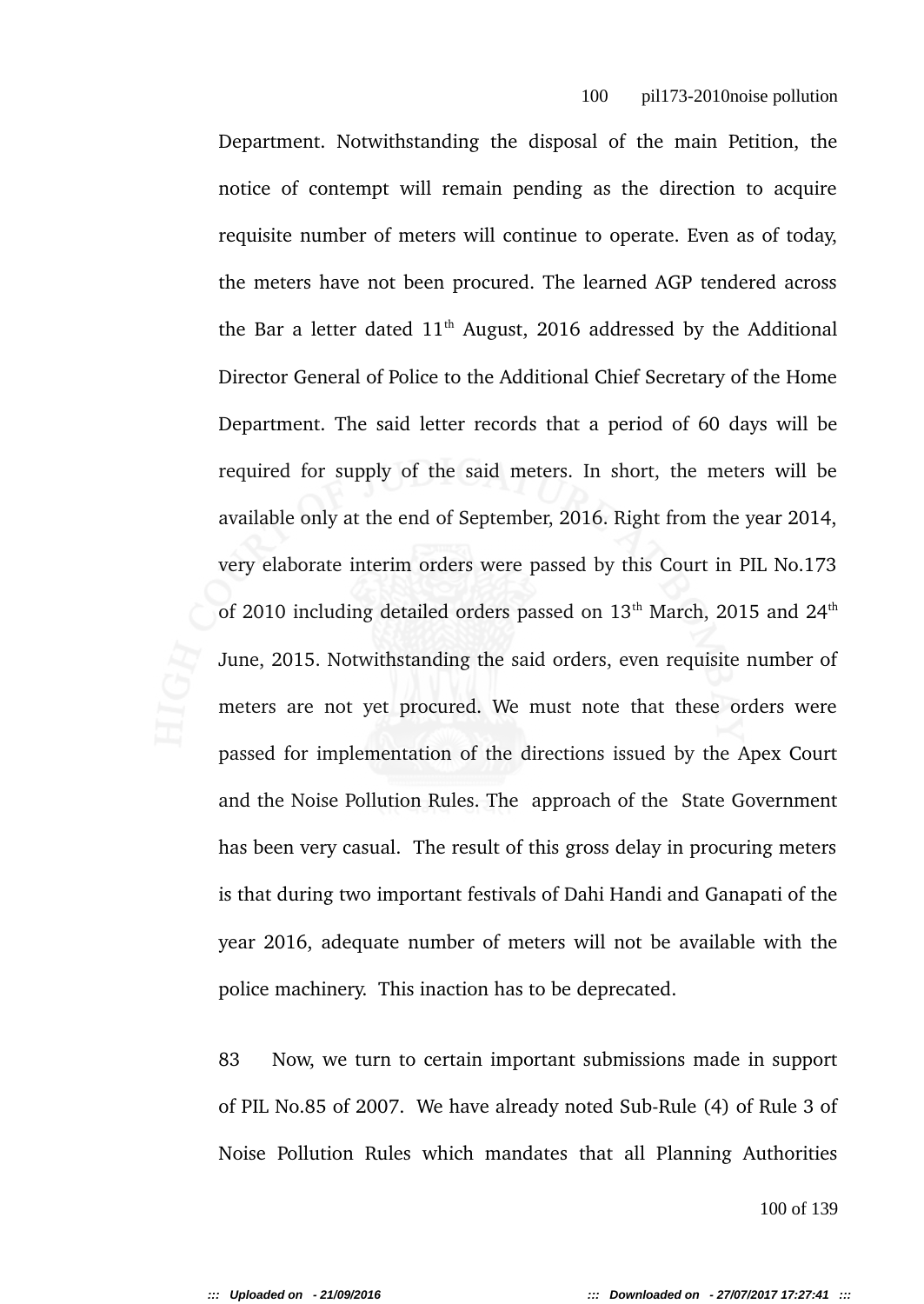Department. Notwithstanding the disposal of the main Petition, the notice of contempt will remain pending as the direction to acquire requisite number of meters will continue to operate. Even as of today, the meters have not been procured. The learned AGP tendered across the Bar a letter dated  $11<sup>th</sup>$  August, 2016 addressed by the Additional Director General of Police to the Additional Chief Secretary of the Home Department. The said letter records that a period of 60 days will be required for supply of the said meters. In short, the meters will be available only at the end of September, 2016. Right from the year 2014, very elaborate interim orders were passed by this Court in PIL No.173 of 2010 including detailed orders passed on  $13<sup>th</sup>$  March, 2015 and  $24<sup>th</sup>$ June, 2015. Notwithstanding the said orders, even requisite number of meters are not yet procured. We must note that these orders were passed for implementation of the directions issued by the Apex Court and the Noise Pollution Rules. The approach of the State Government has been very casual. The result of this gross delay in procuring meters is that during two important festivals of Dahi Handi and Ganapati of the year 2016, adequate number of meters will not be available with the police machinery. This inaction has to be deprecated.

83 Now, we turn to certain important submissions made in support of PIL No.85 of 2007. We have already noted Sub-Rule (4) of Rule 3 of Noise Pollution Rules which mandates that all Planning Authorities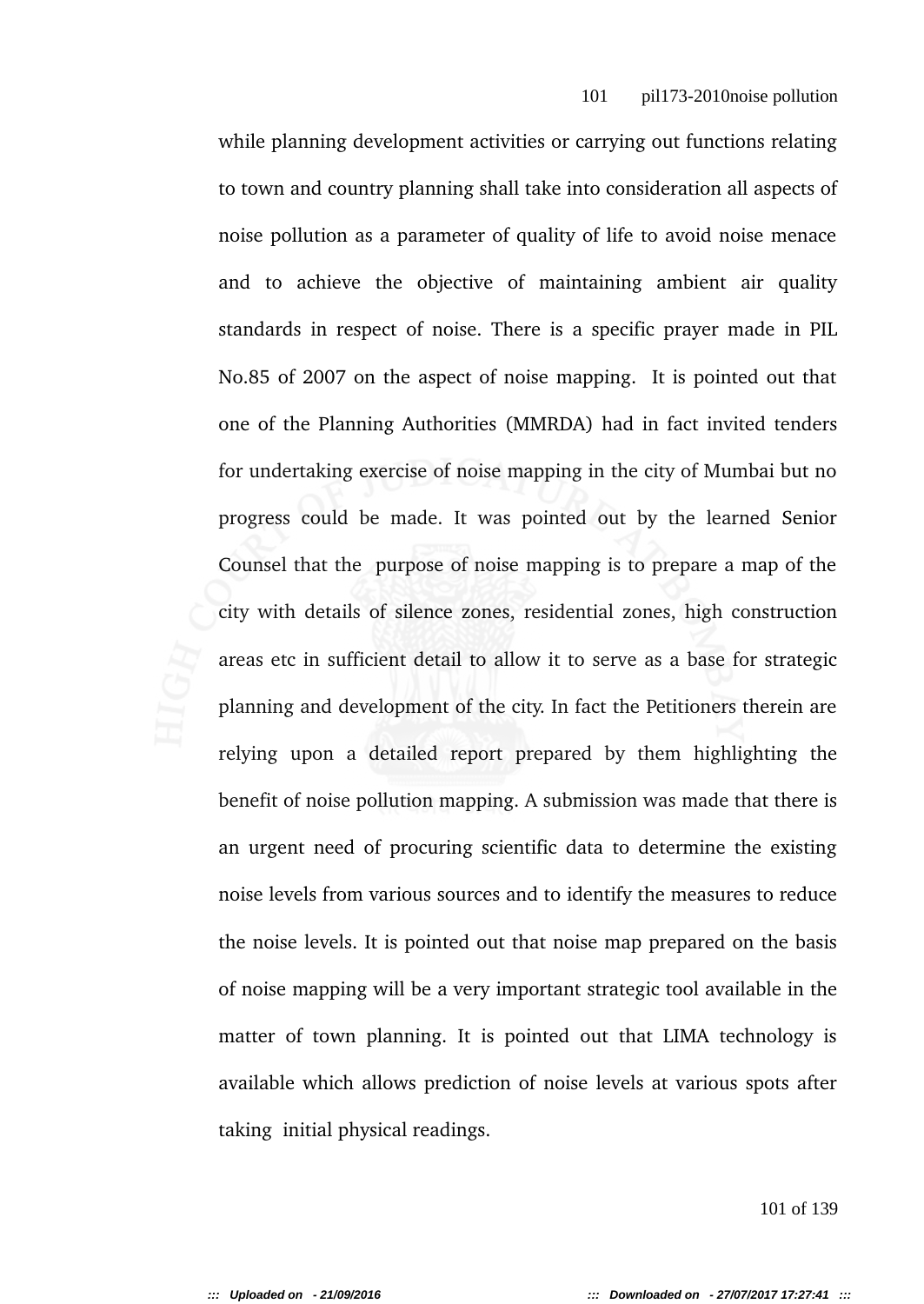while planning development activities or carrying out functions relating to town and country planning shall take into consideration all aspects of noise pollution as a parameter of quality of life to avoid noise menace and to achieve the objective of maintaining ambient air quality standards in respect of noise. There is a specific prayer made in PIL No.85 of 2007 on the aspect of noise mapping. It is pointed out that one of the Planning Authorities (MMRDA) had in fact invited tenders for undertaking exercise of noise mapping in the city of Mumbai but no progress could be made. It was pointed out by the learned Senior Counsel that the purpose of noise mapping is to prepare a map of the city with details of silence zones, residential zones, high construction areas etc in sufficient detail to allow it to serve as a base for strategic planning and development of the city. In fact the Petitioners therein are relying upon a detailed report prepared by them highlighting the benefit of noise pollution mapping. A submission was made that there is an urgent need of procuring scientific data to determine the existing noise levels from various sources and to identify the measures to reduce the noise levels. It is pointed out that noise map prepared on the basis of noise mapping will be a very important strategic tool available in the matter of town planning. It is pointed out that LIMA technology is available which allows prediction of noise levels at various spots after taking initial physical readings.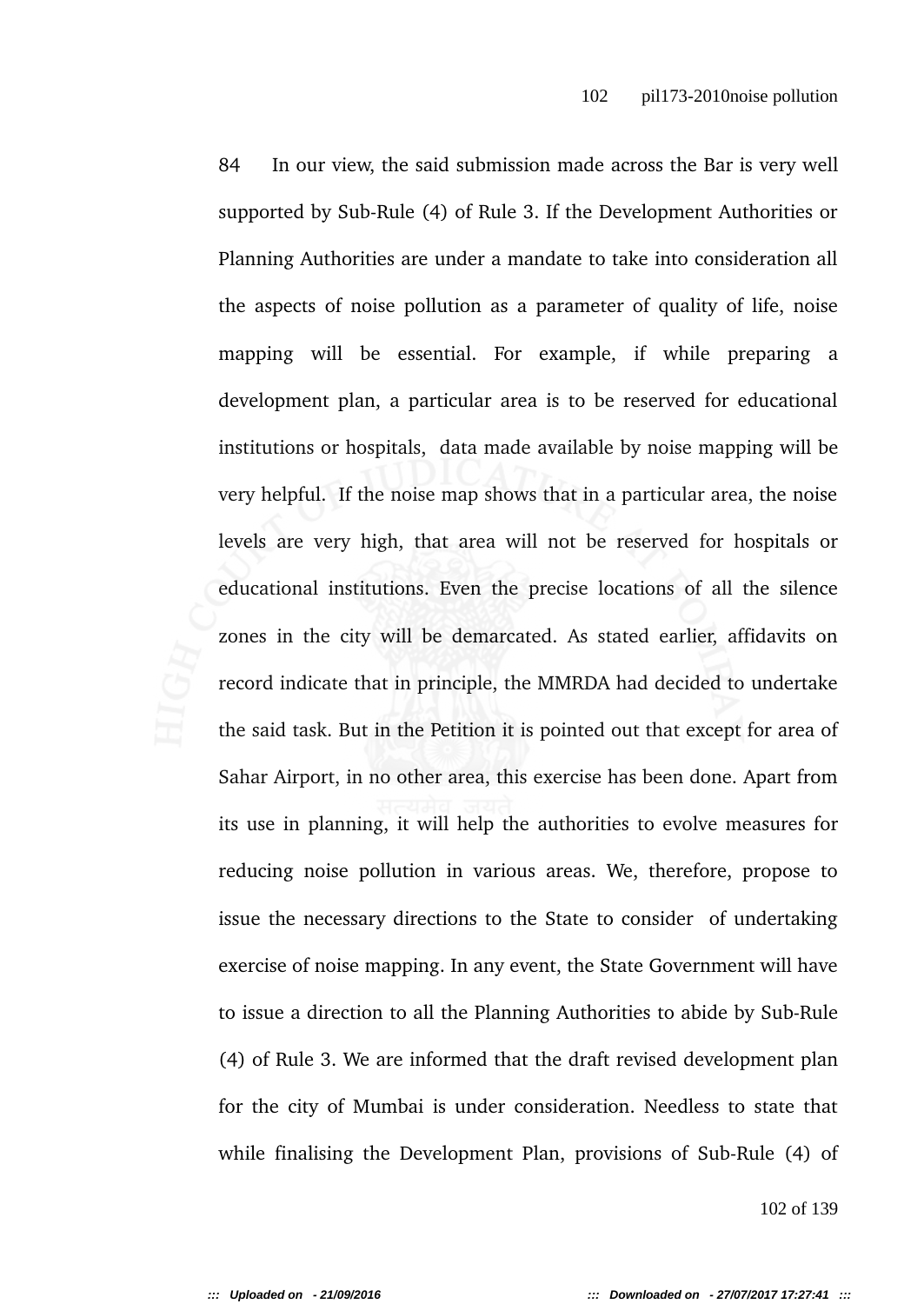84 In our view, the said submission made across the Bar is very well supported by Sub-Rule (4) of Rule 3. If the Development Authorities or Planning Authorities are under a mandate to take into consideration all the aspects of noise pollution as a parameter of quality of life, noise mapping will be essential. For example, if while preparing a development plan, a particular area is to be reserved for educational institutions or hospitals, data made available by noise mapping will be very helpful. If the noise map shows that in a particular area, the noise levels are very high, that area will not be reserved for hospitals or educational institutions. Even the precise locations of all the silence zones in the city will be demarcated. As stated earlier, affidavits on record indicate that in principle, the MMRDA had decided to undertake the said task. But in the Petition it is pointed out that except for area of Sahar Airport, in no other area, this exercise has been done. Apart from its use in planning, it will help the authorities to evolve measures for reducing noise pollution in various areas. We, therefore, propose to issue the necessary directions to the State to consider of undertaking exercise of noise mapping. In any event, the State Government will have to issue a direction to all the Planning Authorities to abide by Sub-Rule (4) of Rule 3. We are informed that the draft revised development plan for the city of Mumbai is under consideration. Needless to state that while finalising the Development Plan, provisions of Sub-Rule (4) of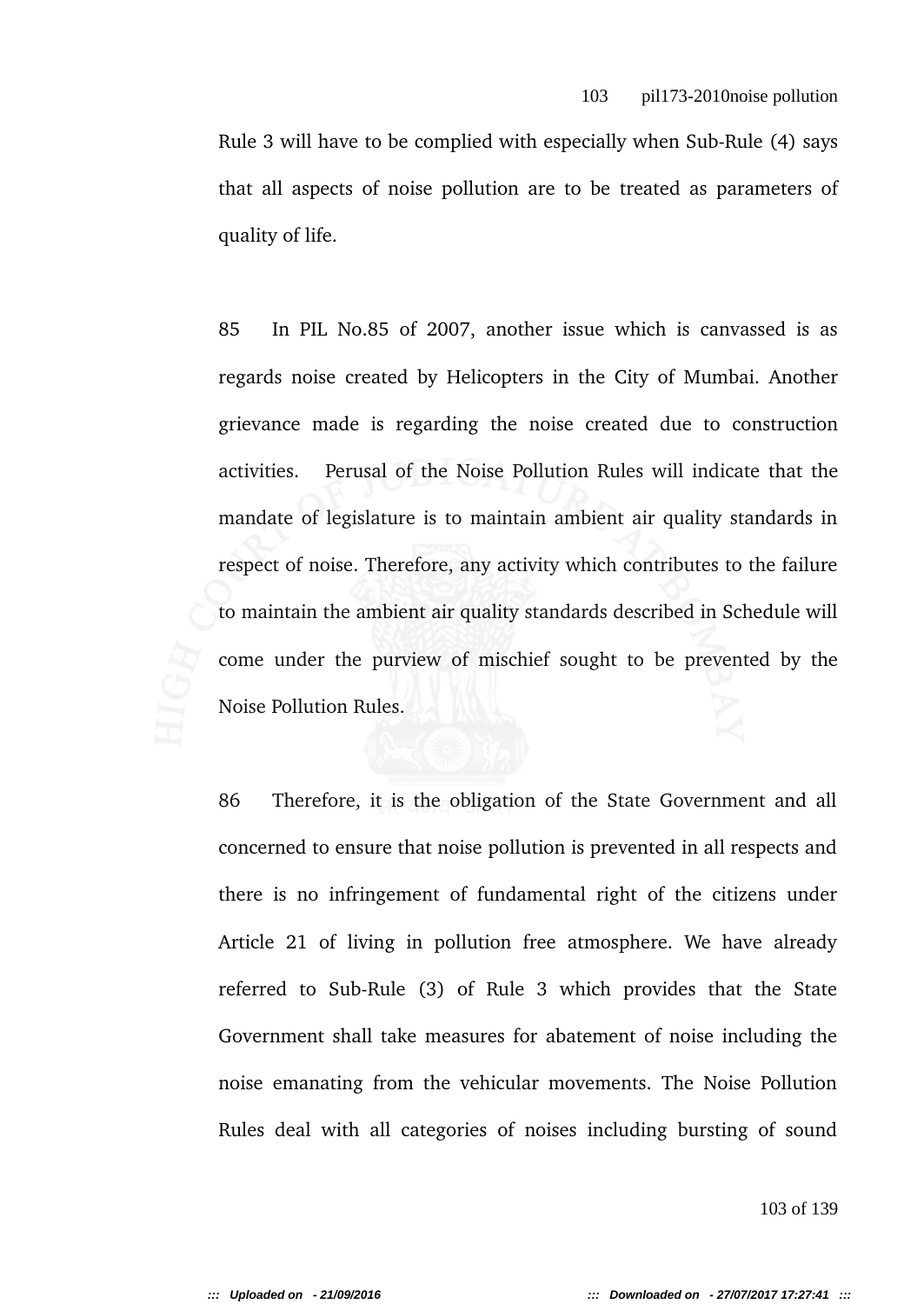Rule 3 will have to be complied with especially when Sub-Rule (4) says that all aspects of noise pollution are to be treated as parameters of quality of life.

85 In PIL No.85 of 2007, another issue which is canvassed is as regards noise created by Helicopters in the City of Mumbai. Another grievance made is regarding the noise created due to construction activities. Perusal of the Noise Pollution Rules will indicate that the mandate of legislature is to maintain ambient air quality standards in respect of noise. Therefore, any activity which contributes to the failure to maintain the ambient air quality standards described in Schedule will come under the purview of mischief sought to be prevented by the Noise Pollution Rules.

86 Therefore, it is the obligation of the State Government and all concerned to ensure that noise pollution is prevented in all respects and there is no infringement of fundamental right of the citizens under Article 21 of living in pollution free atmosphere. We have already referred to Sub-Rule (3) of Rule 3 which provides that the State Government shall take measures for abatement of noise including the noise emanating from the vehicular movements. The Noise Pollution Rules deal with all categories of noises including bursting of sound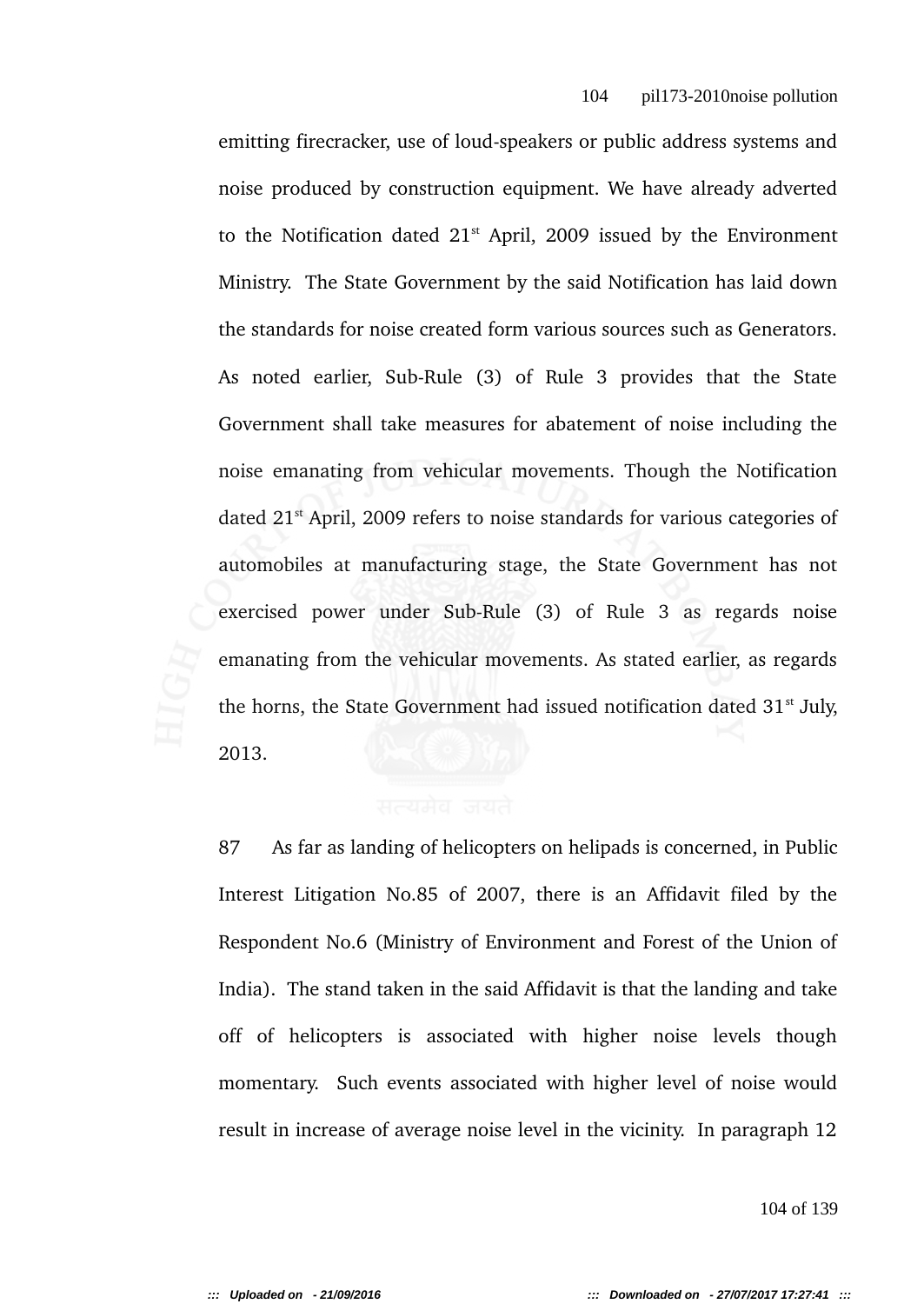emitting firecracker, use of loud-speakers or public address systems and noise produced by construction equipment. We have already adverted to the Notification dated  $21<sup>st</sup>$  April, 2009 issued by the Environment Ministry. The State Government by the said Notification has laid down the standards for noise created form various sources such as Generators. As noted earlier, Sub-Rule (3) of Rule 3 provides that the State Government shall take measures for abatement of noise including the noise emanating from vehicular movements. Though the Notification dated  $21<sup>st</sup>$  April, 2009 refers to noise standards for various categories of automobiles at manufacturing stage, the State Government has not exercised power under Sub-Rule (3) of Rule 3 as regards noise emanating from the vehicular movements. As stated earlier, as regards the horns, the State Government had issued notification dated  $31<sup>st</sup>$  July, 2013.

87 As far as landing of helicopters on helipads is concerned, in Public Interest Litigation No.85 of 2007, there is an Affidavit filed by the Respondent No.6 (Ministry of Environment and Forest of the Union of India). The stand taken in the said Affidavit is that the landing and take off of helicopters is associated with higher noise levels though momentary. Such events associated with higher level of noise would result in increase of average noise level in the vicinity. In paragraph 12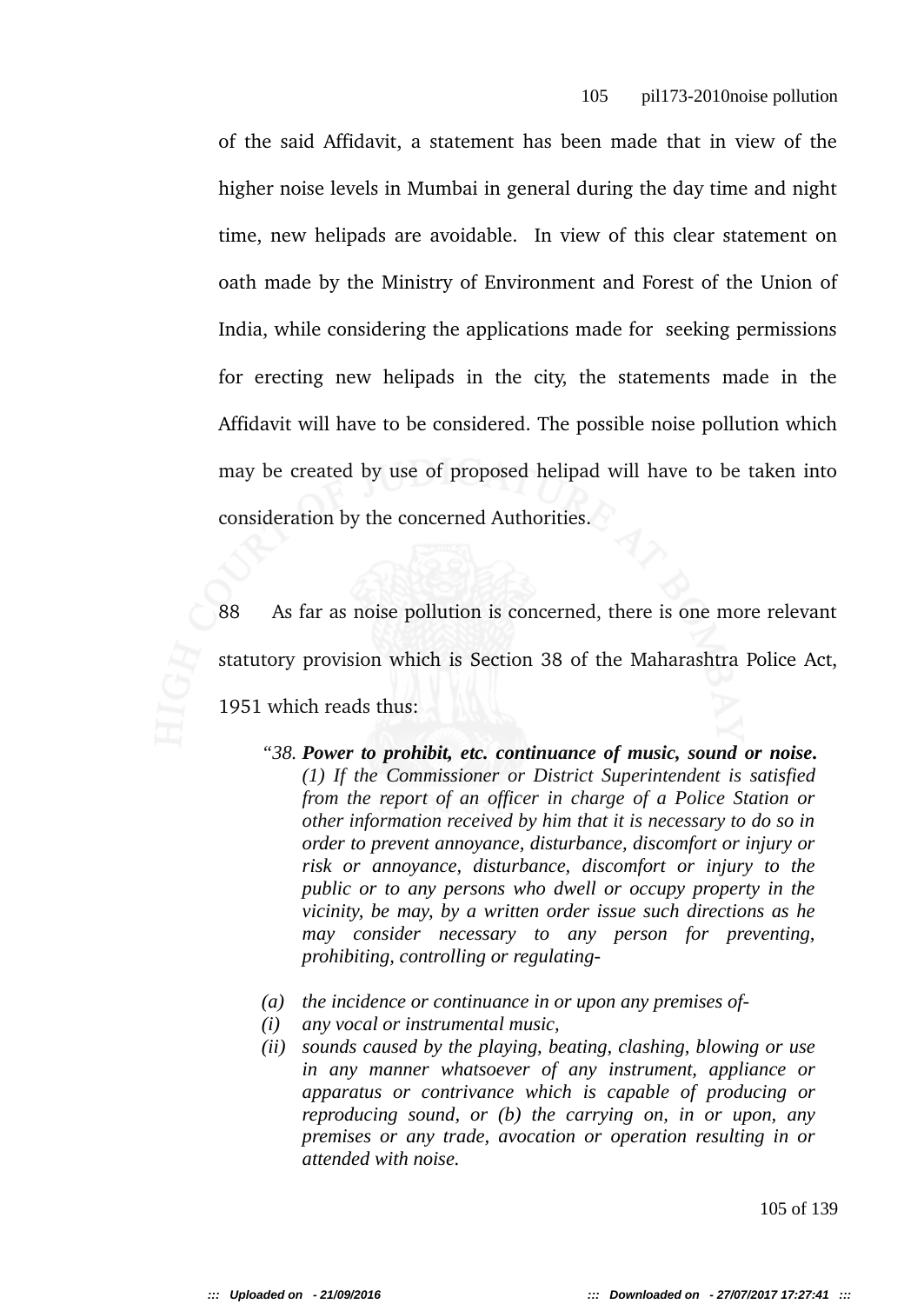of the said Affidavit, a statement has been made that in view of the higher noise levels in Mumbai in general during the day time and night time, new helipads are avoidable. In view of this clear statement on oath made by the Ministry of Environment and Forest of the Union of India, while considering the applications made for seeking permissions for erecting new helipads in the city, the statements made in the Affidavit will have to be considered. The possible noise pollution which may be created by use of proposed helipad will have to be taken into consideration by the concerned Authorities.

88 As far as noise pollution is concerned, there is one more relevant statutory provision which is Section 38 of the Maharashtra Police Act, 1951 which reads thus:

- *"38. Power to prohibit, etc. continuance of music, sound or noise. (1) If the Commissioner or District Superintendent is satisfied from the report of an officer in charge of a Police Station or other information received by him that it is necessary to do so in order to prevent annoyance, disturbance, discomfort or injury or risk or annoyance, disturbance, discomfort or injury to the public or to any persons who dwell or occupy property in the vicinity, be may, by a written order issue such directions as he may consider necessary to any person for preventing, prohibiting, controlling or regulating-*
- *(a) the incidence or continuance in or upon any premises of-*
- *(i) any vocal or instrumental music,*
- *(ii) sounds caused by the playing, beating, clashing, blowing or use in any manner whatsoever of any instrument, appliance or apparatus or contrivance which is capable of producing or reproducing sound, or (b) the carrying on, in or upon, any premises or any trade, avocation or operation resulting in or attended with noise.*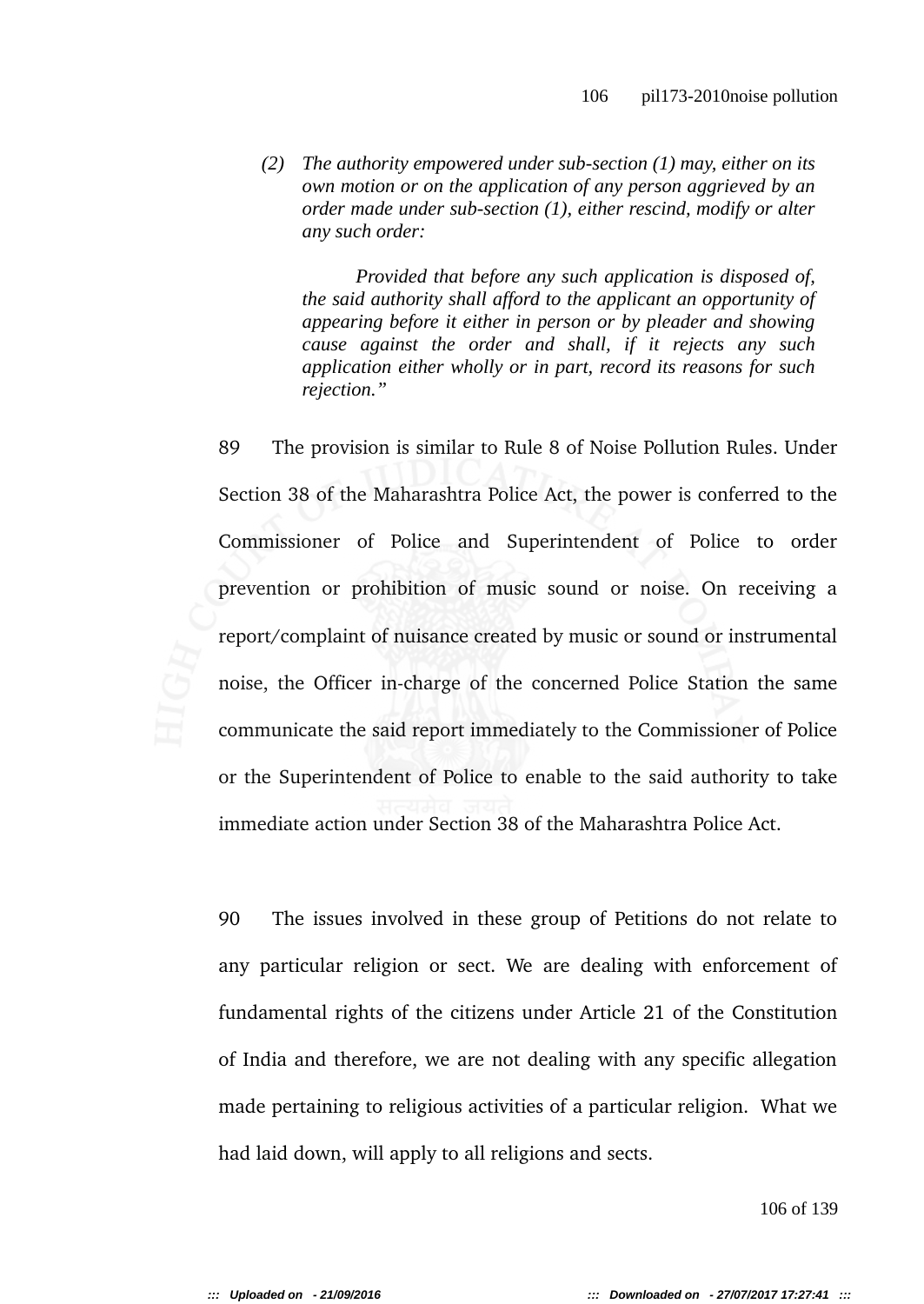*(2) The authority empowered under sub-section (1) may, either on its own motion or on the application of any person aggrieved by an order made under sub-section (1), either rescind, modify or alter any such order:*

*Provided that before any such application is disposed of, the said authority shall afford to the applicant an opportunity of appearing before it either in person or by pleader and showing cause against the order and shall, if it rejects any such application either wholly or in part, record its reasons for such rejection."*

89 The provision is similar to Rule 8 of Noise Pollution Rules. Under Section 38 of the Maharashtra Police Act, the power is conferred to the Commissioner of Police and Superintendent of Police to order prevention or prohibition of music sound or noise. On receiving a report/complaint of nuisance created by music or sound or instrumental noise, the Officer in-charge of the concerned Police Station the same communicate the said report immediately to the Commissioner of Police or the Superintendent of Police to enable to the said authority to take immediate action under Section 38 of the Maharashtra Police Act.

90 The issues involved in these group of Petitions do not relate to any particular religion or sect. We are dealing with enforcement of fundamental rights of the citizens under Article 21 of the Constitution of India and therefore, we are not dealing with any specific allegation made pertaining to religious activities of a particular religion. What we had laid down, will apply to all religions and sects.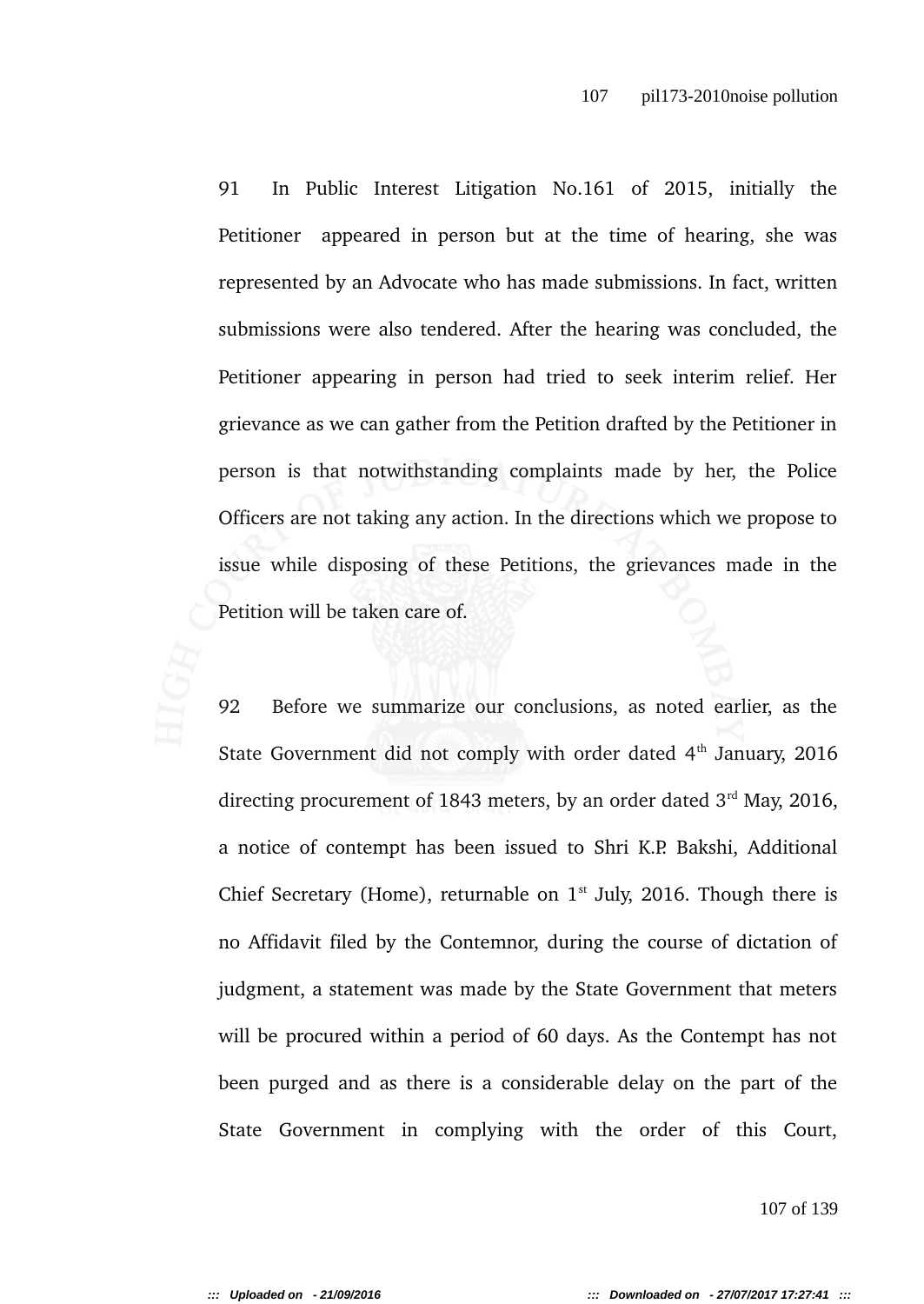91 In Public Interest Litigation No.161 of 2015, initially the Petitioner appeared in person but at the time of hearing, she was represented by an Advocate who has made submissions. In fact, written submissions were also tendered. After the hearing was concluded, the Petitioner appearing in person had tried to seek interim relief. Her grievance as we can gather from the Petition drafted by the Petitioner in person is that notwithstanding complaints made by her, the Police Officers are not taking any action. In the directions which we propose to issue while disposing of these Petitions, the grievances made in the Petition will be taken care of.

92 Before we summarize our conclusions, as noted earlier, as the State Government did not comply with order dated  $4<sup>th</sup>$  January, 2016 directing procurement of 1843 meters, by an order dated  $3<sup>rd</sup>$  May, 2016, a notice of contempt has been issued to Shri K.P. Bakshi, Additional Chief Secretary (Home), returnable on  $1<sup>st</sup>$  July, 2016. Though there is no Affidavit filed by the Contemnor, during the course of dictation of judgment, a statement was made by the State Government that meters will be procured within a period of 60 days. As the Contempt has not been purged and as there is a considerable delay on the part of the State Government in complying with the order of this Court,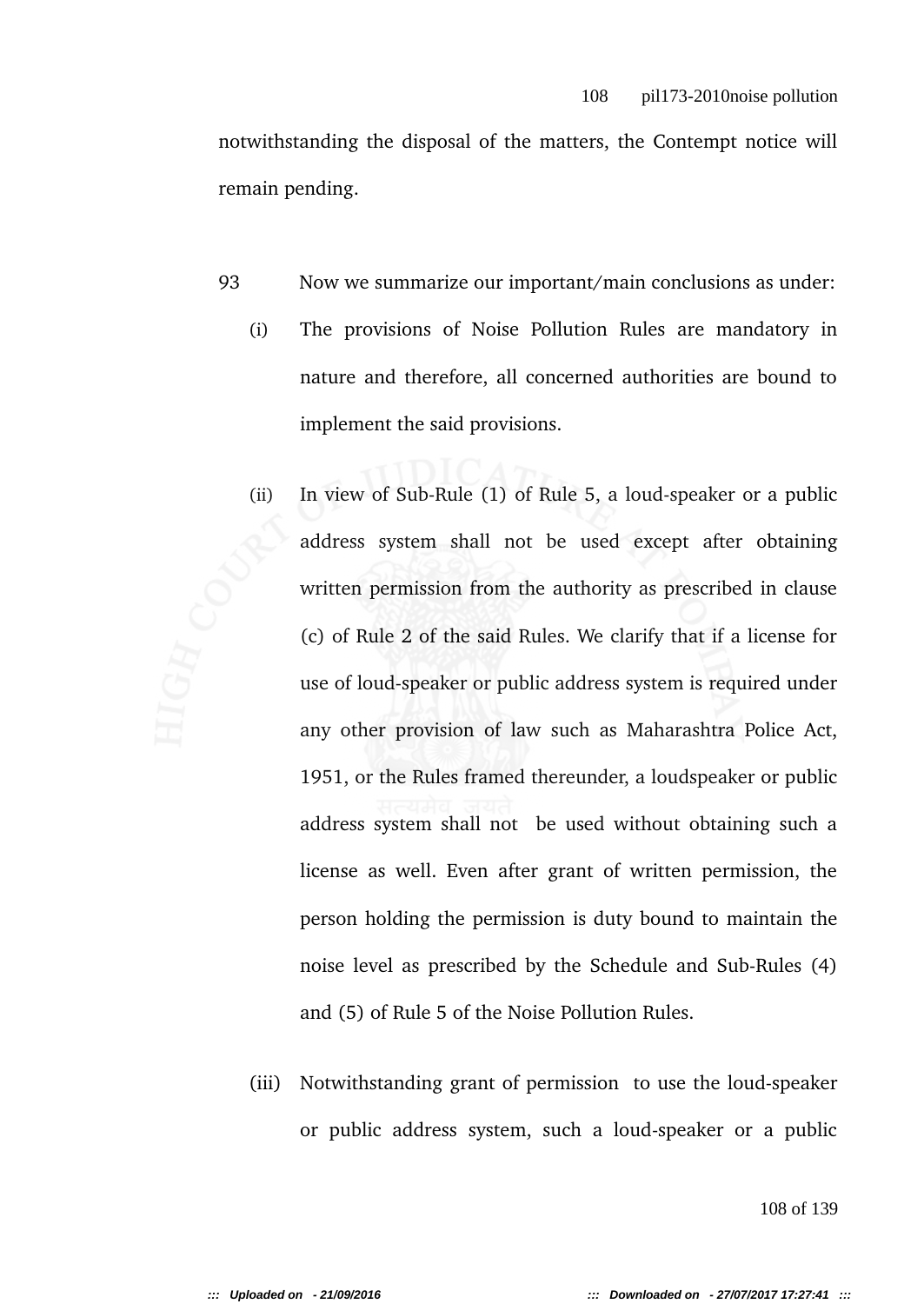notwithstanding the disposal of the matters, the Contempt notice will remain pending.

- 93 Now we summarize our important/main conclusions as under:
	- (i) The provisions of Noise Pollution Rules are mandatory in nature and therefore, all concerned authorities are bound to implement the said provisions.
	- (ii) In view of Sub-Rule  $(1)$  of Rule 5, a loud-speaker or a public address system shall not be used except after obtaining written permission from the authority as prescribed in clause (c) of Rule 2 of the said Rules. We clarify that if a license for use of loud-speaker or public address system is required under any other provision of law such as Maharashtra Police Act, 1951, or the Rules framed thereunder, a loudspeaker or public address system shall not be used without obtaining such a license as well. Even after grant of written permission, the person holding the permission is duty bound to maintain the noise level as prescribed by the Schedule and Sub-Rules (4) and (5) of Rule 5 of the Noise Pollution Rules.
		- (iii) Notwithstanding grant of permission to use the loud-speaker or public address system, such a loud-speaker or a public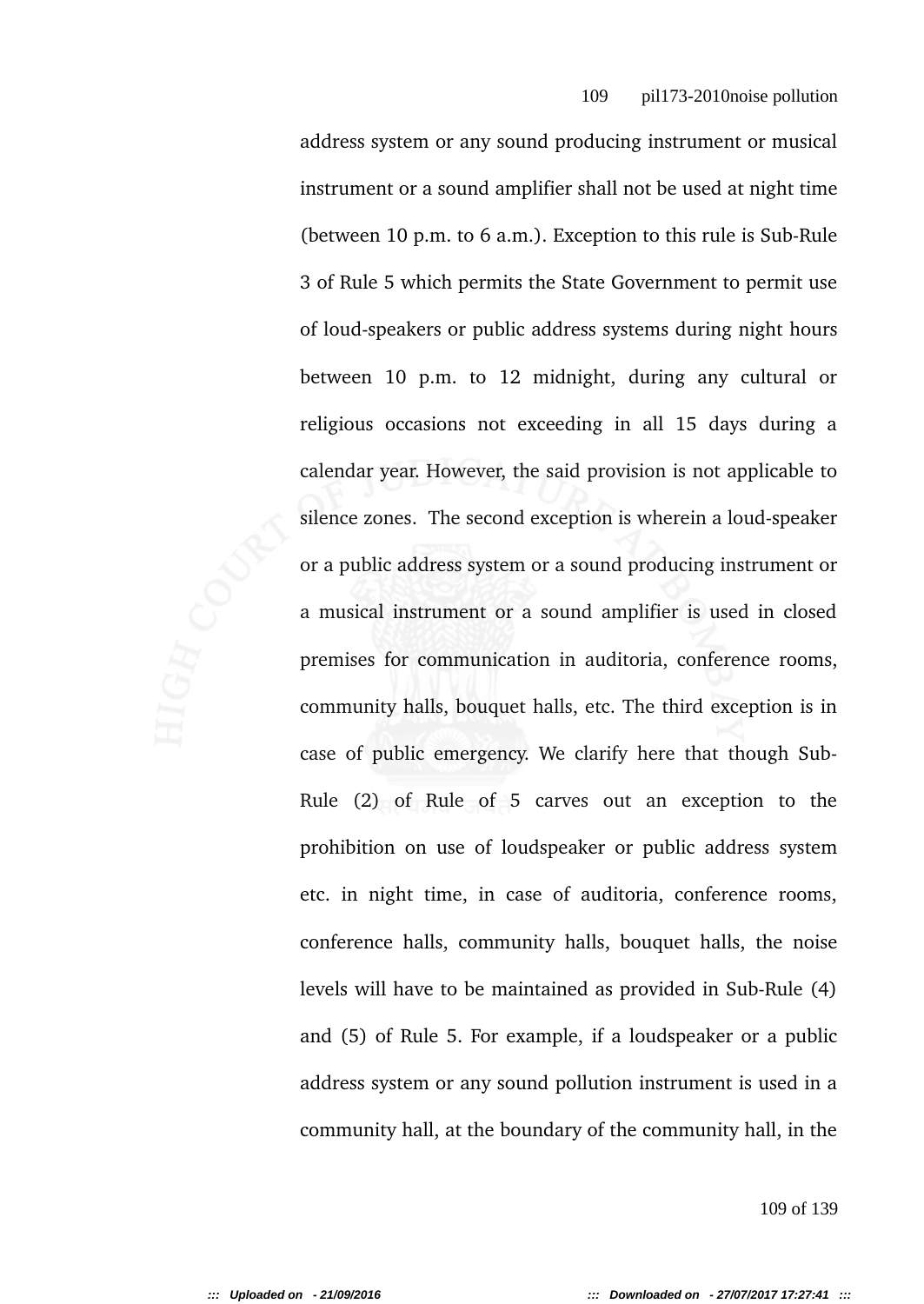address system or any sound producing instrument or musical instrument or a sound amplifier shall not be used at night time (between  $10$  p.m. to  $6$  a.m.). Exception to this rule is Sub-Rule 3 of Rule 5 which permits the State Government to permit use of loud-speakers or public address systems during night hours between 10 p.m. to 12 midnight, during any cultural or religious occasions not exceeding in all 15 days during a calendar year. However, the said provision is not applicable to silence zones. The second exception is wherein a loud-speaker or a public address system or a sound producing instrument or a musical instrument or a sound amplifier is used in closed premises for communication in auditoria, conference rooms, community halls, bouquet halls, etc. The third exception is in case of public emergency. We clarify here that though Sub-Rule (2) of Rule of 5 carves out an exception to the prohibition on use of loudspeaker or public address system etc. in night time, in case of auditoria, conference rooms, conference halls, community halls, bouquet halls, the noise levels will have to be maintained as provided in Sub-Rule (4) and (5) of Rule 5. For example, if a loudspeaker or a public address system or any sound pollution instrument is used in a community hall, at the boundary of the community hall, in the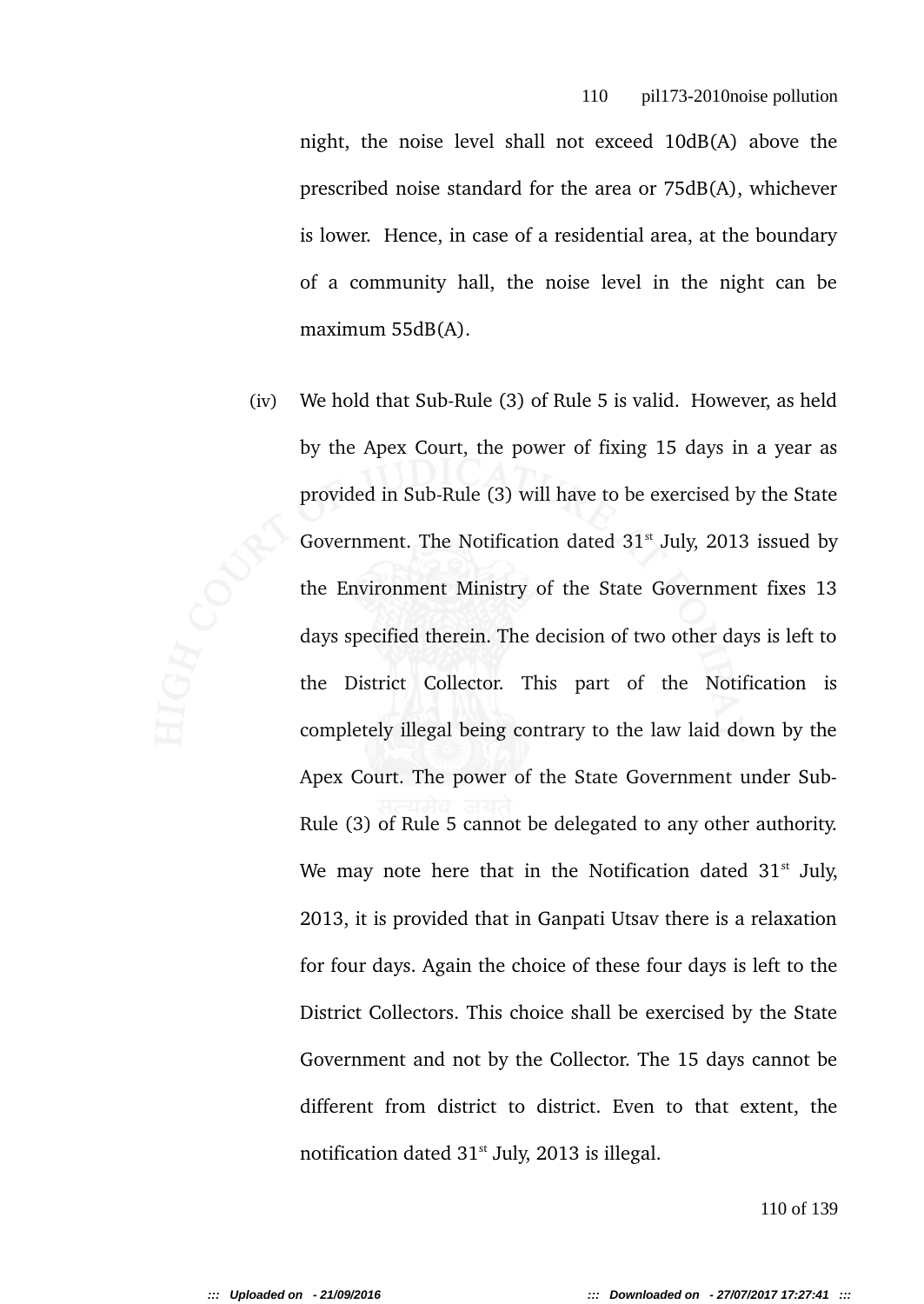night, the noise level shall not exceed 10dB(A) above the prescribed noise standard for the area or 75dB(A), whichever is lower. Hence, in case of a residential area, at the boundary of a community hall, the noise level in the night can be maximum 55dB(A).

(iv) We hold that Sub-Rule  $(3)$  of Rule 5 is valid. However, as held by the Apex Court, the power of fixing 15 days in a year as provided in Sub-Rule (3) will have to be exercised by the State Government. The Notification dated  $31<sup>st</sup>$  July, 2013 issued by the Environment Ministry of the State Government fixes 13 days specified therein. The decision of two other days is left to the District Collector. This part of the Notification is completely illegal being contrary to the law laid down by the Apex Court. The power of the State Government under Sub-Rule (3) of Rule 5 cannot be delegated to any other authority. We may note here that in the Notification dated  $31<sup>st</sup>$  July, 2013, it is provided that in Ganpati Utsav there is a relaxation for four days. Again the choice of these four days is left to the District Collectors. This choice shall be exercised by the State Government and not by the Collector. The 15 days cannot be different from district to district. Even to that extent, the notification dated 31<sup>st</sup> July, 2013 is illegal.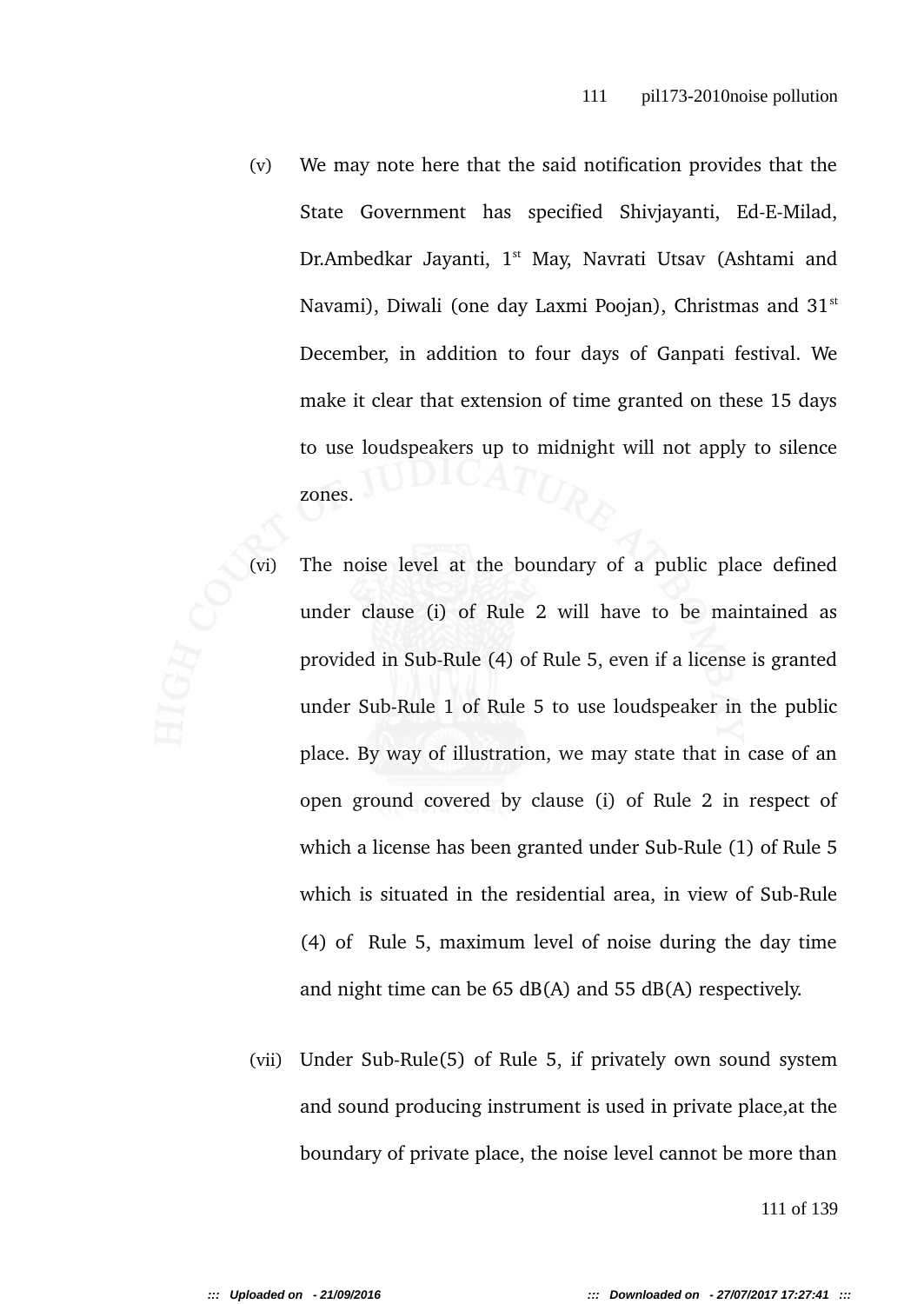- (v) We may note here that the said notification provides that the State Government has specified Shivjayanti, Ed-E-Milad, Dr.Ambedkar Jayanti, 1<sup>st</sup> May, Navrati Utsav (Ashtami and Navami), Diwali (one day Laxmi Poojan), Christmas and  $31<sup>st</sup>$ December, in addition to four days of Ganpati festival. We make it clear that extension of time granted on these 15 days to use loudspeakers up to midnight will not apply to silence zones.
- (vi) The noise level at the boundary of a public place defined under clause (i) of Rule 2 will have to be maintained as provided in Sub-Rule (4) of Rule 5, even if a license is granted under Sub-Rule 1 of Rule 5 to use loudspeaker in the public place. By way of illustration, we may state that in case of an open ground covered by clause (i) of Rule 2 in respect of which a license has been granted under Sub-Rule (1) of Rule 5 which is situated in the residential area, in view of Sub-Rule (4) of Rule 5, maximum level of noise during the day time and night time can be 65 dB(A) and 55 dB(A) respectively.
	- (vii) Under Sub-Rule(5) of Rule 5, if privately own sound system and sound producing instrument is used in private place,at the boundary of private place, the noise level cannot be more than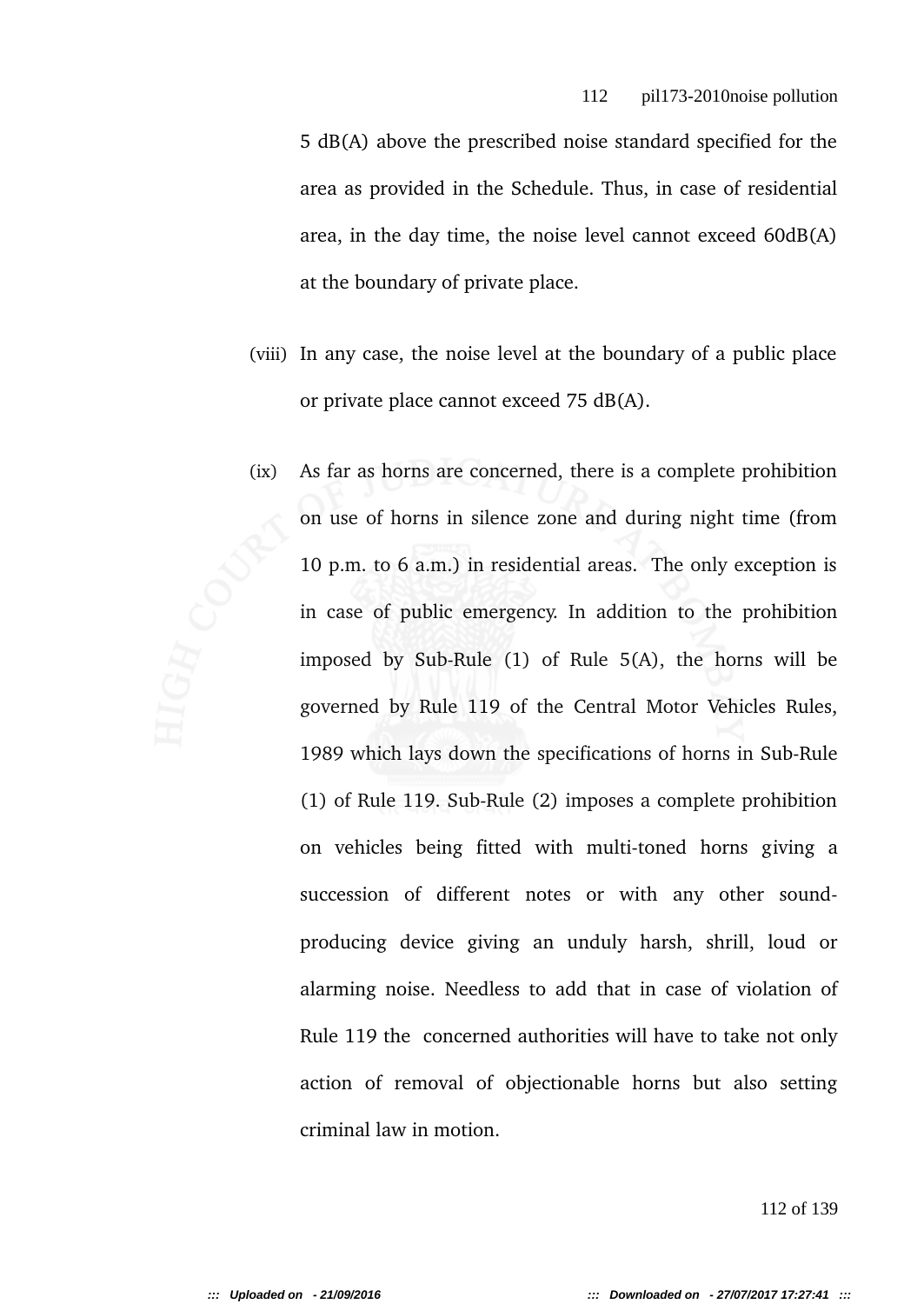5 dB(A) above the prescribed noise standard specified for the area as provided in the Schedule. Thus, in case of residential area, in the day time, the noise level cannot exceed 60dB(A) at the boundary of private place.

- (viii) In any case, the noise level at the boundary of a public place or private place cannot exceed 75 dB(A).
- (ix) As far as horns are concerned, there is a complete prohibition on use of horns in silence zone and during night time (from 10 p.m. to 6 a.m.) in residential areas. The only exception is in case of public emergency. In addition to the prohibition imposed by Sub-Rule  $(1)$  of Rule  $5(A)$ , the horns will be governed by Rule 119 of the Central Motor Vehicles Rules, 1989 which lays down the specifications of horns in Sub-Rule (1) of Rule 119. Sub-Rule  $(2)$  imposes a complete prohibition on vehicles being fitted with multi-toned horns giving a succession of different notes or with any other soundproducing device giving an unduly harsh, shrill, loud or alarming noise. Needless to add that in case of violation of Rule 119 the concerned authorities will have to take not only action of removal of objectionable horns but also setting criminal law in motion.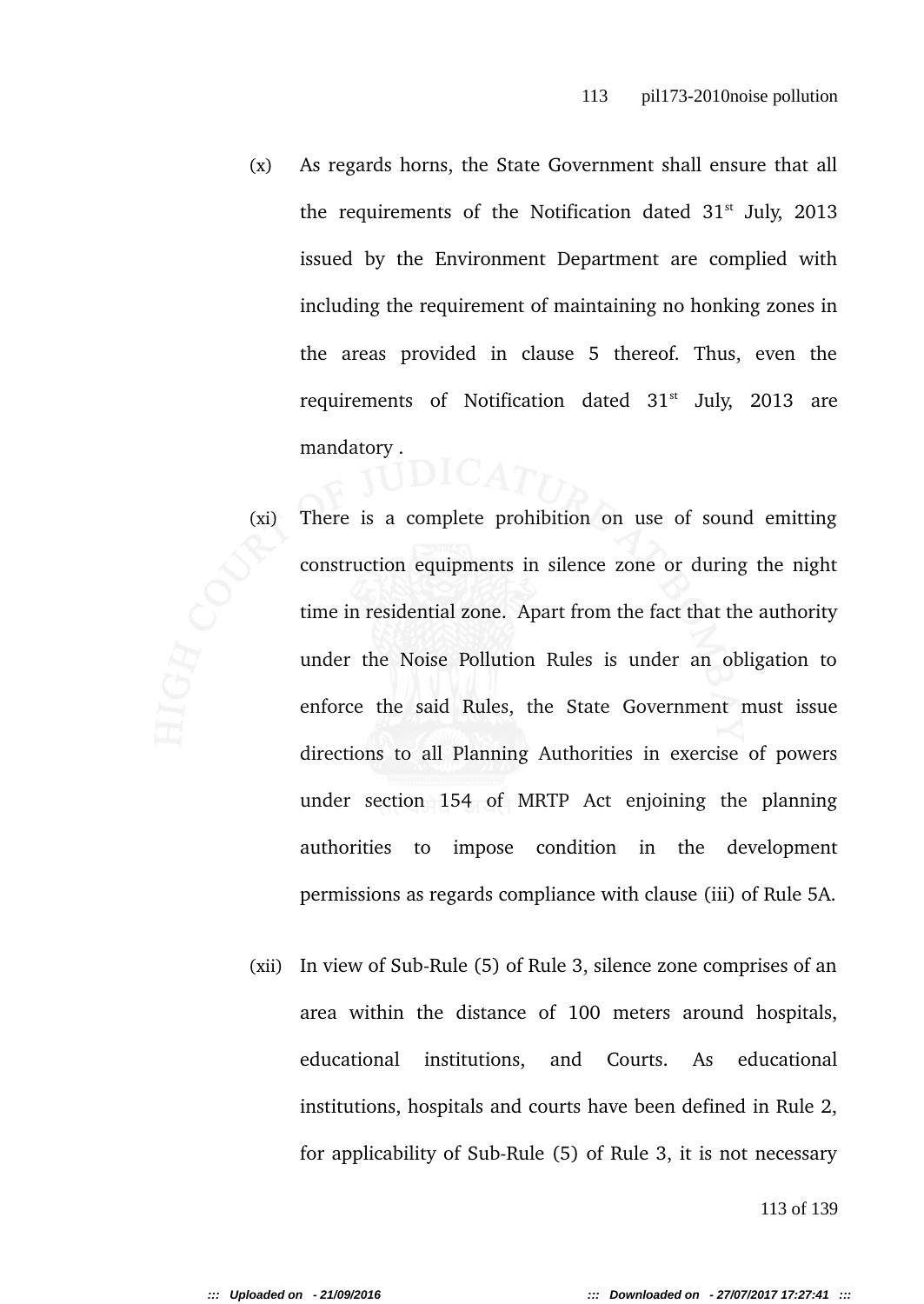- (x) As regards horns, the State Government shall ensure that all the requirements of the Notification dated  $31<sup>st</sup>$  July, 2013 issued by the Environment Department are complied with including the requirement of maintaining no honking zones in the areas provided in clause 5 thereof. Thus, even the requirements of Notification dated  $31<sup>st</sup>$  July, 2013 are mandatory .
- (xi) There is a complete prohibition on use of sound emitting construction equipments in silence zone or during the night time in residential zone. Apart from the fact that the authority under the Noise Pollution Rules is under an obligation to enforce the said Rules, the State Government must issue directions to all Planning Authorities in exercise of powers under section 154 of MRTP Act enjoining the planning authorities to impose condition in the development permissions as regards compliance with clause (iii) of Rule 5A.
- (xii) In view of Sub-Rule  $(5)$  of Rule 3, silence zone comprises of an area within the distance of 100 meters around hospitals, educational institutions, and Courts. As educational institutions, hospitals and courts have been defined in Rule 2, for applicability of Sub-Rule  $(5)$  of Rule 3, it is not necessary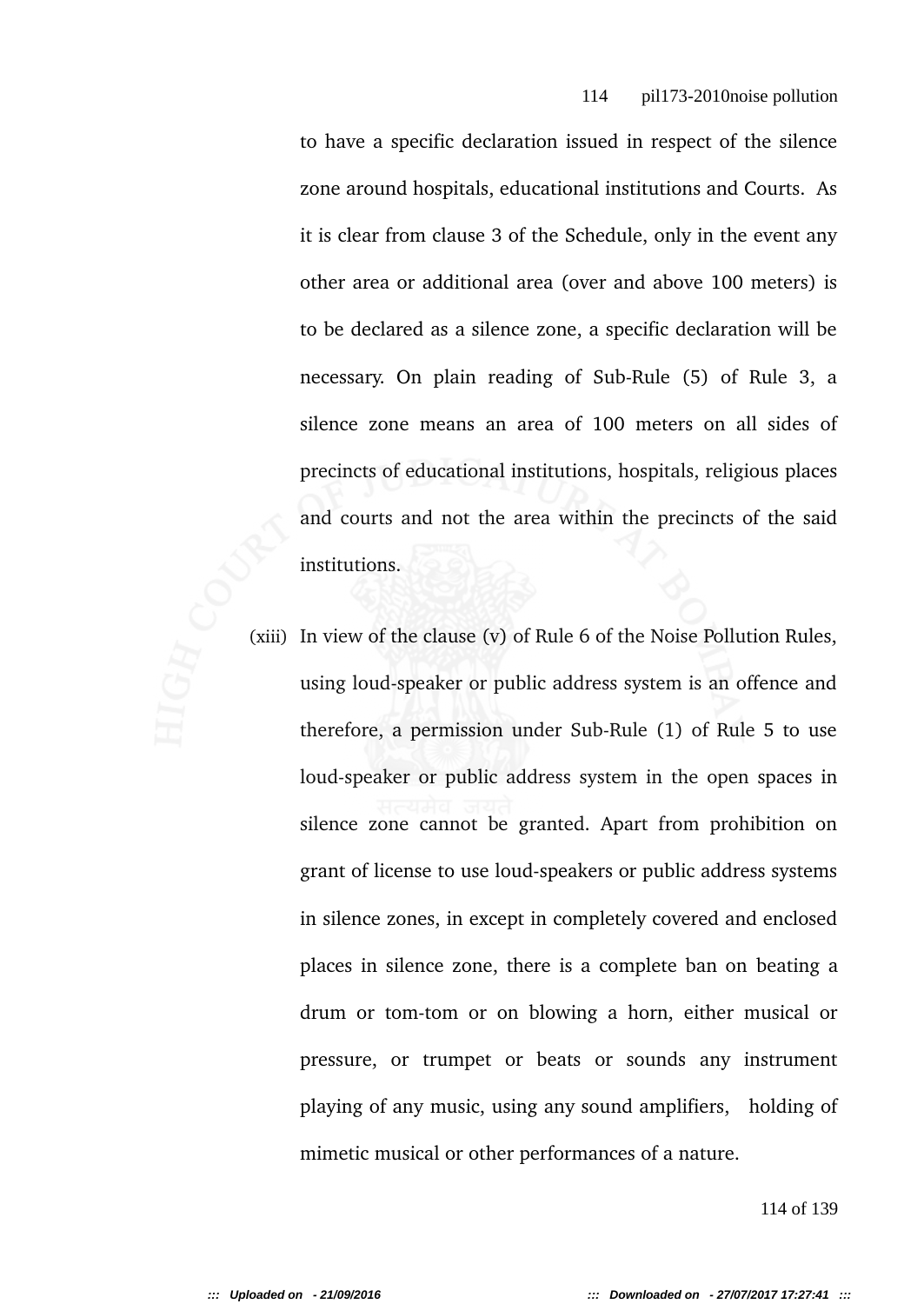to have a specific declaration issued in respect of the silence zone around hospitals, educational institutions and Courts. As it is clear from clause 3 of the Schedule, only in the event any other area or additional area (over and above 100 meters) is to be declared as a silence zone, a specific declaration will be necessary. On plain reading of Sub-Rule (5) of Rule 3, a silence zone means an area of 100 meters on all sides of precincts of educational institutions, hospitals, religious places and courts and not the area within the precincts of the said institutions.

(xiii) In view of the clause (v) of Rule 6 of the Noise Pollution Rules, using loud-speaker or public address system is an offence and therefore, a permission under Sub-Rule (1) of Rule 5 to use loud-speaker or public address system in the open spaces in silence zone cannot be granted. Apart from prohibition on grant of license to use loud-speakers or public address systems in silence zones, in except in completely covered and enclosed places in silence zone, there is a complete ban on beating a drum or tom-tom or on blowing a horn, either musical or pressure, or trumpet or beats or sounds any instrument playing of any music, using any sound amplifiers, holding of mimetic musical or other performances of a nature.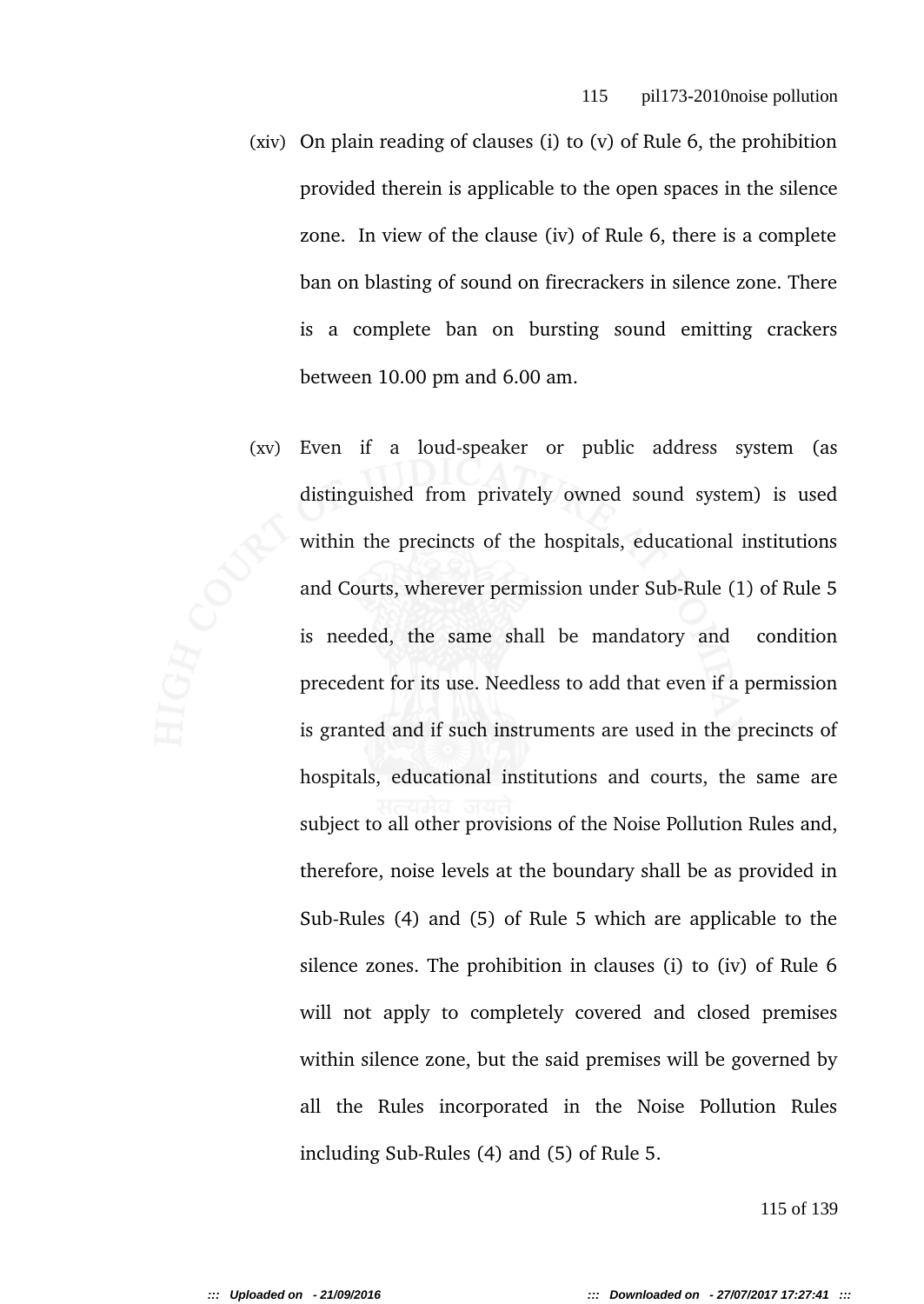- (xiv) On plain reading of clauses (i) to (v) of Rule 6, the prohibition provided therein is applicable to the open spaces in the silence zone. In view of the clause (iv) of Rule 6, there is a complete ban on blasting of sound on firecrackers in silence zone. There is a complete ban on bursting sound emitting crackers between 10.00 pm and 6.00 am.
- (xv) Even if a loud-speaker or public address system (as distinguished from privately owned sound system) is used within the precincts of the hospitals, educational institutions and Courts, wherever permission under Sub-Rule (1) of Rule 5 is needed, the same shall be mandatory and condition precedent for its use. Needless to add that even if a permission is granted and if such instruments are used in the precincts of hospitals, educational institutions and courts, the same are subject to all other provisions of the Noise Pollution Rules and, therefore, noise levels at the boundary shall be as provided in Sub-Rules  $(4)$  and  $(5)$  of Rule 5 which are applicable to the silence zones. The prohibition in clauses (i) to (iv) of Rule 6 will not apply to completely covered and closed premises within silence zone, but the said premises will be governed by all the Rules incorporated in the Noise Pollution Rules including Sub-Rules  $(4)$  and  $(5)$  of Rule 5.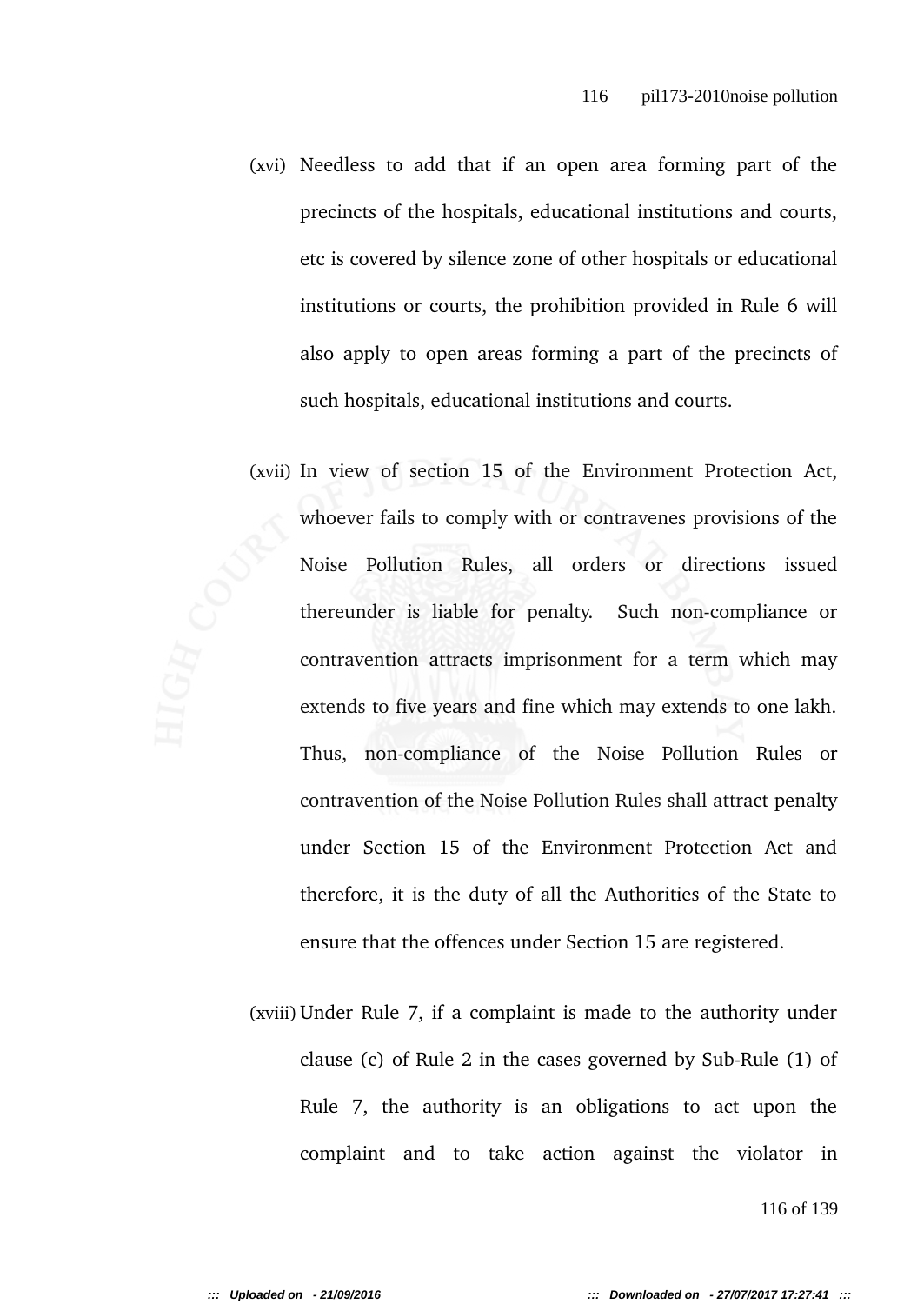- (xvi) Needless to add that if an open area forming part of the precincts of the hospitals, educational institutions and courts, etc is covered by silence zone of other hospitals or educational institutions or courts, the prohibition provided in Rule 6 will also apply to open areas forming a part of the precincts of such hospitals, educational institutions and courts.
- (xvii) In view of section 15 of the Environment Protection Act, whoever fails to comply with or contravenes provisions of the Noise Pollution Rules, all orders or directions issued thereunder is liable for penalty. Such non-compliance or contravention attracts imprisonment for a term which may extends to five years and fine which may extends to one lakh. Thus, non-compliance of the Noise Pollution Rules or contravention of the Noise Pollution Rules shall attract penalty under Section 15 of the Environment Protection Act and therefore, it is the duty of all the Authorities of the State to ensure that the offences under Section 15 are registered.
- (xviii)Under Rule 7, if a complaint is made to the authority under clause (c) of Rule 2 in the cases governed by Sub-Rule  $(1)$  of Rule 7, the authority is an obligations to act upon the complaint and to take action against the violator in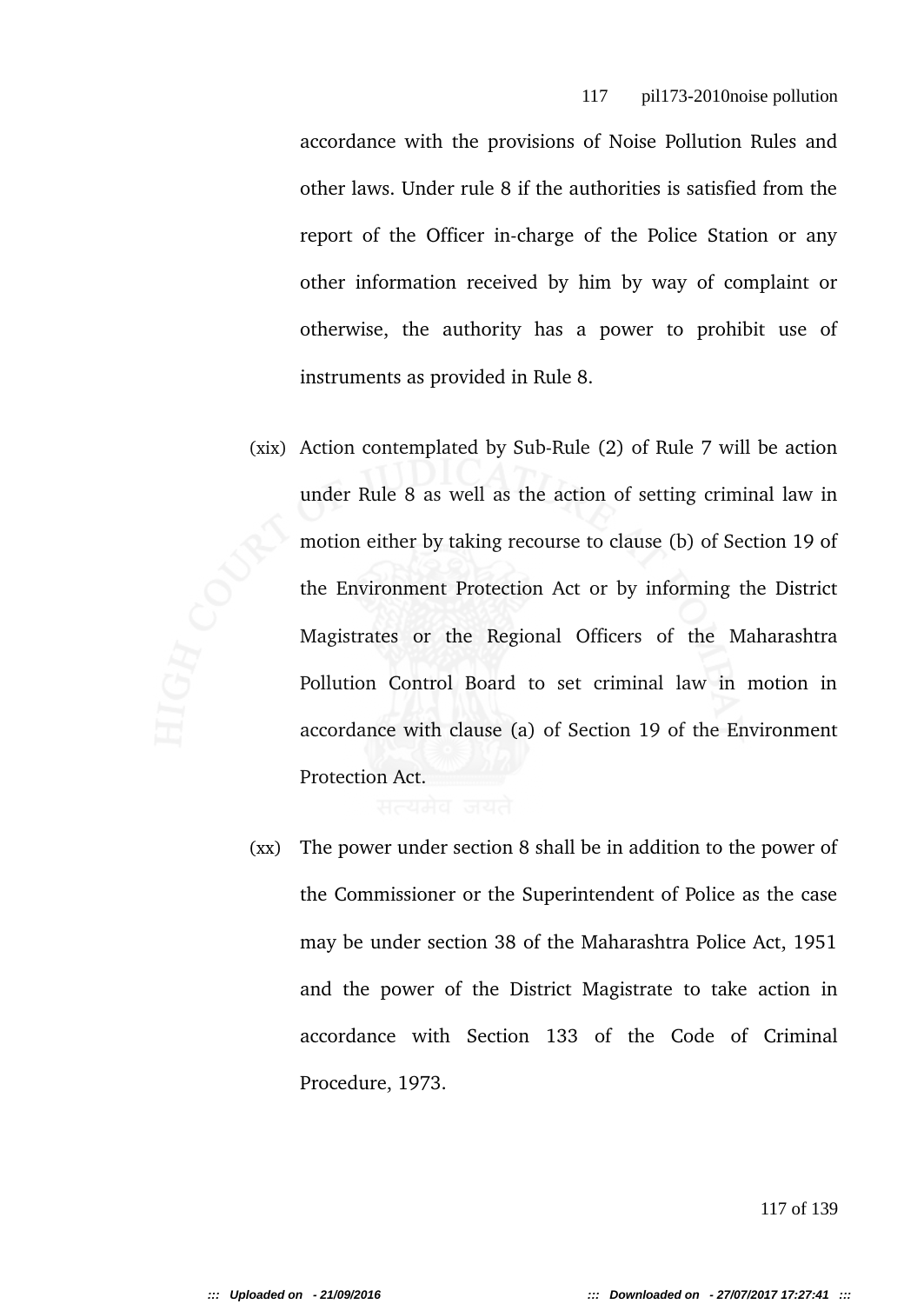accordance with the provisions of Noise Pollution Rules and other laws. Under rule 8 if the authorities is satisfied from the report of the Officer in-charge of the Police Station or any other information received by him by way of complaint or otherwise, the authority has a power to prohibit use of instruments as provided in Rule 8.

- (xix) Action contemplated by Sub-Rule  $(2)$  of Rule 7 will be action under Rule 8 as well as the action of setting criminal law in motion either by taking recourse to clause (b) of Section 19 of the Environment Protection Act or by informing the District Magistrates or the Regional Officers of the Maharashtra Pollution Control Board to set criminal law in motion in accordance with clause (a) of Section 19 of the Environment Protection Act.
- (xx) The power under section 8 shall be in addition to the power of the Commissioner or the Superintendent of Police as the case may be under section 38 of the Maharashtra Police Act, 1951 and the power of the District Magistrate to take action in accordance with Section 133 of the Code of Criminal Procedure, 1973.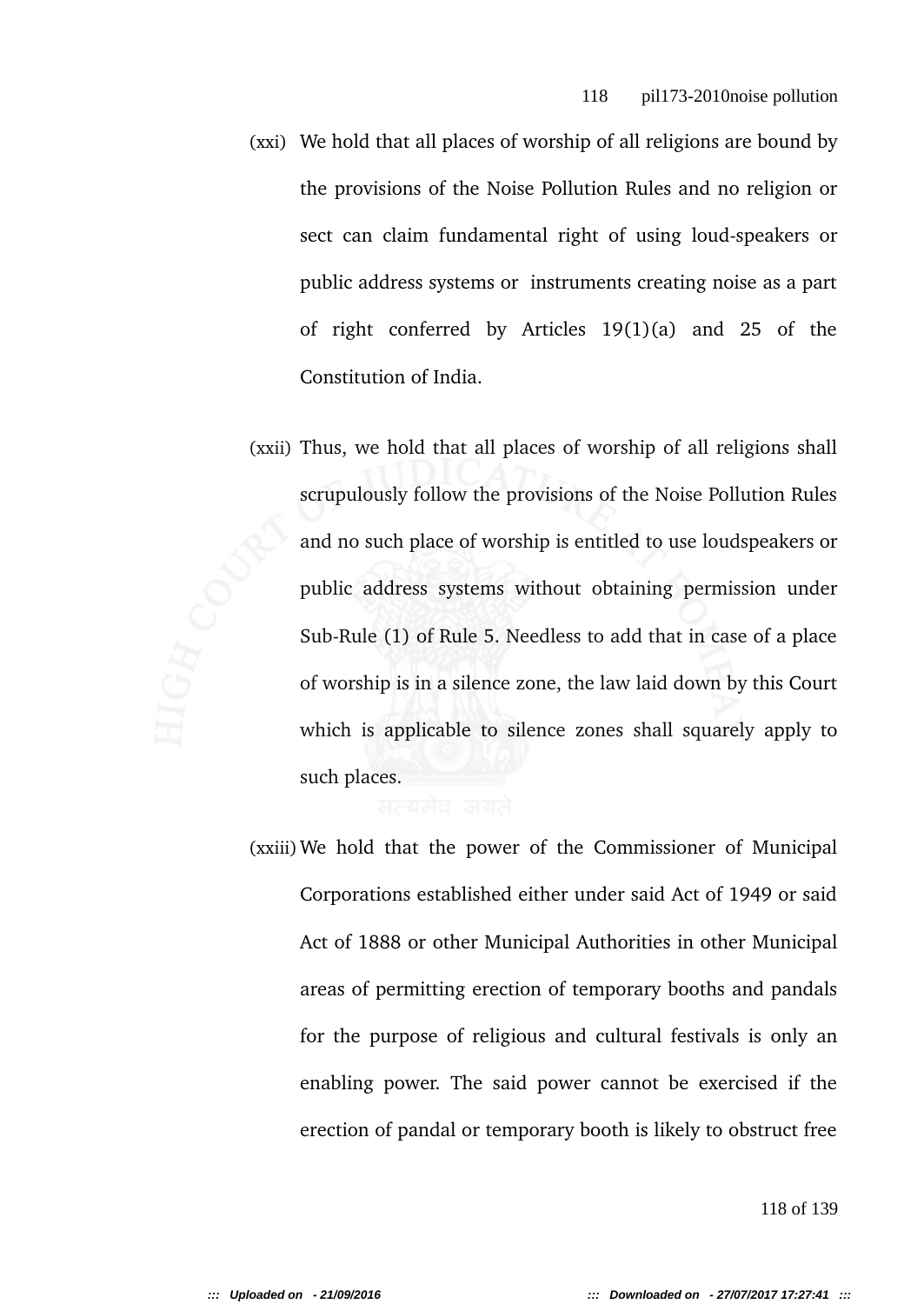- (xxi) We hold that all places of worship of all religions are bound by the provisions of the Noise Pollution Rules and no religion or sect can claim fundamental right of using loud-speakers or public address systems or instruments creating noise as a part of right conferred by Articles  $19(1)(a)$  and 25 of the Constitution of India.
- (xxii) Thus, we hold that all places of worship of all religions shall scrupulously follow the provisions of the Noise Pollution Rules and no such place of worship is entitled to use loudspeakers or public address systems without obtaining permission under Sub-Rule (1) of Rule 5. Needless to add that in case of a place of worship is in a silence zone, the law laid down by this Court which is applicable to silence zones shall squarely apply to such places.

(xxiii)We hold that the power of the Commissioner of Municipal Corporations established either under said Act of 1949 or said Act of 1888 or other Municipal Authorities in other Municipal areas of permitting erection of temporary booths and pandals for the purpose of religious and cultural festivals is only an enabling power. The said power cannot be exercised if the erection of pandal or temporary booth is likely to obstruct free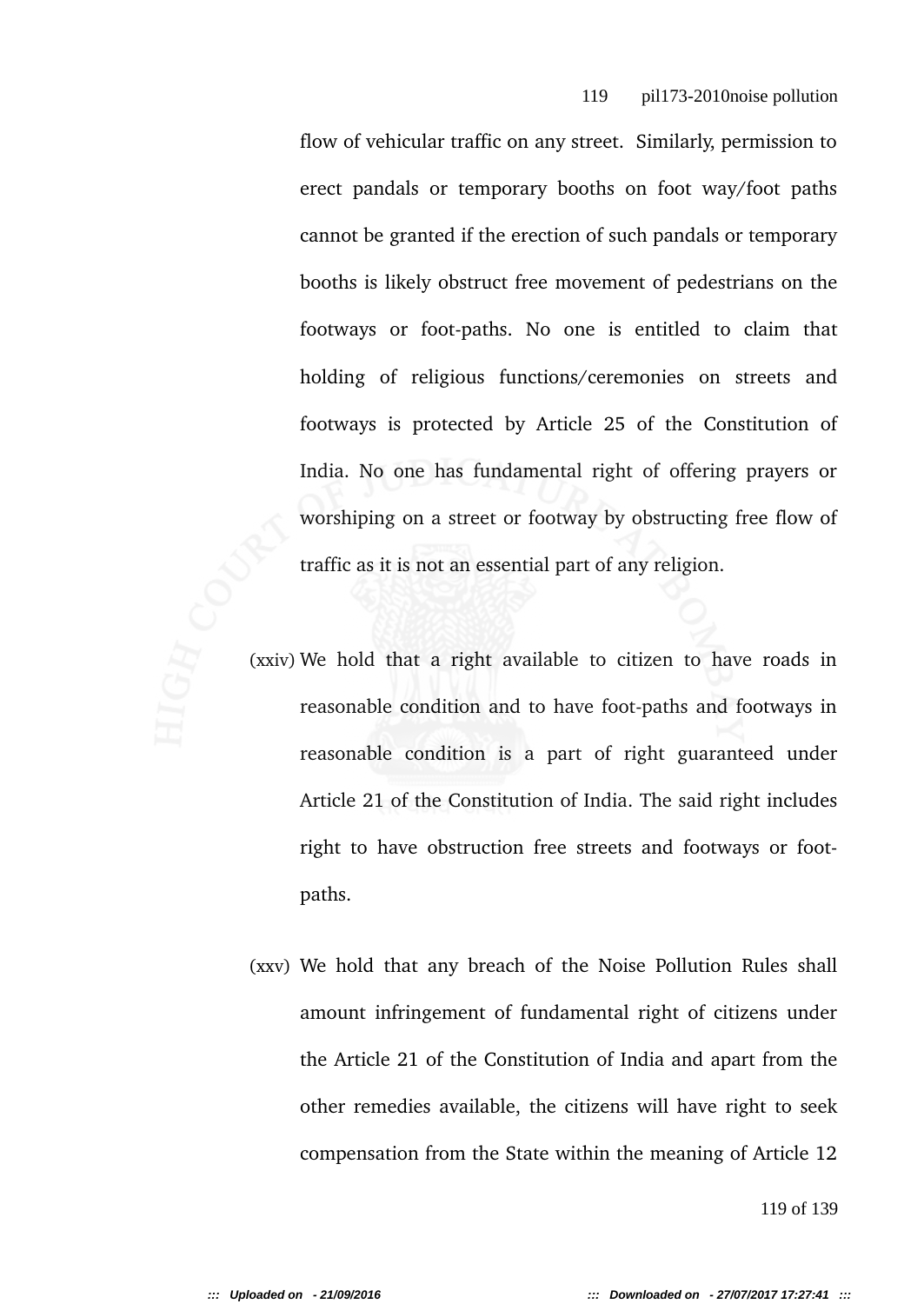## 119 pil173-2010noise pollution

flow of vehicular traffic on any street. Similarly, permission to erect pandals or temporary booths on foot way/foot paths cannot be granted if the erection of such pandals or temporary booths is likely obstruct free movement of pedestrians on the footways or foot-paths. No one is entitled to claim that holding of religious functions/ceremonies on streets and footways is protected by Article 25 of the Constitution of India. No one has fundamental right of offering prayers or worshiping on a street or footway by obstructing free flow of traffic as it is not an essential part of any religion.

- (xxiv) We hold that a right available to citizen to have roads in reasonable condition and to have foot-paths and footways in reasonable condition is a part of right guaranteed under Article 21 of the Constitution of India. The said right includes right to have obstruction free streets and footways or footpaths.
- (xxv) We hold that any breach of the Noise Pollution Rules shall amount infringement of fundamental right of citizens under the Article 21 of the Constitution of India and apart from the other remedies available, the citizens will have right to seek compensation from the State within the meaning of Article 12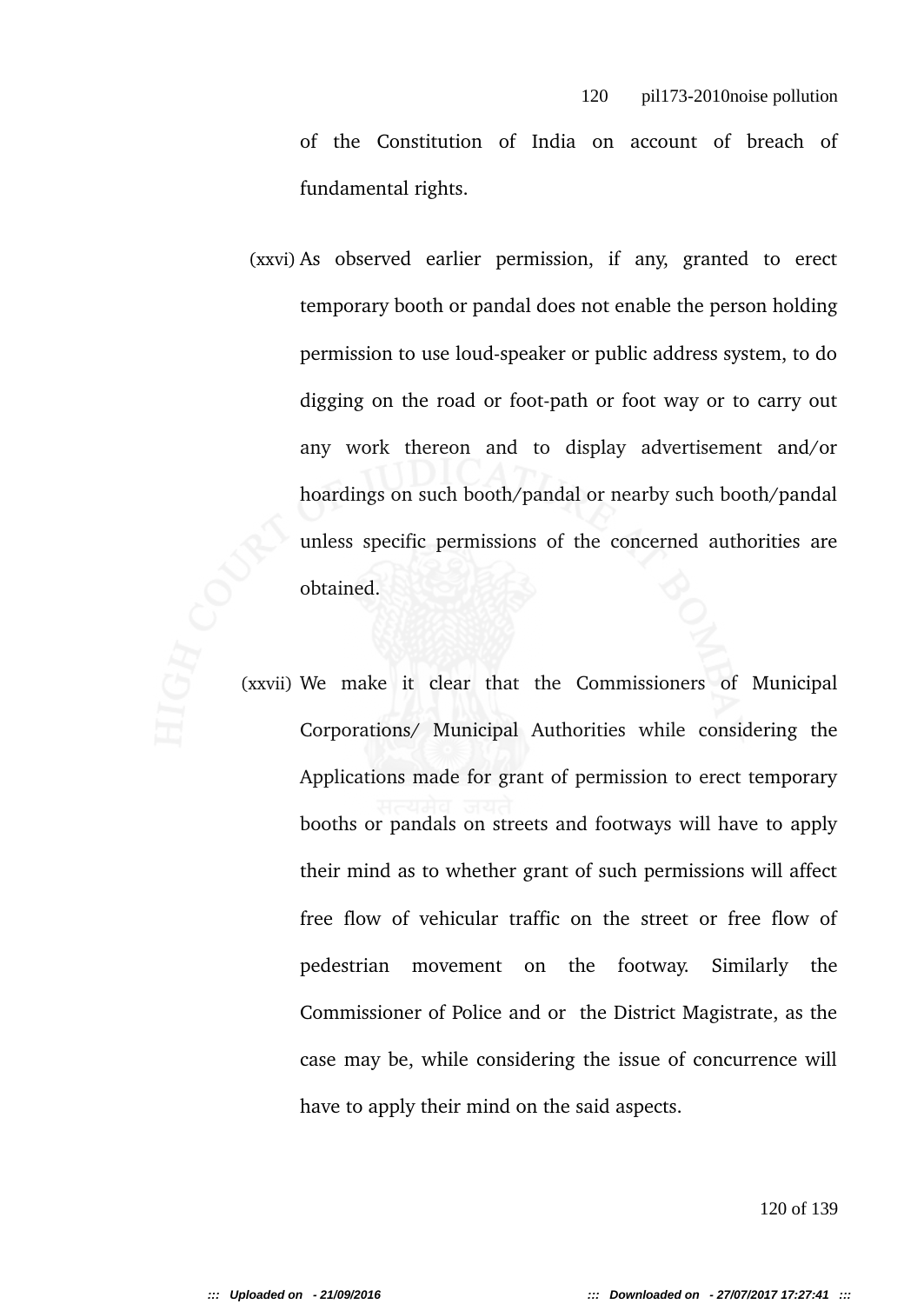of the Constitution of India on account of breach of fundamental rights.

- (xxvi) As observed earlier permission, if any, granted to erect temporary booth or pandal does not enable the person holding permission to use loud-speaker or public address system, to do digging on the road or foot-path or foot way or to carry out any work thereon and to display advertisement and/or hoardings on such booth/pandal or nearby such booth/pandal unless specific permissions of the concerned authorities are obtained.
- (xxvii) We make it clear that the Commissioners of Municipal Corporations/ Municipal Authorities while considering the Applications made for grant of permission to erect temporary booths or pandals on streets and footways will have to apply their mind as to whether grant of such permissions will affect free flow of vehicular traffic on the street or free flow of pedestrian movement on the footway. Similarly the Commissioner of Police and or the District Magistrate, as the case may be, while considering the issue of concurrence will have to apply their mind on the said aspects.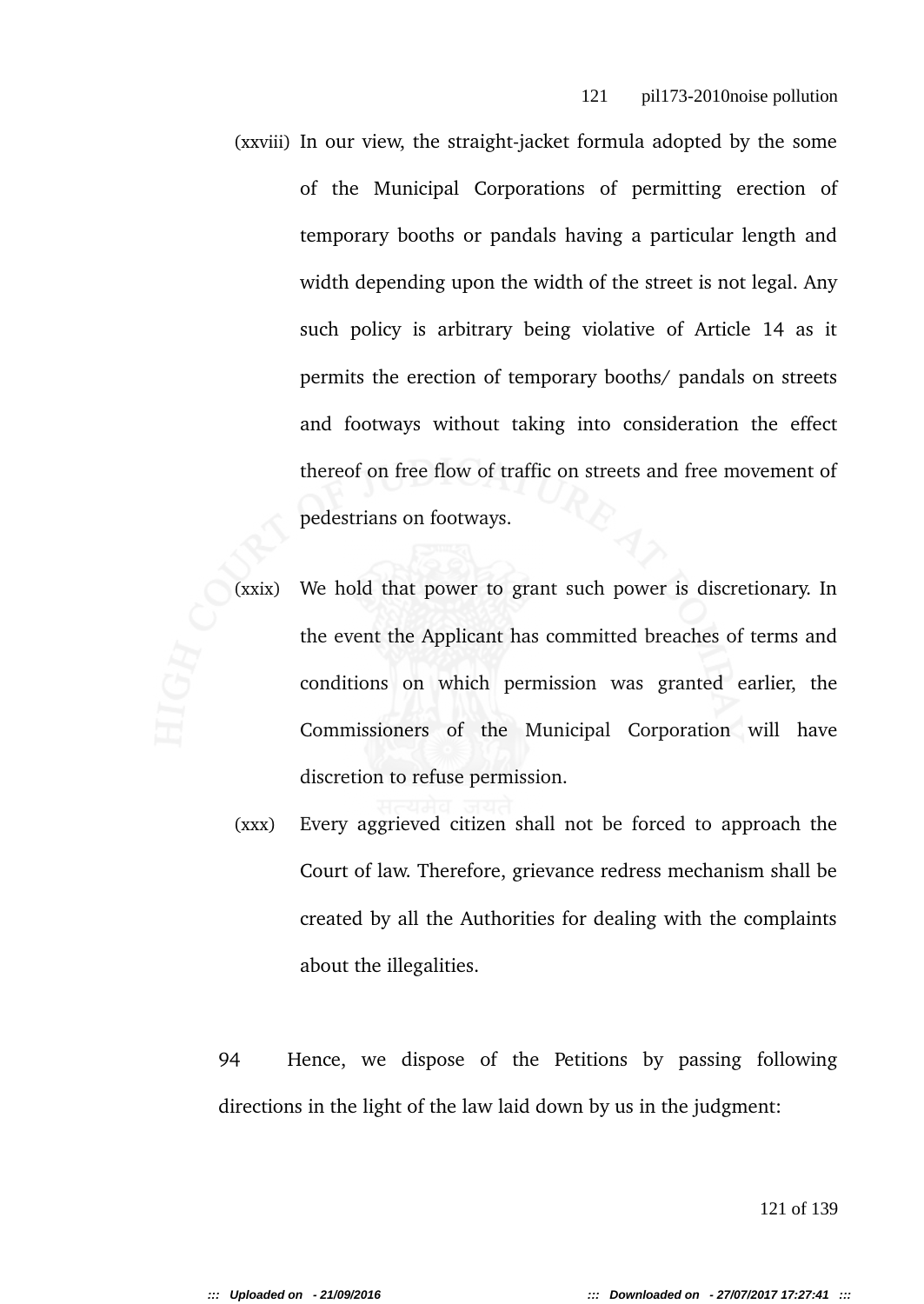- (xxviii) In our view, the straight-jacket formula adopted by the some of the Municipal Corporations of permitting erection of temporary booths or pandals having a particular length and width depending upon the width of the street is not legal. Any such policy is arbitrary being violative of Article 14 as it permits the erection of temporary booths/ pandals on streets and footways without taking into consideration the effect thereof on free flow of traffic on streets and free movement of pedestrians on footways.
- (xxix) We hold that power to grant such power is discretionary. In the event the Applicant has committed breaches of terms and conditions on which permission was granted earlier, the Commissioners of the Municipal Corporation will have discretion to refuse permission.
	- (xxx) Every aggrieved citizen shall not be forced to approach the Court of law. Therefore, grievance redress mechanism shall be created by all the Authorities for dealing with the complaints about the illegalities.

94 Hence, we dispose of the Petitions by passing following directions in the light of the law laid down by us in the judgment: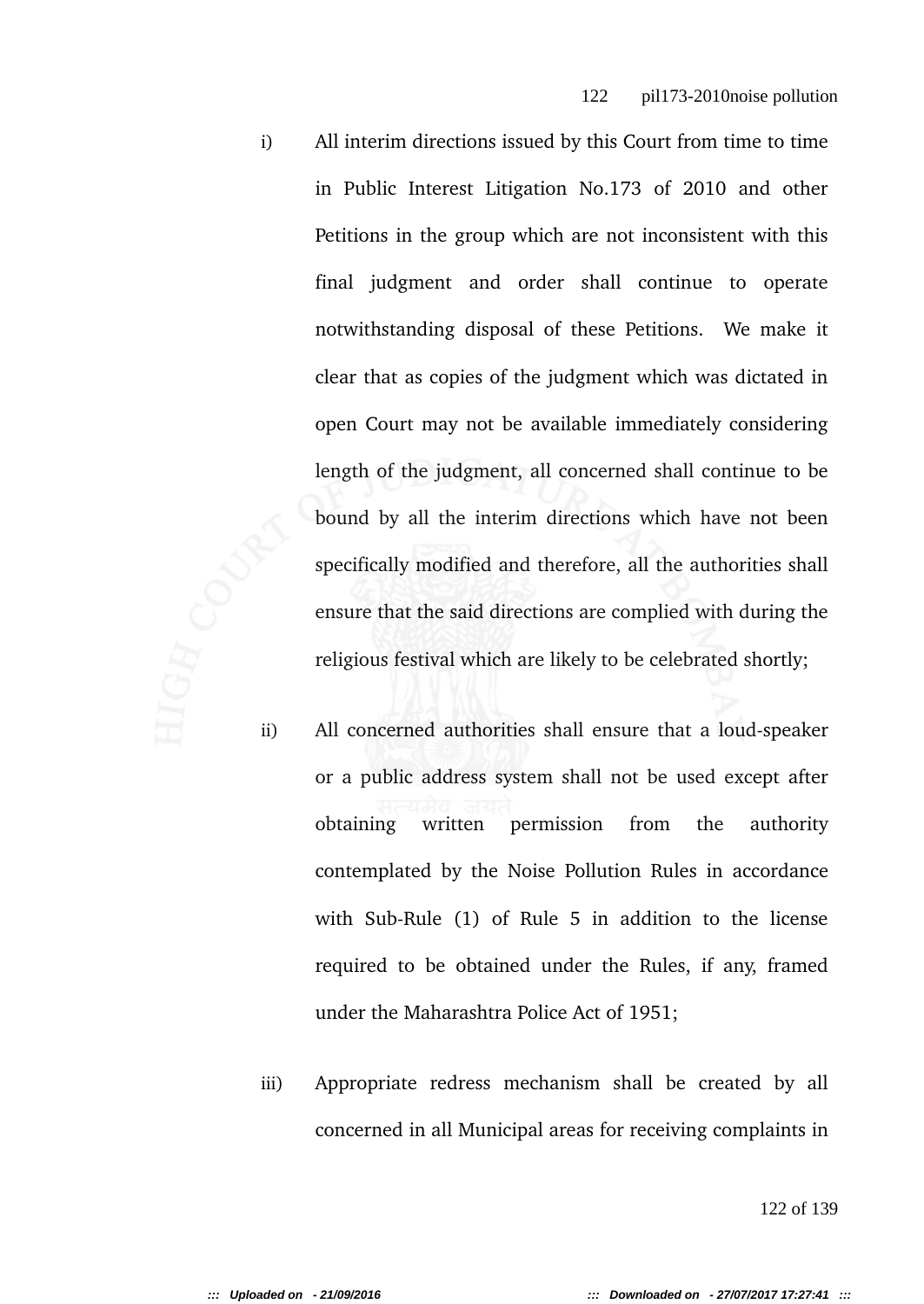- i) All interim directions issued by this Court from time to time in Public Interest Litigation No.173 of 2010 and other Petitions in the group which are not inconsistent with this final judgment and order shall continue to operate notwithstanding disposal of these Petitions. We make it clear that as copies of the judgment which was dictated in open Court may not be available immediately considering length of the judgment, all concerned shall continue to be bound by all the interim directions which have not been specifically modified and therefore, all the authorities shall ensure that the said directions are complied with during the religious festival which are likely to be celebrated shortly;
- ii) All concerned authorities shall ensure that a loud-speaker or a public address system shall not be used except after obtaining written permission from the authority contemplated by the Noise Pollution Rules in accordance with Sub-Rule  $(1)$  of Rule 5 in addition to the license required to be obtained under the Rules, if any, framed under the Maharashtra Police Act of 1951;
- iii) Appropriate redress mechanism shall be created by all concerned in all Municipal areas for receiving complaints in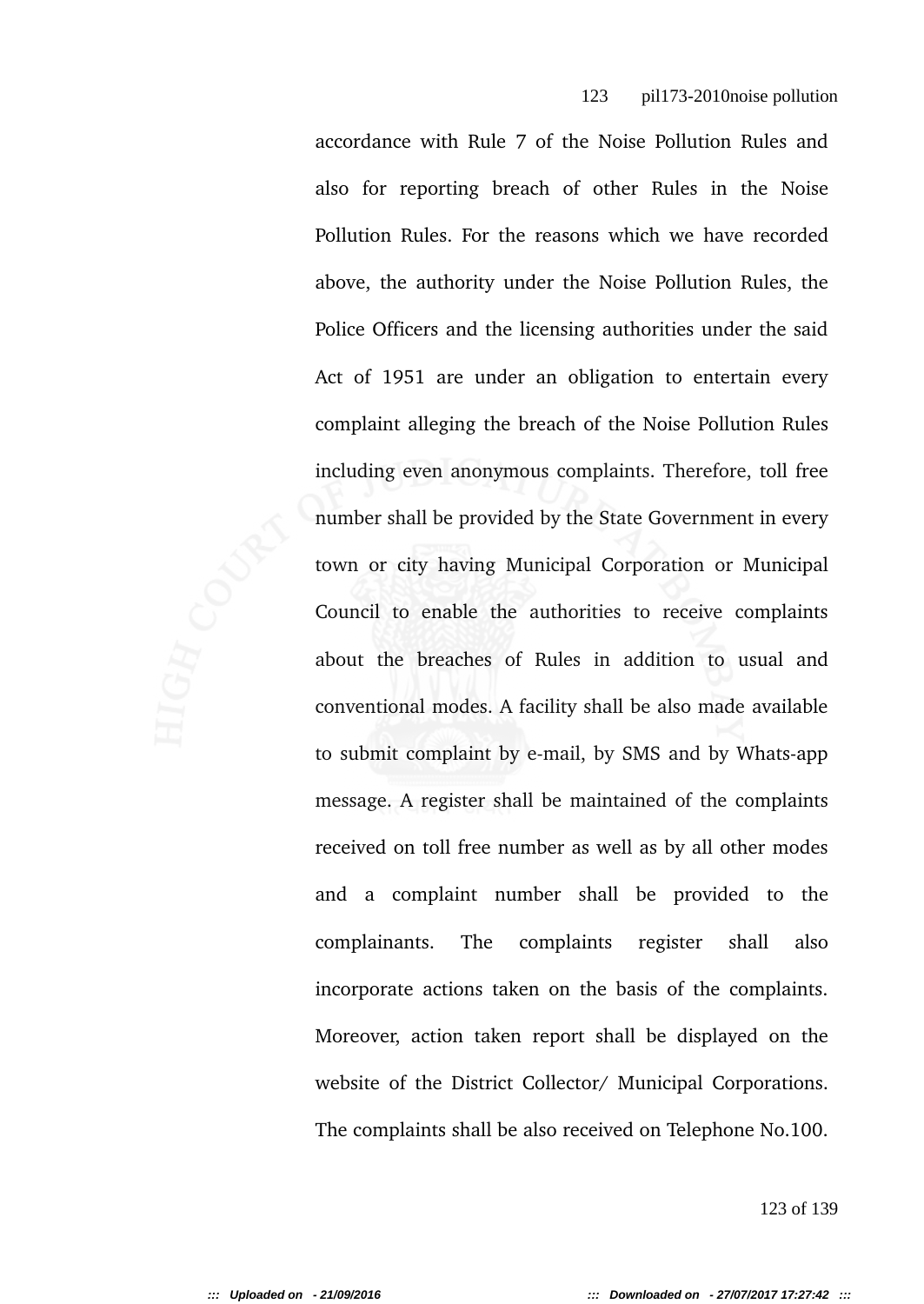accordance with Rule 7 of the Noise Pollution Rules and also for reporting breach of other Rules in the Noise Pollution Rules. For the reasons which we have recorded above, the authority under the Noise Pollution Rules, the Police Officers and the licensing authorities under the said Act of 1951 are under an obligation to entertain every complaint alleging the breach of the Noise Pollution Rules including even anonymous complaints. Therefore, toll free number shall be provided by the State Government in every town or city having Municipal Corporation or Municipal Council to enable the authorities to receive complaints about the breaches of Rules in addition to usual and conventional modes. A facility shall be also made available to submit complaint by e-mail, by SMS and by Whats-app message. A register shall be maintained of the complaints received on toll free number as well as by all other modes and a complaint number shall be provided to the complainants. The complaints register shall also incorporate actions taken on the basis of the complaints. Moreover, action taken report shall be displayed on the website of the District Collector/ Municipal Corporations. The complaints shall be also received on Telephone No.100.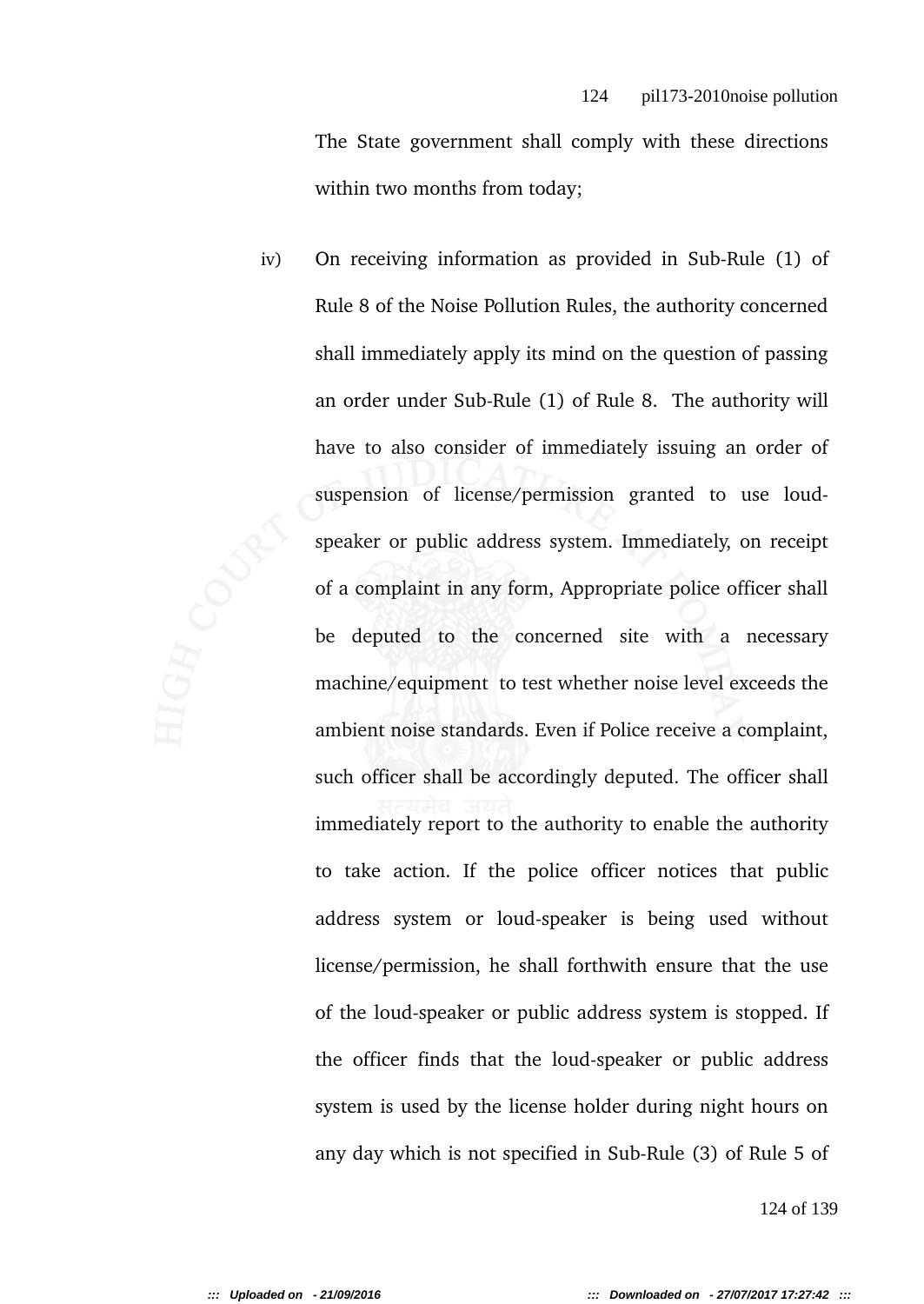The State government shall comply with these directions within two months from today;

iv) On receiving information as provided in Sub-Rule (1) of Rule 8 of the Noise Pollution Rules, the authority concerned shall immediately apply its mind on the question of passing an order under Sub-Rule (1) of Rule 8. The authority will have to also consider of immediately issuing an order of suspension of license/permission granted to use loudspeaker or public address system. Immediately, on receipt of a complaint in any form, Appropriate police officer shall be deputed to the concerned site with a necessary machine/equipment to test whether noise level exceeds the ambient noise standards. Even if Police receive a complaint, such officer shall be accordingly deputed. The officer shall immediately report to the authority to enable the authority to take action. If the police officer notices that public address system or loud-speaker is being used without license/permission, he shall forthwith ensure that the use of the loud-speaker or public address system is stopped. If the officer finds that the loud-speaker or public address system is used by the license holder during night hours on any day which is not specified in Sub-Rule (3) of Rule 5 of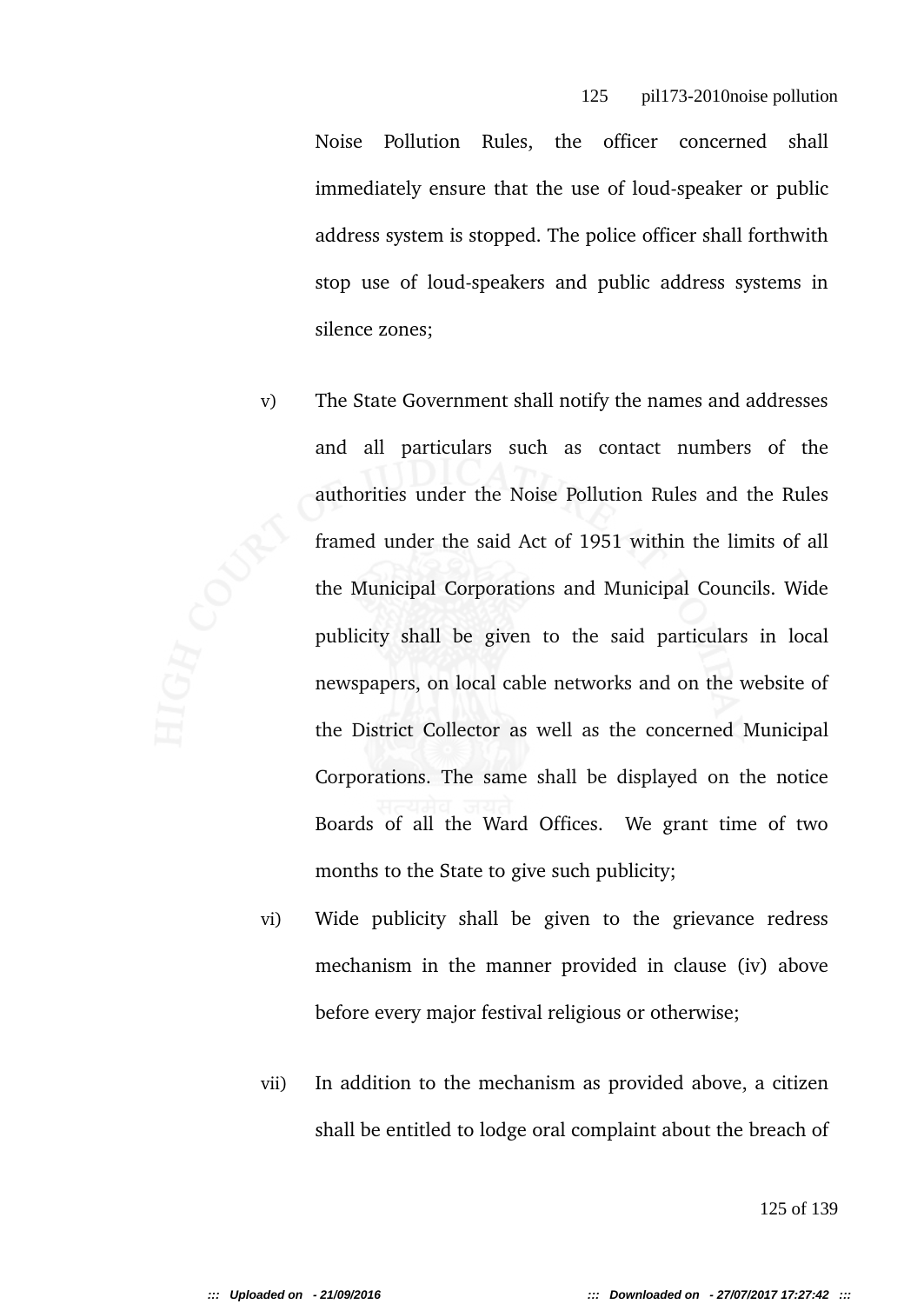Noise Pollution Rules, the officer concerned shall immediately ensure that the use of loud-speaker or public address system is stopped. The police officer shall forthwith stop use of loud-speakers and public address systems in silence zones;

- v) The State Government shall notify the names and addresses and all particulars such as contact numbers of the authorities under the Noise Pollution Rules and the Rules framed under the said Act of 1951 within the limits of all the Municipal Corporations and Municipal Councils. Wide publicity shall be given to the said particulars in local newspapers, on local cable networks and on the website of the District Collector as well as the concerned Municipal Corporations. The same shall be displayed on the notice Boards of all the Ward Offices. We grant time of two months to the State to give such publicity;
- vi) Wide publicity shall be given to the grievance redress mechanism in the manner provided in clause (iv) above before every major festival religious or otherwise;
- vii) In addition to the mechanism as provided above, a citizen shall be entitled to lodge oral complaint about the breach of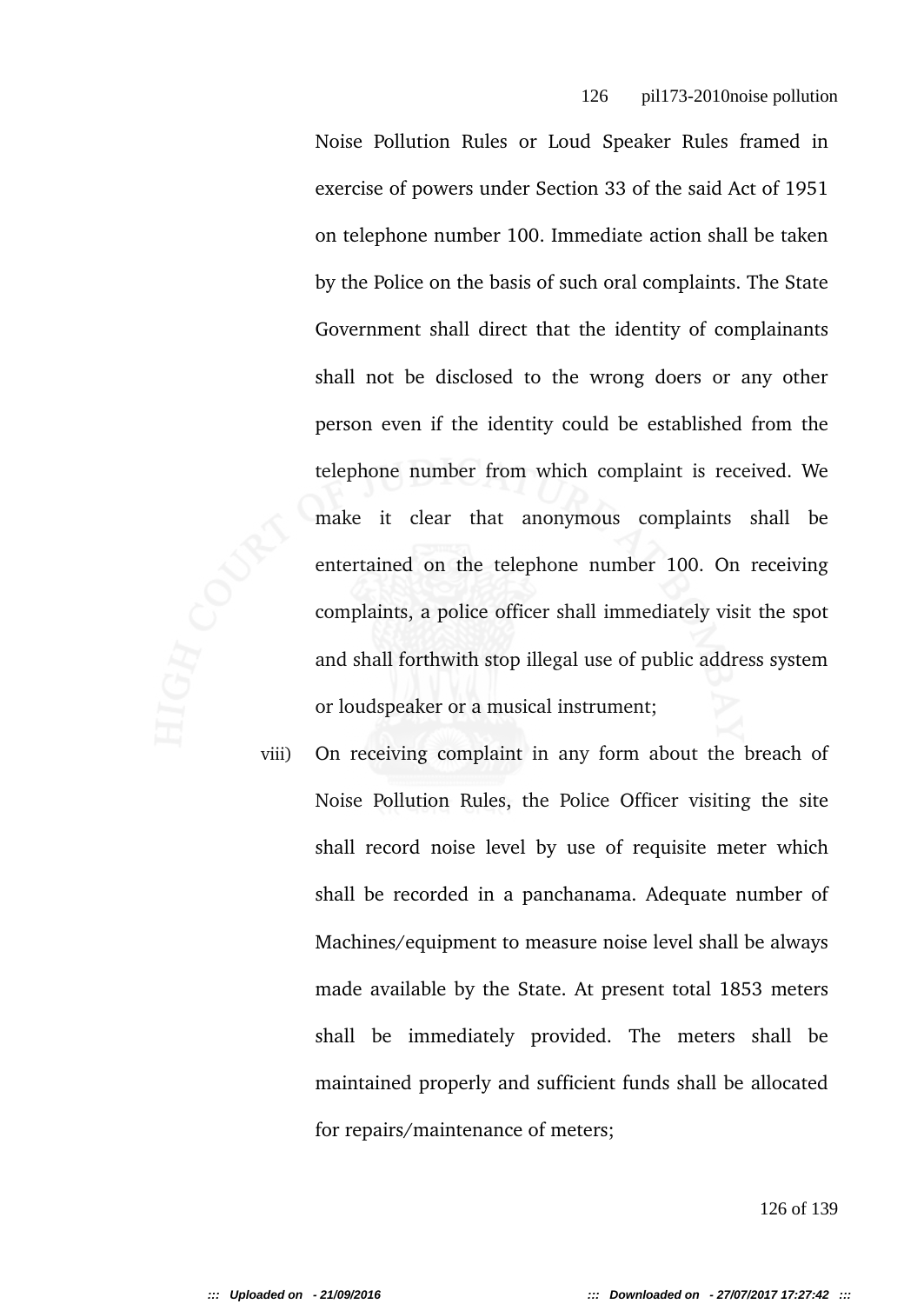Noise Pollution Rules or Loud Speaker Rules framed in exercise of powers under Section 33 of the said Act of 1951 on telephone number 100. Immediate action shall be taken by the Police on the basis of such oral complaints. The State Government shall direct that the identity of complainants shall not be disclosed to the wrong doers or any other person even if the identity could be established from the telephone number from which complaint is received. We make it clear that anonymous complaints shall be entertained on the telephone number 100. On receiving complaints, a police officer shall immediately visit the spot and shall forthwith stop illegal use of public address system or loudspeaker or a musical instrument;

viii) On receiving complaint in any form about the breach of Noise Pollution Rules, the Police Officer visiting the site shall record noise level by use of requisite meter which shall be recorded in a panchanama. Adequate number of Machines/equipment to measure noise level shall be always made available by the State. At present total 1853 meters shall be immediately provided. The meters shall be maintained properly and sufficient funds shall be allocated for repairs/maintenance of meters;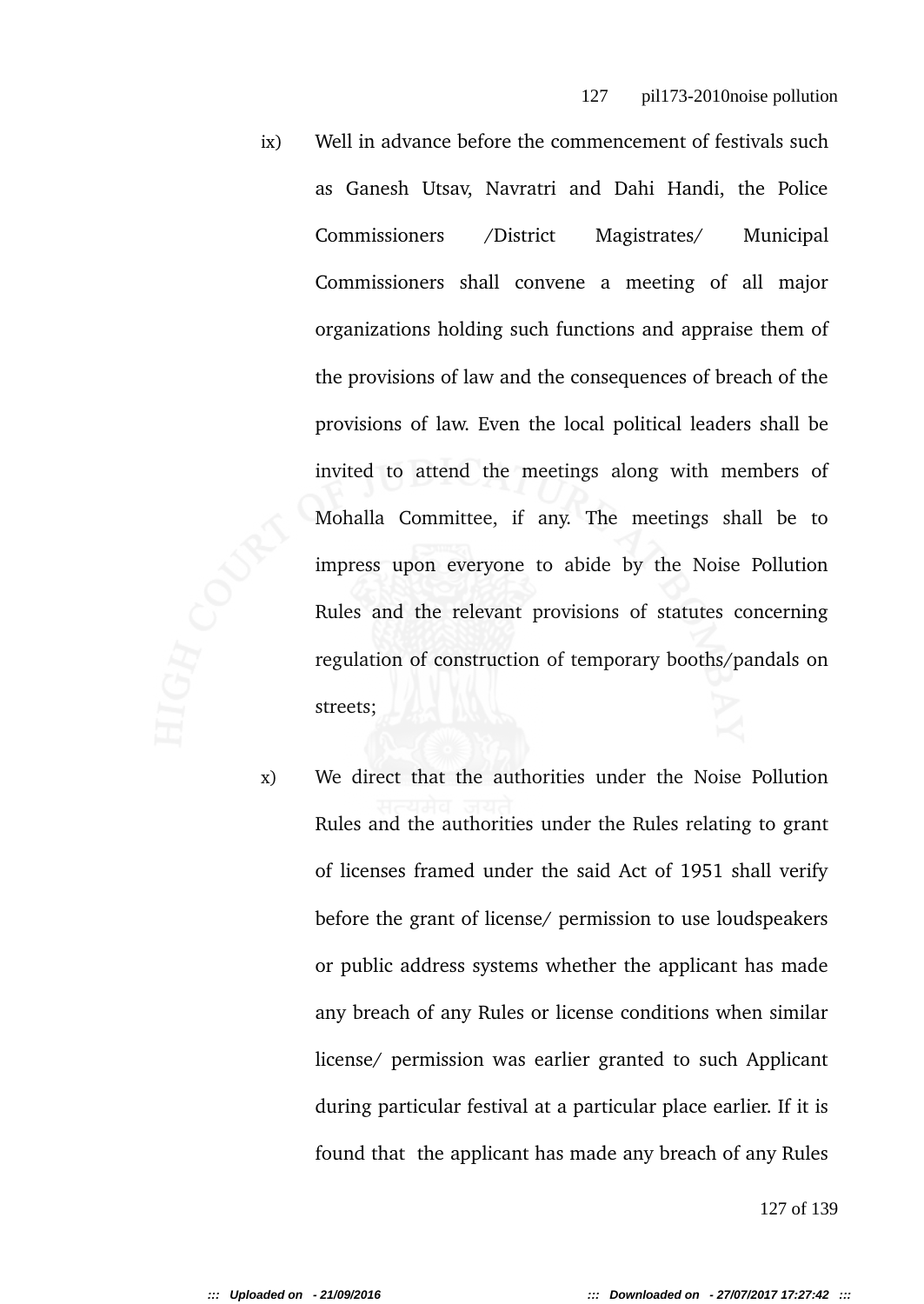- ix) Well in advance before the commencement of festivals such as Ganesh Utsav, Navratri and Dahi Handi, the Police Commissioners /District Magistrates/ Municipal Commissioners shall convene a meeting of all major organizations holding such functions and appraise them of the provisions of law and the consequences of breach of the provisions of law. Even the local political leaders shall be invited to attend the meetings along with members of Mohalla Committee, if any. The meetings shall be to impress upon everyone to abide by the Noise Pollution Rules and the relevant provisions of statutes concerning regulation of construction of temporary booths/pandals on streets;
- x) We direct that the authorities under the Noise Pollution Rules and the authorities under the Rules relating to grant of licenses framed under the said Act of 1951 shall verify before the grant of license/ permission to use loudspeakers or public address systems whether the applicant has made any breach of any Rules or license conditions when similar license/ permission was earlier granted to such Applicant during particular festival at a particular place earlier. If it is found that the applicant has made any breach of any Rules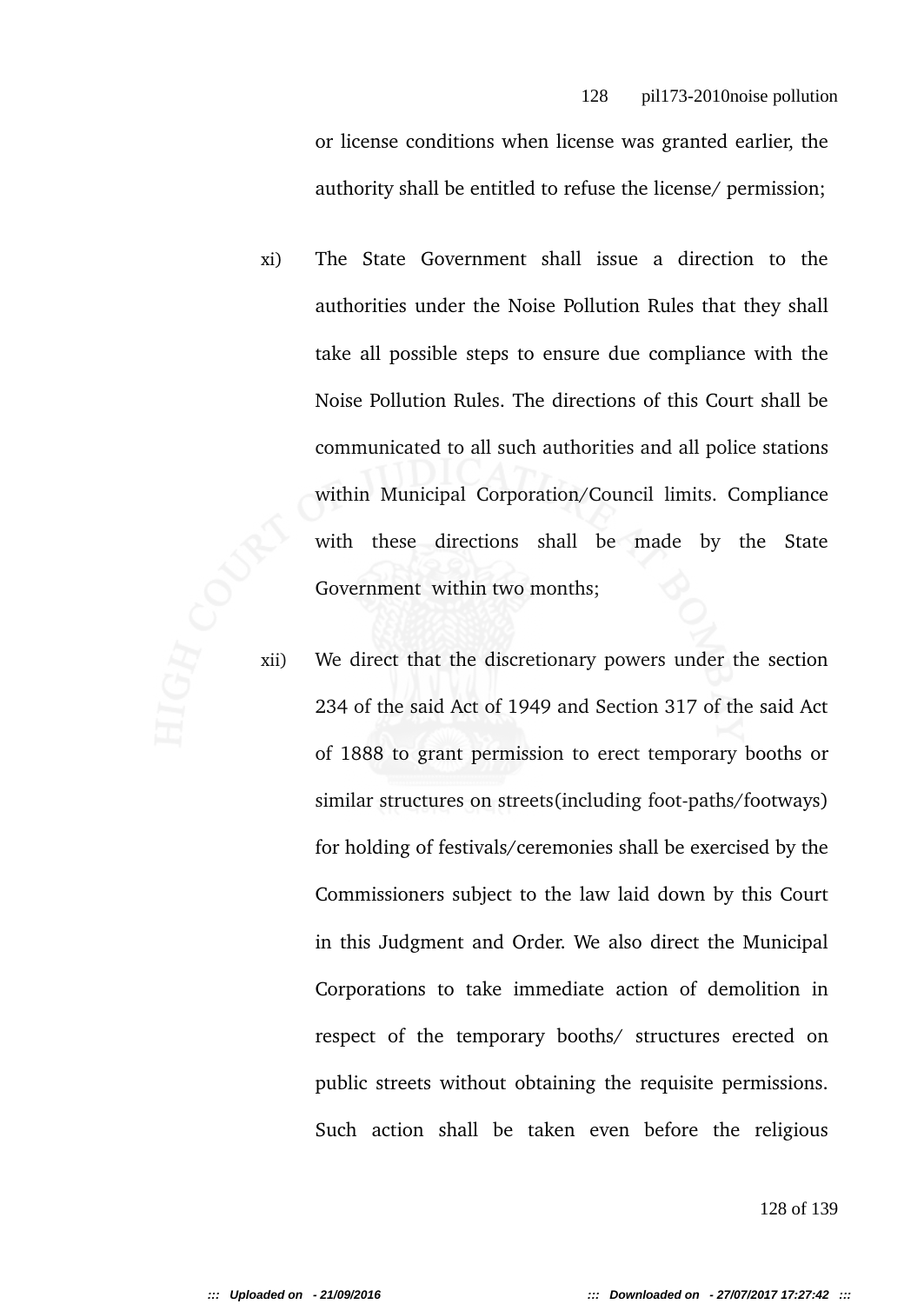or license conditions when license was granted earlier, the authority shall be entitled to refuse the license/ permission;

- xi) The State Government shall issue a direction to the authorities under the Noise Pollution Rules that they shall take all possible steps to ensure due compliance with the Noise Pollution Rules. The directions of this Court shall be communicated to all such authorities and all police stations within Municipal Corporation/Council limits. Compliance with these directions shall be made by the State Government within two months;
- xii) We direct that the discretionary powers under the section 234 of the said Act of 1949 and Section 317 of the said Act of 1888 to grant permission to erect temporary booths or similar structures on streets(including foot-paths/footways) for holding of festivals/ceremonies shall be exercised by the Commissioners subject to the law laid down by this Court in this Judgment and Order. We also direct the Municipal Corporations to take immediate action of demolition in respect of the temporary booths/ structures erected on public streets without obtaining the requisite permissions. Such action shall be taken even before the religious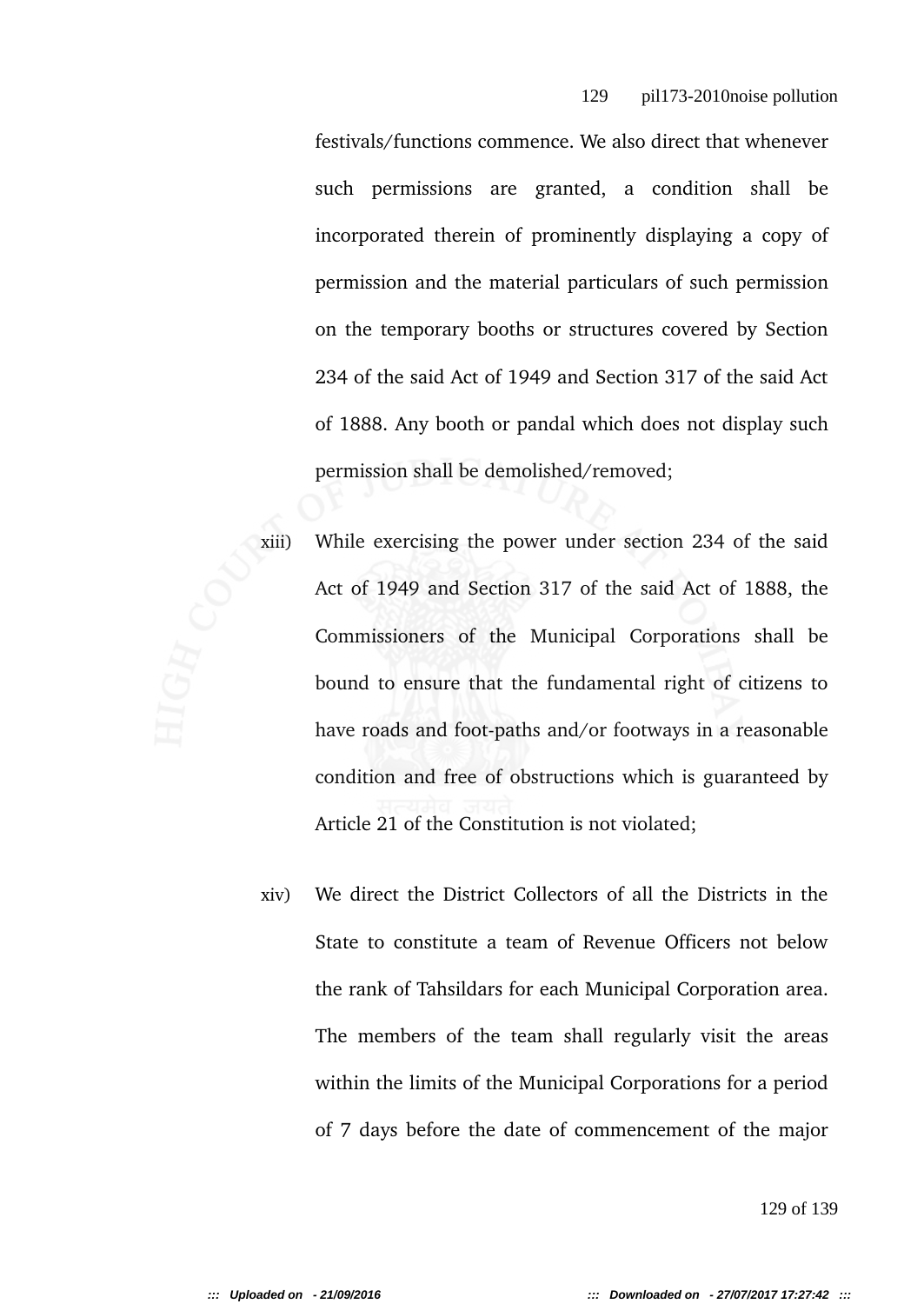festivals/functions commence. We also direct that whenever such permissions are granted, a condition shall be incorporated therein of prominently displaying a copy of permission and the material particulars of such permission on the temporary booths or structures covered by Section 234 of the said Act of 1949 and Section 317 of the said Act of 1888. Any booth or pandal which does not display such permission shall be demolished/removed;

- xiii) While exercising the power under section 234 of the said Act of 1949 and Section 317 of the said Act of 1888, the Commissioners of the Municipal Corporations shall be bound to ensure that the fundamental right of citizens to have roads and foot-paths and/or footways in a reasonable condition and free of obstructions which is guaranteed by Article 21 of the Constitution is not violated;
	- xiv) We direct the District Collectors of all the Districts in the State to constitute a team of Revenue Officers not below the rank of Tahsildars for each Municipal Corporation area. The members of the team shall regularly visit the areas within the limits of the Municipal Corporations for a period of 7 days before the date of commencement of the major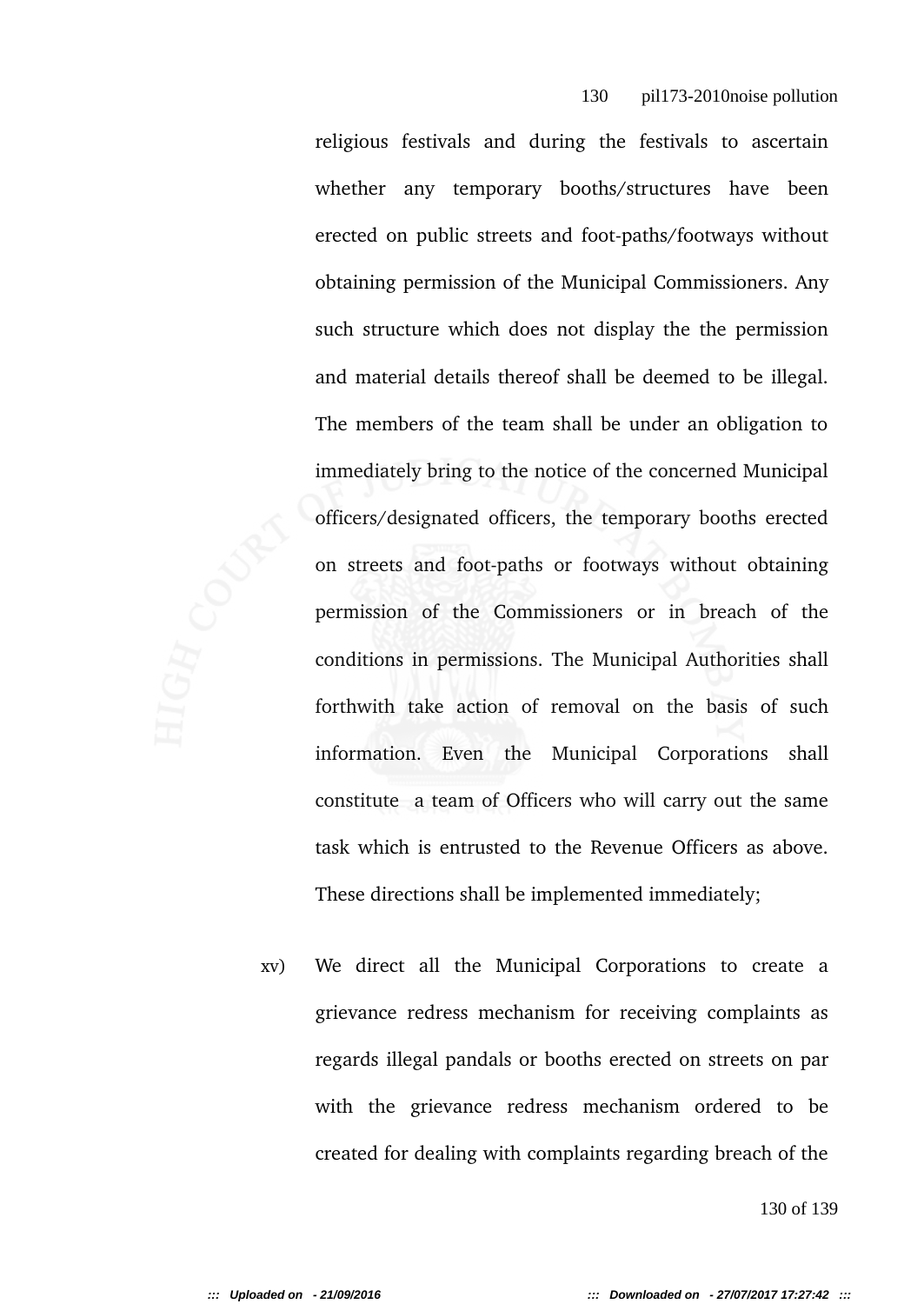religious festivals and during the festivals to ascertain whether any temporary booths/structures have been erected on public streets and foot-paths/footways without obtaining permission of the Municipal Commissioners. Any such structure which does not display the the permission and material details thereof shall be deemed to be illegal. The members of the team shall be under an obligation to immediately bring to the notice of the concerned Municipal officers/designated officers, the temporary booths erected on streets and foot-paths or footways without obtaining permission of the Commissioners or in breach of the conditions in permissions. The Municipal Authorities shall forthwith take action of removal on the basis of such information. Even the Municipal Corporations shall constitute a team of Officers who will carry out the same task which is entrusted to the Revenue Officers as above. These directions shall be implemented immediately;

xv) We direct all the Municipal Corporations to create a grievance redress mechanism for receiving complaints as regards illegal pandals or booths erected on streets on par with the grievance redress mechanism ordered to be created for dealing with complaints regarding breach of the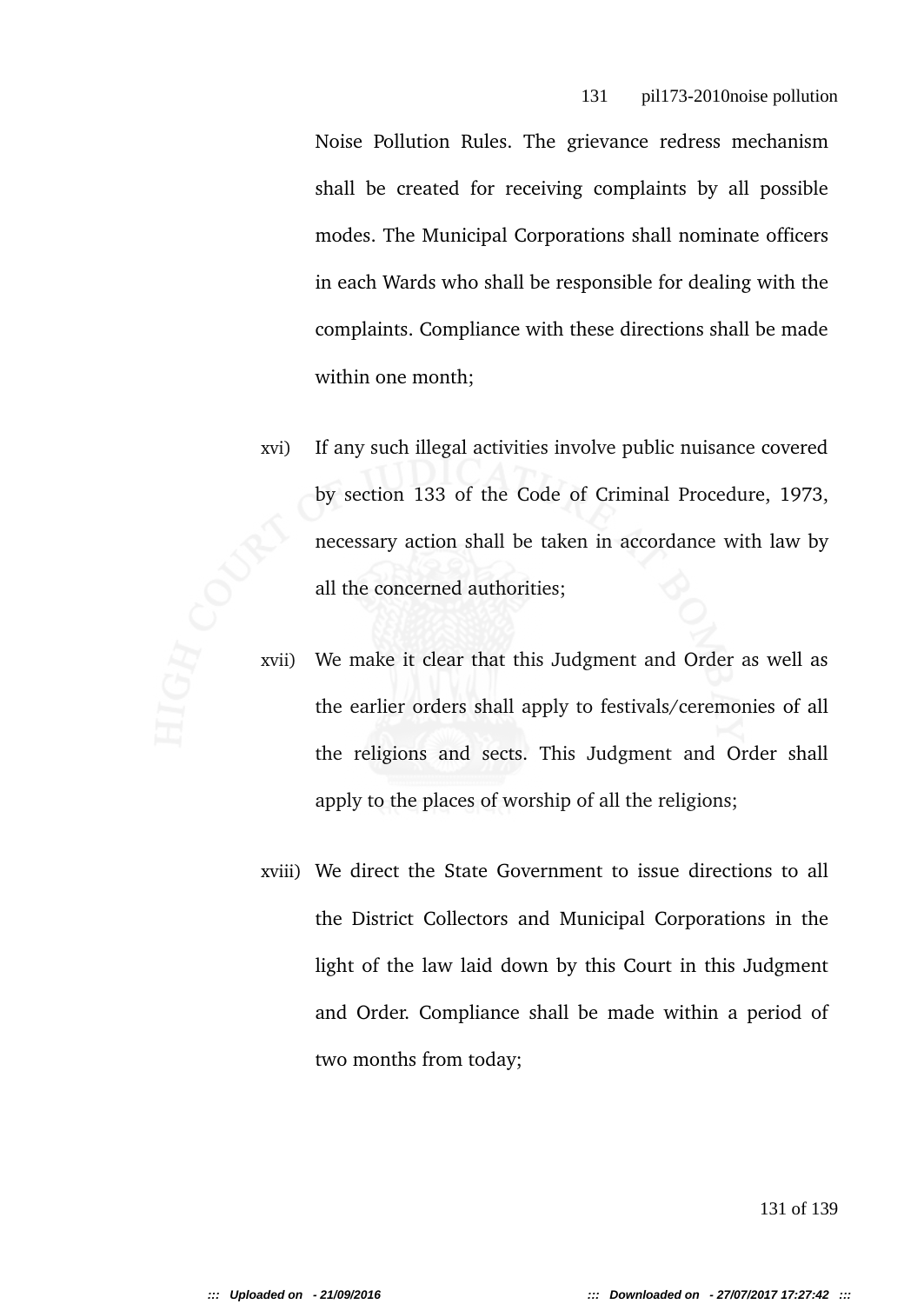Noise Pollution Rules. The grievance redress mechanism shall be created for receiving complaints by all possible modes. The Municipal Corporations shall nominate officers in each Wards who shall be responsible for dealing with the complaints. Compliance with these directions shall be made within one month;

- xvi) If any such illegal activities involve public nuisance covered by section 133 of the Code of Criminal Procedure, 1973, necessary action shall be taken in accordance with law by all the concerned authorities;
- xvii) We make it clear that this Judgment and Order as well as the earlier orders shall apply to festivals/ceremonies of all the religions and sects. This Judgment and Order shall apply to the places of worship of all the religions;
- xviii) We direct the State Government to issue directions to all the District Collectors and Municipal Corporations in the light of the law laid down by this Court in this Judgment and Order. Compliance shall be made within a period of two months from today;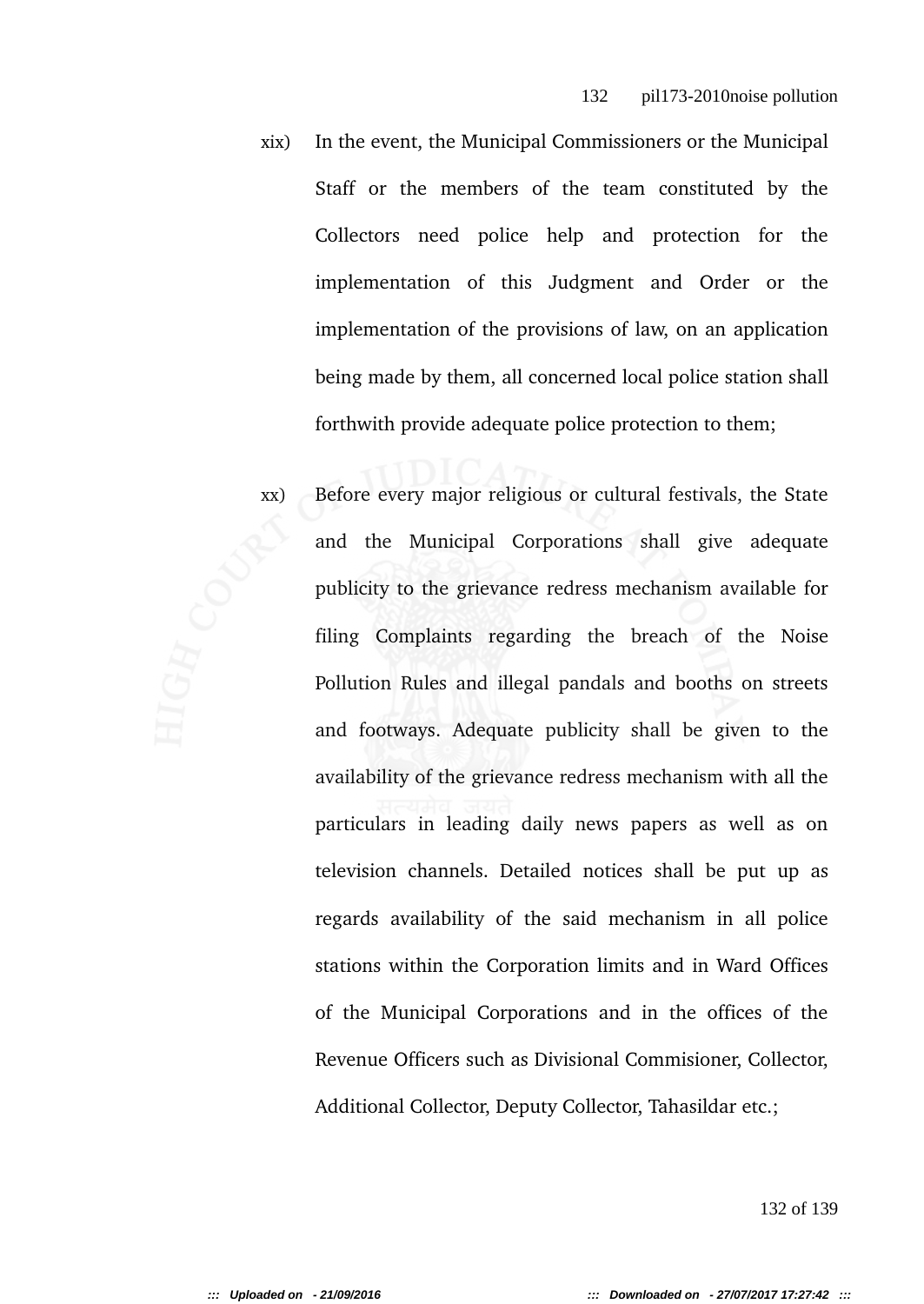- xix) In the event, the Municipal Commissioners or the Municipal Staff or the members of the team constituted by the Collectors need police help and protection for the implementation of this Judgment and Order or the implementation of the provisions of law, on an application being made by them, all concerned local police station shall forthwith provide adequate police protection to them;
- xx) Before every major religious or cultural festivals, the State and the Municipal Corporations shall give adequate publicity to the grievance redress mechanism available for filing Complaints regarding the breach of the Noise Pollution Rules and illegal pandals and booths on streets and footways. Adequate publicity shall be given to the availability of the grievance redress mechanism with all the particulars in leading daily news papers as well as on television channels. Detailed notices shall be put up as regards availability of the said mechanism in all police stations within the Corporation limits and in Ward Offices of the Municipal Corporations and in the offices of the Revenue Officers such as Divisional Commisioner, Collector, Additional Collector, Deputy Collector, Tahasildar etc.;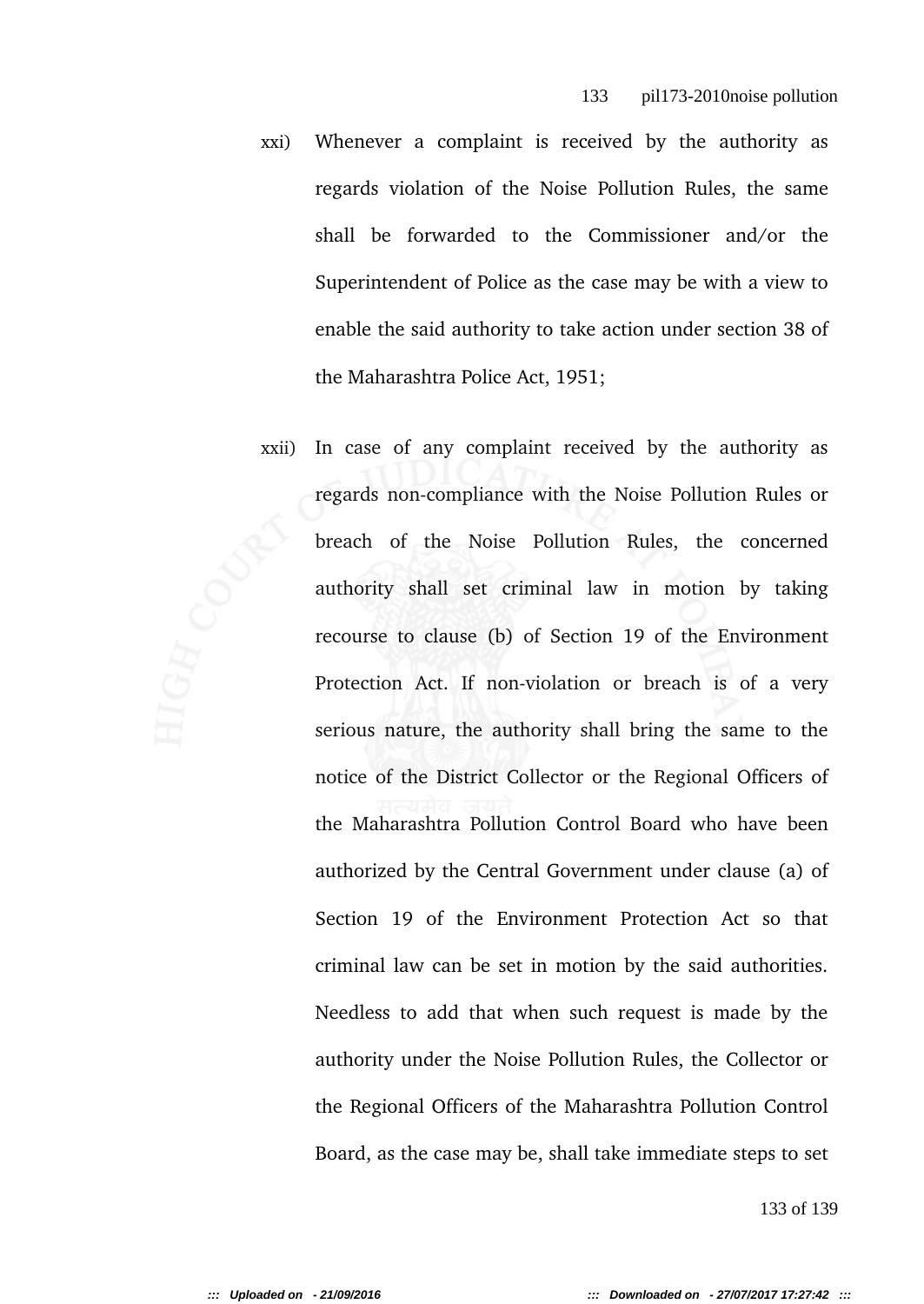- xxi) Whenever a complaint is received by the authority as regards violation of the Noise Pollution Rules, the same shall be forwarded to the Commissioner and/or the Superintendent of Police as the case may be with a view to enable the said authority to take action under section 38 of the Maharashtra Police Act, 1951;
- xxii) In case of any complaint received by the authority as regards non-compliance with the Noise Pollution Rules or breach of the Noise Pollution Rules, the concerned authority shall set criminal law in motion by taking recourse to clause (b) of Section 19 of the Environment Protection Act. If non-violation or breach is of a very serious nature, the authority shall bring the same to the notice of the District Collector or the Regional Officers of the Maharashtra Pollution Control Board who have been authorized by the Central Government under clause (a) of Section 19 of the Environment Protection Act so that criminal law can be set in motion by the said authorities. Needless to add that when such request is made by the authority under the Noise Pollution Rules, the Collector or the Regional Officers of the Maharashtra Pollution Control Board, as the case may be, shall take immediate steps to set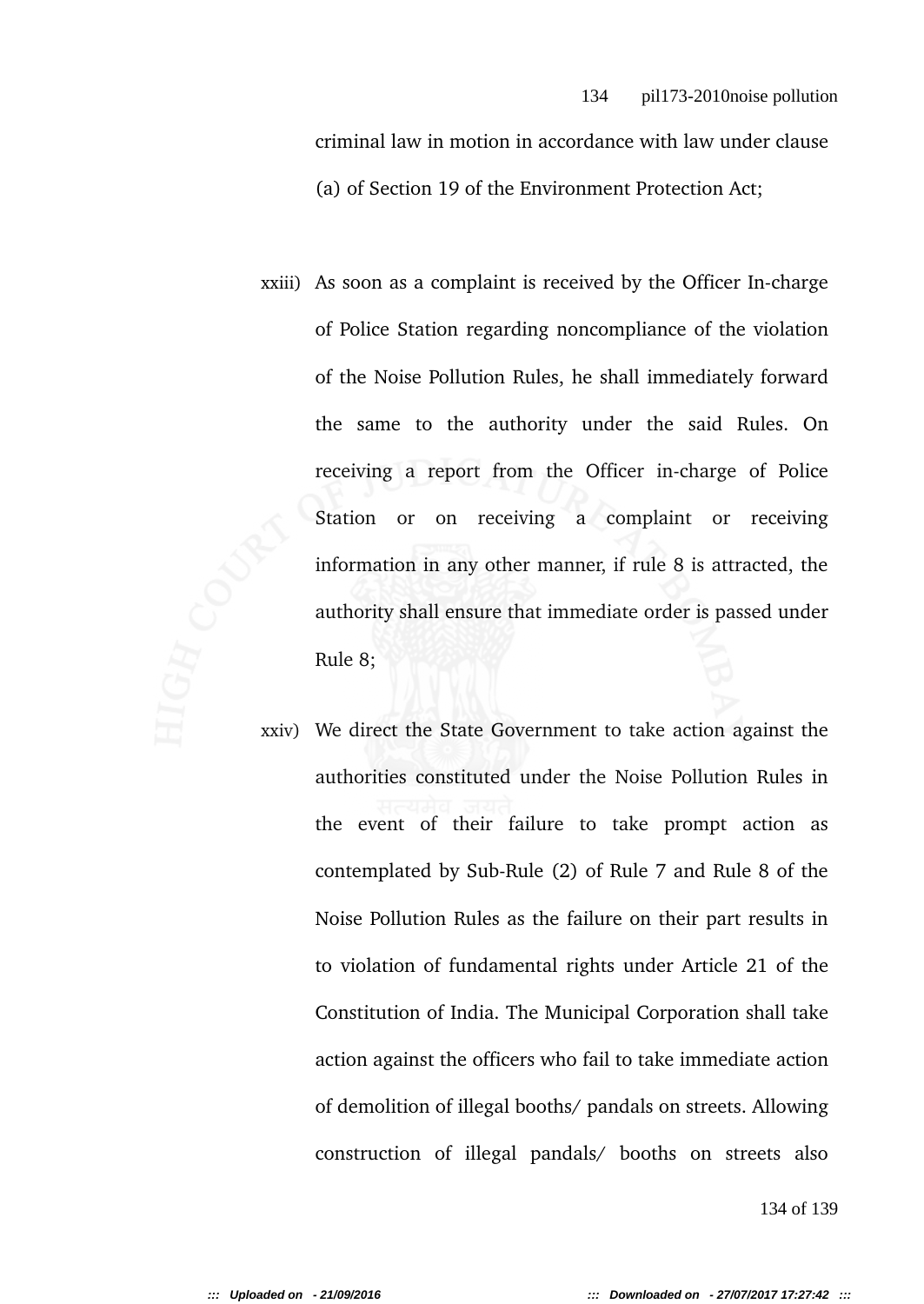criminal law in motion in accordance with law under clause (a) of Section 19 of the Environment Protection Act;

- xxiii) As soon as a complaint is received by the Officer In-charge of Police Station regarding noncompliance of the violation of the Noise Pollution Rules, he shall immediately forward the same to the authority under the said Rules. On receiving a report from the Officer in-charge of Police Station or on receiving a complaint or receiving information in any other manner, if rule 8 is attracted, the authority shall ensure that immediate order is passed under Rule 8;
- xxiv) We direct the State Government to take action against the authorities constituted under the Noise Pollution Rules in the event of their failure to take prompt action as contemplated by Sub-Rule  $(2)$  of Rule 7 and Rule 8 of the Noise Pollution Rules as the failure on their part results in to violation of fundamental rights under Article 21 of the Constitution of India. The Municipal Corporation shall take action against the officers who fail to take immediate action of demolition of illegal booths/ pandals on streets. Allowing construction of illegal pandals/ booths on streets also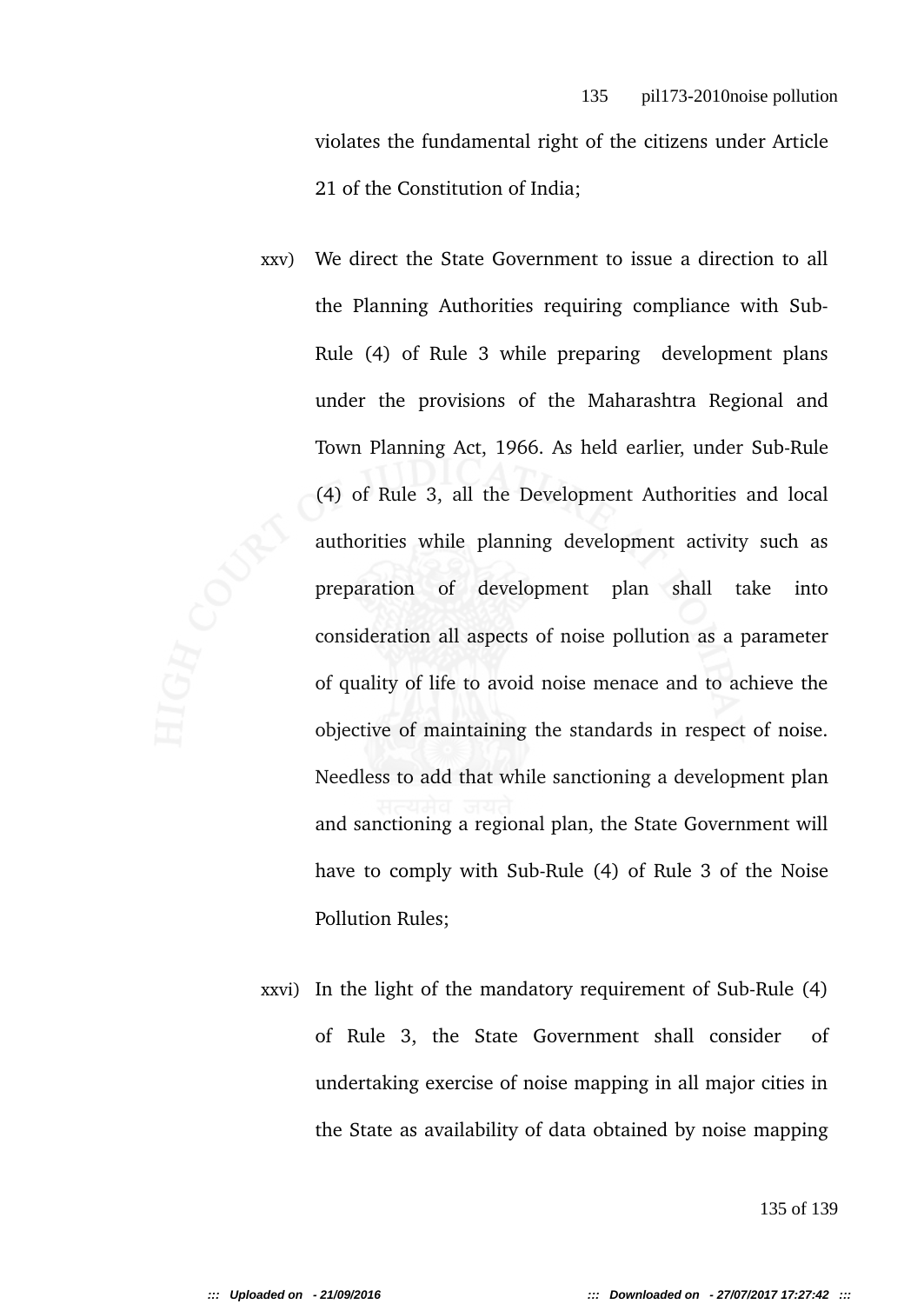violates the fundamental right of the citizens under Article 21 of the Constitution of India;

- xxv) We direct the State Government to issue a direction to all the Planning Authorities requiring compliance with Sub-Rule (4) of Rule 3 while preparing development plans under the provisions of the Maharashtra Regional and Town Planning Act, 1966. As held earlier, under Sub-Rule (4) of Rule 3, all the Development Authorities and local authorities while planning development activity such as preparation of development plan shall take into consideration all aspects of noise pollution as a parameter of quality of life to avoid noise menace and to achieve the objective of maintaining the standards in respect of noise. Needless to add that while sanctioning a development plan and sanctioning a regional plan, the State Government will have to comply with Sub-Rule (4) of Rule 3 of the Noise Pollution Rules;
- xxvi) In the light of the mandatory requirement of Sub-Rule (4) of Rule 3, the State Government shall consider of undertaking exercise of noise mapping in all major cities in the State as availability of data obtained by noise mapping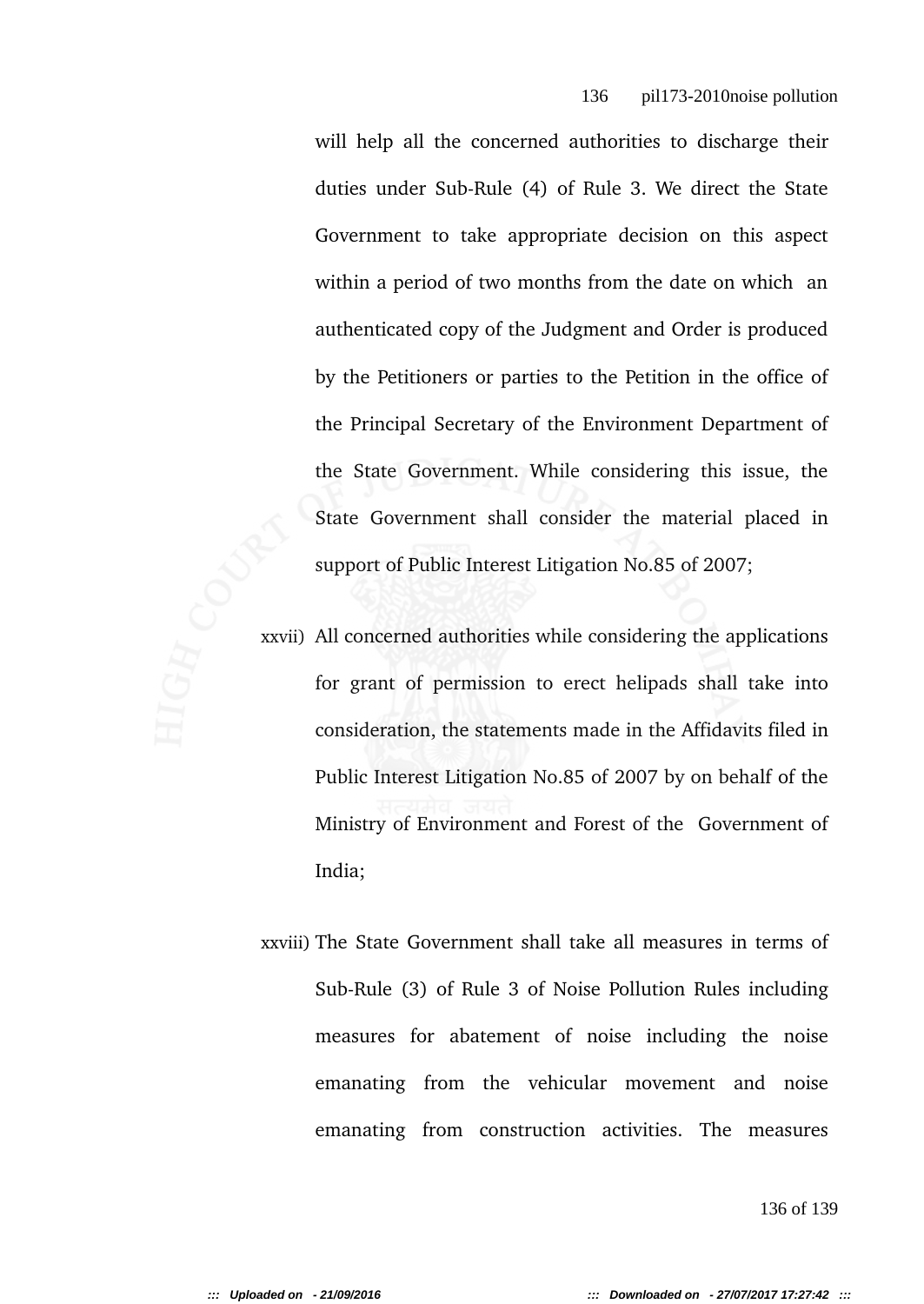will help all the concerned authorities to discharge their duties under Sub-Rule (4) of Rule 3. We direct the State Government to take appropriate decision on this aspect within a period of two months from the date on which an authenticated copy of the Judgment and Order is produced by the Petitioners or parties to the Petition in the office of the Principal Secretary of the Environment Department of the State Government. While considering this issue, the State Government shall consider the material placed in support of Public Interest Litigation No.85 of 2007;

- xxvii) All concerned authorities while considering the applications for grant of permission to erect helipads shall take into consideration, the statements made in the Affidavits filed in Public Interest Litigation No.85 of 2007 by on behalf of the Ministry of Environment and Forest of the Government of India;
- xxviii) The State Government shall take all measures in terms of Sub-Rule (3) of Rule 3 of Noise Pollution Rules including measures for abatement of noise including the noise emanating from the vehicular movement and noise emanating from construction activities. The measures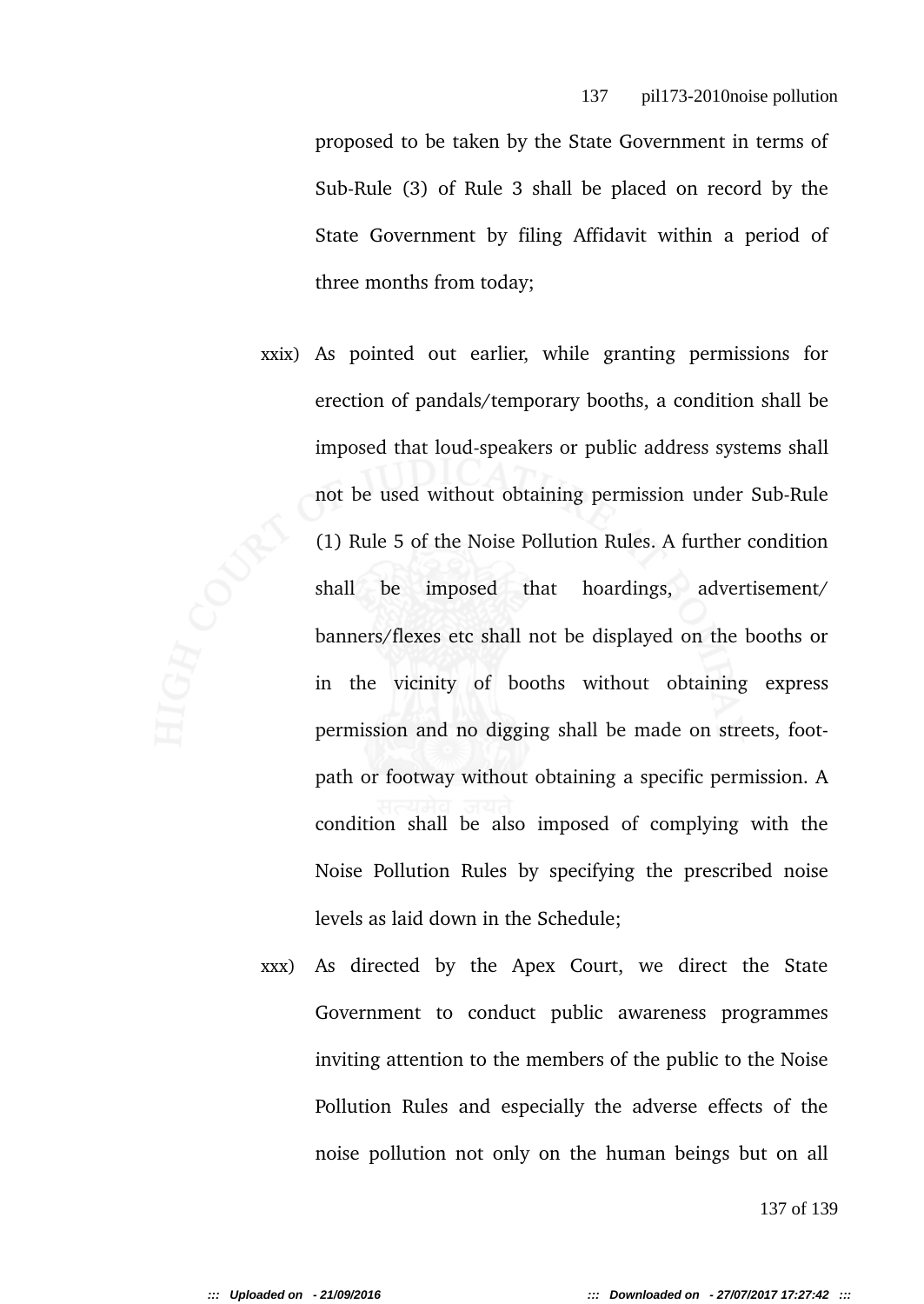proposed to be taken by the State Government in terms of Sub-Rule (3) of Rule 3 shall be placed on record by the State Government by filing Affidavit within a period of three months from today;

- xxix) As pointed out earlier, while granting permissions for erection of pandals/temporary booths, a condition shall be imposed that loud-speakers or public address systems shall not be used without obtaining permission under Sub-Rule (1) Rule 5 of the Noise Pollution Rules. A further condition shall be imposed that hoardings, advertisement/ banners/flexes etc shall not be displayed on the booths or in the vicinity of booths without obtaining express permission and no digging shall be made on streets, footpath or footway without obtaining a specific permission. A condition shall be also imposed of complying with the Noise Pollution Rules by specifying the prescribed noise levels as laid down in the Schedule;
- xxx) As directed by the Apex Court, we direct the State Government to conduct public awareness programmes inviting attention to the members of the public to the Noise Pollution Rules and especially the adverse effects of the noise pollution not only on the human beings but on all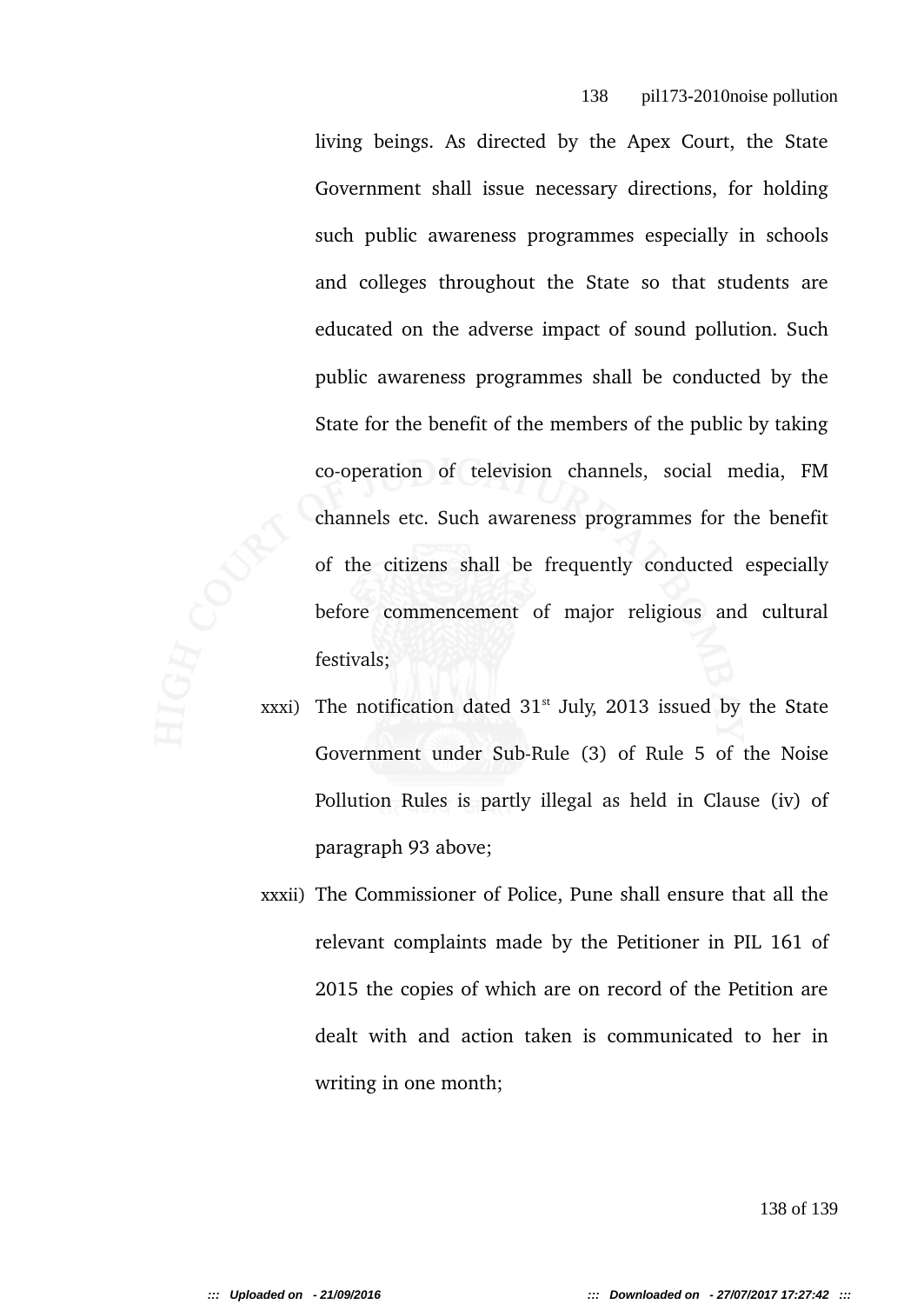living beings. As directed by the Apex Court, the State Government shall issue necessary directions, for holding such public awareness programmes especially in schools and colleges throughout the State so that students are educated on the adverse impact of sound pollution. Such public awareness programmes shall be conducted by the State for the benefit of the members of the public by taking co-operation of television channels, social media, FM channels etc. Such awareness programmes for the benefit of the citizens shall be frequently conducted especially before commencement of major religious and cultural festivals;

- xxxi) The notification dated  $31<sup>st</sup>$  July, 2013 issued by the State Government under Sub-Rule (3) of Rule 5 of the Noise Pollution Rules is partly illegal as held in Clause (iv) of paragraph 93 above;
- xxxii) The Commissioner of Police, Pune shall ensure that all the relevant complaints made by the Petitioner in PIL 161 of 2015 the copies of which are on record of the Petition are dealt with and action taken is communicated to her in writing in one month;